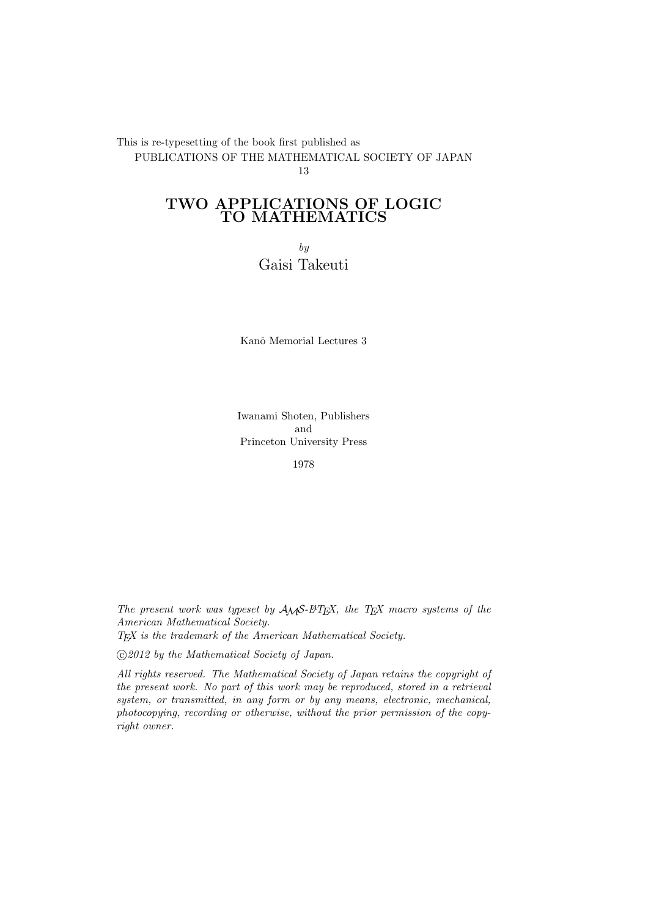This is re-typesetting of the book first published as PUBLICATIONS OF THE MATHEMATICAL SOCIETY OF JAPAN 13

# **TWO APPLICATIONS OF LOGIC TO MATHEMATICS**

*by* Gaisi Takeuti

Kanô Memorial Lectures 3

Iwanami Shoten, Publishers and Princeton University Press

1978

*The present work was typeset by AMS-LATEX, the TEX macro systems of the American Mathematical Society. TEX is the trademark of the American Mathematical Society.*

*⃝*c *2012 by the Mathematical Society of Japan.*

*All rights reserved. The Mathematical Society of Japan retains the copyright of the present work. No part of this work may be reproduced, stored in a retrieval system, or transmitted, in any form or by any means, electronic, mechanical, photocopying, recording or otherwise, without the prior permission of the copyright owner.*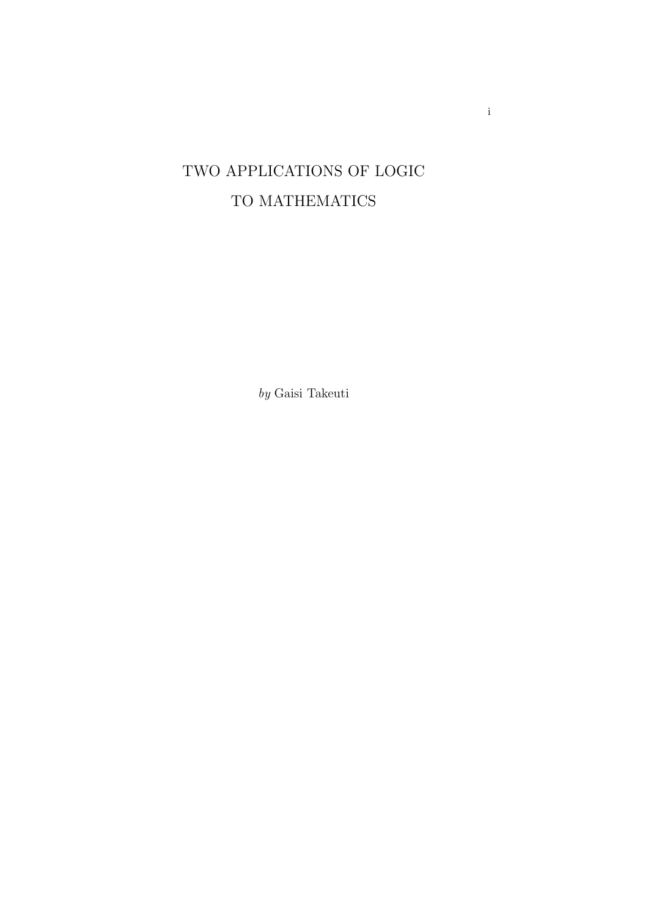# TWO APPLICATIONS OF LOGIC TO MATHEMATICS

*by* Gaisi Takeuti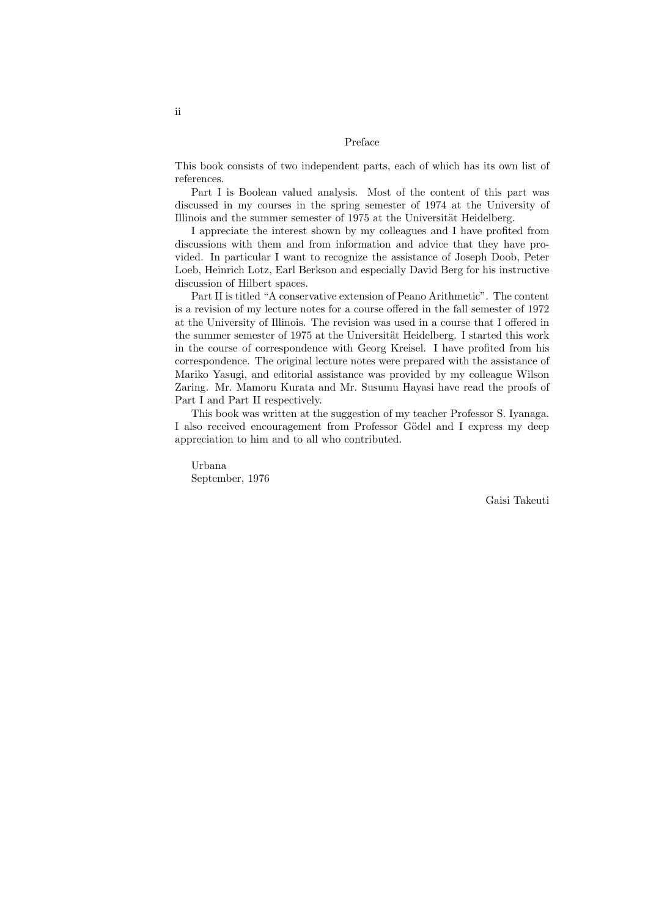### Preface

This book consists of two independent parts, each of which has its own list of references.

Part I is Boolean valued analysis. Most of the content of this part was discussed in my courses in the spring semester of 1974 at the University of Illinois and the summer semester of 1975 at the Universität Heidelberg.

I appreciate the interest shown by my colleagues and I have profited from discussions with them and from information and advice that they have provided. In particular I want to recognize the assistance of Joseph Doob, Peter Loeb, Heinrich Lotz, Earl Berkson and especially David Berg for his instructive discussion of Hilbert spaces.

Part II is titled "A conservative extension of Peano Arithmetic". The content is a revision of my lecture notes for a course offered in the fall semester of 1972 at the University of Illinois. The revision was used in a course that I offered in the summer semester of 1975 at the Universität Heidelberg. I started this work in the course of correspondence with Georg Kreisel. I have profited from his correspondence. The original lecture notes were prepared with the assistance of Mariko Yasugi, and editorial assistance was provided by my colleague Wilson Zaring. Mr. Mamoru Kurata and Mr. Susumu Hayasi have read the proofs of Part I and Part II respectively.

This book was written at the suggestion of my teacher Professor S. Iyanaga. I also received encouragement from Professor Gödel and I express my deep appreciation to him and to all who contributed.

Urbana September, 1976

Gaisi Takeuti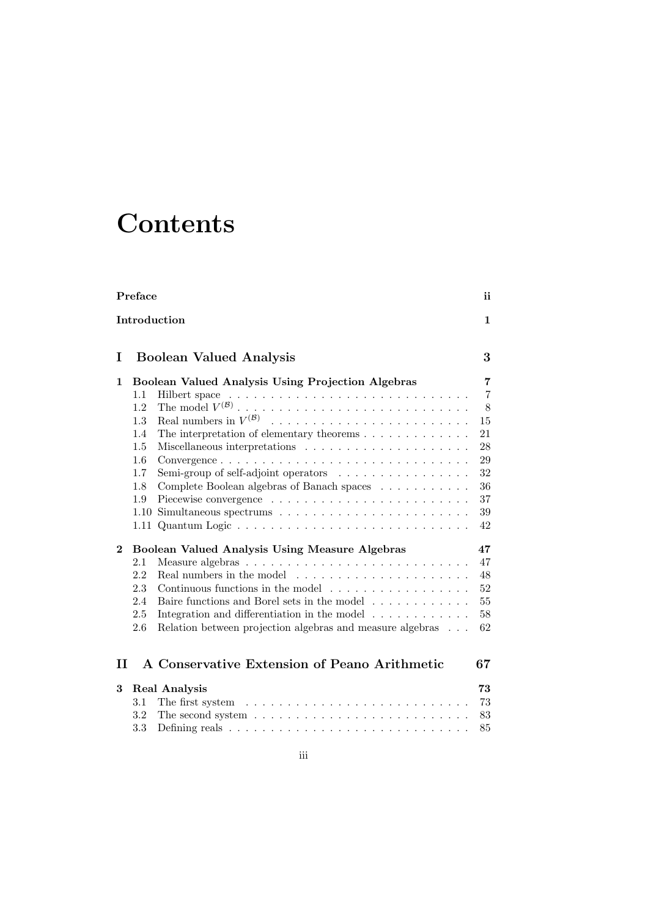# **Contents**

|          | Preface                                                                                                                                                                                                                                                                                                               | ii                                                                                  |
|----------|-----------------------------------------------------------------------------------------------------------------------------------------------------------------------------------------------------------------------------------------------------------------------------------------------------------------------|-------------------------------------------------------------------------------------|
|          | Introduction                                                                                                                                                                                                                                                                                                          | 1                                                                                   |
| Ι        | <b>Boolean Valued Analysis</b>                                                                                                                                                                                                                                                                                        | 3                                                                                   |
| 1        | Boolean Valued Analysis Using Projection Algebras<br>1.1<br>1.2<br>1.3<br>The interpretation of elementary theorems $\dots \dots \dots \dots$<br>1.4<br>1.5<br>1.6<br>Semi-group of self-adjoint operators<br>1.7<br>Complete Boolean algebras of Banach spaces<br>1.8<br>1.9                                         | $\overline{7}$<br>$\overline{7}$<br>$8\,$<br>15<br>21<br>28<br>29<br>32<br>36<br>37 |
| $\bf{2}$ | 1.10<br>Boolean Valued Analysis Using Measure Algebras<br>2.1<br>2.2<br>2.3<br>Continuous functions in the model<br>2.4<br>Baire functions and Borel sets in the model<br>2.5<br>Integration and differentiation in the model $\dots \dots \dots$<br>Relation between projection algebras and measure algebras<br>2.6 | 39<br>42<br>47<br>47<br>48<br>$52\,$<br>55<br>58<br>62                              |
| п        | A Conservative Extension of Peano Arithmetic                                                                                                                                                                                                                                                                          | 67                                                                                  |
| 3        | <b>Real Analysis</b><br>The first system $\dots \dots \dots \dots \dots \dots \dots \dots \dots \dots$<br>3.1<br>$3.2\,$<br>The second system $\dots \dots \dots \dots \dots \dots \dots \dots \dots \dots$<br>3.3                                                                                                    | 73<br>73<br>83<br>85                                                                |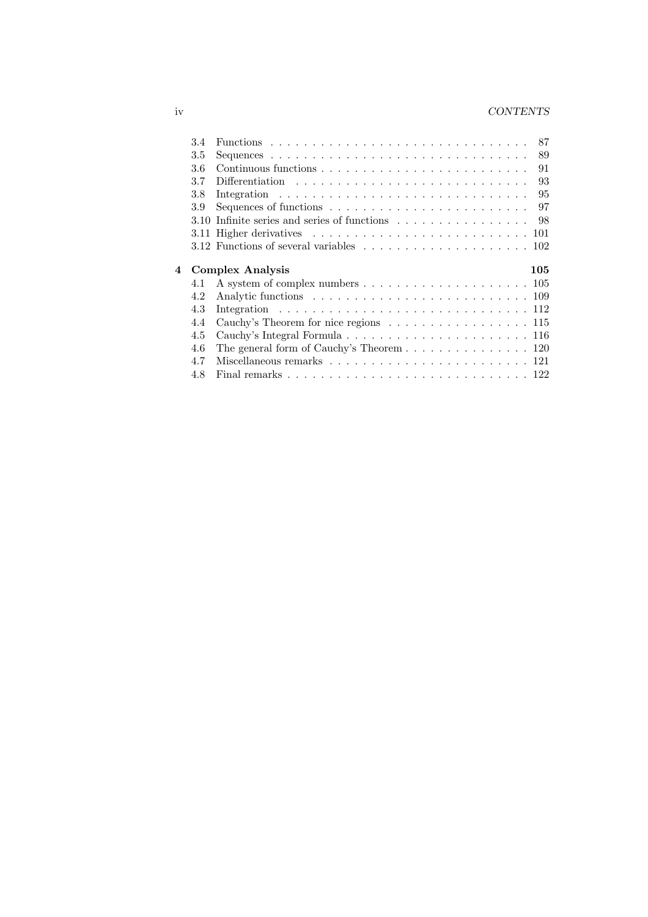# iv *CONTENTS*

|   | 3.4  |                                                                                                     |     |
|---|------|-----------------------------------------------------------------------------------------------------|-----|
|   | 3.5  |                                                                                                     | 89  |
|   | 3.6  |                                                                                                     | 91  |
|   | 3.7  |                                                                                                     | 93  |
|   | 3.8  |                                                                                                     | 95  |
|   | 3.9  | Sequences of functions $\ldots \ldots \ldots \ldots \ldots \ldots \ldots \ldots$                    | 97  |
|   | 3.10 | Infinite series and series of functions $\dots \dots \dots \dots \dots \dots$ 98                    |     |
|   |      | 3.11 Higher derivatives $\ldots \ldots \ldots \ldots \ldots \ldots \ldots \ldots \ldots \ldots 101$ |     |
|   |      | 3.12 Functions of several variables $\ldots \ldots \ldots \ldots \ldots \ldots \ldots 102$          |     |
|   |      |                                                                                                     |     |
|   |      |                                                                                                     |     |
|   |      | <b>Complex Analysis</b>                                                                             | 105 |
|   | 4.1  |                                                                                                     |     |
| 4 | 4.2  |                                                                                                     |     |
|   | 4.3  |                                                                                                     |     |
|   | 4.4  | Cauchy's Theorem for nice regions $\ldots \ldots \ldots \ldots \ldots \ldots 115$                   |     |
|   | 4.5  |                                                                                                     |     |
|   | 4.6  | The general form of Cauchy's Theorem $\ldots \ldots \ldots \ldots \ldots 120$                       |     |
|   | 4.7  |                                                                                                     |     |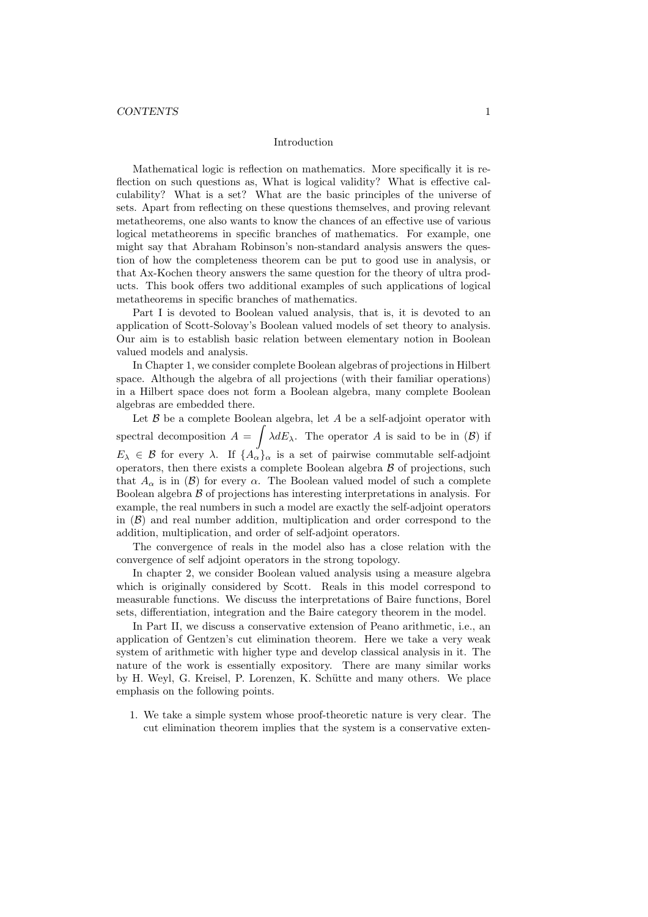#### Introduction

Mathematical logic is reflection on mathematics. More specifically it is reflection on such questions as, What is logical validity? What is effective calculability? What is a set? What are the basic principles of the universe of sets. Apart from reflecting on these questions themselves, and proving relevant metatheorems, one also wants to know the chances of an effective use of various logical metatheorems in specific branches of mathematics. For example, one might say that Abraham Robinson's non-standard analysis answers the question of how the completeness theorem can be put to good use in analysis, or that Ax-Kochen theory answers the same question for the theory of ultra products. This book offers two additional examples of such applications of logical metatheorems in specific branches of mathematics.

Part I is devoted to Boolean valued analysis, that is, it is devoted to an application of Scott-Solovay's Boolean valued models of set theory to analysis. Our aim is to establish basic relation between elementary notion in Boolean valued models and analysis.

In Chapter 1, we consider complete Boolean algebras of projections in Hilbert space. Although the algebra of all projections (with their familiar operations) in a Hilbert space does not form a Boolean algebra, many complete Boolean algebras are embedded there.

Let *B* be a complete Boolean algebra, let *A* be a self-adjoint operator with spectral decomposition  $A = \int \lambda dE_{\lambda}$ . The operator *A* is said to be in (*B*) if  $E_{\lambda} \in \mathcal{B}$  for every  $\lambda$ . If  $\{A_{\alpha}\}_\alpha$  is a set of pairwise commutable self-adjoint operators, then there exists a complete Boolean algebra *B* of projections, such that  $A_{\alpha}$  is in (*B*) for every  $\alpha$ . The Boolean valued model of such a complete Boolean algebra *B* of projections has interesting interpretations in analysis. For example, the real numbers in such a model are exactly the self-adjoint operators in  $(\beta)$  and real number addition, multiplication and order correspond to the addition, multiplication, and order of self-adjoint operators.

The convergence of reals in the model also has a close relation with the convergence of self adjoint operators in the strong topology.

In chapter 2, we consider Boolean valued analysis using a measure algebra which is originally considered by Scott. Reals in this model correspond to measurable functions. We discuss the interpretations of Baire functions, Borel sets, differentiation, integration and the Baire category theorem in the model.

In Part II, we discuss a conservative extension of Peano arithmetic, i.e., an application of Gentzen's cut elimination theorem. Here we take a very weak system of arithmetic with higher type and develop classical analysis in it. The nature of the work is essentially expository. There are many similar works by H. Weyl, G. Kreisel, P. Lorenzen, K. Schütte and many others. We place emphasis on the following points.

1. We take a simple system whose proof-theoretic nature is very clear. The cut elimination theorem implies that the system is a conservative exten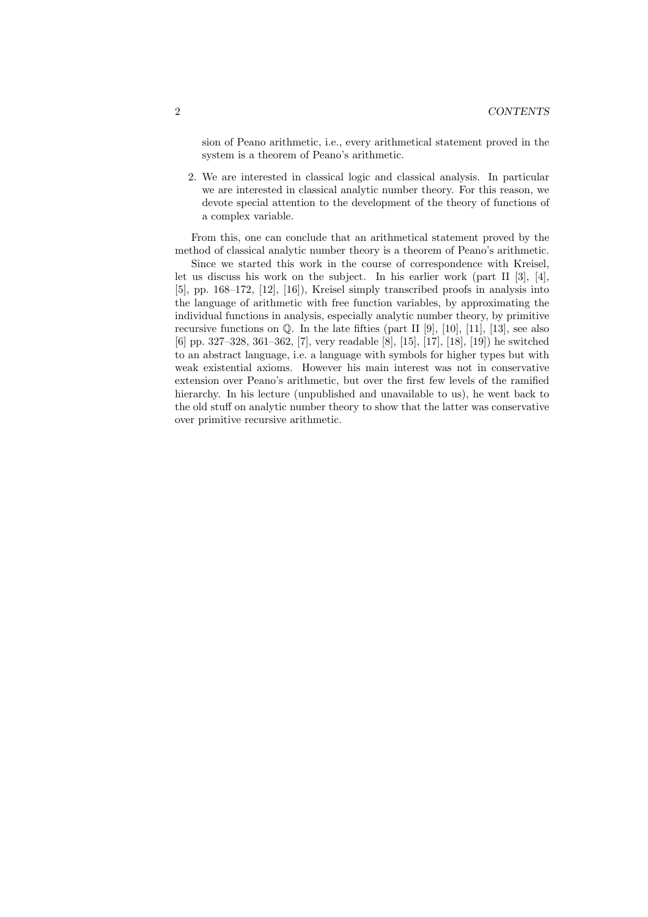sion of Peano arithmetic, i.e., every arithmetical statement proved in the system is a theorem of Peano's arithmetic.

2. We are interested in classical logic and classical analysis. In particular we are interested in classical analytic number theory. For this reason, we devote special attention to the development of the theory of functions of a complex variable.

From this, one can conclude that an arithmetical statement proved by the method of classical analytic number theory is a theorem of Peano's arithmetic.

Since we started this work in the course of correspondence with Kreisel, let us discuss his work on the subject. In his earlier work (part II [3], [4], [5], pp. 168–172, [12], [16]), Kreisel simply transcribed proofs in analysis into the language of arithmetic with free function variables, by approximating the individual functions in analysis, especially analytic number theory, by primitive recursive functions on  $\mathbb Q$ . In the late fifties (part II [9], [10], [11], [13], see also [6] pp. 327–328, 361–362, [7], very readable [8], [15], [17], [18], [19]) he switched to an abstract language, i.e. a language with symbols for higher types but with weak existential axioms. However his main interest was not in conservative extension over Peano's arithmetic, but over the first few levels of the ramified hierarchy. In his lecture (unpublished and unavailable to us), he went back to the old stuff on analytic number theory to show that the latter was conservative over primitive recursive arithmetic.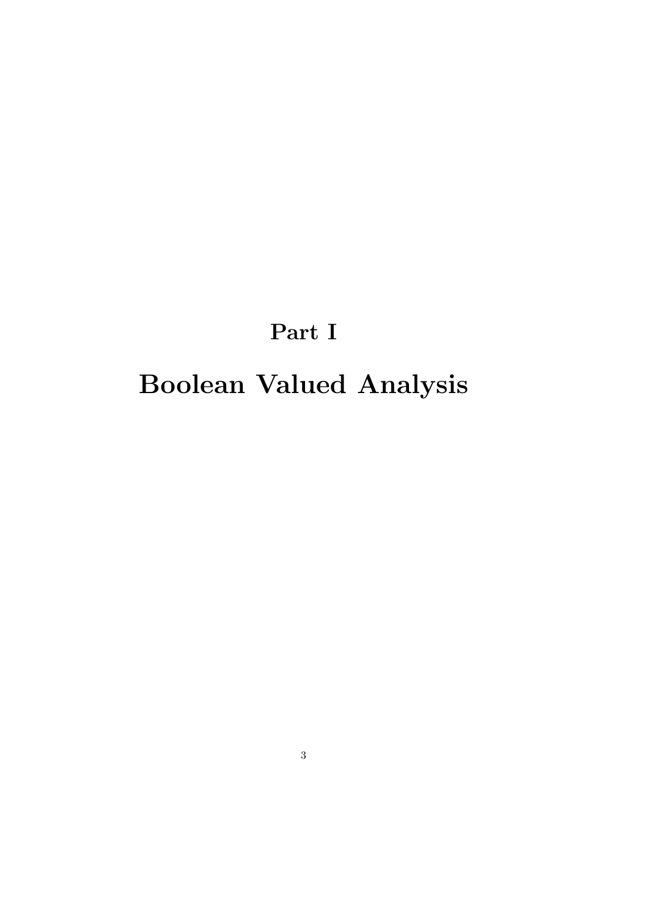# **Part I**

# **Boolean Valued Analysis**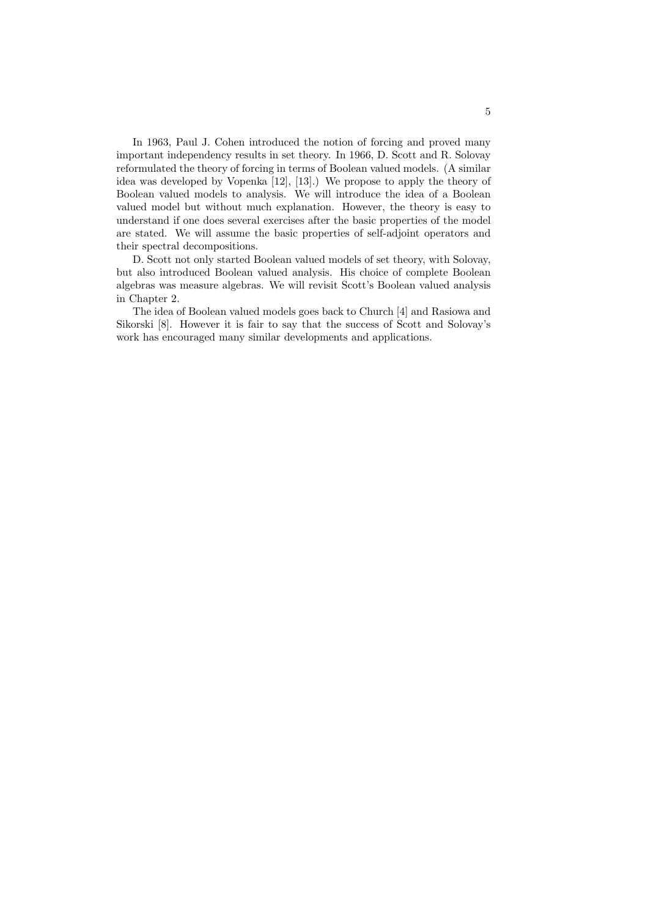In 1963, Paul J. Cohen introduced the notion of forcing and proved many important independency results in set theory. In 1966, D. Scott and R. Solovay reformulated the theory of forcing in terms of Boolean valued models. (A similar idea was developed by Vopenka [12], [13].) We propose to apply the theory of Boolean valued models to analysis. We will introduce the idea of a Boolean valued model but without much explanation. However, the theory is easy to understand if one does several exercises after the basic properties of the model are stated. We will assume the basic properties of self-adjoint operators and their spectral decompositions.

D. Scott not only started Boolean valued models of set theory, with Solovay, but also introduced Boolean valued analysis. His choice of complete Boolean algebras was measure algebras. We will revisit Scott's Boolean valued analysis in Chapter 2.

The idea of Boolean valued models goes back to Church [4] and Rasiowa and Sikorski [8]. However it is fair to say that the success of Scott and Solovay's work has encouraged many similar developments and applications.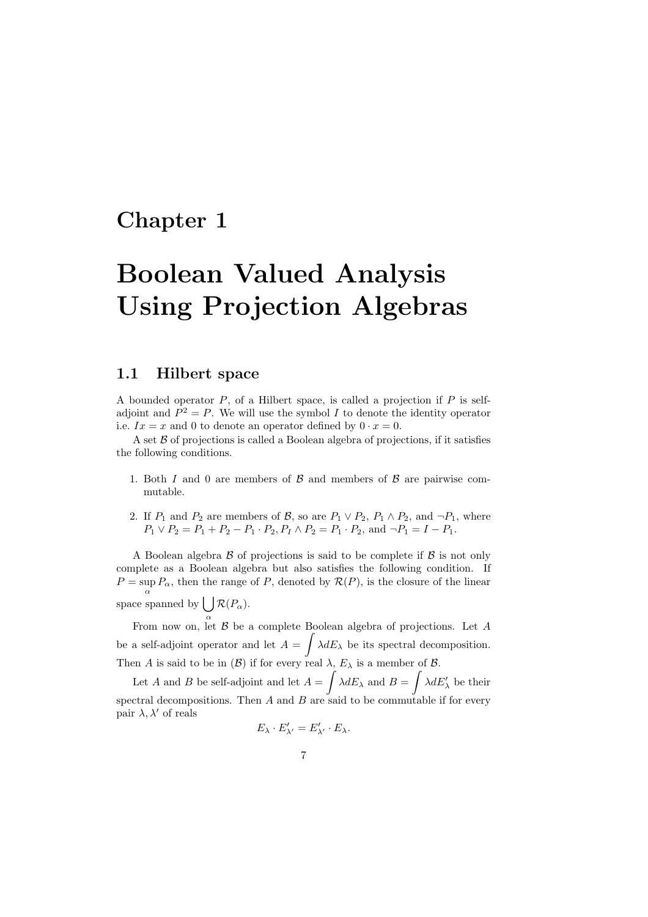# **Chapter 1**

# **Boolean Valued Analysis Using Projection Algebras**

### **1.1 Hilbert space**

A bounded operator *P*, of a Hilbert space, is called a projection if *P* is selfadjoint and  $P^2 = P$ . We will use the symbol *I* to denote the identity operator i.e.  $Ix = x$  and 0 to denote an operator defined by  $0 \cdot x = 0$ .

A set *B* of projections is called a Boolean algebra of projections, if it satisfies the following conditions.

- 1. Both *I* and 0 are members of *B* and members of *B* are pairwise commutable.
- 2. If  $P_1$  and  $P_2$  are members of  $\mathcal{B}$ , so are  $P_1 \lor P_2$ ,  $P_1 \land P_2$ , and  $\neg P_1$ , where  $P_1 \lor P_2 = P_1 + P_2 - P_1 \cdot P_2$ ,  $P_I \land P_2 = P_1 \cdot P_2$ , and  $\neg P_1 = I - P_1$ .

A Boolean algebra *B* of projections is said to be complete if *B* is not only complete as a Boolean algebra but also satisfies the following condition. If  $P = \sup_{\alpha} P_{\alpha}$ , then the range of *P*, denoted by  $R(P)$ , is the closure of the linear space spanned by  $\int \int \mathcal{R}(P_{\alpha})$ .

*α* From now on, let *B* be a complete Boolean algebra of projections. Let *A* be a self-adjoint operator and let  $A = \int \lambda dE_{\lambda}$  be its spectral decomposition. Then *A* is said to be in  $(\mathcal{B})$  if for every real  $\lambda$ ,  $E_{\lambda}$  is a member of  $\mathcal{B}$ .

Let *A* and *B* be self-adjoint and let  $A = \int \lambda dE_{\lambda}$  and  $B = \int \lambda dE'_{\lambda}$  be their spectral decompositions. Then *A* and *B* are said to be commutable if for every pair  $\lambda$ ,  $\lambda'$  of reals

$$
E_{\lambda} \cdot E'_{\lambda'} = E'_{\lambda'} \cdot E_{\lambda}.
$$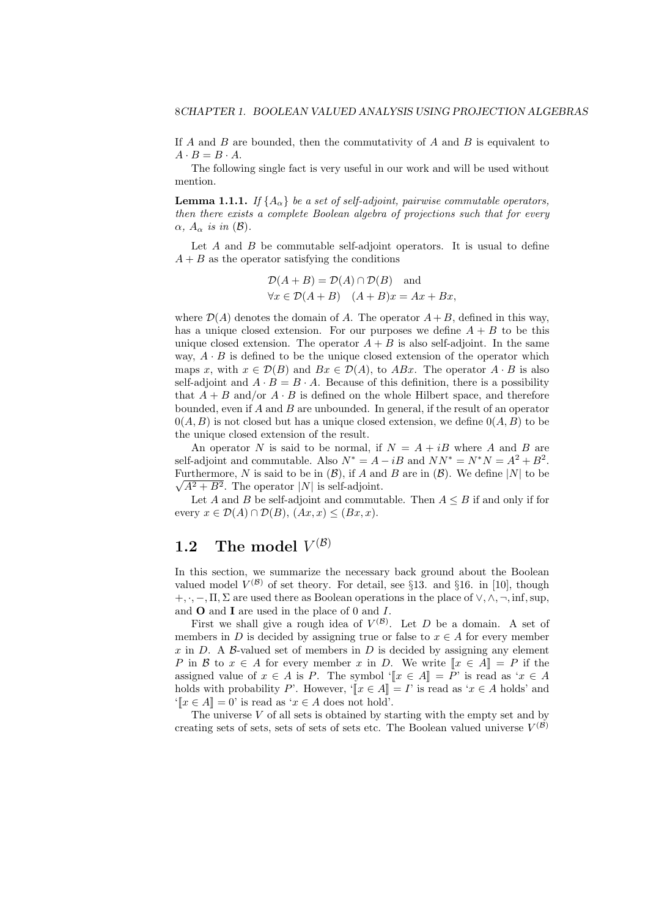If *A* and *B* are bounded, then the commutativity of *A* and *B* is equivalent to  $A \cdot B = B \cdot A$ .

The following single fact is very useful in our work and will be used without mention.

**Lemma 1.1.1.** *If*  $\{A_{\alpha}\}\$ be a set of self-adjoint, pairwise commutable operators, *then there exists a complete Boolean algebra of projections such that for every α,*  $A_\alpha$  *is in* (*B*).

Let *A* and *B* be commutable self-adjoint operators. It is usual to define  $A + B$  as the operator satisfying the conditions

$$
\mathcal{D}(A + B) = \mathcal{D}(A) \cap \mathcal{D}(B) \text{ and}
$$
  

$$
\forall x \in \mathcal{D}(A + B) \quad (A + B)x = Ax + Bx,
$$

where  $\mathcal{D}(A)$  denotes the domain of A. The operator  $A + B$ , defined in this way, has a unique closed extension. For our purposes we define  $A + B$  to be this unique closed extension. The operator  $A + B$  is also self-adjoint. In the same way,  $A \cdot B$  is defined to be the unique closed extension of the operator which maps *x*, with  $x \in \mathcal{D}(B)$  and  $Bx \in \mathcal{D}(A)$ , to  $ABx$ . The operator  $A \cdot B$  is also self-adjoint and  $A \cdot B = B \cdot A$ . Because of this definition, there is a possibility that  $A + B$  and/or  $A \cdot B$  is defined on the whole Hilbert space, and therefore bounded, even if *A* and *B* are unbounded. In general, if the result of an operator  $0(A, B)$  is not closed but has a unique closed extension, we define  $0(A, B)$  to be the unique closed extension of the result.

An operator *N* is said to be normal, if  $N = A + iB$  where *A* and *B* are self-adjoint and commutable. Also  $N^* = A - iB$  and  $NN^* = N^*N = A^2 + B^2$ .  $\overline{V}$  *√ (B)*,  $\overline{V}$  *M* is said to be in (*B)*, if *A* and *B* are in (*B)*. We define  $|N|$  to be  $\sqrt{A^2 + B^2}$ . The operator *|N|* is self-adjoint.

Let *A* and *B* be self-adjoint and commutable. Then  $A \leq B$  if and only if for every  $x \in \mathcal{D}(A) \cap \mathcal{D}(B)$ ,  $(Ax, x) \leq (Bx, x)$ .

# **1.2** The model  $V^{(\mathcal{B})}$

In this section, we summarize the necessary back ground about the Boolean valued model  $V^{(\mathcal{B})}$  of set theory. For detail, see §13. and §16. in [10], though +*, ·, −,* Π*,* Σ are used there as Boolean operations in the place of *∨, ∧, ¬,* inf*,*sup, and **O** and **I** are used in the place of 0 and *I*.

First we shall give a rough idea of  $V^{(\mathcal{B})}$ . Let *D* be a domain. A set of members in *D* is decided by assigning true or false to  $x \in A$  for every member  $x$  in  $D$ . A  $\beta$ -valued set of members in  $D$  is decided by assigning any element *P* in *B* to  $x \in A$  for every member *x* in *D*. We write  $[x \in A] = P$  if the assigned value of  $x \in A$  is *P*. The symbol ' $\Vert x \in A \Vert = P'$  is read as ' $x \in A$ holds with probability *P*'. However, ' $\Vert x \in A \Vert = I$ ' is read as ' $x \in A$  holds' and  $\mathbb{T}[x \in A] = 0'$  is read as  $x \in A$  does not hold'.

The universe *V* of all sets is obtained by starting with the empty set and by creating sets of sets, sets of sets of sets etc. The Boolean valued universe  $V^{(\mathcal{B})}$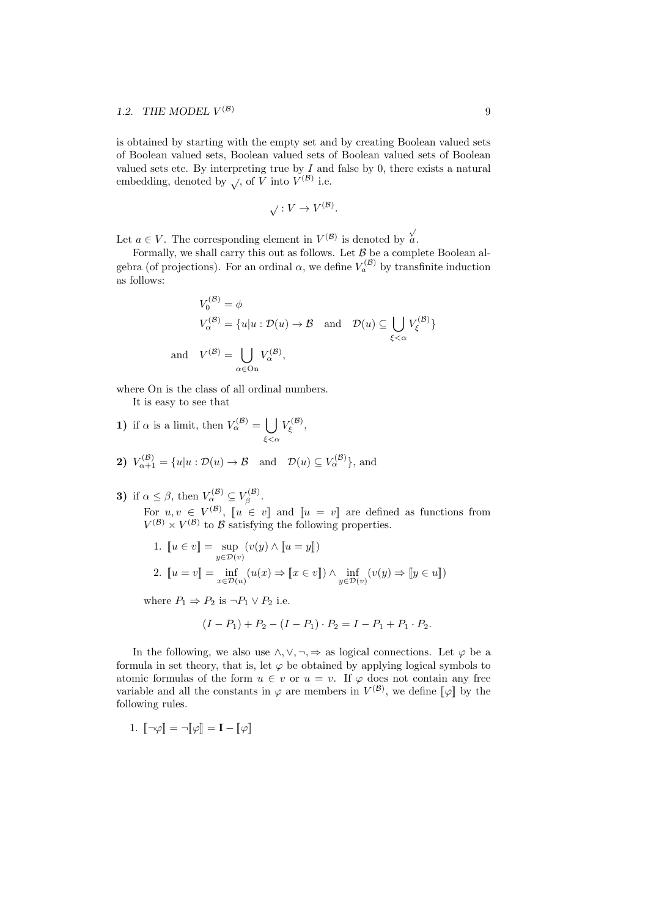is obtained by starting with the empty set and by creating Boolean valued sets of Boolean valued sets, Boolean valued sets of Boolean valued sets of Boolean valued sets etc. By interpreting true by *I* and false by 0, there exists a natural embedding, denoted by  $\sqrt{ }$ , of *V* into  $V^{(\mathcal{B})}$  i.e.

$$
\sqrt{V} : V \to V^{(\mathcal{B})}.
$$

Let  $a \in V$ . The corresponding element in  $V^{(\mathcal{B})}$  is denoted by  $\overrightarrow{a}$ .

Formally, we shall carry this out as follows. Let *B* be a complete Boolean algebra (of projections). For an ordinal  $\alpha$ , we define  $V_a^{(\mathcal{B})}$  by transfinite induction as follows:

$$
V_0^{(\mathcal{B})} = \phi
$$
  
\n
$$
V_{\alpha}^{(\mathcal{B})} = \{u|u : \mathcal{D}(u) \to \mathcal{B} \text{ and } \mathcal{D}(u) \subseteq \bigcup_{\xi < \alpha} V_{\xi}^{(\mathcal{B})}\}
$$
  
\n
$$
V^{(\mathcal{B})} = \bigcup_{\alpha \in \text{On}} V_{\alpha}^{(\mathcal{B})},
$$

where On is the class of all ordinal numbers.

It is easy to see that

and *V*

- **1)** if  $\alpha$  is a limit, then  $V_{\alpha}^{(\mathcal{B})} = \begin{bmatrix} \end{bmatrix}$ *ξ<α V* (*B*) *ξ* ,
- **2)**  $V_{\alpha+1}^{(\mathcal{B})} = \{u | u : \mathcal{D}(u) \to \mathcal{B} \text{ and } \mathcal{D}(u) \subseteq V_{\alpha}^{(\mathcal{B})}\},\text{ and}$
- **3)** if  $\alpha \leq \beta$ , then  $V_{\alpha}^{(\mathcal{B})} \subseteq V_{\beta}^{(\mathcal{B})}$ .

For  $u, v \in V^{(\mathcal{B})}$ ,  $\llbracket u \in v \rrbracket$  and  $\llbracket u = v \rrbracket$  are defined as functions from  $V^{(\mathcal{B})} \times V^{(\mathcal{B})}$  to  $\mathcal{B}$  satisfying the following properties.

1. 
$$
\begin{aligned} \n\llbracket u \in v \rrbracket &= \sup_{y \in \mathcal{D}(v)} (v(y) \land \llbracket u = y \rrbracket) \\ \n2. \quad \llbracket u = v \rrbracket &= \inf_{x \in \mathcal{D}(u)} (u(x) \Rightarrow \llbracket x \in v \rrbracket) \land \inf_{y \in \mathcal{D}(v)} (v(y) \Rightarrow \llbracket y \in u \rrbracket) \n\end{aligned}
$$

where  $P_1 \Rightarrow P_2$  is  $\neg P_1 \lor P_2$  i.e.

$$
(I - P_1) + P_2 - (I - P_1) \cdot P_2 = I - P_1 + P_1 \cdot P_2.
$$

In the following, we also use  $\land$ ,  $\lor$ ,  $\neg$ ,  $\Rightarrow$  as logical connections. Let  $\varphi$  be a formula in set theory, that is, let  $\varphi$  be obtained by applying logical symbols to atomic formulas of the form  $u \in v$  or  $u = v$ . If  $\varphi$  does not contain any free variable and all the constants in  $\varphi$  are members in  $V^{(\mathcal{B})}$ , we define  $[\varphi]$  by the following rules.

1. 
$$
\llbracket \neg \varphi \rrbracket = \neg \llbracket \varphi \rrbracket = \mathbf{I} - \llbracket \varphi \rrbracket
$$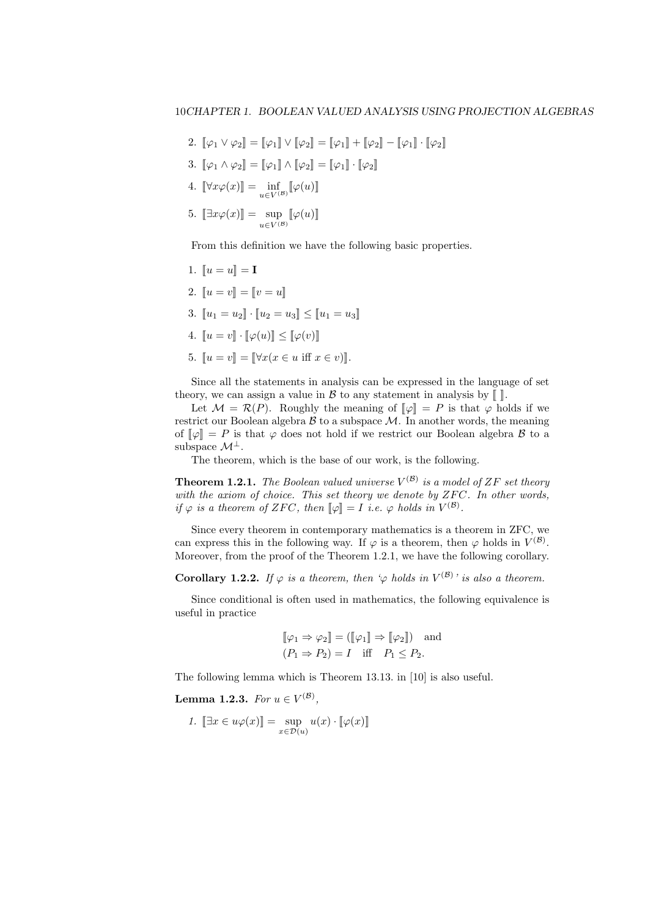2.  $[\![\varphi_1 \vee \varphi_2]\!] = [\![\varphi_1]\!] \vee [\![\varphi_2]\!] = [\![\varphi_1]\!] + [\![\varphi_2]\!] - [\![\varphi_1]\!] \cdot [\![\varphi_2]\!]$ 3.  $\llbracket \varphi_1 \wedge \varphi_2 \rrbracket = \llbracket \varphi_1 \rrbracket \wedge \llbracket \varphi_2 \rrbracket = \llbracket \varphi_1 \rrbracket \cdot \llbracket \varphi_2 \rrbracket$ 4.  $[\![\forall x \varphi(x)]\!] = \inf_{u \in V^{(\mathcal{B})}} [\![\varphi(u)]\!]$ 5.  $[\exists x \varphi(x)] = \sup_{u \in V^{(\mathcal{B})}} [\varphi(u)]$ 

From this definition we have the following basic properties.

1.  $\llbracket u = u \rrbracket = \mathbf{I}$ 2.  $\llbracket u = v \rrbracket = \llbracket v = u \rrbracket$ 3.  $\|u_1 = u_2\| \cdot \|u_2 = u_3\| \le \|u_1 = u_3\|$ 4.  $\llbracket u = v \rrbracket \cdot \llbracket \varphi(u) \rrbracket \leq \llbracket \varphi(v) \rrbracket$ 5.  $\llbracket u = v \rrbracket = \llbracket \forall x (x \in u \text{ iff } x \in v) \rrbracket.$ 

Since all the statements in analysis can be expressed in the language of set theory, we can assign a value in  $\mathcal B$  to any statement in analysis by  $\llbracket \cdot \rrbracket$ .

Let  $M = \mathcal{R}(P)$ . Roughly the meaning of  $[\![\varphi]\!] = P$  is that  $\varphi$  holds if we restrict our Boolean algebra  $\beta$  to a subspace  $\mathcal M$ . In another words, the meaning of  $\llbracket \varphi \rrbracket = P$  is that  $\varphi$  does not hold if we restrict our Boolean algebra *B* to a subspace  $\mathcal{M}^{\perp}$ .

The theorem, which is the base of our work, is the following.

**Theorem 1.2.1.** *The Boolean valued universe V* (*B*) *is a model of ZF set theory* with the axiom of choice. This set theory we denote by ZFC. In other words, *if*  $\varphi$  *is a theorem of ZFC*, *then*  $[\![\varphi]\!] = I$  *i.e.*  $\varphi$  *holds in*  $V^{(\mathcal{B})}$ .

Since every theorem in contemporary mathematics is a theorem in ZFC, we can express this in the following way. If  $\varphi$  is a theorem, then  $\varphi$  holds in  $V^{(\mathcal{B})}$ . Moreover, from the proof of the Theorem 1.2.1, we have the following corollary.

**Corollary 1.2.2.** *If*  $\varphi$  *is a theorem, then*  $\varphi$  *holds in*  $V^{(\mathcal{B})}$ *' is also a theorem.* 

Since conditional is often used in mathematics, the following equivalence is useful in practice

$$
\llbracket \varphi_1 \Rightarrow \varphi_2 \rrbracket = (\llbracket \varphi_1 \rrbracket \Rightarrow \llbracket \varphi_2 \rrbracket) \text{ and } (P_1 \Rightarrow P_2) = I \text{ iff } P_1 \le P_2.
$$

The following lemma which is Theorem 13.13. in [10] is also useful.

 ${\bf Lemma \ 1.2.3.} \ \ For \ u \in V^{(\mathcal{B})},$ 

1. 
$$
\llbracket \exists x \in u\varphi(x) \rrbracket = \sup_{x \in \mathcal{D}(u)} u(x) \cdot \llbracket \varphi(x) \rrbracket
$$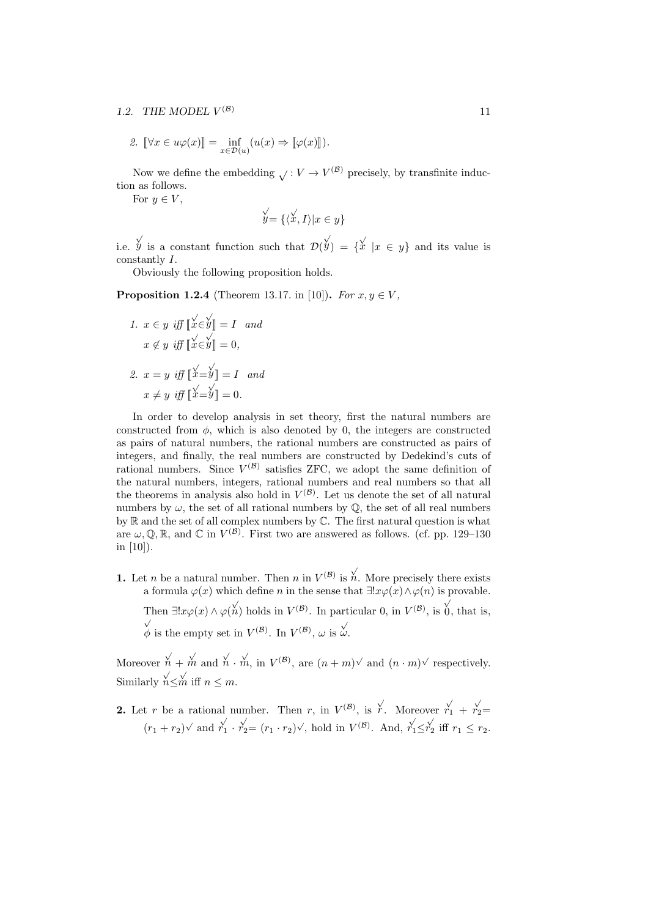#### 1.2. THE MODEL  $V^{(\mathcal{B})}$ (*B*) 11

2. 
$$
\llbracket \forall x \in u\varphi(x) \rrbracket = \inf_{x \in \mathcal{D}(u)} (u(x) \Rightarrow \llbracket \varphi(x) \rrbracket).
$$

Now we define the embedding  $\sqrt{V}$  :  $V \rightarrow V^{(\mathcal{B})}$  precisely, by transfinite induction as follows.

For  $y \in V$ ,

$$
\mathcal{Y}' = \{ \langle \mathcal{X}, I \rangle | x \in y \}
$$

i.e. *y* is a constant function such that  $\mathcal{D}(y) = \{x \mid x \in y\}$  and its value is constantly *I*.

Obviously the following proposition holds.

**Proposition 1.2.4** (Theorem 13.17. in [10]). *For*  $x, y \in V$ ,

1. 
$$
x \in y
$$
 iff  $\left[\stackrel{\sqrt{}}{x} \in \stackrel{\sqrt{}}{y}\right] = I$  and  
\n $x \notin y$  iff  $\left[\stackrel{\sqrt{}}{x} \in \stackrel{\sqrt{}}{y}\right] = 0$ ,  
\n2.  $x = y$  iff  $\left[\stackrel{\sqrt{}}{x} = \stackrel{\sqrt{}}{y}\right] = I$  and  
\n $x \neq y$  iff  $\left[\stackrel{\sqrt{}}{x} = \stackrel{\sqrt{}}{y}\right] = 0$ .

In order to develop analysis in set theory, first the natural numbers are constructed from  $\phi$ , which is also denoted by 0, the integers are constructed as pairs of natural numbers, the rational numbers are constructed as pairs of integers, and finally, the real numbers are constructed by Dedekind's cuts of rational numbers. Since  $V^{(\mathcal{B})}$  satisfies ZFC, we adopt the same definition of the natural numbers, integers, rational numbers and real numbers so that all the theorems in analysis also hold in  $V^{(\mathcal{B})}$ . Let us denote the set of all natural numbers by  $\omega$ , the set of all rational numbers by  $\mathbb{Q}$ , the set of all real numbers by R and the set of all complex numbers by C. The first natural question is what are  $\omega, \mathbb{Q}, \mathbb{R}$ , and  $\mathbb{C}$  in  $V^{(\mathcal{B})}$ . First two are answered as follows. (cf. pp. 129–130) in [10]).

**1.** Let *n* be a natural number. Then *n* in  $V^{(\mathcal{B})}$  is  $\stackrel{\sqrt{}}{n}$ . More precisely there exists a formula  $\varphi(x)$  which define *n* in the sense that  $\exists! x \varphi(x) \land \varphi(n)$  is provable. Then  $\exists! x \varphi(x) \land \varphi(\stackrel{\vee}{n})$  holds in  $V^{(\mathcal{B})}$ . In particular 0, in  $V^{(\mathcal{B})}$ , is *√* 0, that is, *√*  $\phi$  is the empty set in  $V^{(\mathcal{B})}$ . In  $V^{(\mathcal{B})}$ , *ω* is  $\psi$ .

Moreover  $\stackrel{\vee}{n}$  +  $\stackrel{\vee}{m}$  and  $\stackrel{\vee}{n}$  *·*  $\stackrel{\vee}{m}$ , in  $V^{(\mathcal{B})}$ , are  $(n+m)^{\vee}$  and  $(n \cdot m)^{\vee}$  respectively. Similarly  $n \leq m$  iff  $n \leq m$ .

**2.** Let *r* be a rational number. Then *r*, in  $V^{(\mathcal{B})}$ , is  $\overline{r}$ . Moreover  $\overline{r}'_1 + \overline{r}'_2 =$  $(r_1 + r_2)$  and  $r_1' \cdot r_2' = (r_1 \cdot r_2)'$ , hold in  $V^{(\mathcal{B})}$ . And,  $r_1' \leq r_2'$  iff  $r_1 \leq r_2$ .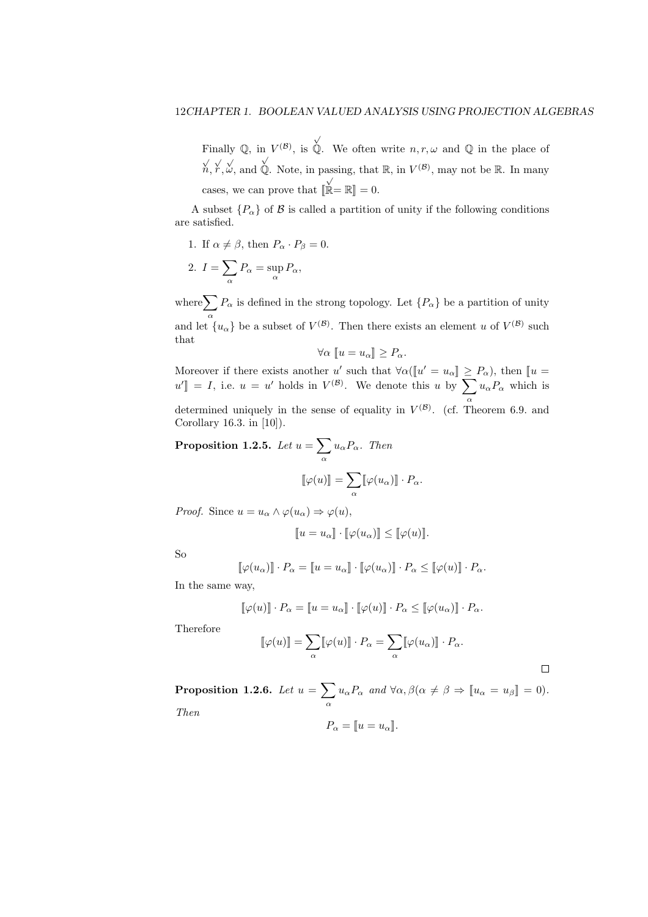Finally  $\mathbb{Q}$ , in  $V^{(\mathcal{B})}$ , is *√* Q. We often write  $n, r, \omega$  and Q in the place of *√ n, √ r , √ ω*, and *√*  $\hat{\mathbb{Q}}$ . Note, in passing, that  $\mathbb{R}$ , in  $V^{(\mathcal{B})}$ , may not be  $\mathbb{R}$ . In many cases, we can prove that  $[\![$ *√*  $\dot{\mathbb{R}} = \mathbb{R}$  = 0.

A subset  ${P_\alpha}$  of *B* is called a partition of unity if the following conditions are satisfied.

1. If  $\alpha \neq \beta$ , then  $P_{\alpha} \cdot P_{\beta} = 0$ .

2. 
$$
I = \sum_{\alpha} P_{\alpha} = \sup_{\alpha} P_{\alpha},
$$

where  $\sum P_\alpha$  is defined in the strong topology. Let  $\{P_\alpha\}$  be a partition of unity *α* and let  $\{u_{\alpha}\}\$ be a subset of  $V^{(\mathcal{B})}$ . Then there exists an element *u* of  $V^{(\mathcal{B})}$  such that

$$
\forall \alpha \, [ \! [ u = u_\alpha ] \! ] \ge P_\alpha.
$$

Moreover if there exists another *u'* such that  $\forall \alpha (\llbracket u' = u_\alpha \rrbracket \ge P_\alpha)$ , then  $\llbracket u =$  $u'$  = *I*, i.e.  $u = u'$  holds in  $V^{(\mathcal{B})}$ . We denote this *u* by ∑ *α*  $u_{\alpha}P_{\alpha}$  which is

determined uniquely in the sense of equality in  $V^{(\mathcal{B})}$ . (cf. Theorem 6.9. and Corollary 16.3. in [10]).

**Proposition 1.2.5.** *Let*  $u = \sum$ *α uαPα. Then*  $\llbracket \varphi(u) \rrbracket = \sum$  $\sum_{\alpha} [\varphi(u_{\alpha})] \cdot P_{\alpha}.$ 

*Proof.* Since  $u = u_\alpha \wedge \varphi(u_\alpha) \Rightarrow \varphi(u)$ ,

$$
[\![u = u_\alpha]\!] \cdot [\![\varphi(u_\alpha)]\!] \le [\![\varphi(u)]\!].
$$

So

$$
[\![\varphi(u_\alpha)]\!] \cdot P_\alpha = [\![u = u_\alpha]\!] \cdot [\![\varphi(u_\alpha)]\!] \cdot P_\alpha \leq [\![\varphi(u)]\!] \cdot P_\alpha.
$$

In the same way,

$$
[\![\varphi(u)]\!]\cdot P_\alpha = [\![u=u_\alpha]\!] \cdot [\![\varphi(u)]\!] \cdot P_\alpha \leq [\![\varphi(u_\alpha)]\!] \cdot P_\alpha.
$$

Therefore

$$
[\![\varphi(u)]\!] = \sum_{\alpha} [\![\varphi(u)]\!] \cdot P_{\alpha} = \sum_{\alpha} [\![\varphi(u_{\alpha})]\!] \cdot P_{\alpha}.
$$

 $\Box$ 

**Proposition 1.2.6.** *Let*  $u = \sum$  $\sum_{\alpha} u_{\alpha} P_{\alpha}$  *and*  $\forall \alpha, \beta$  ( $\alpha \neq \beta \Rightarrow [u_{\alpha} = u_{\beta}] = 0$ ). *Then*

$$
P_{\alpha} = [ \! [ u = u_{\alpha} ] \! ].
$$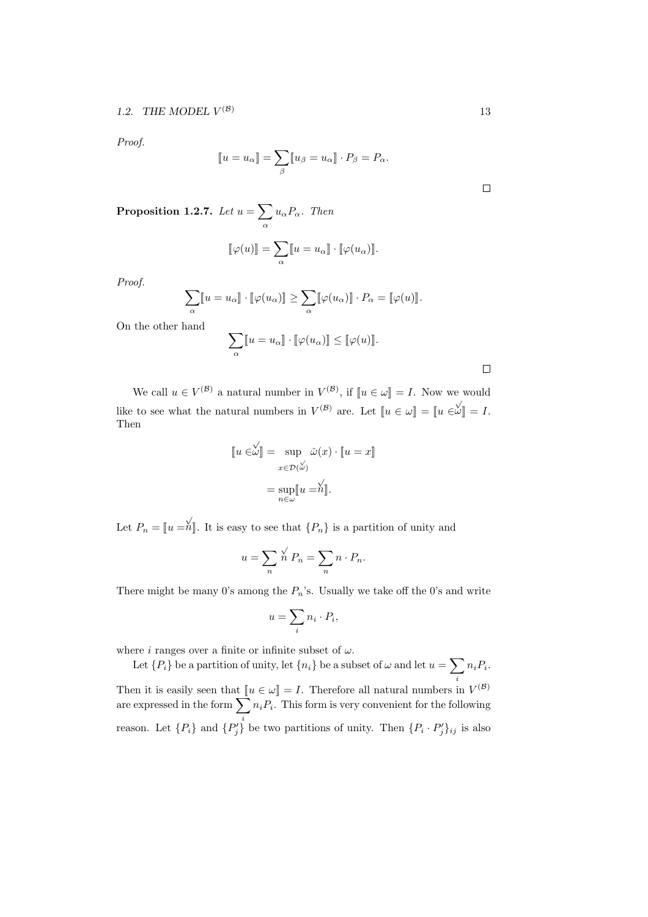*Proof.*

$$
[\![u = u_\alpha]\!] = \sum_\beta [\![u_\beta = u_\alpha]\!] \cdot P_\beta = P_\alpha.
$$

**Proposition 1.2.7.** *Let*  $u = \sum$ *α uαPα. Then*

$$
[\![\varphi(u)]\!]=\sum_{\alpha}[\![u=u_\alpha]\!]\cdot[\![\varphi(u_\alpha)]\!].
$$

*Proof.*

$$
\sum_{\alpha} [ [u = u_{\alpha}] ] \cdot [ [\varphi(u_{\alpha})]] \geq \sum_{\alpha} [ [\varphi(u_{\alpha})]] \cdot P_{\alpha} = [ [\varphi(u)]].
$$

On the other hand

$$
\sum_{\alpha} [ [u = u_{\alpha} ]] \cdot [ [\varphi(u_{\alpha}) ]] \leq [ [\varphi(u) ]].
$$

 $\Box$ 

We call  $u \in V^{(\mathcal{B})}$  a natural number in  $V^{(\mathcal{B})}$ , if  $\llbracket u \in \omega \rrbracket = I$ . Now we would like to see what the natural numbers in  $V^{(\mathcal{B})}$  are. Let  $\llbracket u \in \omega \rrbracket = \llbracket u \in \omega \rrbracket = I$ . Then

$$
\llbracket u \in \stackrel{\sqrt{\ }}{\omega} \rrbracket = \sup_{x \in \mathcal{D}(\stackrel{\sqrt{\ }}{\omega})} \check{\omega}(x) \cdot \llbracket u = x \rrbracket
$$

$$
= \sup_{n \in \mathcal{D}} \llbracket u = n \rrbracket.
$$

Let  $P_n = [u = \hat{h}]$ . It is easy to see that  $\{P_n\}$  is a partition of unity and

$$
u = \sum_{n} \stackrel{\sqrt{n}}{n} P_n = \sum_{n} n \cdot P_n.
$$

There might be many 0's among the *Pn*'s. Usually we take off the 0's and write

$$
u = \sum_{i} n_i \cdot P_i,
$$

where *i* ranges over a finite or infinite subset of  $\omega$ .

Let  ${P_i}$  be a partition of unity, let  ${n_i}$  be a subset of  $\omega$  and let  $u = \sum n_i P_i$ . *i* Then it is easily seen that  $\llbracket u \in \omega \rrbracket = I$ . Therefore all natural numbers in  $V^{(\mathcal{B})}$ are expressed in the form  $\sum_{i} n_i P_i$ . This form is very convenient for the following reason. Let  $\{P_i\}$  and  $\{P'_j\}$  be two partitions of unity. Then  $\{P_i \cdot P'_j\}_{ij}$  is also

 $\Box$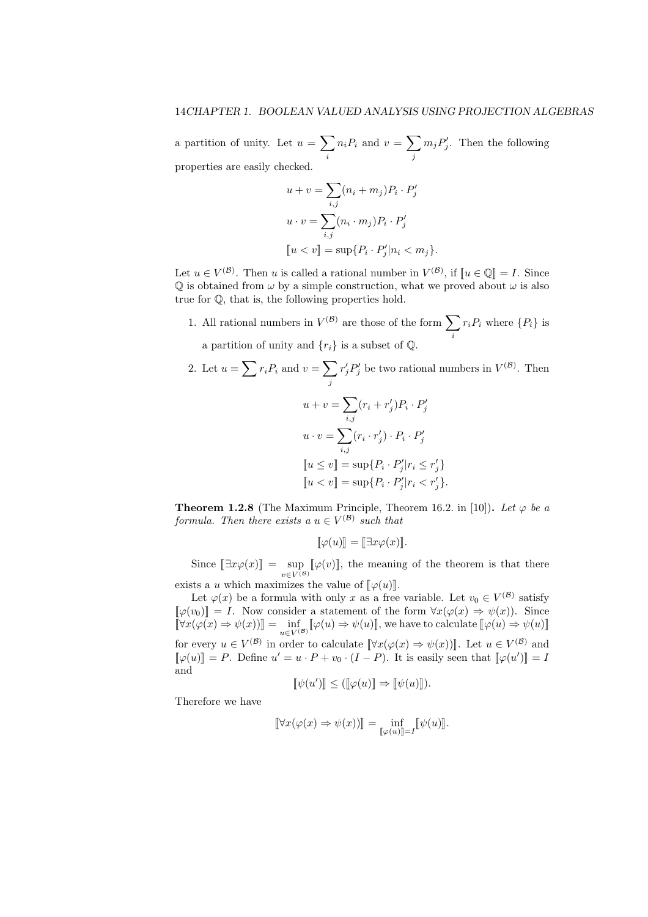a partition of unity. Let  $u = \sum$ *i*  $n_i P_i$  and  $v = \sum$ *j*  $m_j P'_j$ . Then the following properties are easily checked.

$$
u + v = \sum_{i,j} (n_i + m_j) P_i \cdot P'_j
$$
  

$$
u \cdot v = \sum_{i,j} (n_i \cdot m_j) P_i \cdot P'_j
$$
  

$$
[u < v] = \sup \{ P_i \cdot P'_j | n_i < m_j \}.
$$

Let  $u \in V^{(\mathcal{B})}$ . Then *u* is called a rational number in  $V^{(\mathcal{B})}$ , if  $[u \in \mathbb{Q}] = I$ . Since  $\mathbb Q$  is obtained from  $\omega$  by a simple construction, what we proved about  $\omega$  is also true for Q, that is, the following properties hold.

1. All rational numbers in  $V^{(\mathcal{B})}$  are those of the form  $\sum$ *i*  $r_i P_i$  where  $\{P_i\}$  is a partition of unity and  $\{r_i\}$  is a subset of  $\mathbb{Q}$ .

2. Let 
$$
u = \sum r_i P_i
$$
 and  $v = \sum_j r'_j P'_j$  be two rational numbers in  $V^{(\mathcal{B})}$ . Then  
\n
$$
u + v = \sum_{i,j} (r_i + r'_j) P_i \cdot P'_j
$$
\n
$$
u \cdot v = \sum_{i,j} (r_i \cdot r'_j) \cdot P_i \cdot P'_j
$$
\n
$$
[u \le v] = \sup \{ P_i \cdot P'_j | r_i \le r'_j \}
$$
\n
$$
[u < v] = \sup \{ P_i \cdot P'_j | r_i < r'_j \}.
$$

**Theorem 1.2.8** (The Maximum Principle, Theorem 16.2. in [10]). Let  $\varphi$  be a *formula. Then there exists a*  $u \in V^{(\mathcal{B})}$  *such that* 

$$
[\![\varphi(u)]\!]=[\![\exists x\varphi(x)]\!].
$$

Since  $[\exists x \varphi(x)]$  =  $\sup_{v \in V^{(B)}} [\varphi(v)]$ , the meaning of the theorem is that there

exists a *u* which maximizes the value of  $\llbracket \varphi(u) \rrbracket$ . Let  $\varphi(x)$  be a formula with only *x* as a free variable. Let  $v_0 \in V^{(\mathcal{B})}$  satisfy

 $[\![\varphi(v_0)]\!] = I$ . Now consider a statement of the form  $\forall x(\varphi(x) \Rightarrow \psi(x))$ . Since  $[\![\forall x(\varphi(x) \Rightarrow \psi(x))\!] = \inf_{u \in V^{(\mathcal{B})}} [\![\varphi(u) \Rightarrow \psi(u)]\!]$ , we have to calculate  $[\![\varphi(u) \Rightarrow \psi(u)]\!]$ for every  $u \in V^{(\mathcal{B})}$  in order to calculate  $[\forall x (\varphi(x) \Rightarrow \psi(x))]$ . Let  $u \in V^{(\mathcal{B})}$  and  $[\![\varphi(u)]\!] = P$ . Define  $u' = u \cdot P + v_0 \cdot (I - P)$ . It is easily seen that  $[\![\varphi(u')]\!] = I$ and

$$
[\![\psi(u')]\!] \leq ([\![\varphi(u)]\!] \Rightarrow [\![\psi(u)]\!]).
$$

Therefore we have

$$
[\![\forall x(\varphi(x)\Rightarrow\psi(x))]\!]=\inf_{[\![\varphi(u)]\!]=I}[\![\psi(u)]\!].
$$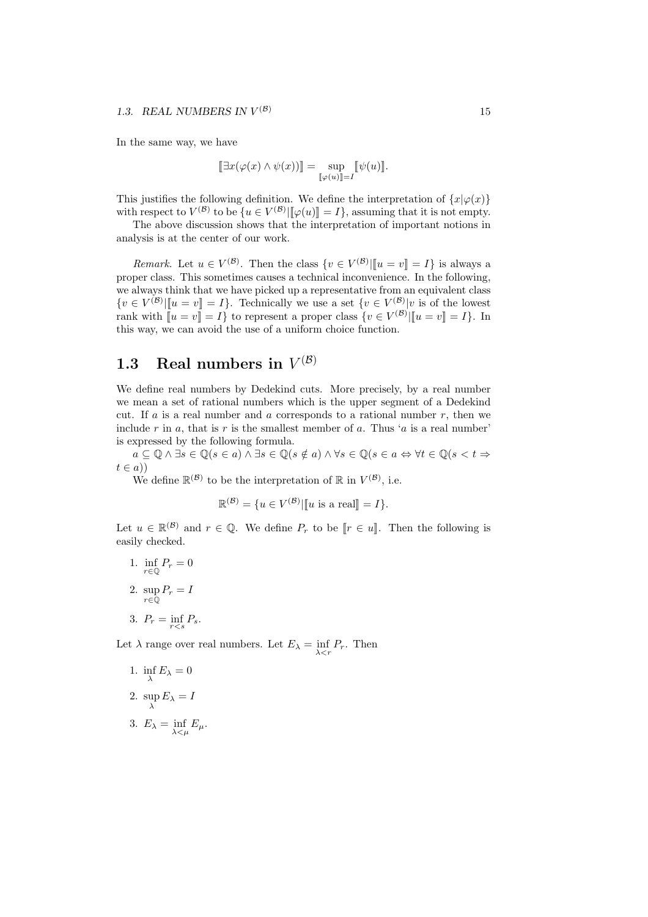In the same way, we have

$$
[\![\exists x(\varphi(x)\wedge\psi(x))]\!]=\sup_{[\![\varphi(u)]\!]=I}[\![\psi(u)]\!].
$$

This justifies the following definition. We define the interpretation of  $\{x | \varphi(x)\}$ with respect to  $V^{(\mathcal{B})}$  to be  $\{u \in V^{(\mathcal{B})} | \llbracket \varphi(u) \rrbracket = I\}$ , assuming that it is not empty.

The above discussion shows that the interpretation of important notions in analysis is at the center of our work.

*Remark.* Let  $u \in V^{(\mathcal{B})}$ . Then the class  $\{v \in V^{(\mathcal{B})} | \|u = v\| = I\}$  is always a proper class. This sometimes causes a technical inconvenience. In the following, we always think that we have picked up a representative from an equivalent class  $\{v \in V^{(\mathcal{B})} | \llbracket u = v \rrbracket = I\}.$  Technically we use a set  $\{v \in V^{(\mathcal{B})} | v$  is of the lowest rank with  $[\![u = v]\!] = I$  to represent a proper class  $\{v \in V^{(\mathcal{B})} | [\![u = v]\!] = I\}$ . In this way, we can avoid the use of a uniform choice function.

# **1.3** Real numbers in  $V^{(\mathcal{B})}$

We define real numbers by Dedekind cuts. More precisely, by a real number we mean a set of rational numbers which is the upper segment of a Dedekind cut. If  $a$  is a real number and  $a$  corresponds to a rational number  $r$ , then we include  $r$  in  $a$ , that is  $r$  is the smallest member of  $a$ . Thus ' $a$  is a real number' is expressed by the following formula.

 $a \subseteq \mathbb{Q} \land \exists s \in \mathbb{Q} (s \in a) \land \exists s \in \mathbb{Q} (s \notin a) \land \forall s \in \mathbb{Q} (s \in a \Leftrightarrow \forall t \in \mathbb{Q} (s < t \Rightarrow$  $t \in a)$ 

We define  $\mathbb{R}^{(\mathcal{B})}$  to be the interpretation of  $\mathbb{R}$  in  $V^{(\mathcal{B})}$ , i.e.

$$
\mathbb{R}^{(\mathcal{B})} = \{ u \in V^{(\mathcal{B})} | \llbracket u \text{ is a real} \rrbracket = I \}.
$$

Let  $u \in \mathbb{R}^{(B)}$  and  $r \in \mathbb{Q}$ . We define  $P_r$  to be  $[r \in u]$ . Then the following is easily checked.

1. 
$$
\inf_{r \in \mathbb{Q}} P_r = 0
$$
  
2. 
$$
\sup_{r \in \mathbb{Q}} P_r = I
$$
  
3. 
$$
P_r = \inf_{r < s} P_s
$$
.

Let  $\lambda$  range over real numbers. Let  $E_{\lambda} = \inf_{\lambda \leq r} P_r$ . Then

1. inf  $E_{\lambda} = 0$ 

2. 
$$
\sup_{\lambda} E_{\lambda} = I
$$

3.  $E_{\lambda} = \inf_{\lambda \leq \mu} E_{\mu}$ .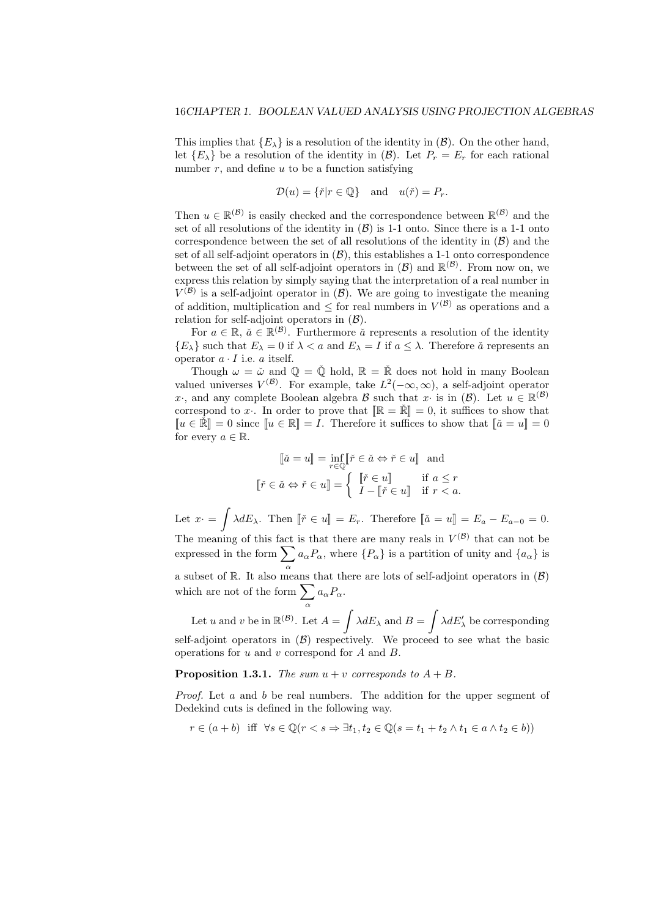This implies that  ${E_\lambda}$  is a resolution of the identity in  $(\mathcal{B})$ . On the other hand, let  ${E_{\lambda}}$  be a resolution of the identity in  $(\mathcal{B})$ . Let  $P_r = E_r$  for each rational number  $r$ , and define  $u$  to be a function satisfying

$$
\mathcal{D}(u) = \{ \check{r} | r \in \mathbb{Q} \} \text{ and } u(\check{r}) = P_r.
$$

Then  $u \in \mathbb{R}^{(\mathcal{B})}$  is easily checked and the correspondence between  $\mathbb{R}^{(\mathcal{B})}$  and the set of all resolutions of the identity in  $(B)$  is 1-1 onto. Since there is a 1-1 onto correspondence between the set of all resolutions of the identity in  $(\beta)$  and the set of all self-adjoint operators in  $(\mathcal{B})$ , this establishes a 1-1 onto correspondence between the set of all self-adjoint operators in  $(\mathcal{B})$  and  $\mathbb{R}^{(\mathcal{B})}$ . From now on, we express this relation by simply saying that the interpretation of a real number in  $V^{(\mathcal{B})}$  is a self-adjoint operator in  $(\mathcal{B})$ . We are going to investigate the meaning of addition, multiplication and  $\leq$  for real numbers in  $V^{(\mathcal{B})}$  as operations and a relation for self-adjoint operators in (*B*).

For  $a \in \mathbb{R}$ ,  $\check{a} \in \mathbb{R}^{(\mathcal{B})}$ . Furthermore  $\check{a}$  represents a resolution of the identity  ${E_\lambda}$  such that  $E_\lambda = 0$  if  $\lambda < a$  and  $E_\lambda = I$  if  $a \leq \lambda$ . Therefore  $\check{a}$  represents an operator  $a \cdot I$  i.e.  $a$  itself.

Though  $\omega = \check{\omega}$  and  $\mathbb{Q} = \check{\mathbb{Q}}$  hold,  $\mathbb{R} = \check{\mathbb{R}}$  does not hold in many Boolean valued universes  $V^{(\mathcal{B})}$ . For example, take  $L^2(-\infty,\infty)$ , a self-adjoint operator *x*<sup>*·*</sup>, and any complete Boolean algebra *B* such that *x·* is in  $(B)$ . Let  $u \in \mathbb{R}^{(B)}$ correspond to x<sup>*c*</sup>. In order to prove that  $\mathbb{R} = \mathbb{R}^n = 0$ , it suffices to show that  $\llbracket u \in \mathbb{R} \rrbracket = 0$  since  $\llbracket u \in \mathbb{R} \rrbracket = I$ . Therefore it suffices to show that  $\llbracket \check{a} = u \rrbracket = 0$ for every  $a \in \mathbb{R}$ .

$$
\[\![\check{a} = u]\!] = \inf_{r \in \mathbb{Q}} \[\![\check{r} \in \check{a} \Leftrightarrow \check{r} \in u]\!] \text{ and}
$$

$$
\[\![\check{r} \in \check{a} \Leftrightarrow \check{r} \in u]\!] = \left\{ \begin{array}{ll} \[\![\check{r} \in u]\!] & \text{if } a \leq r \\ I - \[\![\check{r} \in u]\!] & \text{if } r < a. \end{array} \right.
$$

Let  $x \cdot = \int \lambda dE_{\lambda}$ . Then  $[\![ \check{r} \in u ]\!] = E_r$ . Therefore  $[\![ \check{a} = u ]\!] = E_a - E_{a-0} = 0$ . The meaning of this fact is that there are many reals in  $V^{(\mathcal{B})}$  that can not be expressed in the form  $\sum a_{\alpha}P_{\alpha}$ , where  $\{P_{\alpha}\}$  is a partition of unity and  $\{a_{\alpha}\}$  is *α*a subset of  $\mathbb{R}$ . It also means that there are lots of self-adjoint operators in  $(B)$ which are not of the form  $\sum a_{\alpha}P_{\alpha}$ . *α*

Let *u* and *v* be in  $\mathbb{R}^{(\mathcal{B})}$ . Let  $A = \int \lambda dE_{\lambda}$  and  $B = \int \lambda dE'_{\lambda}$  be corresponding self-adjoint operators in  $(\beta)$  respectively. We proceed to see what the basic operations for *u* and *v* correspond for *A* and *B*.

**Proposition 1.3.1.** *The sum*  $u + v$  *corresponds to*  $A + B$ *.* 

*Proof.* Let *a* and *b* be real numbers. The addition for the upper segment of Dedekind cuts is defined in the following way.

$$
r \in (a+b) \text{ iff } \forall s \in \mathbb{Q} (r < s \Rightarrow \exists t_1, t_2 \in \mathbb{Q} (s = t_1 + t_2 \land t_1 \in a \land t_2 \in b))
$$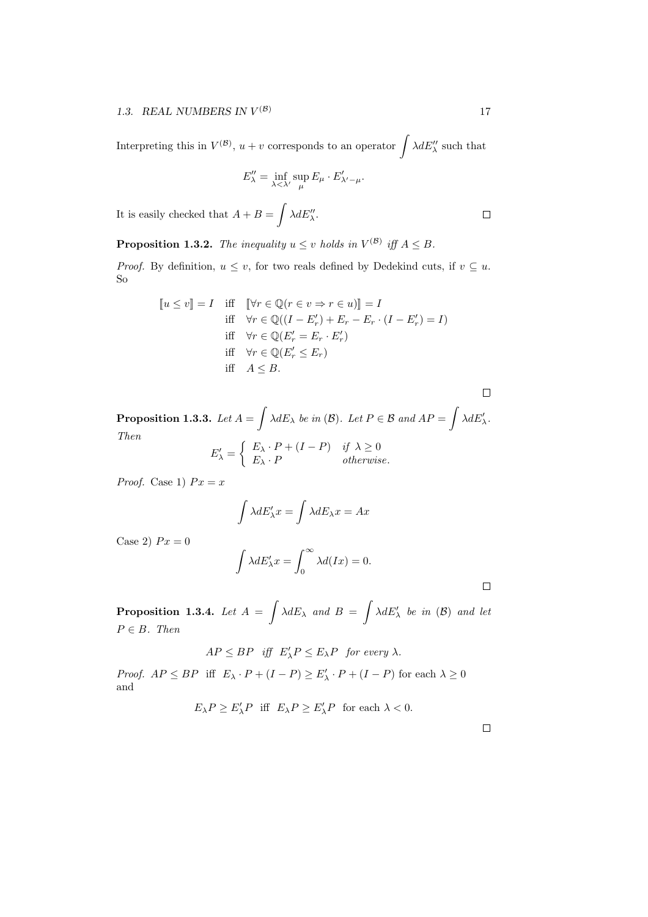Interpreting this in  $V^{(\mathcal{B})}$ ,  $u + v$  corresponds to an operator  $\int \lambda dE''_{\lambda}$  such that

$$
E''_{\lambda} = \inf_{\lambda < \lambda'} \sup_{\mu} E_{\mu} \cdot E'_{\lambda' - \mu}.
$$

It is easily checked that  $A + B = \int \lambda dE''_{\lambda}$ .

**Proposition 1.3.2.** *The inequality*  $u \leq v$  *holds in*  $V^{(\mathcal{B})}$  *iff*  $A \leq B$ *.* 

*Proof.* By definition,  $u \leq v$ , for two reals defined by Dedekind cuts, if  $v \subseteq u$ . So

$$
[u \le v] = I \quad \text{iff} \quad [\forall r \in \mathbb{Q} (r \in v \Rightarrow r \in u)] = I
$$
\n
$$
\text{iff} \quad \forall r \in \mathbb{Q} ((I - E'_r) + E_r - E_r \cdot (I - E'_r) = I)
$$
\n
$$
\text{iff} \quad \forall r \in \mathbb{Q} (E'_r = E_r \cdot E'_r)
$$
\n
$$
\text{iff} \quad \forall r \in \mathbb{Q} (E'_r \le E_r)
$$
\n
$$
\text{iff} \quad A \le B.
$$

**Proposition 1.3.3.** Let  $A = \int \lambda dE_{\lambda}$  be in (B). Let  $P \in \mathcal{B}$  and  $AP = \int \lambda dE'_{\lambda}$ . *Then*  $E'_\lambda =$  $\int E_\lambda \cdot P + (I - P) \quad \text{if } \lambda \geq 0$  $E_{\lambda} \cdot P$  *otherwise.* 

*Proof.* Case 1)  $Px = x$ 

$$
\int \lambda dE'_{\lambda} x = \int \lambda dE_{\lambda} x = Ax
$$

Case 2)  $Px = 0$ 

$$
\int \lambda dE'_{\lambda} x = \int_0^{\infty} \lambda d(Ix) = 0.
$$

 $\Box$ 

**Proposition 1.3.4.** *Let*  $A = \int \lambda dE_{\lambda}$  *and*  $B = \int \lambda dE'_{\lambda}$  *be in* (*B*) *and let P ∈ B. Then*

$$
AP \le BP \quad \text{iff} \quad E'_{\lambda}P \le E_{\lambda}P \quad \text{for every } \lambda.
$$

*Proof.*  $AP \le BP$  iff  $E_{\lambda} \cdot P + (I - P) \ge E'_{\lambda} \cdot P + (I - P)$  for each  $\lambda \ge 0$ and

 $E_{\lambda}P \ge E'_{\lambda}P$  iff  $E_{\lambda}P \ge E'_{\lambda}P$  for each  $\lambda < 0$ .

 $\Box$ 

 $\Box$ 

 $\Box$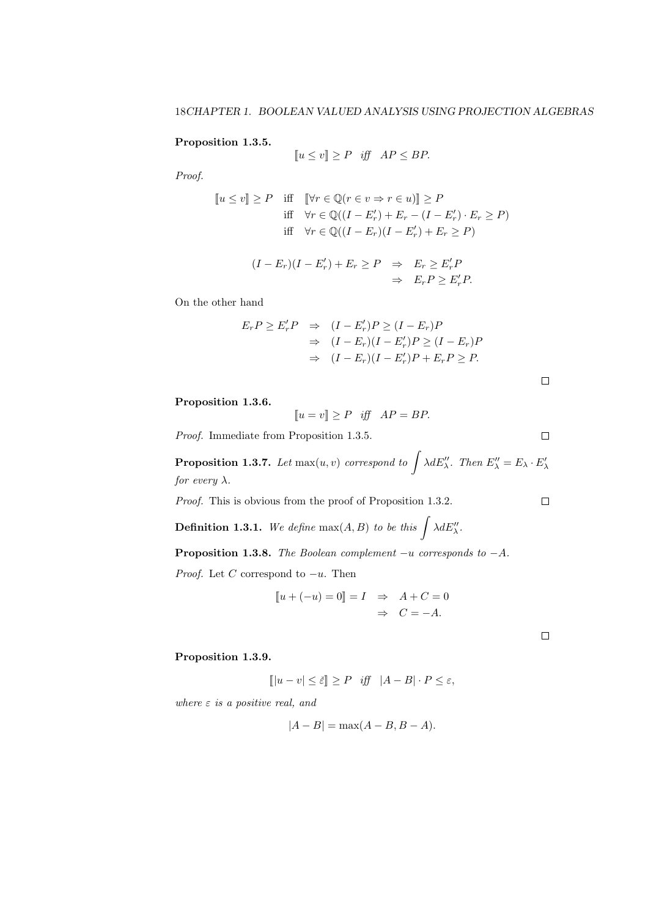### **Proposition 1.3.5.**

$$
[u \le v] \ge P \quad \text{iff} \quad AP \le BP.
$$

*Proof.*

$$
[u \le v] \ge P \quad \text{iff} \quad [\forall r \in \mathbb{Q} (r \in v \Rightarrow r \in u)] \ge P
$$
\n
$$
\text{iff} \quad \forall r \in \mathbb{Q} ((I - E'_r) + E_r - (I - E'_r) \cdot E_r \ge P)
$$
\n
$$
\text{iff} \quad \forall r \in \mathbb{Q} ((I - E_r)(I - E'_r) + E_r \ge P)
$$

$$
(I - E_r)(I - E'_r) + E_r \ge P \Rightarrow E_r \ge E'_r P
$$
  

$$
\Rightarrow E_r P \ge E'_r P.
$$

On the other hand

$$
E_r P \ge E'_r P \Rightarrow (I - E'_r) P \ge (I - E_r) P
$$
  
\n
$$
\Rightarrow (I - E_r)(I - E'_r) P \ge (I - E_r) P
$$
  
\n
$$
\Rightarrow (I - E_r)(I - E'_r) P + E_r P \ge P.
$$

 $\Box$ 

 $\Box$ 

 $\Box$ 

**Proposition 1.3.6.**

$$
[u = v] \ge P \quad \text{iff} \quad AP = BP.
$$

*Proof.* Immediate from Proposition 1.3.5.

**Proposition 1.3.7.** *Let* max $(u, v)$  *correspond to*  $\int \lambda dE''$ , *Then*  $E''$ <sub> $\lambda$ </sub> =  $E_{\lambda} \cdot E'_{\lambda}$ *for every λ.*

*Proof.* This is obvious from the proof of Proposition 1.3.2.

**Definition 1.3.1.** We define  $\max(A, B)$  to be this  $\int \lambda dE''_{\lambda}$ .

**Proposition 1.3.8.** *The Boolean complement −u corresponds to −A.*

*Proof.* Let *C* correspond to *−u*. Then

$$
\llbracket u + (-u) = 0 \rrbracket = I \Rightarrow A + C = 0
$$

$$
\Rightarrow C = -A.
$$

 $\Box$ 

### **Proposition 1.3.9.**

$$
[|u - v| \le \check{\varepsilon}] \ge P \quad \text{iff} \quad |A - B| \cdot P \le \varepsilon,
$$

*where ε is a positive real, and*

$$
|A - B| = \max(A - B, B - A).
$$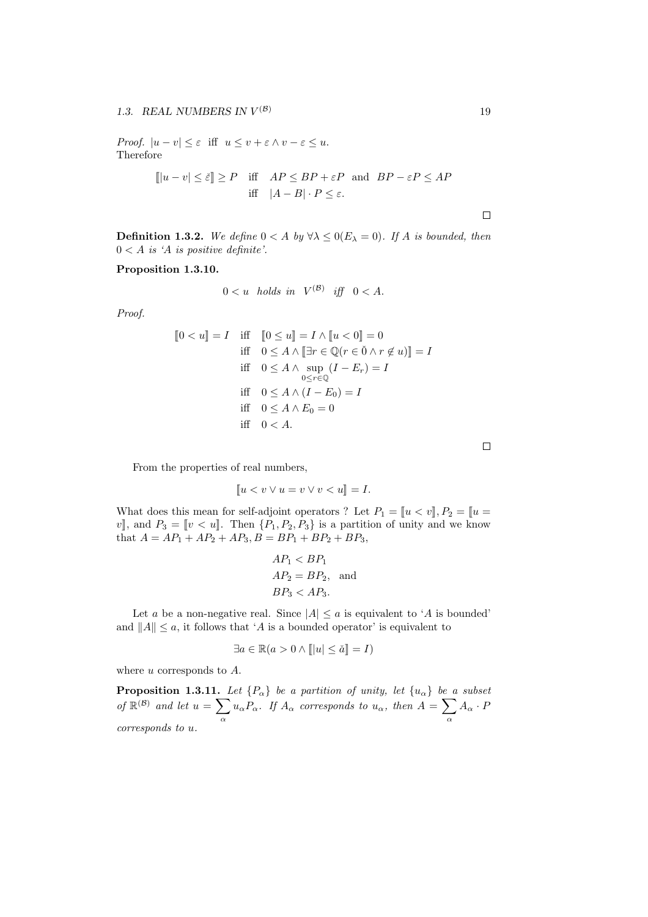*Proof.*  $|u - v| \leq \varepsilon$  iff  $u \leq v + \varepsilon \wedge v - \varepsilon \leq u$ . Therefore

$$
[||u - v|| \le \xi || \ge P \quad \text{iff} \quad AP \le BP + \varepsilon P \quad \text{and} \quad BP - \varepsilon P \le AP
$$
  
iff 
$$
|A - B| \cdot P \le \varepsilon.
$$

 $\Box$ 

**Definition 1.3.2.** We define  $0 < A$  by  $\forall \lambda \leq 0$  ( $E_{\lambda} = 0$ ). If *A* is bounded, then  $0 < A$  *is 'A is positive definite'.* 

**Proposition 1.3.10.**

$$
0 < u \quad holds \quad in \quad V^{(\mathcal{B})} \quad \text{iff} \quad 0 < A.
$$

*Proof.*

$$
[0 < u] = I \quad \text{iff} \quad [0 \le u] = I \land [u < 0] = 0
$$
\n
$$
\text{iff} \quad 0 \le A \land [\exists r \in \mathbb{Q} (r \in \check{0} \land r \notin u)] = I
$$
\n
$$
\text{iff} \quad 0 \le A \land \sup_{0 \le r \in \mathbb{Q}} (I - E_r) = I
$$
\n
$$
\text{iff} \quad 0 \le A \land (I - E_0) = I
$$
\n
$$
\text{iff} \quad 0 \le A \land E_0 = 0
$$
\n
$$
\text{iff} \quad 0 < A.
$$

 $\Box$ 

From the properties of real numbers,

$$
[u < v \lor u = v \lor v < u] = I.
$$

What does this mean for self-adjoint operators ? Let  $P_1 = [u \lt v], P_2 = [u \gt w]$ *v*, and  $P_3 = [v \lt u]$ . Then  $\{P_1, P_2, P_3\}$  is a partition of unity and we know that  $A = AP_1 + AP_2 + AP_3$ ,  $B = BP_1 + BP_2 + BP_3$ ,

$$
AP_1 < BP_1
$$
\n
$$
AP_2 = BP_2, \text{ and }
$$
\n
$$
BP_3 < AP_3.
$$

Let *a* be a non-negative real. Since  $|A| \le a$  is equivalent to '*A* is bounded' and  $||A|| \leq a$ , it follows that '*A* is a bounded operator' is equivalent to

$$
\exists a \in \mathbb{R} (a > 0 \land [\Vert u \Vert \leq \check{a}]] = I)
$$

where *u* corresponds to *A*.

**Proposition 1.3.11.** *Let*  ${P_\alpha}$ *l be a partition of unity, let*  ${u_\alpha}$ *l be a subset of*  $\mathbb{R}^{(\mathcal{B})}$  *and let*  $u = \sum$ *α*  $u_{\alpha}P_{\alpha}$ *. If*  $A_{\alpha}$  *corresponds to*  $u_{\alpha}$ *, then*  $A = \sum$ *α*  $A_{\alpha} \cdot P$ *corresponds to u.*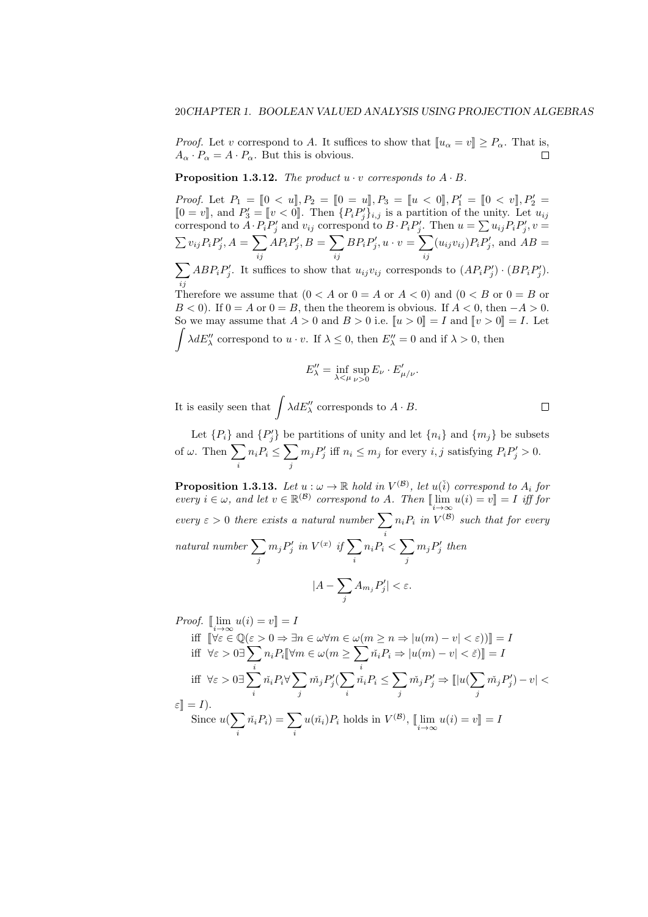*Proof.* Let *v* correspond to *A*. It suffices to show that  $[\![u_{\alpha} = v]\!] \ge P_{\alpha}$ . That is,  $A_{\alpha} \cdot P_{\alpha} = A \cdot P_{\alpha}$ . But this is obvious.  $A_{\alpha} \cdot P_{\alpha} = A \cdot P_{\alpha}$ . But this is obvious.

**Proposition 1.3.12.** *The product*  $u \cdot v$  *corresponds to*  $A \cdot B$ *.* 

*Proof.* Let  $P_1 = [0 \lt u], P_2 = [0 = u], P_3 = [u \lt 0], P'_1 = [0 \lt v], P'_2 =$  $[0 = v]$ , and  $P'_3 = [v < 0]$ . Then  $\{P_i P'_j\}_{i,j}$  is a partition of the unity. Let  $u_{ij}$ correspond to  $A \cdot P_i P'_j$  and  $v_{ij}$  correspond to  $B \cdot P_i P'_j$ . Then  $u = \sum u_{ij} P_i P'_j$ ,  $v =$  $\sum v_{ij} P_i P'_j, A = \sum$ *ij*  $AP_iP'_j, B = \sum$ *ij*  $BP_iP'_j, u \cdot v = \sum$ *ij*  $(u_{ij}v_{ij})P_iP'_j$ , and  $AB =$ ∑ *ij*  $ABP_iP'_j$ . It suffices to show that  $u_{ij}v_{ij}$  corresponds to  $(AP_iP'_j) \cdot (BP_iP'_j)$ . Therefore we assume that  $(0 < A$  or  $0 = A$  or  $A < 0$ ) and  $(0 < B$  or  $0 = B$  or *B* < 0). If  $0 = A$  or  $0 = B$ , then the theorem is obvious. If  $A < 0$ , then  $-A > 0$ . So we may assume that  $A > 0$  and  $B > 0$  i.e.  $\llbracket u > 0 \rrbracket = I$  and  $\llbracket v > 0 \rrbracket = I$ . Let  $\int \lambda dE''_{\lambda}$  correspond to  $u \cdot v$ . If  $\lambda \leq 0$ , then  $E''_{\lambda} = 0$  and if  $\lambda > 0$ , then

$$
E''_{\lambda} = \inf_{\lambda < \mu} \sup_{\nu > 0} E_{\nu} \cdot E'_{\mu/\nu}.
$$

It is easily seen that  $\int \lambda dE''_{\lambda}$  corresponds to  $A \cdot B$ .

Let  ${P_i}$  and  ${P'_j}$  be partitions of unity and let  ${n_i}$  and  ${m_j}$  be subsets of  $\omega$ . Then  $\sum$ *i*  $n_i P_i \leq \sum$ *j*  $m_j P'_j$  iff  $n_i \leq m_j$  for every *i, j* satisfying  $P_i P'_j > 0$ .

**Proposition 1.3.13.** Let  $u : \omega \to \mathbb{R}$  hold in  $V^{(\mathcal{B})}$ , let  $u(\check{i})$  correspond to  $A_i$  for  $every \ i \in \omega$ , and let  $v \in \mathbb{R}^{(\mathcal{B})}$  correspond to A. Then  $[\lim_{i \to \infty} u(i) = v] = I$  iff for  $\text{every } \varepsilon > 0 \text{ there exists a natural number } \sum n_i P_i \text{ in } V^{(\mathcal{B})}$ *i*  $n_i P_i$  *in*  $V^{(\mathcal{B})}$  *such that for every natural number* ∑ *j*  $m_j P'_j$  in  $V^{(x)}$  if  $\sum$ *i*  $n_i P_i < \sum$ *j*  $m_j P'_j$  then *|A −* ∑ *j*  $A_{m_j} P'_j | < \varepsilon.$ 

*Proof.*  $[\lim_{i \to \infty} u(i) = v] = I$ 

$$
\begin{aligned}\n\text{iff } & \left[ \forall \varepsilon \in \mathbb{Q}(\varepsilon > 0 \Rightarrow \exists n \in \omega \forall m \in \omega (m \ge n \Rightarrow |u(m) - v| < \varepsilon) \right) \right] = I \\
\text{iff } & \forall \varepsilon > 0 \exists \sum_{i} n_i P_i \left[ \forall m \in \omega (m \ge \sum_{i} \check{n_i} P_i \Rightarrow |u(m) - v| < \varepsilon) \right] = I \\
\text{iff } & \forall \varepsilon > 0 \exists \sum_{i} \check{n_i} P_i \forall \sum_{j} \check{m_j} P_j' (\sum_{i} \check{n_i} P_i \le \sum_{j} \check{m_j} P_j' \Rightarrow \| |u(\sum_{j} \check{m_j} P_j') - v| < \varepsilon \right) \\
\text{iff } & \forall \varepsilon > 0 \exists \sum_{i} \check{n_i} P_i \forall \sum_{j} \check{m_j} P_j' (\sum_{i} \check{n_i} P_i \le \sum_{j} \check{m_j} P_j' \Rightarrow \| |u(\sum_{j} \check{m_j} P_j') - v| < \varepsilon \right) \\
\text{Since } & u(\sum_{i} \check{n_i} P_i) = \sum_{i} u(\check{n_i}) P_i \text{ holds in } V^{(\mathcal{B})}, \text{ with } u(i) = v \right] = I\n\end{aligned}
$$

 $\Box$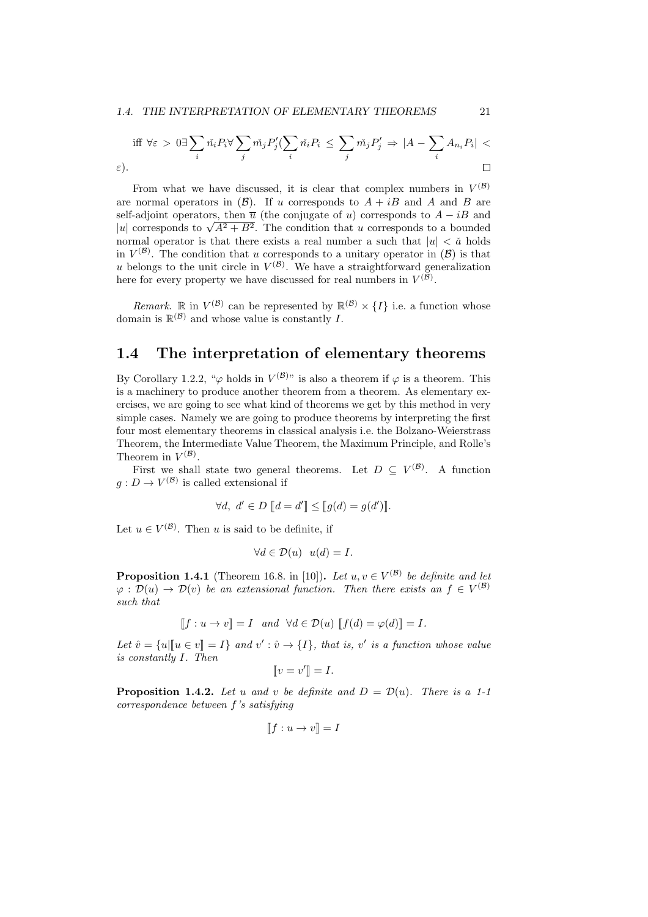#### *1.4. THE INTERPRETATION OF ELEMENTARY THEOREMS* 21

*ε*).

$$
\text{iff } \forall \varepsilon > 0 \exists \sum_{i} \tilde{n}_i P_i \forall \sum_{j} \tilde{m}_j P'_j (\sum_{i} \tilde{n}_i P_i \leq \sum_{j} \tilde{m}_j P'_j \Rightarrow |A - \sum_{i} A_{n_i} P_i| < \sum_{i} \tilde{m}_j P'_i \Rightarrow |A - \sum_{i} A_{n_i} P_i| < \sum_{i} \tilde{m}_i P_i \leq \tilde{\sum}_{i} \tilde{m}_i P_i
$$

From what we have discussed, it is clear that complex numbers in  $V^{(\mathcal{B})}$ are normal operators in  $(B)$ . If *u* corresponds to  $A + iB$  and *A* and *B* are self-adjoint operators, then  $\overline{u}$  (the conjugate of *u*) corresponds to  $A - iB$  and *i*<sup>*u*</sup> corresponds to *√*<sup>*A*2</sup> + *B*<sup>2</sup>. The condition that *u* corresponds to a bounded normal operator is that there exists a real number a such that  $|u| < \tilde{a}$  holds in  $V^{(\mathcal{B})}$ . The condition that *u* corresponds to a unitary operator in  $(\mathcal{B})$  is that *u* belongs to the unit circle in  $V^{(\mathcal{B})}$ . We have a straightforward generalization here for every property we have discussed for real numbers in  $V^{(\mathcal{B})}$ .

*Remark*.  $\mathbb{R}$  in  $V^{(\mathcal{B})}$  can be represented by  $\mathbb{R}^{(\mathcal{B})} \times \{I\}$  i.e. a function whose domain is  $\mathbb{R}^{(\mathcal{B})}$  and whose value is constantly *I*.

# **1.4 The interpretation of elementary theorems**

By Corollary 1.2.2, " $\varphi$  holds in  $V^{(\mathcal{B})}$ " is also a theorem if  $\varphi$  is a theorem. This is a machinery to produce another theorem from a theorem. As elementary exercises, we are going to see what kind of theorems we get by this method in very simple cases. Namely we are going to produce theorems by interpreting the first four most elementary theorems in classical analysis i.e. the Bolzano-Weierstrass Theorem, the Intermediate Value Theorem, the Maximum Principle, and Rolle's Theorem in  $V^{(\mathcal{B})}$ .

First we shall state two general theorems. Let  $D \subseteq V^{(\mathcal{B})}$ . A function  $g: D \to V^{(\mathcal{B})}$  is called extensional if

$$
\forall d, \ d' \in D \llbracket d = d' \rrbracket \leq \llbracket g(d) = g(d') \rrbracket.
$$

Let  $u \in V^{(\mathcal{B})}$ . Then *u* is said to be definite, if

$$
\forall d \in \mathcal{D}(u) \ \ u(d) = I.
$$

**Proposition 1.4.1** (Theorem 16.8. in [10]). Let  $u, v \in V^{(\mathcal{B})}$  be definite and let  $\varphi : \mathcal{D}(u) \to \mathcal{D}(v)$  *be an extensional function. Then there exists an*  $f \in V^{(\mathcal{B})}$ *such that*

$$
[[f:u \to v]] = I \quad and \quad \forall d \in \mathcal{D}(u) \quad [[f(d) = \varphi(d)]] = I.
$$

Let  $\hat{v} = \{u | [u \in v] = I\}$  and  $v' : \hat{v} \to \{I\}$ , that is,  $v'$  is a function whose value *is constantly I. Then*

$$
[\![v=v']\!]=I.
$$

**Proposition 1.4.2.** Let *u* and *v* be definite and  $D = D(u)$ . There is a 1-1 *correspondence between f's satisfying*

$$
[\![f:u\to v]\!]=I
$$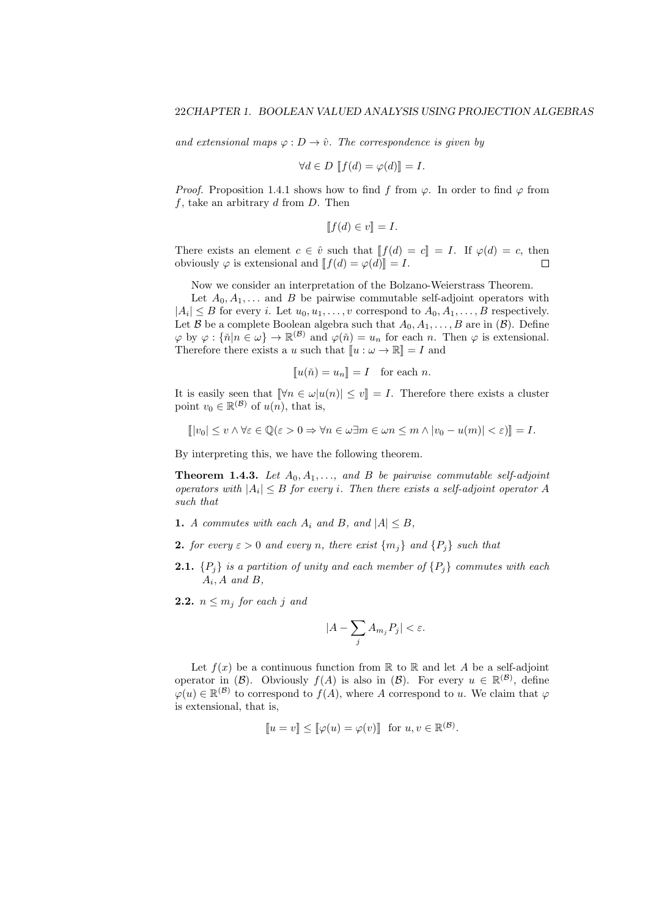*and extensional maps*  $\varphi : D \to \hat{v}$ *. The correspondence is given by* 

$$
\forall d \in D \; [f(d) = \varphi(d)] = I.
$$

*Proof.* Proposition 1.4.1 shows how to find *f* from  $\varphi$ . In order to find  $\varphi$  from *f*, take an arbitrary *d* from *D*. Then

$$
[[f(d) \in v]] = I.
$$

There exists an element  $c \in \hat{v}$  such that  $[[f(d) = c]] = I$ . If  $\varphi(d) = c$ , then obviously  $\varphi$  is extensional and  $[[f(d) = \varphi(d)]] = I$ obviously  $\varphi$  is extensional and  $\llbracket f(d) = \varphi(d) \rrbracket = I$ .

Now we consider an interpretation of the Bolzano-Weierstrass Theorem.

Let  $A_0, A_1, \ldots$  and *B* be pairwise commutable self-adjoint operators with  $|A_i| \leq B$  for every *i*. Let  $u_0, u_1, \ldots, v$  correspond to  $A_0, A_1, \ldots, B$  respectively. Let  $\mathcal{B}$  be a complete Boolean algebra such that  $A_0, A_1, \ldots, B$  are in  $(\mathcal{B})$ . Define  $\varphi$  by  $\varphi$  :  $\{\check{n}|n \in \omega\} \to \mathbb{R}^{(\mathcal{B})}$  and  $\varphi(\check{n}) = u_n$  for each *n*. Then  $\varphi$  is extensional. Therefore there exists a *u* such that  $\llbracket u : \omega \to \mathbb{R} \rrbracket = I$  and

$$
[\![u(\check{n}) = u_n]\!] = I \quad \text{for each } n.
$$

It is easily seen that  $\lbrack \lbrack \forall n \in \omega | u(n) \rbrack \leq v \rbrack = I$ . Therefore there exists a cluster point  $v_0 \in \mathbb{R}^{(\mathcal{B})}$  of  $u(n)$ , that is,

$$
[|v_0| \le v \land \forall \varepsilon \in \mathbb{Q}(\varepsilon > 0 \Rightarrow \forall n \in \omega \exists m \in \omega n \le m \land |v_0 - u(m)| < \varepsilon)] = I.
$$

By interpreting this, we have the following theorem.

**Theorem 1.4.3.** Let  $A_0, A_1, \ldots,$  and  $B$  be pairwise commutable self-adjoint *operators with*  $|A_i| \leq B$  *for every i. Then there exists a self-adjoint operator A such that*

- **1.** *A commutes with each*  $A_i$  *and*  $B_i$  *and*  $|A| \leq B_i$
- **2.** *for every*  $\varepsilon > 0$  *and every n*, *there exist*  $\{m_i\}$  *and*  $\{P_i\}$  *such that*
- **2.1.**  ${P_i}$  is a partition of unity and each member of  ${P_i}$  commutes with each *Ai , A and B,*
- **2.2.**  $n \leq m_j$  for each *j* and

$$
|A-\sum_j A_{m_j}P_j|<\varepsilon.
$$

Let  $f(x)$  be a continuous function from  $\mathbb R$  to  $\mathbb R$  and let *A* be a self-adjoint operator in  $(\mathcal{B})$ . Obviously  $f(A)$  is also in  $(\mathcal{B})$ . For every  $u \in \mathbb{R}^{(\mathcal{B})}$ , define  $\varphi(u) \in \mathbb{R}^{(\mathcal{B})}$  to correspond to  $f(A)$ , where *A* correspond to *u*. We claim that  $\varphi$ is extensional, that is,

$$
[\![u = v]\!] \leq [\![\varphi(u) = \varphi(v)]\!] \text{ for } u, v \in \mathbb{R}^{(\mathcal{B})}.
$$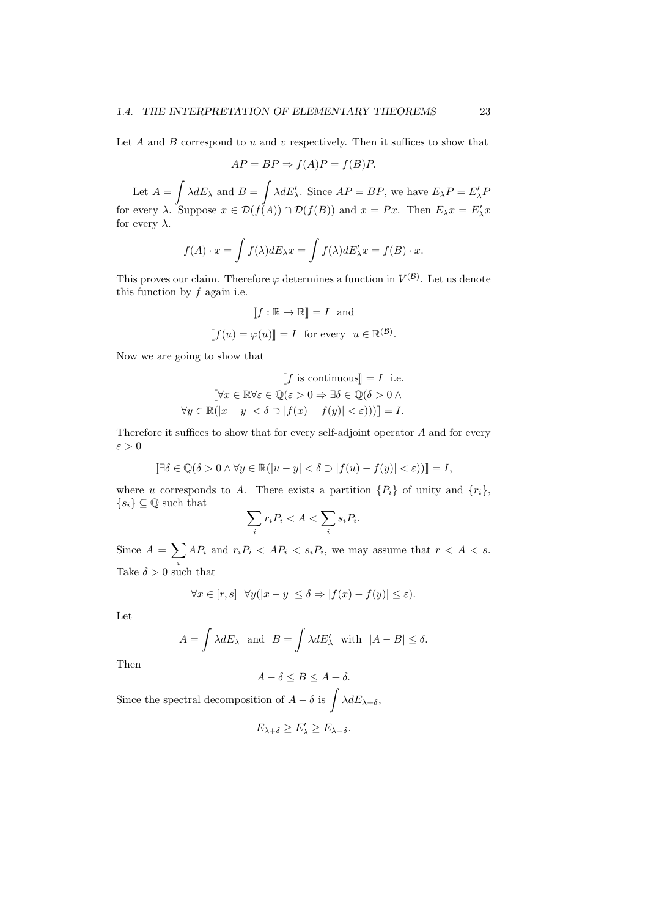Let *A* and *B* correspond to *u* and *v* respectively. Then it suffices to show that

$$
AP = BP \Rightarrow f(A)P = f(B)P.
$$

Let  $A = \int \lambda dE_{\lambda}$  and  $B = \int \lambda dE'_{\lambda}$ . Since  $AP = BP$ , we have  $E_{\lambda}P = E'_{\lambda}P$ for every  $\lambda$ . Suppose  $x \in \mathcal{D}(f(A)) \cap \mathcal{D}(f(B))$  and  $x = Px$ . Then  $E_{\lambda}x = E'_{\lambda}x$ for every  $\lambda$ .

$$
f(A) \cdot x = \int f(\lambda) dE_{\lambda} x = \int f(\lambda) dE'_{\lambda} x = f(B) \cdot x.
$$

This proves our claim. Therefore  $\varphi$  determines a function in  $V^{(\mathcal{B})}$ . Let us denote this function by *f* again i.e.

$$
[[f : \mathbb{R} \to \mathbb{R}] = I \text{ and}
$$

$$
[[f(u) = \varphi(u)] = I \text{ for every } u \in \mathbb{R}^{(\mathcal{B})}.
$$

Now we are going to show that

$$
\llbracket f \text{ is continuous} \rrbracket = I \text{ i.e.}
$$

$$
\llbracket \forall x \in \mathbb{R} \forall \varepsilon \in \mathbb{Q}(\varepsilon > 0 \Rightarrow \exists \delta \in \mathbb{Q}(\delta > 0 \land \neg f \land g) \rrbracket
$$

$$
\forall y \in \mathbb{R}(|x - y| < \delta \supset |f(x) - f(y)| < \varepsilon)) \rrbracket = I.
$$

Therefore it suffices to show that for every self-adjoint operator *A* and for every *ε >* 0

$$
[\exists \delta \in \mathbb{Q}(\delta > 0 \land \forall y \in \mathbb{R}(|u - y| < \delta \supset |f(u) - f(y)| < \varepsilon))] = I,
$$

where *u* corresponds to *A*. There exists a partition  ${P_i}$  of unity and  ${r_i}$ ,  ${s_i}$   $\subseteq$  Q such that

$$
\sum_{i} r_i P_i < A < \sum_{i} s_i P_i.
$$

Since  $A = \sum$ *i*  $AP_i$  and  $r_iP_i < AP_i < s_iP_i$ , we may assume that  $r < A < s$ . Take  $\delta > 0$  such that

$$
\forall x \in [r, s] \ \forall y(|x - y| \le \delta \Rightarrow |f(x) - f(y)| \le \varepsilon).
$$

Let

$$
A = \int \lambda dE_{\lambda} \text{ and } B = \int \lambda dE'_{\lambda} \text{ with } |A - B| \le \delta.
$$

Then

$$
A - \delta \le B \le A + \delta.
$$

Since the spectral decomposition of  $A - \delta$  is  $\int \lambda dE_{\lambda+\delta}$ ,

$$
E_{\lambda+\delta}\geq E'_{\lambda}\geq E_{\lambda-\delta}.
$$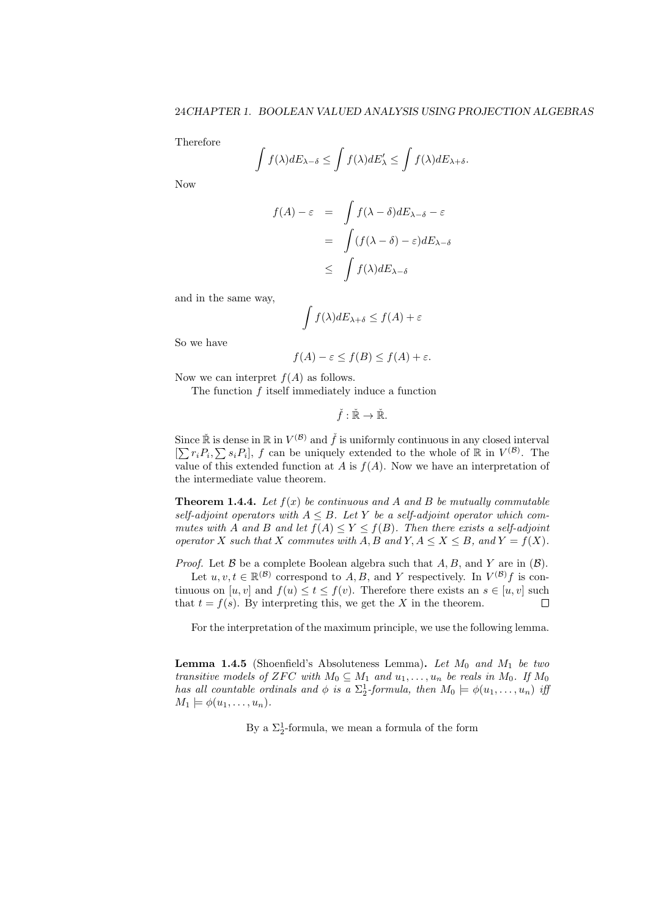Therefore

$$
\int f(\lambda) dE_{\lambda-\delta} \le \int f(\lambda) dE'_{\lambda} \le \int f(\lambda) dE_{\lambda+\delta}.
$$

Now

$$
f(A) - \varepsilon = \int f(\lambda - \delta) dE_{\lambda - \delta} - \varepsilon
$$

$$
= \int (f(\lambda - \delta) - \varepsilon) dE_{\lambda - \delta}
$$

$$
\leq \int f(\lambda) dE_{\lambda - \delta}
$$

and in the same way,

$$
\int f(\lambda) dE_{\lambda+\delta} \le f(A) + \varepsilon
$$

So we have

$$
f(A) - \varepsilon \le f(B) \le f(A) + \varepsilon.
$$

Now we can interpret  $f(A)$  as follows.

The function *f* itself immediately induce a function

$$
\check{f}:\check{\mathbb{R}}\to\check{\mathbb{R}}.
$$

Since  $\mathbb{R}$  is dense in  $\mathbb{R}$  in  $V^{(\mathcal{B})}$  and  $\check{f}$  is uniformly continuous in any closed interval  $[\sum r_i P_i, \sum s_i P_i],$  *f* can be uniquely extended to the whole of R in  $V^{(\mathcal{B})}$ . The value of this extended function at *A* is  $f(A)$ . Now we have an interpretation of the intermediate value theorem.

**Theorem 1.4.4.** Let  $f(x)$  be continuous and A and B be mutually commutable *self-adjoint operators with*  $A \leq B$ *. Let*  $Y$  *be a self-adjoint operator which commutes with A* and *B* and let  $f(A) \leq Y \leq f(B)$ . Then there exists a self-adjoint *operator*  $X$  *such that*  $X$  *commutes with*  $A, B$  *and*  $Y, A \leq X \leq B$ *, and*  $Y = f(X)$ *.* 

*Proof.* Let *B* be a complete Boolean algebra such that *A, B*, and *Y* are in (*B*). Let  $u, v, t \in \mathbb{R}^{(\mathcal{B})}$  correspond to *A, B,* and *Y* respectively. In  $V^{(\mathcal{B})}f$  is continuous on  $[u, v]$  and  $f(u) \le t \le f(v)$ . Therefore there exists an  $s \in [u, v]$  such that  $t = f(s)$ . By interpreting this, we get the *X* in the theorem.  $\Box$ 

For the interpretation of the maximum principle, we use the following lemma.

**Lemma 1.4.5** (Shoenfield's Absoluteness Lemma)**.** *Let M*<sup>0</sup> *and M*<sup>1</sup> *be two transitive models of ZFC with*  $M_0 \subseteq M_1$  *and*  $u_1, \ldots, u_n$  *be reals in*  $M_0$ *. If*  $M_0$ *has all countable ordinals and*  $\phi$  *is a*  $\Sigma_2^1$ -formula, then  $M_0 \models \phi(u_1, \ldots, u_n)$  *iff*  $M_1 \models \phi(u_1, \ldots, u_n).$ 

By a  $\Sigma_2^1$ -formula, we mean a formula of the form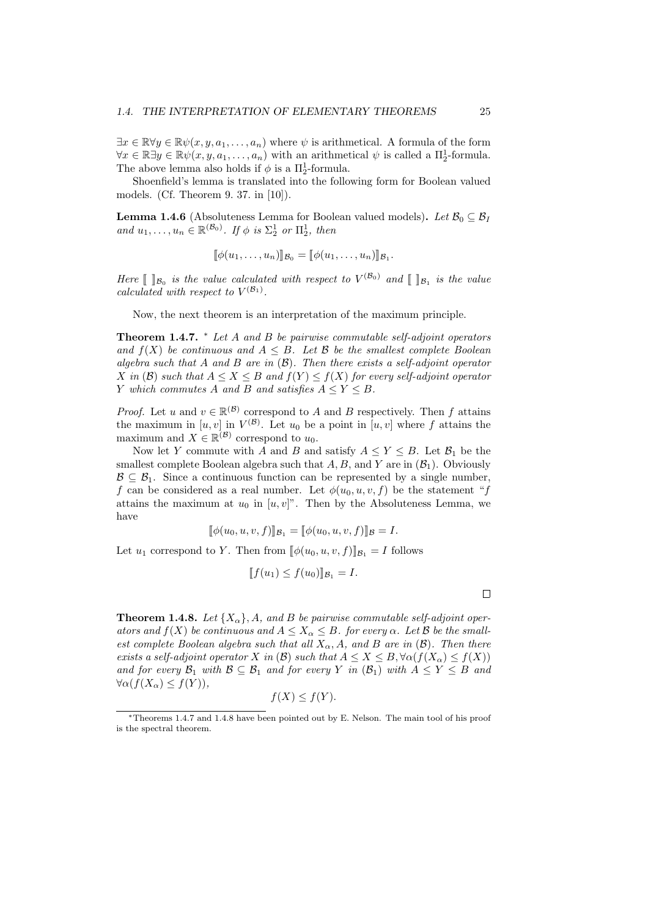$∃x ∈ ℝ∀y ∈ ℝψ(x, y, a<sub>1</sub>,..., a<sub>n</sub>)$  where  $ψ$  is arithmetical. A formula of the form  $\forall x \in \mathbb{R} \exists y \in \mathbb{R} \psi(x, y, a_1, \dots, a_n)$  with an arithmetical  $\psi$  is called a  $\Pi_2^1$ -formula. The above lemma also holds if  $\phi$  is a  $\Pi^1_2$ -formula.

Shoenfield's lemma is translated into the following form for Boolean valued models. (Cf. Theorem 9. 37. in [10]).

**Lemma 1.4.6** (Absoluteness Lemma for Boolean valued models). Let  $\mathcal{B}_0 \subseteq \mathcal{B}_I$ *and*  $u_1, \ldots, u_n \in \mathbb{R}^{(\mathcal{B}_0)}$ *. If*  $\phi$  *is*  $\Sigma_2^1$  *or*  $\Pi_2^1$ *, then* 

$$
[\![\phi(u_1,\ldots,u_n)]\!]_{\mathcal{B}_0} = [\![\phi(u_1,\ldots,u_n)]\!]_{\mathcal{B}_1}.
$$

*Here*  $\llbracket \ \ \rrbracket_{\mathcal{B}_0}$  *is the value calculated with respect to*  $V^{(\mathcal{B}_0)}$  *and*  $\llbracket \ \ \rrbracket_{\mathcal{B}_1}$  *is the value calculated with respect to*  $V^{(\mathcal{B}_1)}$ *.* 

Now, the next theorem is an interpretation of the maximum principle.

**Theorem 1.4.7.** *<sup>∗</sup> Let A and B be pairwise commutable self-adjoint operators and*  $f(X)$  *be continuous and*  $A \leq B$ *. Let*  $B$  *be the smallest complete Boolean algebra such that A and B are in* (*B*)*. Then there exists a self-adjoint operator X in* (*B*) *such that*  $A \leq X \leq B$  *and*  $f(Y) \leq f(X)$  *for every self-adjoint operator Y* which commutes *A* and *B* and satisfies  $A \leq Y \leq B$ .

*Proof.* Let *u* and  $v \in \mathbb{R}^{(\mathcal{B})}$  correspond to *A* and *B* respectively. Then *f* attains the maximum in  $[u, v]$  in  $V^{(\mathcal{B})}$ . Let  $u_0$  be a point in  $[u, v]$  where f attains the maximum and  $X \in \mathbb{R}^{(\mathcal{B})}$  correspond to  $u_0$ .

Now let *Y* commute with *A* and *B* and satisfy  $A \leq Y \leq B$ . Let  $B_1$  be the smallest complete Boolean algebra such that  $A, B$ , and  $Y$  are in  $(\mathcal{B}_1)$ . Obviously  $\mathcal{B} \subseteq \mathcal{B}_1$ . Since a continuous function can be represented by a single number, *f* can be considered as a real number. Let  $\phi(u_0, u, v, f)$  be the statement "*f* attains the maximum at  $u_0$  in  $[u, v]$ ". Then by the Absoluteness Lemma, we have

$$
[\![\phi(u_0, u, v, f)]\!]_{\mathcal{B}_1} = [\![\phi(u_0, u, v, f)]\!]_{\mathcal{B}} = I.
$$

Let  $u_1$  correspond to *Y*. Then from  $[\![\phi(u_0, u, v, f)]\!]_{\mathcal{B}_1} = I$  follows

$$
[f(u_1) \le f(u_0)] | \mathcal{B}_1 = I.
$$

**Theorem 1.4.8.** Let  $\{X_{\alpha}\}\$ , A, and B be pairwise commutable self-adjoint oper*ators and*  $f(X)$  *be continuous and*  $A \leq X_\alpha \leq B$ *. for every*  $\alpha$ *. Let*  $\beta$  *be the smallest complete Boolean algebra such that all*  $X_{\alpha}$ , *A*, and *B* are in (*B*). Then there *exists a self-adjoint operator X in* (*B*) *such that*  $A \leq X \leq B$ ,  $\forall \alpha(f(X_{\alpha}) \leq f(X))$ *and for every*  $\mathcal{B}_1$  *with*  $\mathcal{B} \subseteq \mathcal{B}_1$  *and for every Y in* ( $\mathcal{B}_1$ ) *with*  $A \leq Y \leq B$  *and ∀α*(*f*(*Xα*) *≤ f*(*Y* ))*,*

$$
f(X) \le f(Y).
$$

*<sup>∗</sup>*Theorems 1.4.7 and 1.4.8 have been pointed out by E. Nelson. The main tool of his proof is the spectral theorem.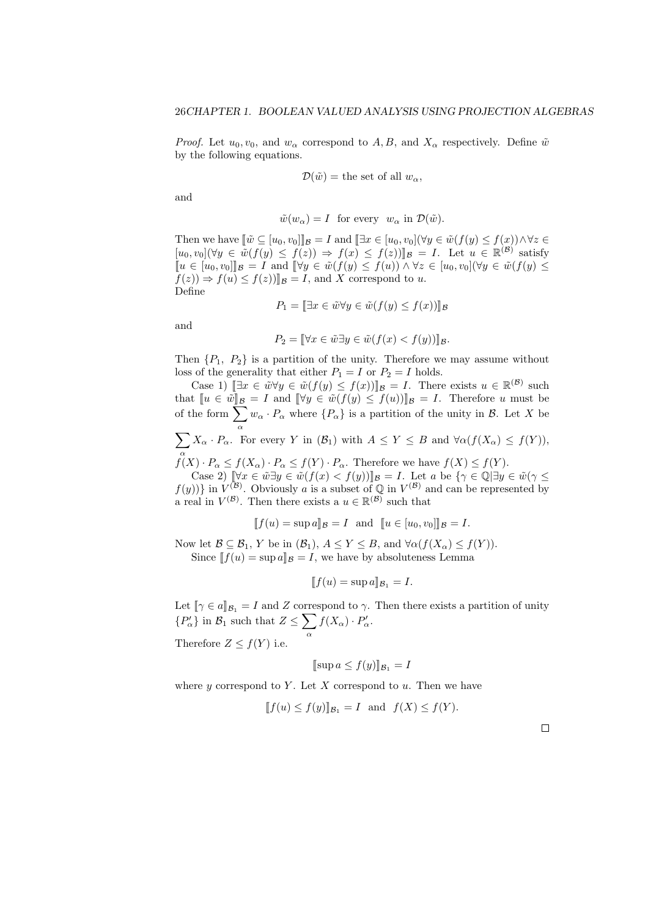*Proof.* Let  $u_0, v_0$ , and  $w_\alpha$  correspond to *A, B*, and  $X_\alpha$  respectively. Define  $\tilde{w}$ by the following equations.

$$
\mathcal{D}(\tilde{w}) = \text{the set of all } w_{\alpha},
$$

and

$$
\tilde{w}(w_{\alpha}) = I
$$
 for every  $w_{\alpha}$  in  $\mathcal{D}(\tilde{w})$ .

Then we have  $[\![\tilde{w}\subseteq[u_0,v_0]]\!]_{\mathcal{B}}=I$  and  $[\![\exists x\in[u_0,v_0](\forall y\in\tilde{w}(f(y)\leq f(x))\wedge\forall z\in$  $[u_0, v_0](\forall y \in \tilde{w}(f(y) \leq f(z)) \Rightarrow f(x) \leq f(z))$   $\mathbb{R} = I$ . Let  $u \in \mathbb{R}^{(\mathcal{B})}$  satisfy  $\llbracket u \in [u_0, v_0] \rrbracket_{\mathcal{B}} = I$  and  $\llbracket \forall y \in \tilde{w}(f(y) \leq f(u)) \land \forall z \in [u_0, v_0] \forall y \in \tilde{w}(f(y) \leq f(u))$  $f(z)$   $\Rightarrow$   $f(u) \le f(z)$ ,  $\mathbb{I}_B = I$ , and *X* correspond to *u*. Define

$$
P_1 = [\exists x \in \tilde{w} \forall y \in \tilde{w}(f(y) \le f(x))]_{\mathcal{B}}
$$

and

$$
P_2 = \llbracket \forall x \in \tilde{w} \exists y \in \tilde{w}(f(x) < f(y)) \rrbracket g.
$$

Then  ${P_1, P_2}$  is a partition of the unity. Therefore we may assume without loss of the generality that either  $P_1 = I$  or  $P_2 = I$  holds.

Case 1)  $\left[\exists x \in \tilde{w} \forall y \in \tilde{w}(f(y) \leq f(x))\right]$  *B* = *I*. There exists  $u \in \mathbb{R}^{(\mathcal{B})}$  such that  $\llbracket u \in \tilde{w} \rrbracket_B = I$  and  $\llbracket \forall y \in \tilde{w}(f(y) \leq f(u)) \rrbracket_B = I$ . Therefore *u* must be of the form  $\overline{\sum}$ *α*  $w_{\alpha} \cdot P_{\alpha}$  where  $\{P_{\alpha}\}\$ is a partition of the unity in *B*. Let *X* be

$$
\sum_{\alpha} X_{\alpha} \cdot P_{\alpha}.
$$
 For every Y in  $(B_1)$  with  $A \le Y \le B$  and  $\forall \alpha (f(X_{\alpha}) \le f(Y)),$ 

 $f(X) \cdot P_{\alpha} \leq f(X_{\alpha}) \cdot P_{\alpha} \leq f(Y) \cdot P_{\alpha}$ . Therefore we have  $f(X) \leq f(Y)$ .

Case 2)  $[\![\forall x \in \tilde{w} \exists y \in \tilde{w}(f(x) < f(y))]_{\mathcal{B}} = I$ . Let a be  $\{\gamma \in \mathbb{Q} \mid \exists y \in \tilde{w}(\gamma \leq f(y))\}$  in  $V^{(\mathcal{B})}$ . Obviously a is a subset of  $\mathbb{Q}$  in  $V^{(\mathcal{B})}$  and can be represented by a real in  $V^{(\mathcal{B})}$ . Then there exists a  $u \in \mathbb{R}^{(\mathcal{B})}$  such that

$$
[f(u) = \sup a]_B = I \text{ and } [u \in [u_0, v_0]]_B = I.
$$

Now let  $\mathcal{B} \subseteq \mathcal{B}_1$ , *Y* be in  $(\mathcal{B}_1)$ ,  $A \leq Y \leq B$ , and  $\forall \alpha (f(X_\alpha) \leq f(Y))$ . Since  $[f(u) = \sup a]_B = I$ , we have by absoluteness Lemma

$$
[[f(u) = \sup a]]_{\mathcal{B}_1} = I.
$$

Let  $[\![\gamma \in a]\!]_{\mathcal{B}_1} = I$  and *Z* correspond to  $\gamma$ . Then there exists a partition of unity  $\{P'_{\alpha}\}\$ in  $\mathcal{B}_1$  such that  $Z \leq \sum$  $f(X_{\alpha}) \cdot P'_{\alpha}$ .

Therefore  $Z \leq f(Y)$  i.e.

$$
[\sup a \le f(y)]_{\mathcal{B}_1} = I
$$

where  $y$  correspond to  $Y$ . Let  $X$  correspond to  $u$ . Then we have

*α*

$$
[f(u) \le f(y)]\mathcal{B}_1 = I \text{ and } f(X) \le f(Y).
$$

 $\Box$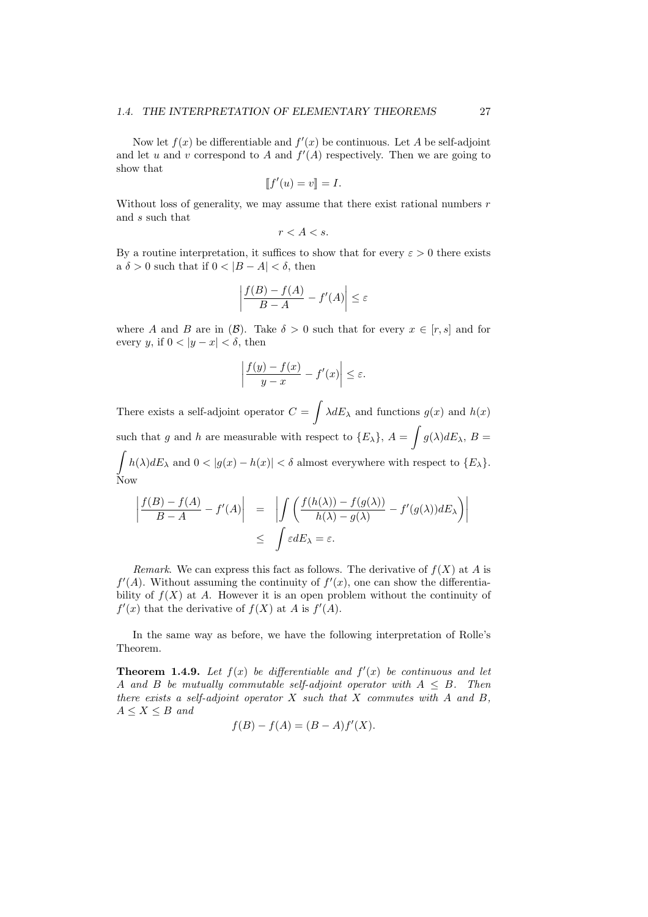### *1.4. THE INTERPRETATION OF ELEMENTARY THEOREMS* 27

Now let  $f(x)$  be differentiable and  $f'(x)$  be continuous. Let A be self-adjoint and let *u* and *v* correspond to *A* and  $f'(A)$  respectively. Then we are going to show that

$$
[\![f'(u) = v]\!] = I.
$$

Without loss of generality, we may assume that there exist rational numbers *r* and *s* such that

$$
r < A < s.
$$

By a routine interpretation, it suffices to show that for every  $\varepsilon > 0$  there exists a  $\delta > 0$  such that if  $0 < |B - A| < \delta$ , then

$$
\left| \frac{f(B) - f(A)}{B - A} - f'(A) \right| \le \varepsilon
$$

where *A* and *B* are in (*B*). Take  $\delta > 0$  such that for every  $x \in [r, s]$  and for every *y*, if  $0 < |y - x| < \delta$ , then

$$
\left|\frac{f(y) - f(x)}{y - x} - f'(x)\right| \le \varepsilon.
$$

There exists a self-adjoint operator  $C = \int \lambda dE_{\lambda}$  and functions  $g(x)$  and  $h(x)$ such that *g* and *h* are measurable with respect to  ${E_{\lambda}}$ ,  $A = \int g(\lambda) dE_{\lambda}$ ,  $B =$  $\int h(\lambda) dE_{\lambda}$  and  $0 < |g(x) - h(x)| < \delta$  almost everywhere with respect to  $\{E_{\lambda}\}.$ Now

$$
\left| \frac{f(B) - f(A)}{B - A} - f'(A) \right| = \left| \int \left( \frac{f(h(\lambda)) - f(g(\lambda))}{h(\lambda) - g(\lambda)} - f'(g(\lambda)) dE_{\lambda} \right) \right|
$$
  

$$
\leq \int \varepsilon dE_{\lambda} = \varepsilon.
$$

*Remark*. We can express this fact as follows. The derivative of  $f(X)$  at *A* is  $f'(A)$ . Without assuming the continuity of  $f'(x)$ , one can show the differentiability of  $f(X)$  at A. However it is an open problem without the continuity of  $f'(x)$  that the derivative of  $f(X)$  at *A* is  $f'(A)$ .

In the same way as before, we have the following interpretation of Rolle's Theorem.

**Theorem 1.4.9.** Let  $f(x)$  be differentiable and  $f'(x)$  be continuous and let *A* and *B be mutually commutable self-adjoint operator with*  $A \leq B$ *. Then there exists a self-adjoint operator X such that X commutes with A and B,*  $A \leq X \leq B$  *and* 

$$
f(B) - f(A) = (B - A)f'(X).
$$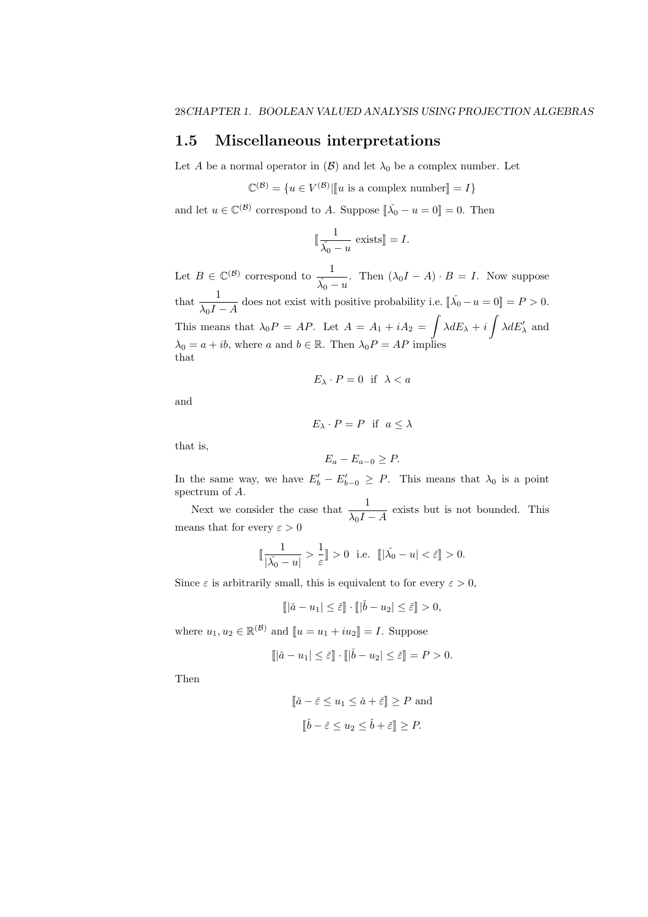# **1.5 Miscellaneous interpretations**

Let *A* be a normal operator in  $(\mathcal{B})$  and let  $\lambda_0$  be a complex number. Let

 $\mathbb{C}^{(\mathcal{B})} = \{ u \in V^{(\mathcal{B})} | \llbracket u \text{ is a complex number} \rrbracket = I \}$ 

and let  $u \in \mathbb{C}^{(\mathcal{B})}$  correspond to *A*. Suppose  $\lbrack\!\lbrack \check{\lambda_0} - u = 0 \rbrack\!\rbrack = 0$ . Then

$$
\llbracket \frac{1}{\check{\lambda_0} - u} \text{ exists} \rrbracket = I.
$$

Let  $B \in \mathbb{C}^{(\mathcal{B})}$  correspond to  $\frac{1}{\lambda_0 - u}$ . Then  $(\lambda_0 I - A) \cdot B = I$ . Now suppose that  $\frac{1}{\lambda_0 I - A}$  does not exist with positive probability i.e.  $[\![\check{\lambda_0} - u = 0]\!] = P > 0$ . This means that  $\lambda_0 P = AP$ . Let  $A = A_1 + iA_2 = \int \lambda dE_\lambda + i \int \lambda dE'_\lambda$  and  $\lambda_0 = a + ib$ , where *a* and  $b \in \mathbb{R}$ . Then  $\lambda_0 P = AP$  implies that

$$
E_\lambda \cdot P = 0 \text{ if } \lambda < a
$$

and

$$
E_{\lambda} \cdot P = P \text{ if } a \leq \lambda
$$

that is,

$$
E_a - E_{a-0} \ge P.
$$

In the same way, we have  $E'_{b} - E'_{b-0} \geq P$ . This means that  $\lambda_0$  is a point spectrum of *A*.

Next we consider the case that  $\frac{1}{\lambda_0 I - A}$  exists but is not bounded. This means that for every  $\varepsilon > 0$ 

$$
\mathbb{I} \frac{1}{|\check{\lambda_0} - u|} > \frac{1}{\varepsilon} \mathbb{I} > 0 \text{ i.e. } \mathbb{I} |\check{\lambda_0} - u| < \check{\varepsilon} \mathbb{I} > 0.
$$

Since  $\varepsilon$  is arbitrarily small, this is equivalent to for every  $\varepsilon > 0$ ,

$$
[\![|\check{a}-u_1|\leq \check{\varepsilon}]\!]\cdot [\![|\check{b}-u_2|\leq \check{\varepsilon}]\!]>0,
$$

where  $u_1, u_2 \in \mathbb{R}^{(\mathcal{B})}$  and  $[u = u_1 + iu_2] = I$ . Suppose

$$
\llbracket |\check{a} - u_1| \le \check{\varepsilon} \rrbracket \cdot \llbracket |\check{b} - u_2| \le \check{\varepsilon} \rrbracket = P > 0.
$$

Then

$$
[\![\check{a} - \check{\varepsilon} \le u_1 \le \check{a} + \check{\varepsilon}]\!] \ge P \text{ and}
$$
  

$$
[\![\check{b} - \check{\varepsilon} \le u_2 \le \check{b} + \check{\varepsilon}]\!] \ge P.
$$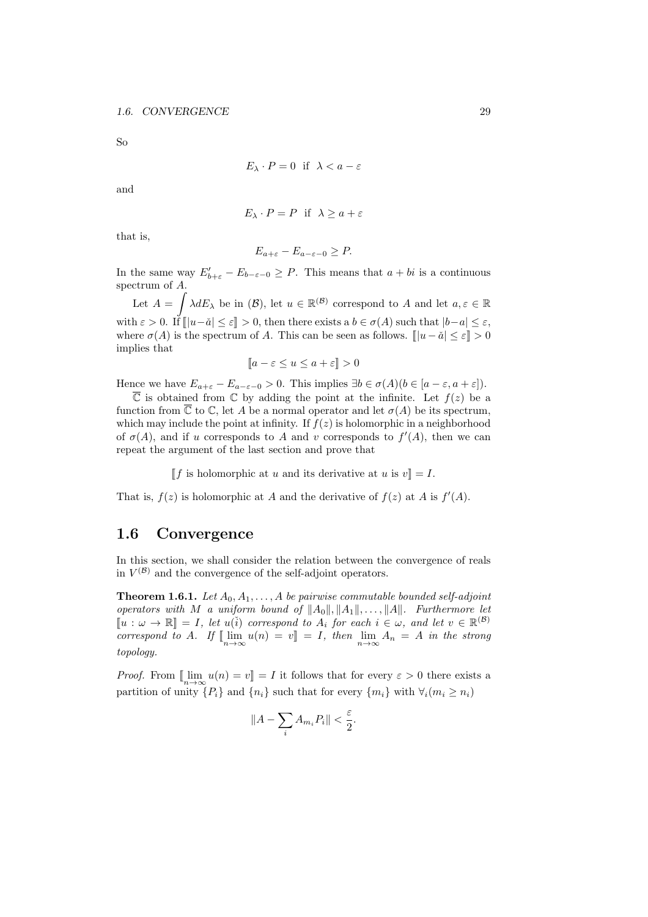So

$$
E_{\lambda} \cdot P = 0 \quad \text{if} \quad \lambda < a - \varepsilon
$$

and

$$
E_{\lambda} \cdot P = P \text{ if } \lambda \ge a + \varepsilon
$$

that is,

$$
E_{a+\varepsilon}-E_{a-\varepsilon-0}\geq P.
$$

In the same way  $E'_{b+\varepsilon} - E_{b-\varepsilon-0} \geq P$ . This means that  $a+bi$  is a continuous spectrum of *A*.

Let  $A = \int \lambda dE_{\lambda}$  be in  $(\mathcal{B})$ , let  $u \in \mathbb{R}^{(\mathcal{B})}$  correspond to A and let  $a, \varepsilon \in \mathbb{R}$ with  $\varepsilon > 0$ . If  $[|u-\tilde{a}| \leq \varepsilon] > 0$ , then there exists a  $b \in \sigma(A)$  such that  $|b-a| \leq \varepsilon$ , where  $\sigma(A)$  is the spectrum of *A*. This can be seen as follows.  $[|u - \check{a}| \leq \varepsilon] > 0$ implies that

$$
[a - \varepsilon \le u \le a + \varepsilon] > 0
$$

Hence we have  $E_{a+\varepsilon} - E_{a-\varepsilon-0} > 0$ . This implies  $\exists b \in \sigma(A) (b \in [a-\varepsilon, a+\varepsilon])$ .

 $\overline{\mathbb{C}}$  is obtained from  $\mathbb{C}$  by adding the point at the infinite. Let  $f(z)$  be a function from  $\overline{\mathbb{C}}$  to  $\mathbb{C}$ , let *A* be a normal operator and let  $\sigma(A)$  be its spectrum, which may include the point at infinity. If  $f(z)$  is holomorphic in a neighborhood of  $\sigma(A)$ , and if *u* corresponds to *A* and *v* corresponds to  $f'(A)$ , then we can repeat the argument of the last section and prove that

 $\llbracket f$  is holomorphic at *u* and its derivative at *u* is  $v \llbracket f = I$ .

That is,  $f(z)$  is holomorphic at *A* and the derivative of  $f(z)$  at *A* is  $f'(A)$ .

# **1.6 Convergence**

In this section, we shall consider the relation between the convergence of reals in  $V^{(\mathcal{B})}$  and the convergence of the self-adjoint operators.

**Theorem 1.6.1.** *Let*  $A_0, A_1, \ldots, A$  *be pairwise commutable bounded self-adjoint operators with M a uniform bound of ∥A*0*∥, ∥A*1*∥, . . . , ∥A∥. Furthermore let*  $\llbracket u : \omega \to \mathbb{R} \rrbracket = I$ , let  $u(\check{i})$  correspond to  $A_i$  for each  $i \in \omega$ , and let  $v \in \mathbb{R}^{(B)}$  $\iint_{n \to \infty} u(n) = v \leq I$ , then  $\lim_{n \to \infty} A_n = A$  in the strong *topology.*

*Proof.* From  $[\lim_{n \to \infty} u(n) = v] = I$  it follows that for every  $\varepsilon > 0$  there exists a partition of unity  $\{P_i\}$  and  $\{n_i\}$  such that for every  $\{m_i\}$  with  $\forall i (m_i \geq n_i)$ 

$$
\|A-\sum_i A_{m_i}P_i\|<\frac{\varepsilon}{2}.
$$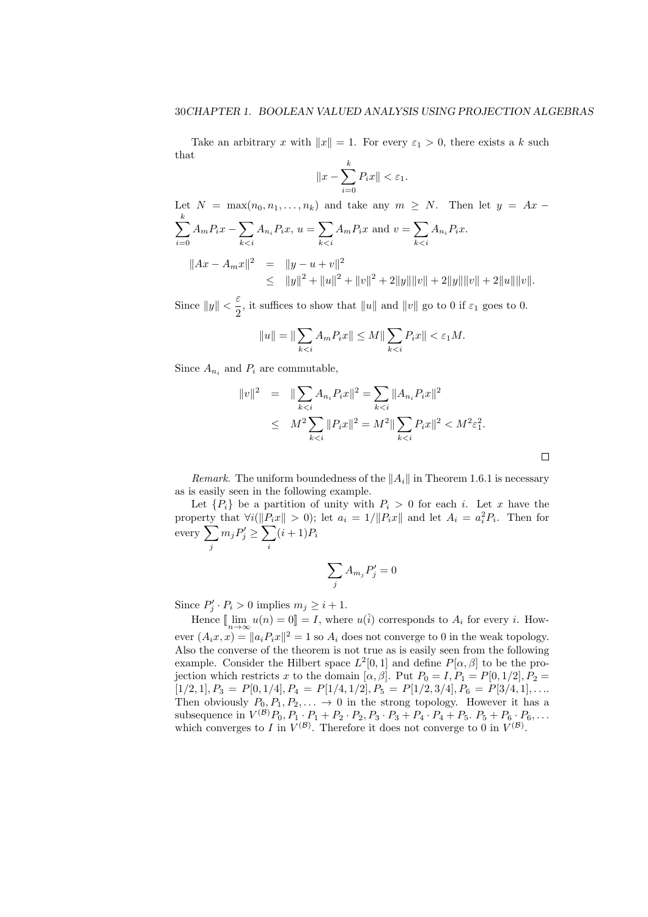Take an arbitrary *x* with  $||x|| = 1$ . For every  $\varepsilon_1 > 0$ , there exists a *k* such that

$$
||x - \sum_{i=0}^{k} P_i x|| < \varepsilon_1.
$$

Let  $N = \max(n_0, n_1, \ldots, n_k)$  and take any  $m \geq N$ . Then let  $y = Ax -$ ∑ *k i*=0  $A_m P_i x - \sum$ *k<i*  $A_{n_i}P_ix, u = \sum$ *k<i*  $A_m P_i x$  and  $v = \sum$ *k<i*  $A_{n_i}P_ix$ .  $||Ax - A_mx||^2 = ||y - u + v||^2$  $\leq$   $||y||^2 + ||u||^2 + ||v||^2 + 2||y|| ||v|| + 2||y|| ||v|| + 2||u|| ||v||.$ 

Since  $||y|| < \frac{\varepsilon}{2}$  $\frac{1}{2}$ , it suffices to show that  $||u||$  and  $||v||$  go to 0 if  $\varepsilon_1$  goes to 0.

$$
||u|| = ||\sum_{k < i} A_m P_i x|| \leq M ||\sum_{k < i} P_i x|| < \varepsilon_1 M.
$$

Since  $A_{n_i}$  and  $P_i$  are commutable,

$$
||v||^2 = ||\sum_{k  

$$
\leq M^2 \sum_{k
$$
$$

 $\Box$ 

*Remark*. The uniform boundedness of the *∥Ai∥* in Theorem 1.6.1 is necessary as is easily seen in the following example.

Let  ${P_i}$  be a partition of unity with  $P_i > 0$  for each *i*. Let *x* have the property that  $\forall i(\|P_ix\| > 0)$ ; let  $a_i = 1/\|P_ix\|$  and let  $A_i = a_i^2 P_i$ . Then for every ∑ *j*  $m_j P'_j \ge \sum$ *i*  $(i + 1)P_i$ 

$$
\sum_j A_{m_j} P'_j = 0
$$

Since  $P'_j \cdot P_i > 0$  implies  $m_j \geq i+1$ .

Hence  $[\lim_{n\to\infty} u(n) = 0] = I$ , where  $u(i)$  corresponds to  $A_i$  for every *i*. However  $(A_ix, x) = ||a_iP_ix||^2 = 1$  so  $A_i$  does not converge to 0 in the weak topology. Also the converse of the theorem is not true as is easily seen from the following example. Consider the Hilbert space  $L^2[0,1]$  and define  $P[\alpha,\beta]$  to be the projection which restricts *x* to the domain  $[\alpha, \beta]$ . Put  $P_0 = I, P_1 = P[0, 1/2], P_2 =$  $[1/2, 1], P_3 = P[0, 1/4], P_4 = P[1/4, 1/2], P_5 = P[1/2, 3/4], P_6 = P[3/4, 1], \ldots$ Then obviously  $P_0, P_1, P_2, \ldots \rightarrow 0$  in the strong topology. However it has a subsequence in  $V^{(B)}P_0, P_1 \cdot P_1 + P_2 \cdot P_2, P_3 \cdot P_3 + P_4 \cdot P_4 + P_5$ .  $P_5 + P_6 \cdot P_6, \ldots$ which converges to *I* in  $V^{(\mathcal{B})}$ . Therefore it does not converge to 0 in  $V^{(\mathcal{B})}$ .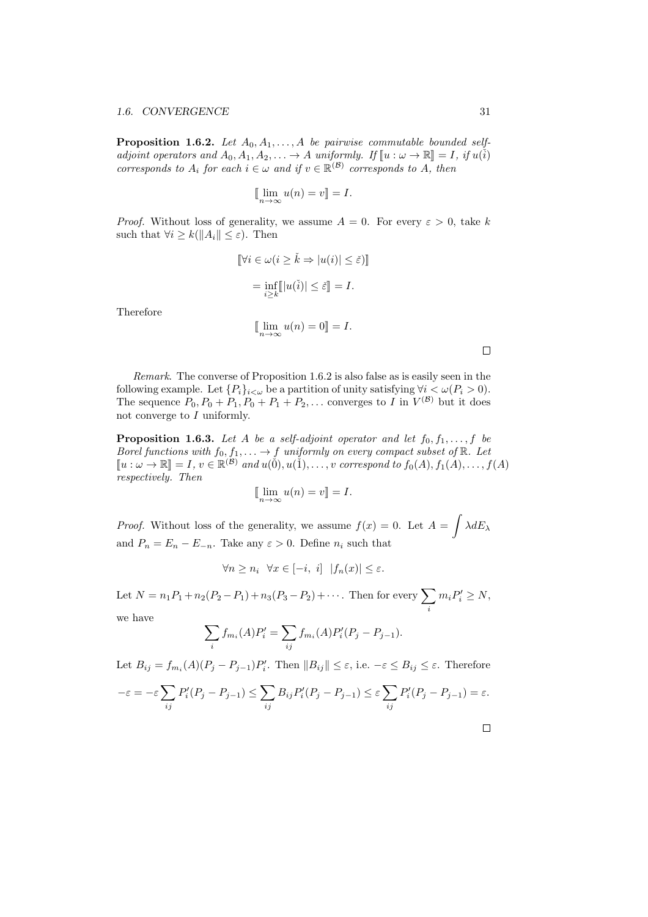**Proposition 1.6.2.** Let  $A_0, A_1, \ldots, A$  be pairwise commutable bounded self*adjoint operators and*  $A_0, A_1, A_2, \ldots \rightarrow A$  *uniformly.* If  $\llbracket u : \omega \rightarrow \mathbb{R} \rrbracket = I$ , if  $u(i)$ *corresponds to*  $A_i$  *for each*  $i \in \omega$  *and if*  $v \in \mathbb{R}^{(\mathcal{B})}$  *corresponds to*  $A$ *, then* 

$$
\lim_{n \to \infty} u(n) = v \mathbb{I} = I.
$$

*Proof.* Without loss of generality, we assume  $A = 0$ . For every  $\varepsilon > 0$ , take k such that  $\forall i \geq k (\|A_i\| \leq \varepsilon)$ . Then

$$
\[\forall i \in \omega (i \ge \check{k} \Rightarrow |u(i)| \le \check{\varepsilon})\]
$$

$$
= \inf_{i \ge k} [|u(\check{i})| \le \check{\varepsilon}] = I.
$$

Therefore

$$
[\lim_{n \to \infty} u(n) = 0] = I.
$$

 $\Box$ 

*Remark*. The converse of Proposition 1.6.2 is also false as is easily seen in the following example. Let  ${P_i}_{i<\omega}$  be a partition of unity satisfying  $\forall i<\omega(P_i>0)$ . The sequence  $P_0, P_0 + P_1, P_0 + P_1 + P_2, \ldots$  converges to *I* in  $V^{(\mathcal{B})}$  but it does not converge to *I* uniformly.

**Proposition 1.6.3.** Let A be a self-adjoint operator and let  $f_0, f_1, \ldots, f$  be *Borel functions with*  $f_0, f_1, \ldots \to f$  *uniformly on every compact subset of*  $\mathbb{R}$ *. Let*  $[u : \omega \to \mathbb{R}] = I, v \in \mathbb{R}^{(\mathcal{B})}$  and  $u(\check{0}), u(\check{1}), \ldots, v$  correspond to  $f_0(A), f_1(A), \ldots, f(A)$ *respectively. Then*

$$
[\lim_{n \to \infty} u(n) = v] = I.
$$

*Proof.* Without loss of the generality, we assume  $f(x) = 0$ . Let  $A = \int \lambda dE_{\lambda}$ and  $P_n = E_n - E_{-n}$ . Take any  $\varepsilon > 0$ . Define  $n_i$  such that

$$
\forall n \ge n_i \ \forall x \in [-i, i] \ |f_n(x)| \le \varepsilon.
$$

Let  $N = n_1 P_1 + n_2 (P_2 - P_1) + n_3 (P_3 - P_2) + \cdots$ . Then for every  $\sum$ *i*  $m_i P'_i \geq N$ ,

we have

$$
\sum_{i} f_{m_i}(A) P'_i = \sum_{ij} f_{m_i}(A) P'_i (P_j - P_{j-1}).
$$

Let  $B_{ij} = f_{m_i}(A)(P_j - P_{j-1})P'_i$ . Then  $||B_{ij}|| \leq \varepsilon$ , i.e.  $-\varepsilon \leq B_{ij} \leq \varepsilon$ . Therefore

$$
-\varepsilon = -\varepsilon \sum_{ij} P'_i (P_j - P_{j-1}) \le \sum_{ij} B_{ij} P'_i (P_j - P_{j-1}) \le \varepsilon \sum_{ij} P'_i (P_j - P_{j-1}) = \varepsilon.
$$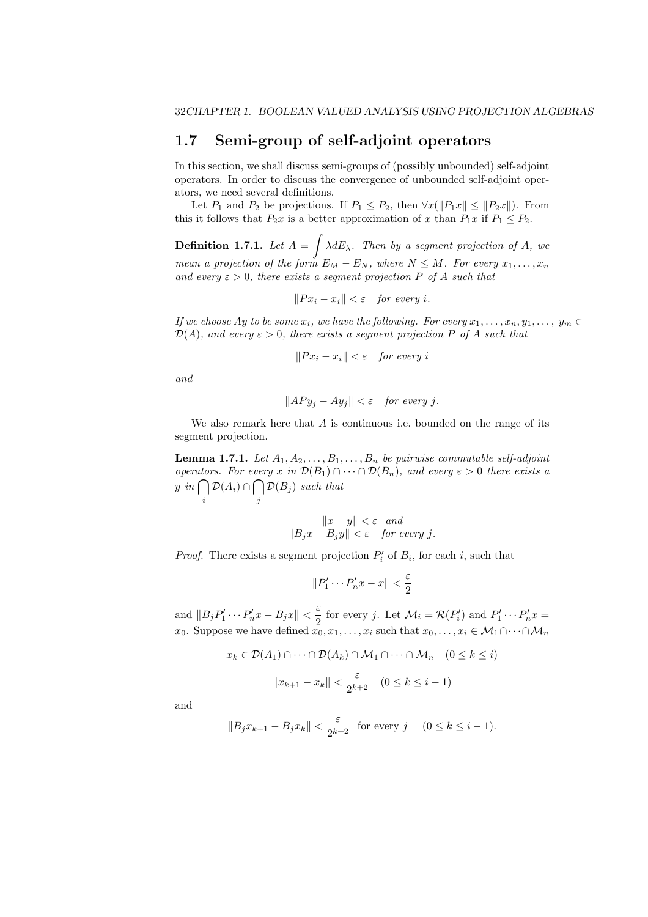### **1.7 Semi-group of self-adjoint operators**

In this section, we shall discuss semi-groups of (possibly unbounded) self-adjoint operators. In order to discuss the convergence of unbounded self-adjoint operators, we need several definitions.

Let  $P_1$  and  $P_2$  be projections. If  $P_1 \leq P_2$ , then  $\forall x (\|P_1x\| \leq \|P_2x\|)$ . From this it follows that  $P_2x$  is a better approximation of x than  $P_1x$  if  $P_1 \leq P_2$ .

**Definition 1.7.1.** Let  $A = \int \lambda dE_{\lambda}$ . Then by a segment projection of  $A$ , we *mean a projection of the form*  $E_M - E_N$ , where  $N \leq M$ . For every  $x_1, \ldots, x_n$ *and every*  $\varepsilon > 0$ *, there exists a segment projection*  $P$  *of*  $A$  *such that* 

 $||Px_i - x_i|| < \varepsilon$  *for every i.* 

*If we choose Ay to be some*  $x_i$ *, we have the following. For every*  $x_1, \ldots, x_n, y_1, \ldots, y_m \in$  $\mathcal{D}(A)$ *, and every*  $\varepsilon > 0$ *, there exists a segment projection P of A such that* 

$$
||Px_i - x_i|| < \varepsilon \quad \text{for every } i
$$

*and*

$$
||APy_j - Ay_j|| < \varepsilon \quad \text{for every } j.
$$

We also remark here that *A* is continuous i.e. bounded on the range of its segment projection.

**Lemma 1.7.1.** Let  $A_1, A_2, \ldots, B_1, \ldots, B_n$  be pairwise commutable self-adjoint *operators. For every x in*  $\mathcal{D}(B_1) \cap \cdots \cap \mathcal{D}(B_n)$ *, and every*  $\varepsilon > 0$  *there exists a y in* ∩ *i D*(*A*<sub>*i*</sub>) ∩  $∩$ *j*  $\mathcal{D}(B_j)$  *such that* 

$$
||x - y|| < \varepsilon \text{ and}
$$
  

$$
||B_jx - B_jy|| < \varepsilon \text{ for every } j.
$$

*Proof.* There exists a segment projection  $P'_i$  of  $B_i$ , for each *i*, such that

$$
||P'_1 \cdots P'_n x - x|| < \frac{\varepsilon}{2}
$$

and  $||B_jP'_1 \cdots P'_nx - B_jx|| < \frac{\varepsilon}{2}$  $\frac{1}{2}$  for every *j*. Let  $\mathcal{M}_i = \mathcal{R}(P'_i)$  and  $P'_1 \cdots P'_n x =$ *x*<sub>0</sub>. Suppose we have defined  $x_0, x_1, \ldots, x_i$  such that  $x_0, \ldots, x_i \in M_1 \cap \cdots \cap M_n$ 

$$
x_k \in \mathcal{D}(A_1) \cap \dots \cap \mathcal{D}(A_k) \cap \mathcal{M}_1 \cap \dots \cap \mathcal{M}_n \quad (0 \le k \le i)
$$

$$
||x_{k+1} - x_k|| < \frac{\varepsilon}{2^{k+2}} \quad (0 \le k \le i-1)
$$

and

$$
||B_j x_{k+1} - B_j x_k|| < \frac{\varepsilon}{2^{k+2}} \quad \text{for every } j \quad (0 \le k \le i-1).
$$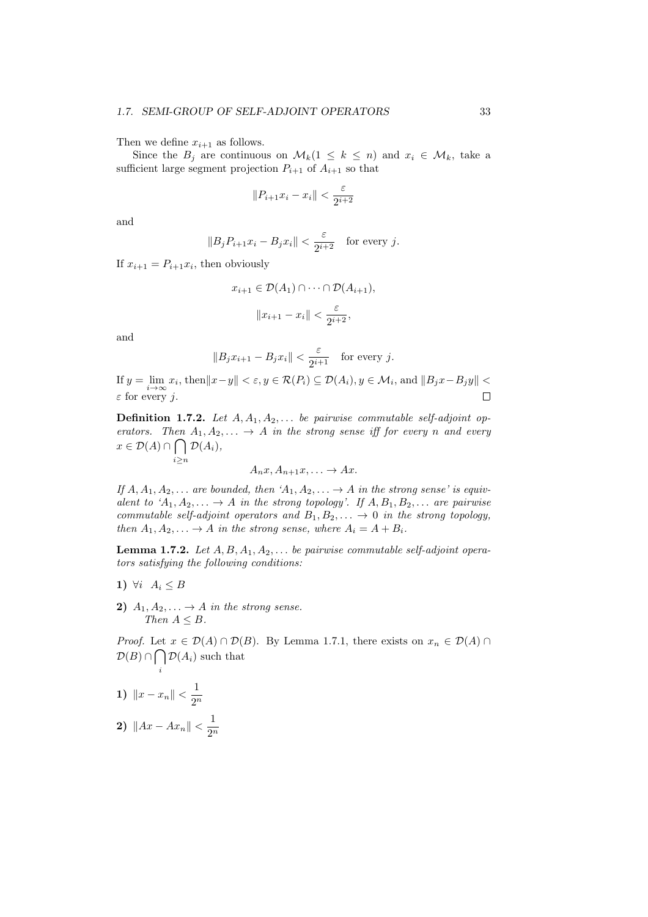Then we define  $x_{i+1}$  as follows.

Since the  $B_i$  are continuous on  $\mathcal{M}_k(1 \leq k \leq n)$  and  $x_i \in \mathcal{M}_k$ , take a sufficient large segment projection  $P_{i+1}$  of  $A_{i+1}$  so that

$$
||P_{i+1}x_i - x_i|| < \frac{\varepsilon}{2^{i+2}}
$$

and

$$
||B_j P_{i+1} x_i - B_j x_i|| < \frac{\varepsilon}{2^{i+2}}
$$
 for every j.

If  $x_{i+1} = P_{i+1}x_i$ , then obviously

*i≥n*

$$
x_{i+1} \in \mathcal{D}(A_1) \cap \dots \cap \mathcal{D}(A_{i+1}),
$$

$$
||x_{i+1} - x_i|| < \frac{\varepsilon}{2^{i+2}},
$$

and

$$
||B_j x_{i+1} - B_j x_i|| < \frac{\varepsilon}{2^{i+1}} \quad \text{for every } j.
$$

If  $y = \lim_{i \to \infty} x_i$ , then  $||x - y|| < \varepsilon, y \in \mathcal{R}(P_i) \subseteq \mathcal{D}(A_i), y \in \mathcal{M}_i$ , and  $||B_jx - B_jy|| <$ *ε* for every *j*.  $\Box$ 

**Definition 1.7.2.** *Let A, A*1*, A*2*, . . . be pairwise commutable self-adjoint operators.* Then  $A_1, A_2, \ldots \rightarrow A$  *in the strong sense iff for every n and every x ∈ D*(*A*) *∩* ∩ *D*(*Ai*)*,*

$$
A_n x, A_{n+1} x, \ldots \to Ax.
$$

*If*  $A, A_1, A_2, \ldots$  *are bounded, then*  $A_1, A_2, \ldots \rightarrow A$  *in the strong sense' is equivalent to*  $^{\prime}A_1, A_2, \ldots \rightarrow A$  *in the strong topology'. If*  $A, B_1, B_2, \ldots$  *are pairwise commutable self-adjoint operators and*  $B_1, B_2, \ldots \rightarrow 0$  *in the strong topology, then*  $A_1, A_2, \ldots \rightarrow A$  *in the strong sense, where*  $A_i = A + B_i$ *.* 

**Lemma 1.7.2.** *Let A, B, A*1*, A*2*, . . . be pairwise commutable self-adjoint operators satisfying the following conditions:*

- **1)**  $\forall i$  *A*<sub>*i*</sub> ≤ *B*
- **2)**  $A_1, A_2, \ldots \rightarrow A$  *in the strong sense. Then*  $A \leq B$ *.*

*Proof.* Let  $x \in \mathcal{D}(A) \cap \mathcal{D}(B)$ . By Lemma 1.7.1, there exists on  $x_n \in \mathcal{D}(A) \cap \mathcal{D}(B)$ .  $D(B) \cap ∩$  $\mathcal{D}(A_i)$  such that

**1)**  $||x - x_n|| < \frac{1}{\alpha^n}$ 2 *n*

*i*

**2)**  $||Ax - Ax_n|| < \frac{1}{2^n}$ 2 *n*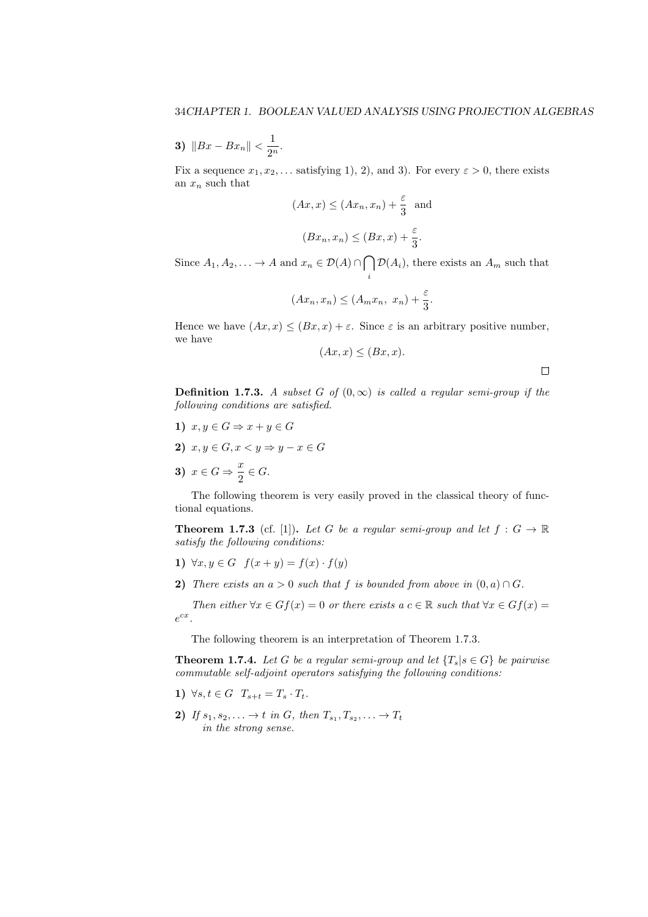**3)**  $||Bx - Bx_n|| < \frac{1}{2^n}$  $\frac{1}{2^n}$ .

Fix a sequence  $x_1, x_2, \ldots$  satisfying 1), 2), and 3). For every  $\varepsilon > 0$ , there exists an  $x_n$  such that

$$
(Ax, x) \le (Ax_n, x_n) + \frac{\varepsilon}{3}
$$
 and  
 $(Bx_n, x_n) \le (Bx, x) + \frac{\varepsilon}{3}.$ 

Since  $A_1, A_2, \ldots \to A$  and  $x_n \in \mathcal{D}(A) \cap \bigcap$ *i*  $\mathcal{D}(A_i)$ , there exists an  $A_m$  such that

$$
(Ax_n, x_n) \le (A_m x_n, x_n) + \frac{\varepsilon}{3}.
$$

Hence we have  $(Ax, x) \leq (Bx, x) + \varepsilon$ . Since  $\varepsilon$  is an arbitrary positive number, we have

$$
(Ax, x) \le (Bx, x)
$$

 $\Box$ 

**Definition 1.7.3.** *A subset G of*  $(0, \infty)$  *is called a regular semi-group if the following conditions are satisfied.*

- **1)**  $x, y \in G \Rightarrow x + y \in G$
- **2)**  $x, y \in G, x < y \Rightarrow y x \in G$
- **3)**  $x \in G \Rightarrow \frac{x}{2}$  $\frac{\infty}{2} \in G$ .

The following theorem is very easily proved in the classical theory of functional equations.

**Theorem 1.7.3** (cf. [1]). Let G be a regular semi-group and let  $f: G \to \mathbb{R}$ *satisfy the following conditions:*

- **1)**  $\forall x, y \in G$   $f(x + y) = f(x) \cdot f(y)$
- **2)** *There exists an*  $a > 0$  *such that*  $f$  *is bounded from above in*  $(0, a) \cap G$ *.*

*Then either*  $\forall x \in G$ *f*(*x*) = 0 *or there exists a*  $c \in \mathbb{R}$  *such that*  $\forall x \in G$ *f*(*x*) = *e cx .*

The following theorem is an interpretation of Theorem 1.7.3.

**Theorem 1.7.4.** *Let G be a regular semi-group and let*  ${T_s | s \in G}$  *be pairwise commutable self-adjoint operators satisfying the following conditions:*

- **1)**  $\forall s, t \in G$   $T_{s+t} = T_s \cdot T_t$ .
- **2)** If  $s_1, s_2, \ldots \to t$  in G, then  $T_{s_1}, T_{s_2}, \ldots \to T_t$ *in the strong sense.*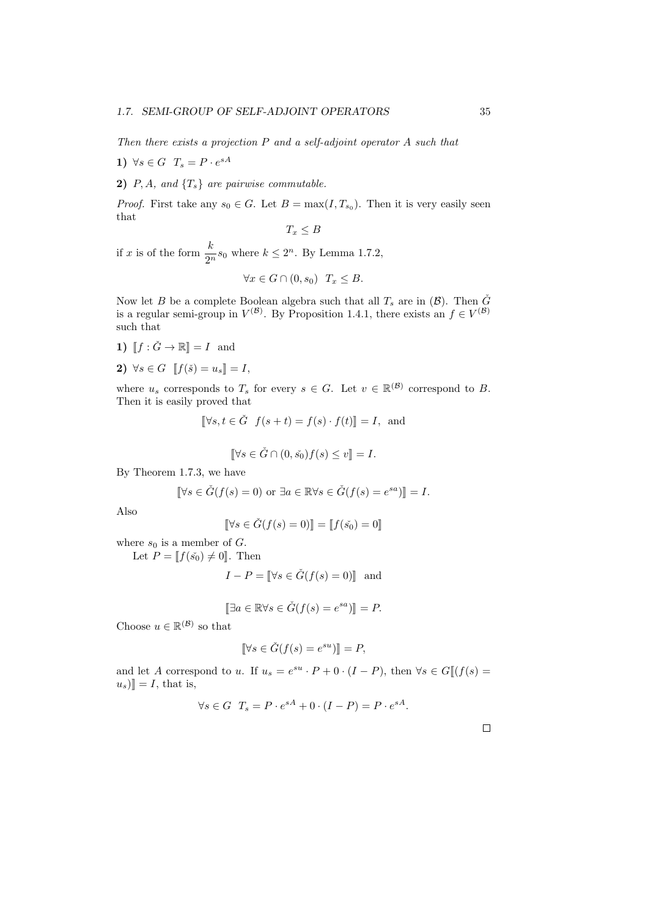*Then there exists a projection P and a self-adjoint operator A such that*

- **1)**  $\forall s \in G$   $T_s = P \cdot e^{sA}$
- **2)**  $P, A$ *, and*  $\{T_s\}$  *are pairwise commutable.*

*Proof.* First take any  $s_0 \in G$ . Let  $B = \max(I, T_{s_0})$ . Then it is very easily seen that

$$
T_x \leq B
$$

if *x* is of the form  $\frac{k}{2^n} s_0$  where  $k \leq 2^n$ . By Lemma 1.7.2,

$$
\forall x \in G \cap (0, s_0) \quad T_x \leq B.
$$

Now let *B* be a complete Boolean algebra such that all  $T_s$  are in  $(\mathcal{B})$ . Then  $\check{G}$ is a regular semi-group in  $V^{(\mathcal{B})}$ . By Proposition 1.4.1, there exists an  $f \in V^{(\mathcal{B})}$ such that

- **1)**  $\|f: \check{G} \to \mathbb{R}\| = I$  and
- **2)**  $\forall s \in G$   $[[f(\check{s}) = u_s]] = I$ ,

where  $u_s$  corresponds to  $T_s$  for every  $s \in G$ . Let  $v \in \mathbb{R}^{(\mathcal{B})}$  correspond to *B*. Then it is easily proved that

$$
[\![\forall s, t \in \check{G} \ \ f(s+t) = f(s) \cdot f(t)]\!] = I, \text{ and}
$$

$$
\llbracket \forall s \in \check{G} \cap (0, \check{s_0}) f(s) \le v \rrbracket = I.
$$

By Theorem 1.7.3, we have

$$
[\![\forall s \in \check{G}(f(s) = 0) \text{ or } \exists a \in \mathbb{R} \forall s \in \check{G}(f(s) = e^{sa})\!] = I.
$$

Also

$$
[\![\forall s \in \check{G}(f(s) = 0)]\!] = [\![f(\check{s_0}) = 0]\!]
$$

where  $s_0$  is a member of  $G$ .

Let 
$$
P = [[f(\tilde{s_0}) \neq 0]]
$$
. Then

$$
I - P = \llbracket \forall s \in \check{G}(f(s) = 0) \rrbracket \text{ and}
$$

$$
[\exists a \in \mathbb{R} \forall s \in \check{G}(f(s) = e^{sa})] = P.
$$

Choose  $u \in \mathbb{R}^{(\mathcal{B})}$  so that

$$
\[\forall s \in \check{G}(f(s) = e^{su})\] = P,
$$

and let *A* correspond to *u*. If *u<sup>s</sup>* = *e su · <sup>P</sup>* + 0 *·* (*<sup>I</sup> <sup>−</sup> <sup>P</sup>*), then *<sup>∀</sup><sup>s</sup> <sup>∈</sup> <sup>G</sup>*J(*f*(*s*) =  $[u_s]$  = *I*, that is,

$$
\forall s \in G \quad T_s = P \cdot e^{sA} + 0 \cdot (I - P) = P \cdot e^{sA}.
$$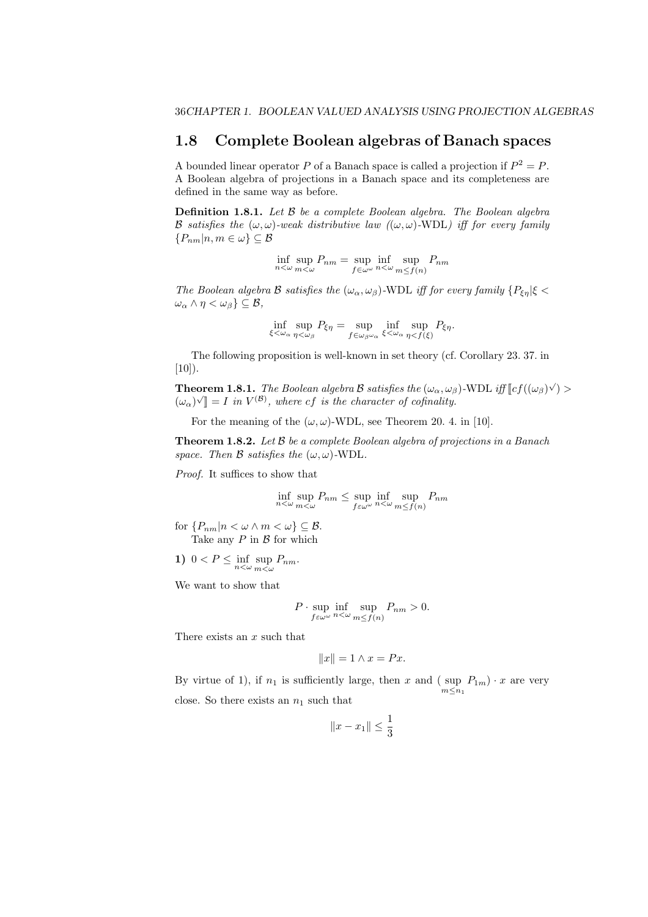#### **1.8 Complete Boolean algebras of Banach spaces**

A bounded linear operator *P* of a Banach space is called a projection if  $P^2 = P$ . A Boolean algebra of projections in a Banach space and its completeness are defined in the same way as before.

**Definition 1.8.1.** *Let B be a complete Boolean algebra. The Boolean algebra B satisfies the*  $(\omega, \omega)$ *-weak distributive law*  $((\omega, \omega)$ *-WDL) iff for every family {Pnm|n, m ∈ ω} ⊆ B*

$$
\inf_{n<\omega}\sup_{m<\omega}P_{nm}=\sup_{f\in\omega^{\omega}}\inf_{n<\omega}\sup_{m\leq f(n)}P_{nm}
$$

*The Boolean algebra B satisfies the* ( $\omega_{\alpha}, \omega_{\beta}$ )*-WDL iff for every family*  $\{P_{\xi\eta}|\xi < \pi\}$  $\omega_{\alpha} \wedge \eta < \omega_{\beta}$   $\subseteq \mathcal{B}$ *,* 

$$
\inf_{\xi < \omega_{\alpha}} \sup_{\eta < \omega_{\beta}} P_{\xi \eta} = \sup_{f \in \omega_{\beta} \omega_{\alpha}} \inf_{\xi < \omega_{\alpha}} \sup_{\eta < f(\xi)} P_{\xi \eta}.
$$

The following proposition is well-known in set theory (cf. Corollary 23. 37. in  $[10]$ ).

**Theorem 1.8.1.** *The Boolean algebra B satisfies the*  $(\omega_{\alpha}, \omega_{\beta})$ -WDL *iff*  $[cf((\omega_{\beta})\vee) >$  $(\omega_{\alpha}) \vee \mathbb{I} = I$  *in*  $V^{(\mathcal{B})}$ , where cf *is the character of cofinality.* 

For the meaning of the  $(\omega, \omega)$ -WDL, see Theorem 20. 4. in [10].

**Theorem 1.8.2.** *Let B be a complete Boolean algebra of projections in a Banach space. Then*  $\beta$  *satisfies the*  $(\omega, \omega)$ -WDL.

*Proof.* It suffices to show that

$$
\inf_{n<\omega}\sup_{m<\omega}P_{nm}\leq \sup_{f\in\omega^{\omega}}\inf_{n<\omega}\sup_{m\leq f(n)}P_{nm}
$$

for  ${P_{nm}|n < \omega \wedge m < \omega} \subseteq \mathcal{B}$ .

Take any *P* in *B* for which

1) 
$$
0 < P \leq \inf_{n < \omega} \sup_{m < \omega} P_{nm}.
$$

We want to show that

$$
P \cdot \sup_{f \in \omega^{\omega}} \inf_{n < \omega} \sup_{m \le f(n)} P_{nm} > 0.
$$

There exists an *x* such that

$$
||x|| = 1 \land x = Px.
$$

By virtue of 1), if  $n_1$  is sufficiently large, then *x* and (sup  $P_{1m}$ )  $\cdot$  *x* are very  $m \leq n_1$ close. So there exists an  $n_1$  such that

$$
||x - x_1|| \le \frac{1}{3}
$$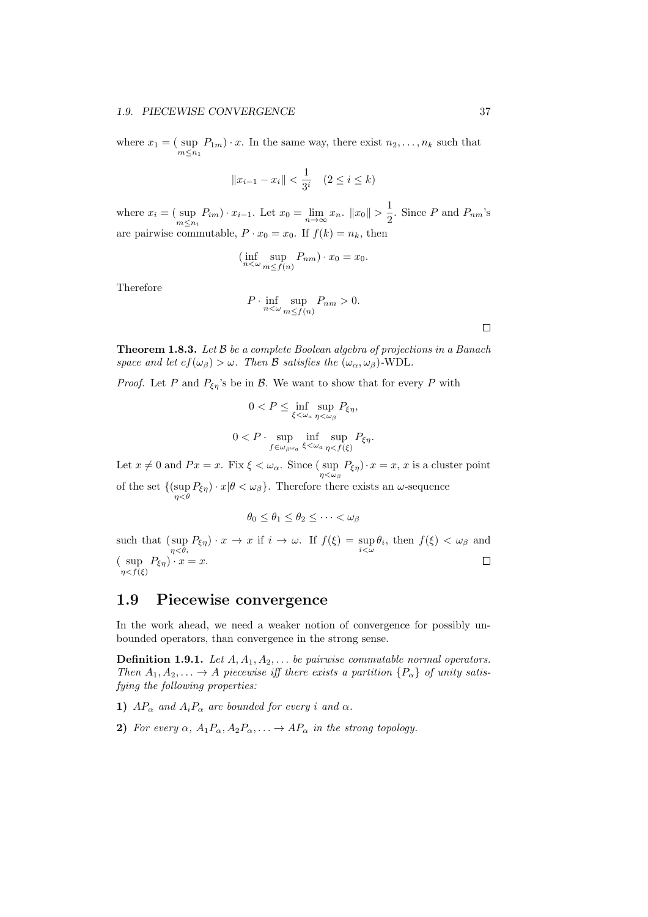where  $x_1 = ($  sup *m≤n*<sup>1</sup>  $P_{1m}$  *· x*. In the same way, there exist  $n_2, \ldots, n_k$  such that

$$
||x_{i-1} - x_i|| < \frac{1}{3^i} \quad (2 \le i \le k)
$$

where  $x_i = ($ sup  $\sup_{m \leq n_i} P_{im} \cdot x_{i-1}$ . Let  $x_0 = \lim_{n \to \infty} x_n$ .  $||x_0|| > \frac{1}{2}$  $\frac{1}{2}$ . Since *P* and *P<sub>nm</sub>*'s are pairwise commutable,  $P \cdot x_0 = x_0$ . If  $f(k) = n_k$ , then

$$
(\inf_{n<\omega}\sup_{m\leq f(n)}P_{nm})\cdot x_0=x_0.
$$

Therefore

$$
P \cdot \inf_{n < \omega} \sup_{m \le f(n)} P_{nm} > 0.
$$

 $\Box$ 

**Theorem 1.8.3.** *Let B be a complete Boolean algebra of projections in a Banach space and let*  $cf(\omega_\beta) > \omega$ *. Then B satisfies the*  $(\omega_\alpha, \omega_\beta)$ *-WDL.* 

*Proof.* Let *P* and  $P_{\xi\eta}$ 's be in *B*. We want to show that for every *P* with

$$
0 < P \le \inf_{\xi < \omega_a} \sup_{\eta < \omega_\beta} P_{\xi \eta},
$$

$$
0 < P \cdot \sup_{f \in \omega_{\beta} \omega_a} \inf_{\xi < \omega_a} \sup_{\eta < f(\xi)} P_{\xi \eta}.
$$

Let  $x \neq 0$  and  $Px = x$ . Fix  $\xi < \omega_\alpha$ . Since (sup  $P_{\xi\eta}$ )  $x = x, x$  is a cluster point *η<ω<sup>β</sup>* of the set  $\{(\sup_{\eta<\theta} P_{\xi\eta})\cdot x | \theta<\omega_{\beta}\}\.$  Therefore there exists an  $\omega$ -sequence

$$
\theta_0 \le \theta_1 \le \theta_2 \le \cdots < \omega_\beta
$$

such that ( sup  $\sup_{\eta \leq \theta_i} P_{\xi \eta}$  *· x*  $\rightarrow$  *x* if  $i \rightarrow \omega$ . If  $f(\xi) = \sup_{i \leq \omega} \theta_i$ , then  $f(\xi) < \omega_\beta$  and  $(\sup P_{\xi\eta}) \cdot x = x.$ *η<f*(*ξ*)

#### **1.9 Piecewise convergence**

In the work ahead, we need a weaker notion of convergence for possibly unbounded operators, than convergence in the strong sense.

**Definition 1.9.1.** *Let A, A*1*, A*2*, . . . be pairwise commutable normal operators. Then*  $A_1, A_2, \ldots \rightarrow A$  *piecewise iff there exists a partition*  $\{P_\alpha\}$  *of unity satisfying the following properties:*

- **1)**  $AP_\alpha$  *and*  $A_iP_\alpha$  *are bounded for every i and*  $\alpha$ *.*
- **2)** *For every*  $\alpha$ ,  $A_1P_\alpha$ ,  $A_2P_\alpha$ ,  $\ldots \rightarrow AP_\alpha$  *in the strong topology.*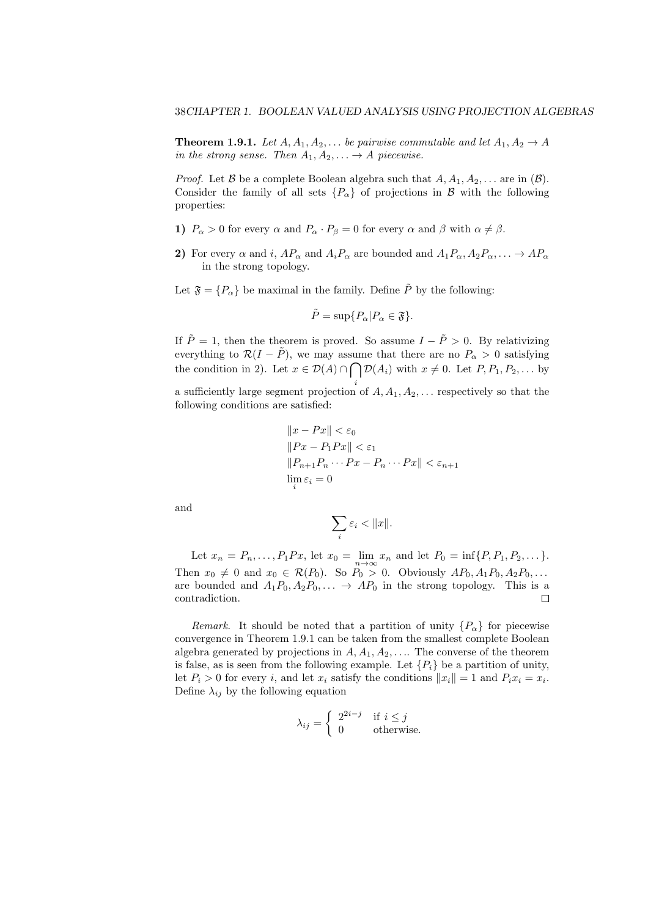**Theorem 1.9.1.** *Let*  $A, A_1, A_2, \ldots$  *be pairwise commutable and let*  $A_1, A_2 \rightarrow A$ *in the strong sense. Then*  $A_1, A_2, \ldots \rightarrow A$  *piecewise.* 

*Proof.* Let  $\beta$  be a complete Boolean algebra such that  $A, A_1, A_2, \ldots$  are in  $(\beta)$ . Consider the family of all sets  ${P_\alpha}$  of projections in *B* with the following properties:

- **1)**  $P_{\alpha} > 0$  for every  $\alpha$  and  $P_{\alpha} \cdot P_{\beta} = 0$  for every  $\alpha$  and  $\beta$  with  $\alpha \neq \beta$ .
- **2)** For every  $\alpha$  and *i*,  $AP_{\alpha}$  and  $A_iP_{\alpha}$  are bounded and  $A_1P_{\alpha}, A_2P_{\alpha}, \ldots \rightarrow AP_{\alpha}$ in the strong topology.

Let  $\mathfrak{F} = \{P_{\alpha}\}\$ be maximal in the family. Define  $\tilde{P}$  by the following:

$$
\tilde{P} = \sup\{P_{\alpha}|P_{\alpha} \in \mathfrak{F}\}.
$$

If  $\tilde{P} = 1$ , then the theorem is proved. So assume  $I - \tilde{P} > 0$ . By relativizing everything to  $\mathcal{R}(I - \tilde{P})$ , we may assume that there are no  $P_{\alpha} > 0$  satisfying the condition in 2). Let  $x \in \mathcal{D}(A) \cap \bigcap \mathcal{D}(A_i)$  with  $x \neq 0$ . Let  $P, P_1, P_2, \ldots$  by

*i* a sufficiently large segment projection of *A, A*1*, A*2*, . . .* respectively so that the following conditions are satisfied:

$$
||x - Px|| < \varepsilon_0
$$
  
\n
$$
||Px - P_1Px|| < \varepsilon_1
$$
  
\n
$$
||P_{n+1}P_n \cdots Px - P_n \cdots Px|| < \varepsilon_{n+1}
$$
  
\n
$$
\lim_{i} \varepsilon_i = 0
$$

and

$$
\sum_i \varepsilon_i < ||x||.
$$

Let  $x_n = P_n, \ldots, P_1 P x$ , let  $x_0 = \lim_{n \to \infty} x_n$  and let  $P_0 = \inf\{P, P_1, P_2, \ldots\}$ . Then  $x_0 \neq 0$  and  $x_0 \in \mathcal{R}(P_0)$ . So  $P_0 > 0$ . Obviously  $AP_0, A_1P_0, A_2P_0, \ldots$ are bounded and  $A_1P_0, A_2P_0, \ldots \rightarrow AP_0$  in the strong topology. This is a contradiction.

*Remark*. It should be noted that a partition of unity  ${P_\alpha}$  for piecewise convergence in Theorem 1.9.1 can be taken from the smallest complete Boolean algebra generated by projections in  $A, A_1, A_2, \ldots$  The converse of the theorem is false, as is seen from the following example. Let  ${P_i}$  be a partition of unity, let  $P_i > 0$  for every *i*, and let  $x_i$  satisfy the conditions  $||x_i|| = 1$  and  $P_i x_i = x_i$ . Define  $\lambda_{ij}$  by the following equation

$$
\lambda_{ij} = \begin{cases} 2^{2i-j} & \text{if } i \le j \\ 0 & \text{otherwise.} \end{cases}
$$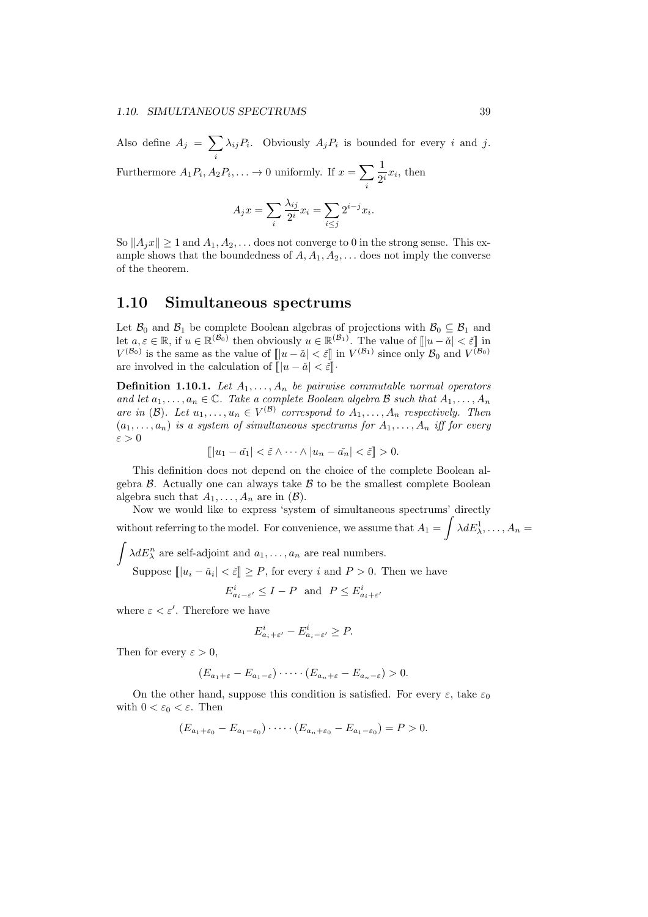Also define  $A_j = \sum$ *i*  $\lambda_{ij}P_i$ . Obviously  $A_jP_i$  is bounded for every *i* and *j*.

Furthermore  $A_1 P_i, A_2 P_i, \ldots \rightarrow 0$  uniformly. If  $x = \sum$ *i* 1  $\frac{1}{2^i}x_i$ , then

$$
A_j x = \sum_i \frac{\lambda_{ij}}{2^i} x_i = \sum_{i \le j} 2^{i-j} x_i.
$$

So  $||A_i x|| \geq 1$  and  $A_1, A_2, \ldots$  does not converge to 0 in the strong sense. This example shows that the boundedness of  $A, A_1, A_2, \ldots$  does not imply the converse of the theorem.

#### **1.10 Simultaneous spectrums**

Let  $\mathcal{B}_0$  and  $\mathcal{B}_1$  be complete Boolean algebras of projections with  $\mathcal{B}_0 \subseteq \mathcal{B}_1$  and let  $a, \varepsilon \in \mathbb{R}$ , if  $u \in \mathbb{R}^{(B_0)}$  then obviously  $u \in \mathbb{R}^{(B_1)}$ . The value of  $[|u - \check{a}| < \check{\varepsilon}]$  in  $V^{(B_0)}$  is the same as the value of  $[|u - \check{a}| < \check{\varepsilon}]$  in  $V^{(B_1)}$  since only  $B_0$  and  $V^{(B_0)}$ are involved in the calculation of  $[|u - \check{a}| < \check{\varepsilon}]$ 

**Definition 1.10.1.** *Let*  $A_1, \ldots, A_n$  *be pairwise commutable normal operators and let*  $a_1, \ldots, a_n \in \mathbb{C}$ *. Take a complete Boolean algebra B such that*  $A_1, \ldots, A_n$ *are in* (*B*). Let  $u_1, \ldots, u_n \in V^{(\mathcal{B})}$  correspond to  $A_1, \ldots, A_n$  respectively. Then  $(a_1, \ldots, a_n)$  *is a system of simultaneous spectrums for*  $A_1, \ldots, A_n$  *iff for every ε >* 0

$$
[||u_1 - \check{a_1}| < \check{\varepsilon} \wedge \cdots \wedge |u_n - \check{a_n}| < \check{\varepsilon}]] > 0.
$$

This definition does not depend on the choice of the complete Boolean algebra  $\beta$ . Actually one can always take  $\beta$  to be the smallest complete Boolean algebra such that  $A_1, \ldots, A_n$  are in  $(\mathcal{B})$ .

Now we would like to express 'system of simultaneous spectrums' directly without referring to the model. For convenience, we assume that  $A_1 = \int \lambda dE^1_{\lambda}, \ldots, A_n =$ 

 $\int \lambda dE_\lambda^n$  are self-adjoint and  $a_1, \ldots, a_n$  are real numbers.

Suppose  $\left[\left|u_i - \check{a}_i\right| < \check{\varepsilon}\right] \geq P$ , for every *i* and  $P > 0$ . Then we have

 $E^i_{a_i - \varepsilon'} \leq I - P$  and  $P \leq E^i_{a_i + \varepsilon'}$ 

where  $\varepsilon < \varepsilon'$ . Therefore we have

$$
E_{a_i+\varepsilon'}^i - E_{a_i-\varepsilon'}^i \ge P.
$$

Then for every  $\varepsilon > 0$ ,

$$
(E_{a_1+\varepsilon}-E_{a_1-\varepsilon})\cdot\cdots\cdot(E_{a_n+\varepsilon}-E_{a_n-\varepsilon})>0.
$$

On the other hand, suppose this condition is satisfied. For every  $\varepsilon$ , take  $\varepsilon_0$ with  $0 < \varepsilon_0 < \varepsilon$ . Then

$$
(E_{a_1+\varepsilon_0}-E_{a_1-\varepsilon_0})\cdot\cdots\cdot(E_{a_n+\varepsilon_0}-E_{a_1-\varepsilon_0})=P>0.
$$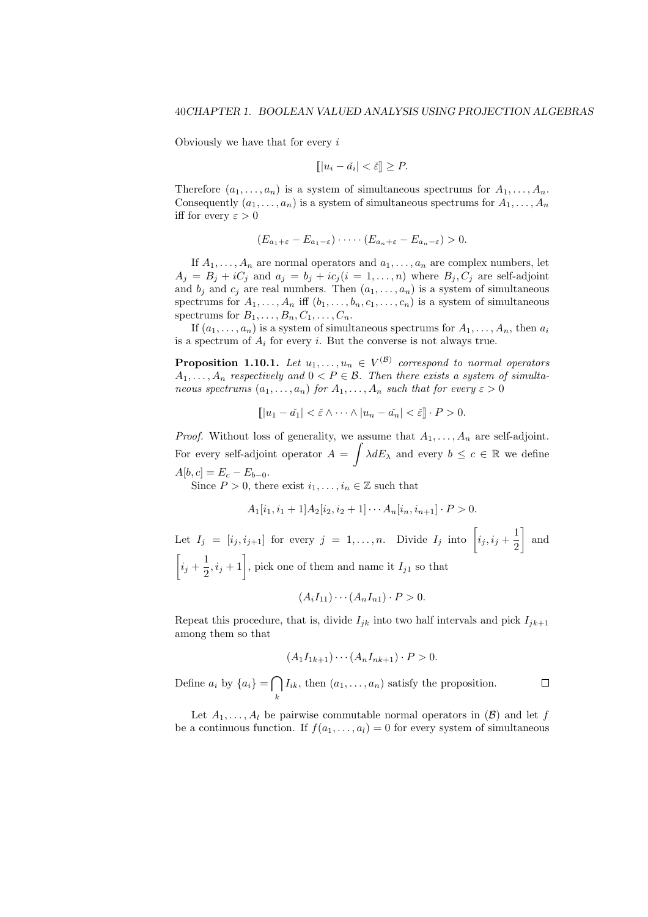Obviously we have that for every *i*

$$
[||u_i - \check{a_i}| < \check{\varepsilon}]] \ge P.
$$

Therefore  $(a_1, \ldots, a_n)$  is a system of simultaneous spectrums for  $A_1, \ldots, A_n$ . Consequently  $(a_1, \ldots, a_n)$  is a system of simultaneous spectrums for  $A_1, \ldots, A_n$ iff for every  $\varepsilon > 0$ 

$$
(E_{a_1+\varepsilon}-E_{a_1-\varepsilon})\cdot\cdots\cdot(E_{a_n+\varepsilon}-E_{a_n-\varepsilon})>0.
$$

If  $A_1, \ldots, A_n$  are normal operators and  $a_1, \ldots, a_n$  are complex numbers, let  $A_j = B_j + iC_j$  and  $a_j = b_j + ic_j$  ( $i = 1, \ldots, n$ ) where  $B_j, C_j$  are self-adjoint and  $b_j$  and  $c_j$  are real numbers. Then  $(a_1, \ldots, a_n)$  is a system of simultaneous spectrums for  $A_1, \ldots, A_n$  iff  $(b_1, \ldots, b_n, c_1, \ldots, c_n)$  is a system of simultaneous spectrums for  $B_1, \ldots, B_n, C_1, \ldots, C_n$ .

If  $(a_1, \ldots, a_n)$  is a system of simultaneous spectrums for  $A_1, \ldots, A_n$ , then  $a_i$ is a spectrum of  $A_i$  for every *i*. But the converse is not always true.

**Proposition 1.10.1.** Let  $u_1, \ldots, u_n \in V^{(\mathcal{B})}$  correspond to normal operators  $A_1, \ldots, A_n$  *respectively and*  $0 \lt P \in \mathcal{B}$ . Then there exists a system of simulta*neous spectrums*  $(a_1, \ldots, a_n)$  *for*  $A_1, \ldots, A_n$  *such that for every*  $\varepsilon > 0$ 

$$
[||u_1 - \check{a_1}| < \check{\varepsilon} \wedge \cdots \wedge |u_n - \check{a_n}| < \check{\varepsilon}]] \cdot P > 0.
$$

*Proof.* Without loss of generality, we assume that  $A_1, \ldots, A_n$  are self-adjoint. For every self-adjoint operator  $A = \int \lambda dE_\lambda$  and every  $b \leq c \in \mathbb{R}$  we define  $A[b, c] = E_c - E_{b-0}.$ 

Since  $P > 0$ , there exist  $i_1, \ldots, i_n \in \mathbb{Z}$  such that

$$
A_1[i_1, i_1+1]A_2[i_2, i_2+1] \cdots A_n[i_n, i_{n+1}] \cdot P > 0.
$$

Let  $I_j = [i_j, i_{j+1}]$  for every  $j = 1, \ldots, n$ . Divide  $I_j$  into  $\left[i_j, i_j + \frac{1}{2}\right]$ 2 ] and  $\sqrt{2}$  $i_j + \frac{1}{2}$  $\left(\frac{1}{2}, i_j + 1\right]$ , pick one of them and name it  $I_{j1}$  so that

$$
(A_iI_{11})\cdots(A_nI_{n1})\cdot P>0.
$$

Repeat this procedure, that is, divide  $I_{jk}$  into two half intervals and pick  $I_{jk+1}$ among them so that

$$
(A_1 I_{1k+1}) \cdots (A_n I_{nk+1}) \cdot P > 0.
$$

Define  $a_i$  by  $\{a_i\} = \bigcap$  $I_{ik}$ , then  $(a_1, \ldots, a_n)$  satisfy the proposition.  $\Box$ *k*

Let  $A_1, \ldots, A_l$  be pairwise commutable normal operators in  $(\mathcal{B})$  and let *f* be a continuous function. If  $f(a_1, \ldots, a_l) = 0$  for every system of simultaneous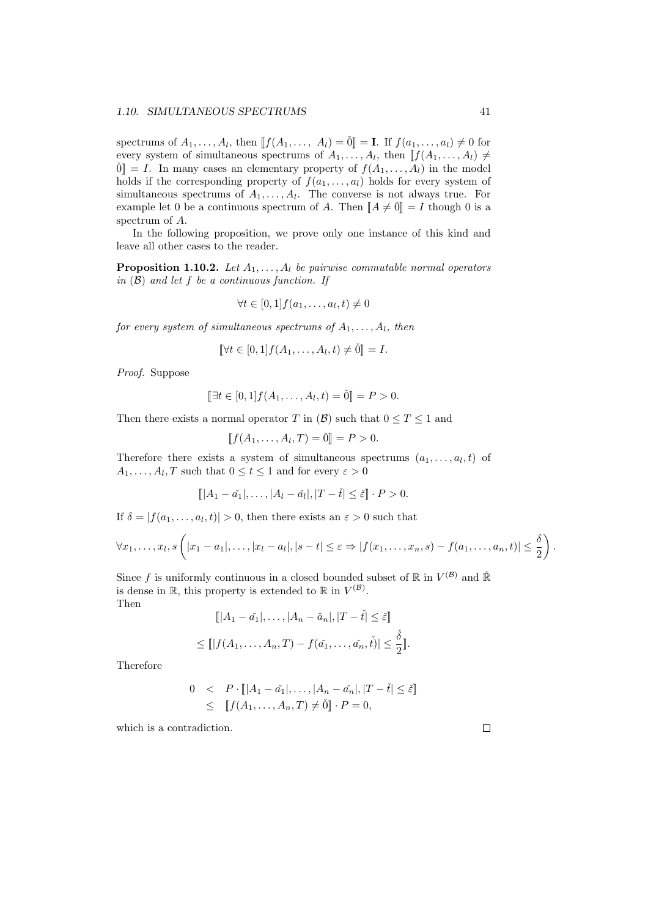spectrums of  $A_1, \ldots, A_l$ , then  $\llbracket f(A_1, \ldots, A_l) = \emptyset \rrbracket = \mathbf{I}$ . If  $f(a_1, \ldots, a_l) \neq 0$  for every system of simultaneous spectrums of  $A_1, \ldots, A_l$ , then  $\llbracket f(A_1, \ldots, A_l) \neq$  $\check{0}$  = *I*. In many cases an elementary property of  $f(A_1, \ldots, A_l)$  in the model holds if the corresponding property of  $f(a_1, \ldots, a_l)$  holds for every system of simultaneous spectrums of  $A_1, \ldots, A_l$ . The converse is not always true. For example let 0 be a continuous spectrum of *A*. Then  $\llbracket A \neq \check{0} \rrbracket = I$  though 0 is a spectrum of *A*.

In the following proposition, we prove only one instance of this kind and leave all other cases to the reader.

**Proposition 1.10.2.** *Let A*1*, . . . , A<sup>l</sup> be pairwise commutable normal operators in* (*B*) *and let f be a continuous function. If*

$$
\forall t \in [0,1] f(a_1,\ldots,a_l,t) \neq 0
$$

*for every system of simultaneous spectrums of*  $A_1, \ldots, A_l$ *, then* 

$$
\llbracket \forall t \in [0,1] \, f(A_1,\ldots,A_l,t) \neq \check{0} \rrbracket = I.
$$

*Proof.* Suppose

$$
[\![\exists t \in [0,1]\!] f(A_1,\ldots,A_l,t) = \check{0}\!] = P > 0.
$$

Then there exists a normal operator *T* in  $(\beta)$  such that  $0 \le T \le 1$  and

$$
[f(A_1, ..., A_l, T) = \check{0}] = P > 0.
$$

Therefore there exists a system of simultaneous spectrums  $(a_1, \ldots, a_l, t)$  of  $A_1, \ldots, A_l, T$  such that  $0 \le t \le 1$  and for every  $\varepsilon > 0$ 

$$
[||A_1 - \check{a_1}|, \ldots, |A_l - \check{a_l}|, |T - \check{t}| \le \check{\varepsilon}]\cdot P > 0.
$$

If  $\delta = |f(a_1, \ldots, a_l, t)| > 0$ , then there exists an  $\varepsilon > 0$  such that

$$
\forall x_1,\ldots,x_l,s\left(|x_1-a_1|,\ldots,|x_l-a_l|,|s-t|\leq \varepsilon\Rightarrow |f(x_1,\ldots,x_n,s)-f(a_1,\ldots,a_n,t)|\leq \frac{\delta}{2}\right).
$$

Since *f* is uniformly continuous in a closed bounded subset of  $\mathbb{R}$  in  $V^{(\mathcal{B})}$  and  $\check{\mathbb{R}}$ is dense in  $\mathbb{R}$ , this property is extended to  $\mathbb{R}$  in  $V^{(\mathcal{B})}$ . Then

$$
[|A_1 - \check{a}_1|, \dots, |A_n - \check{a}_n|, |T - \check{t}| \le \check{\varepsilon}]
$$
  

$$
\leq [|f(A_1, \dots, A_n, T) - f(\check{a}_1, \dots, \check{a}_n, \check{t})| \leq \frac{\check{\delta}}{2}].
$$

Therefore

$$
0 < P \cdot [||A_1 - \check{a_1}|, \dots, |A_n - \check{a_n}|, |T - \check{t}| \le \check{\varepsilon}]
$$
\n
$$
\leq [f(A_1, \dots, A_n, T) \neq \check{0}] \cdot P = 0,
$$

which is a contradiction.

 $\Box$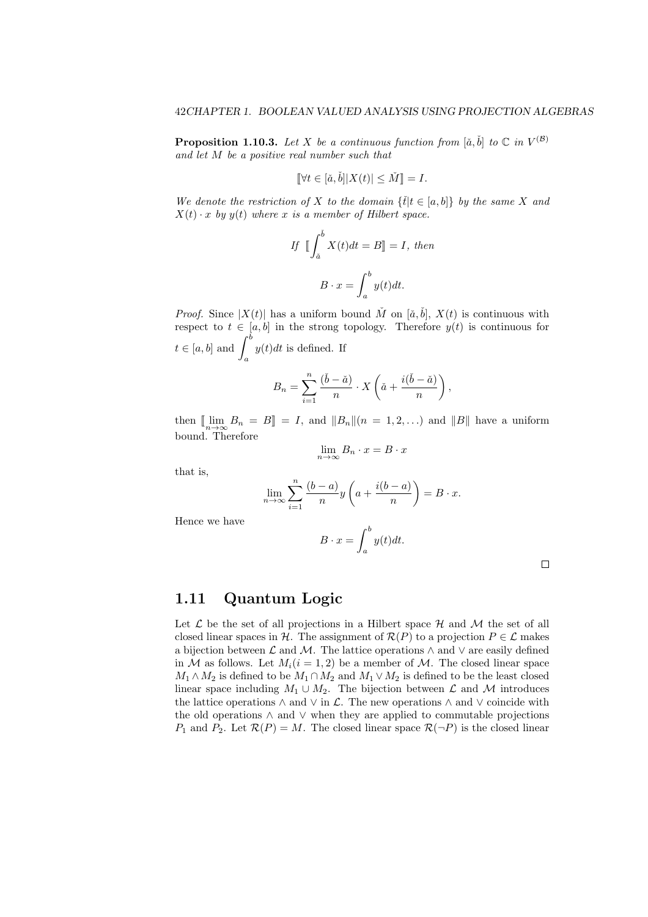**Proposition 1.10.3.** Let X be a continuous function from  $[\check{a}, \check{b}]$  to  $\mathbb{C}$  in  $V^{(\mathcal{B})}$ *and let M be a positive real number such that*

$$
\|\forall t \in [\check{a}, \check{b}] |X(t)| \le \check{M}\] = I.
$$

*We denote the restriction of X to the domain*  $\{\tilde{t}|t \in [a,b]\}$  *by the same X and*  $X(t) \cdot x$  *by*  $y(t)$  *where x is a member of Hilbert space.* 

If 
$$
\iint_{\tilde{a}}^{b} X(t)dt = B \rVert = I
$$
, then  

$$
B \cdot x = \int_{a}^{b} y(t)dt.
$$

*Proof.* Since  $|X(t)|$  has a uniform bound  $\check{M}$  on  $[\check{a}, \check{b}]$ ,  $X(t)$  is continuous with respect to  $t \in [a, b]$  in the strong topology. Therefore  $y(t)$  is continuous for  $t \in [a, b]$  and  $\int^b$ *a y*(*t*)*dt* is defined. If

$$
B_n = \sum_{i=1}^n \frac{(\check{b} - \check{a})}{n} \cdot X\left(\check{a} + \frac{i(\check{b} - \check{a})}{n}\right),
$$

then  $[\![\lim_{n \to \infty} B_n = B]\!] = I$ , and  $||B_n|| (n = 1, 2, \ldots)$  and  $||B||$  have a uniform bound. Therefore

$$
\lim_{n \to \infty} B_n \cdot x = B \cdot x
$$

that is,

$$
\lim_{n \to \infty} \sum_{i=1}^{n} \frac{(b-a)}{n} y\left(a + \frac{i(b-a)}{n}\right) = B \cdot x.
$$

Hence we have

$$
B \cdot x = \int_{a}^{b} y(t)dt.
$$

 $\Box$ 

#### **1.11 Quantum Logic**

Let  $\mathcal L$  be the set of all projections in a Hilbert space  $\mathcal H$  and  $\mathcal M$  the set of all closed linear spaces in *H*. The assignment of  $\mathcal{R}(P)$  to a projection  $P \in \mathcal{L}$  makes a bijection between  $\mathcal L$  and  $\mathcal M$ . The lattice operations  $\wedge$  and  $\vee$  are easily defined in *M* as follows. Let  $M_i(i = 1, 2)$  be a member of *M*. The closed linear space  $M_1 \wedge M_2$  is defined to be  $M_1 \cap M_2$  and  $M_1 \vee M_2$  is defined to be the least closed linear space including  $M_1 \cup M_2$ . The bijection between  $\mathcal L$  and  $\mathcal M$  introduces the lattice operations  $\land$  and  $\lor$  in  $\mathcal{L}$ . The new operations  $\land$  and  $\lor$  coincide with the old operations *∧* and *∨* when they are applied to commutable projections *P*<sub>1</sub> and *P*<sub>2</sub>. Let  $\mathcal{R}(P) = M$ . The closed linear space  $\mathcal{R}(\neg P)$  is the closed linear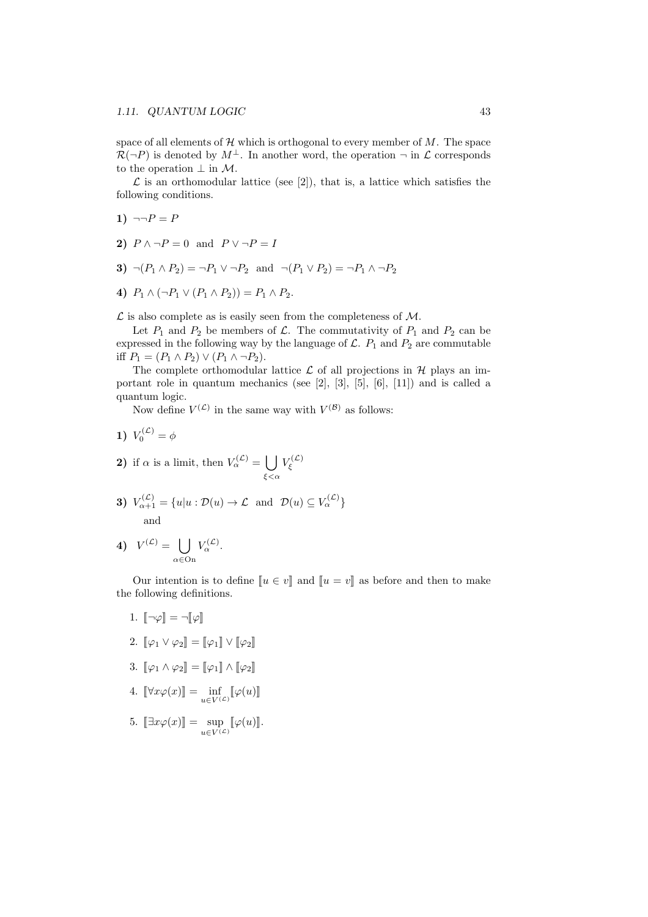space of all elements of  $H$  which is orthogonal to every member of  $M$ . The space  $\mathcal{R}(\neg P)$  is denoted by  $M^{\perp}$ . In another word, the operation  $\neg$  in  $\mathcal{L}$  corresponds to the operation *⊥* in *M*.

 $\mathcal L$  is an orthomodular lattice (see [2]), that is, a lattice which satisfies the following conditions.

- 1)  $\neg P = P$
- **2)**  $P \wedge \neg P = 0$  and  $P \vee \neg P = I$
- **3)**  $\neg (P_1 \land P_2) = \neg P_1 \lor \neg P_2$  and  $\neg (P_1 \lor P_2) = \neg P_1 \land \neg P_2$
- **4)**  $P_1 \wedge (\neg P_1 \vee (P_1 \wedge P_2)) = P_1 \wedge P_2.$

*L* is also complete as is easily seen from the completeness of *M*.

Let  $P_1$  and  $P_2$  be members of  $\mathcal{L}$ . The commutativity of  $P_1$  and  $P_2$  can be expressed in the following way by the language of  $\mathcal{L}$ .  $P_1$  and  $P_2$  are commutable iff  $P_1 = (P_1 \land P_2) \lor (P_1 \land \neg P_2)$ .

The complete orthomodular lattice  $\mathcal L$  of all projections in  $\mathcal H$  plays an important role in quantum mechanics (see [2], [3], [5], [6], [11]) and is called a quantum logic.

Now define  $V^{(\mathcal{L})}$  in the same way with  $V^{(\mathcal{B})}$  as follows:

- **1)**  $V_0^{(\mathcal{L})} = \phi$
- **2**) if  $\alpha$  is a limit, then  $V_{\alpha}^{(\mathcal{L})} = \begin{bmatrix} \end{bmatrix}$ *ξ<α*  $V^{(\mathcal{L})}_\xi$
- **3)**  $V_{\alpha+1}^{(\mathcal{L})} = \{u | u : \mathcal{D}(u) \to \mathcal{L} \text{ and } \mathcal{D}(u) \subseteq V_{\alpha}^{(\mathcal{L})}\}\$ and

4) 
$$
V^{(\mathcal{L})} = \bigcup_{\alpha \in \text{On}} V_{\alpha}^{(\mathcal{L})}.
$$

Our intention is to define  $\llbracket u \in v \rrbracket$  and  $\llbracket u = v \rrbracket$  as before and then to make the following definitions.

- 1.  $\llbracket \neg \varphi \rrbracket = \neg \llbracket \varphi \rrbracket$
- 2.  $\llbracket \varphi_1 \vee \varphi_2 \rrbracket = \llbracket \varphi_1 \rrbracket \vee \llbracket \varphi_2 \rrbracket$
- 3.  $[\![\varphi_1 \wedge \varphi_2]\!] = [\![\varphi_1]\!] \wedge [\![\varphi_2]\!]$
- 4.  $[\![\forall x \varphi(x)]\!] = \inf_{u \in V(\mathcal{L})} [\![\varphi(u)]\!]$
- 5.  $[\exists x \varphi(x)]$  =  $\sup_{u \in V^{(\mathcal{L})}} [\varphi(u)]$ .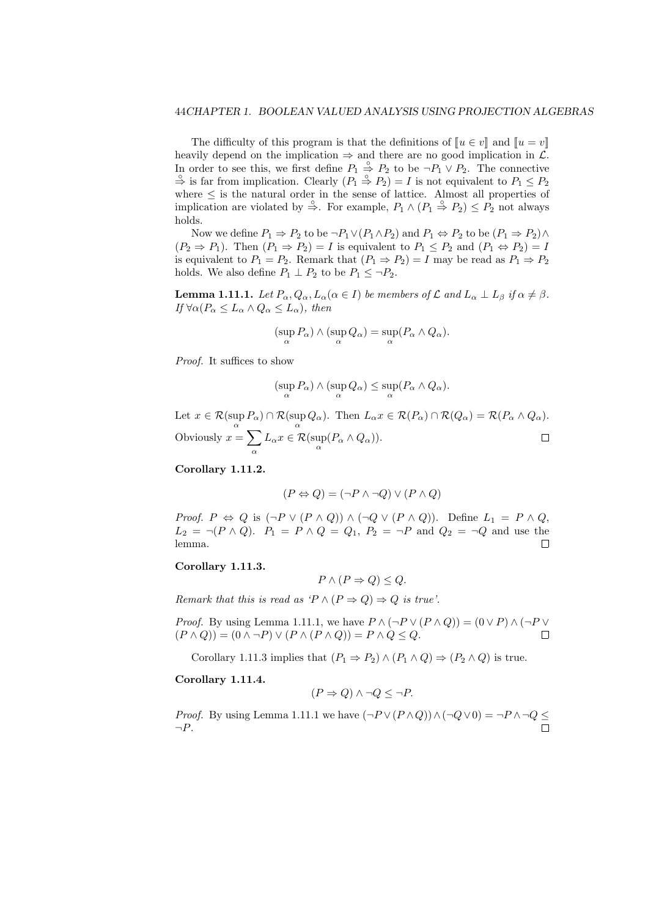The difficulty of this program is that the definitions of  $\llbracket u \in v \rrbracket$  and  $\llbracket u = v \rrbracket$ heavily depend on the implication  $\Rightarrow$  and there are no good implication in  $\mathcal{L}$ . In order to see this, we first define  $P_1 \stackrel{\circ}{\Rightarrow} P_2$  to be  $\neg P_1 \lor P_2$ . The connective  $\stackrel{\circ}{\Rightarrow}$  is far from implication. Clearly  $(P_1 \stackrel{\circ}{\Rightarrow} P_2) = I$  is not equivalent to  $P_1 \leq P_2$ where *≤* is the natural order in the sense of lattice. Almost all properties of implication are violated by  $\stackrel{\circ}{\Rightarrow}$ . For example,  $P_1 \wedge (P_1 \stackrel{\circ}{\Rightarrow} P_2) \le P_2$  not always holds.

Now we define  $P_1 \Rightarrow P_2$  to be  $\neg P_1 \lor (P_1 \land P_2)$  and  $P_1 \Leftrightarrow P_2$  to be  $(P_1 \Rightarrow P_2) \land P_1 \land P_2$  $(P_2 \Rightarrow P_1)$ . Then  $(P_1 \Rightarrow P_2) = I$  is equivalent to  $P_1 \leq P_2$  and  $(P_1 \Leftrightarrow P_2) = I$ is equivalent to  $P_1 = P_2$ . Remark that  $(P_1 \Rightarrow P_2) = I$  may be read as  $P_1 \Rightarrow P_2$ holds. We also define  $P_1 \perp P_2$  to be  $P_1 \leq \neg P_2$ .

**Lemma 1.11.1.** Let  $P_{\alpha}, Q_{\alpha}, L_{\alpha}(\alpha \in I)$  be members of  $\mathcal L$  and  $L_{\alpha} \perp L_{\beta}$  if  $\alpha \neq \beta$ . *If*  $\forall \alpha (P_{\alpha} \leq L_{\alpha} \land Q_{\alpha} \leq L_{\alpha})$ *, then* 

$$
(\sup_{\alpha} P_{\alpha}) \wedge (\sup_{\alpha} Q_{\alpha}) = \sup_{\alpha} (P_{\alpha} \wedge Q_{\alpha}).
$$

*Proof.* It suffices to show

$$
(\sup_{\alpha} P_{\alpha}) \wedge (\sup_{\alpha} Q_{\alpha}) \leq \sup_{\alpha} (P_{\alpha} \wedge Q_{\alpha}).
$$

Let  $x \in \mathcal{R}(\sup_{\alpha} P_{\alpha}) \cap \mathcal{R}(\sup_{\alpha} Q_{\alpha})$ . Then  $L_{\alpha} x \in \mathcal{R}(P_{\alpha}) \cap \mathcal{R}(Q_{\alpha}) = \mathcal{R}(P_{\alpha} \wedge Q_{\alpha})$ . Obviously  $x = \sum$  $\Box$  $L_{\alpha}x \in \mathcal{R}(\sup_{\alpha} (P_{\alpha} \wedge Q_{\alpha})).$ *α*

**Corollary 1.11.2.**

$$
(P \Leftrightarrow Q) = (\neg P \land \neg Q) \lor (P \land Q)
$$

*Proof.*  $P \Leftrightarrow Q$  is  $(\neg P \lor (P \land Q)) \land (\neg Q \lor (P \land Q))$ . Define  $L_1 = P \land Q$ ,  $L_2 = \neg (P \land Q)$ .  $P_1 = P \land Q = Q_1$ ,  $P_2 = \neg P$  and  $Q_2 = \neg Q$  and use the lemma.  $\Box$ 

#### **Corollary 1.11.3.**

$$
P \wedge (P \Rightarrow Q) \le Q.
$$

*Remark that this is read as '* $P \wedge (P \Rightarrow Q) \Rightarrow Q$  *is true'.* 

*Proof.* By using Lemma 1.11.1, we have  $P \wedge (\neg P \vee (P \wedge Q)) = (0 \vee P) \wedge (\neg P \vee P)$  $(P \land Q) = (0 \land \neg P) \lor (P \land (P \land Q)) = P \land Q \leq Q.$  $\Box$ 

Corollary 1.11.3 implies that  $(P_1 \Rightarrow P_2) \land (P_1 \land Q) \Rightarrow (P_2 \land Q)$  is true.

**Corollary 1.11.4.**

$$
(P \Rightarrow Q) \land \neg Q \leq \neg P.
$$

*Proof.* By using Lemma 1.11.1 we have  $(¬P∨(P∧Q)) ∧ (¬Q∨0) = ¬P ∧ ¬Q ≤$ *¬P*.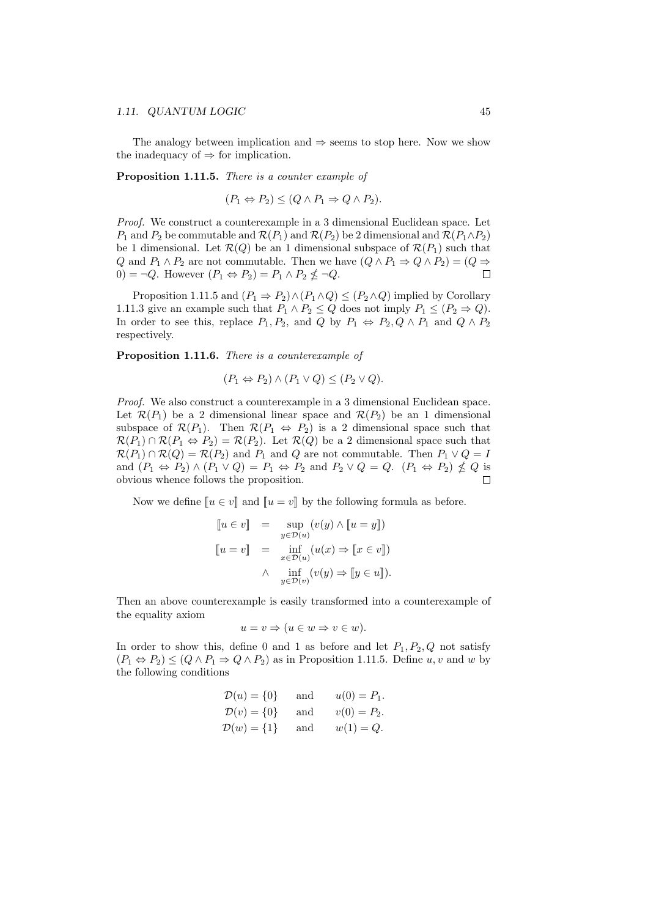#### *1.11. QUANTUM LOGIC* 45

The analogy between implication and *⇒* seems to stop here. Now we show the inadequacy of  $\Rightarrow$  for implication.

**Proposition 1.11.5.** *There is a counter example of*

$$
(P_1 \Leftrightarrow P_2) \le (Q \wedge P_1 \Rightarrow Q \wedge P_2).
$$

*Proof.* We construct a counterexample in a 3 dimensional Euclidean space. Let *P*<sub>1</sub> and *P*<sub>2</sub> be commutable and  $\mathcal{R}(P_1)$  and  $\mathcal{R}(P_2)$  be 2 dimensional and  $\mathcal{R}(P_1 \wedge P_2)$ be 1 dimensional. Let  $\mathcal{R}(Q)$  be an 1 dimensional subspace of  $\mathcal{R}(P_1)$  such that *Q* and  $P_1 \wedge P_2$  are not commutable. Then we have  $(Q \wedge P_1 \Rightarrow Q \wedge P_2) = (Q \Rightarrow$ 0) =  $\neg Q$ . However  $(P_1 \Leftrightarrow P_2) = P_1 \wedge P_2 \nleq \neg Q$ .  $\Box$ 

Proposition 1.11.5 and  $(P_1 \Rightarrow P_2) \land (P_1 \land Q) \leq (P_2 \land Q)$  implied by Corollary 1.11.3 give an example such that  $P_1 \wedge P_2 \leq Q$  does not imply  $P_1 \leq (P_2 \Rightarrow Q)$ . In order to see this, replace  $P_1, P_2$ , and  $Q$  by  $P_1 \Leftrightarrow P_2, Q \wedge P_1$  and  $Q \wedge P_2$ respectively.

**Proposition 1.11.6.** *There is a counterexample of*

$$
(P_1 \Leftrightarrow P_2) \wedge (P_1 \vee Q) \le (P_2 \vee Q).
$$

*Proof.* We also construct a counterexample in a 3 dimensional Euclidean space. Let  $\mathcal{R}(P_1)$  be a 2 dimensional linear space and  $\mathcal{R}(P_2)$  be an 1 dimensional subspace of  $\mathcal{R}(P_1)$ . Then  $\mathcal{R}(P_1 \Leftrightarrow P_2)$  is a 2 dimensional space such that  $\mathcal{R}(P_1) \cap \mathcal{R}(P_1 \Leftrightarrow P_2) = \mathcal{R}(P_2)$ . Let  $\mathcal{R}(Q)$  be a 2 dimensional space such that  $\mathcal{R}(P_1) \cap \mathcal{R}(Q) = \mathcal{R}(P_2)$  and  $P_1$  and  $Q$  are not commutable. Then  $P_1 \vee Q = I$ and  $(P_1 \Leftrightarrow P_2) \wedge (P_1 \vee Q) = P_1 \Leftrightarrow P_2$  and  $P_2 \vee Q = Q$ .  $(P_1 \Leftrightarrow P_2) \nleq Q$  is obvious whence follows the proposition.

Now we define  $\llbracket u \in v \rrbracket$  and  $\llbracket u = v \rrbracket$  by the following formula as before.

$$
\begin{array}{rcl}\n[u \in v] & = & \sup\limits_{y \in \mathcal{D}(u)} (v(y) \land [u = y]) \\
[u = v] & = & \inf\limits_{x \in \mathcal{D}(u)} (u(x) \Rightarrow [x \in v]) \\
\land & \inf\limits_{y \in \mathcal{D}(v)} (v(y) \Rightarrow [y \in u]).\n\end{array}
$$

Then an above counterexample is easily transformed into a counterexample of the equality axiom

$$
u = v \Rightarrow (u \in w \Rightarrow v \in w).
$$

In order to show this, define 0 and 1 as before and let  $P_1, P_2, Q$  not satisfy  $(P_1 \Leftrightarrow P_2) \leq (Q \wedge P_1 \Rightarrow Q \wedge P_2)$  as in Proposition 1.11.5. Define *u, v* and *w* by the following conditions

$$
\mathcal{D}(u) = \{0\} \quad \text{and} \quad u(0) = P_1.
$$
  

$$
\mathcal{D}(v) = \{0\} \quad \text{and} \quad v(0) = P_2.
$$
  

$$
\mathcal{D}(w) = \{1\} \quad \text{and} \quad w(1) = Q.
$$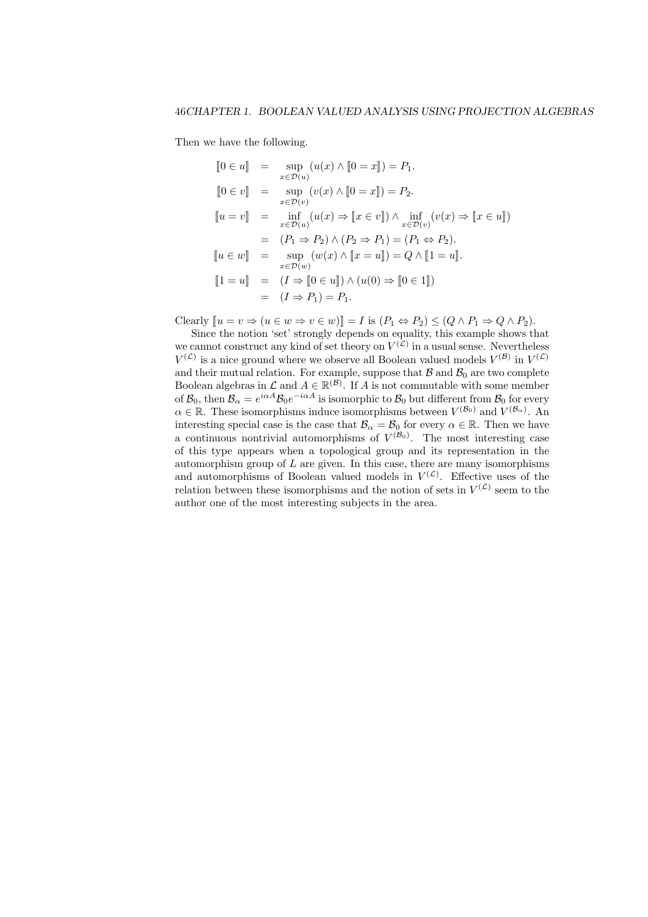Then we have the following.

$$
[0 \in u] = \sup_{x \in \mathcal{D}(u)} (u(x) \wedge [0 = x]) = P_1.
$$
  
\n
$$
[0 \in v] = \sup_{x \in \mathcal{D}(v)} (v(x) \wedge [0 = x]) = P_2.
$$
  
\n
$$
[u = v] = \inf_{x \in \mathcal{D}(u)} (u(x) \Rightarrow [x \in v]) \wedge \inf_{x \in \mathcal{D}(v)} (v(x) \Rightarrow [x \in u])
$$
  
\n
$$
= (P_1 \Rightarrow P_2) \wedge (P_2 \Rightarrow P_1) = (P_1 \Leftrightarrow P_2).
$$
  
\n
$$
[u \in w] = \sup_{x \in \mathcal{D}(w)} (w(x) \wedge [x = u]) = Q \wedge [1 = u].
$$
  
\n
$$
[1 = u] = (I \Rightarrow [0 \in u]) \wedge (u(0) \Rightarrow [0 \in 1])
$$
  
\n
$$
= (I \Rightarrow P_1) = P_1.
$$

Clearly  $[u = v \Rightarrow (u \in w \Rightarrow v \in w)] = I$  is  $(P_1 \Leftrightarrow P_2) \leq (Q \wedge P_1 \Rightarrow Q \wedge P_2)$ .

Since the notion 'set' strongly depends on equality, this example shows that we cannot construct any kind of set theory on  $V^{(\mathcal{L})}$  in a usual sense. Nevertheless  $V^{(\mathcal{L})}$  is a nice ground where we observe all Boolean valued models  $V^{(\mathcal{B})}$  in  $V^{(\mathcal{L})}$ and their mutual relation. For example, suppose that  $\mathcal{B}$  and  $\mathcal{B}_0$  are two complete Boolean algebras in  $\mathcal{L}$  and  $A \in \mathbb{R}^{(\mathcal{B})}$ . If *A* is not commutable with some member of  $\mathcal{B}_0$ , then  $\mathcal{B}_\alpha = e^{i\alpha A} \mathcal{B}_0 e^{-i\alpha A}$  is isomorphic to  $\mathcal{B}_0$  but different from  $\mathcal{B}_0$  for every  $\alpha \in \mathbb{R}$ . These isomorphisms induce isomorphisms between  $V^{(\mathcal{B}_0)}$  and  $V^{(\mathcal{B}_\alpha)}$ . An interesting special case is the case that  $\mathcal{B}_{\alpha} = \mathcal{B}_0$  for every  $\alpha \in \mathbb{R}$ . Then we have a continuous nontrivial automorphisms of  $V^{(\mathcal{B}_0)}$ . The most interesting case of this type appears when a topological group and its representation in the automorphism group of *L* are given. In this case, there are many isomorphisms and automorphisms of Boolean valued models in  $V^{(\mathcal{L})}$ . Effective uses of the relation between these isomorphisms and the notion of sets in  $V^{(\mathcal{L})}$  seem to the author one of the most interesting subjects in the area.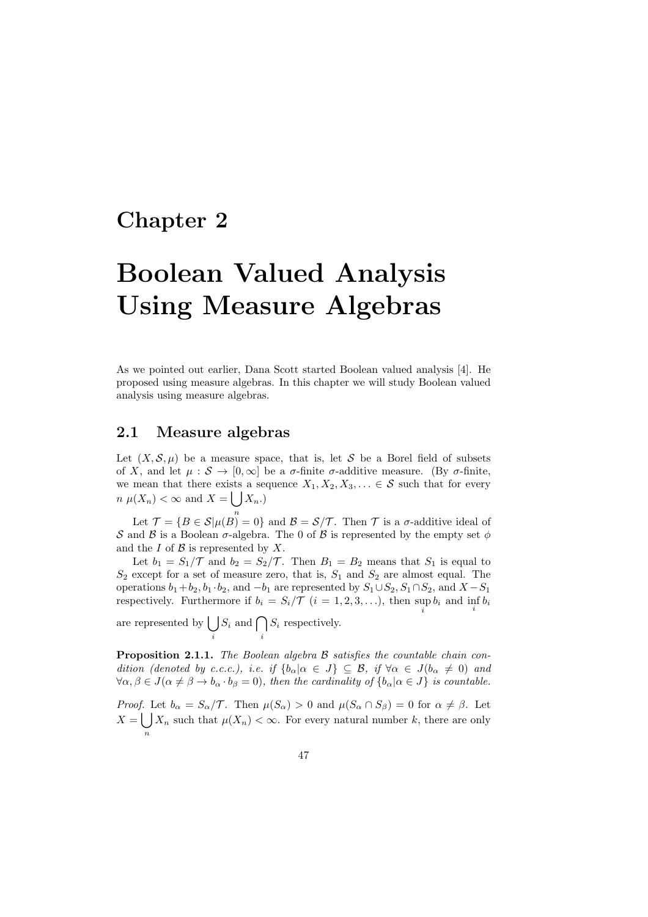### **Chapter 2**

# **Boolean Valued Analysis Using Measure Algebras**

As we pointed out earlier, Dana Scott started Boolean valued analysis [4]. He proposed using measure algebras. In this chapter we will study Boolean valued analysis using measure algebras.

#### **2.1 Measure algebras**

Let  $(X, \mathcal{S}, \mu)$  be a measure space, that is, let S be a Borel field of subsets of *X*, and let  $\mu : \mathcal{S} \to [0,\infty]$  be a *σ*-finite *σ*-additive measure. (By *σ*-finite, we mean that there exists a sequence  $X_1, X_2, X_3, \ldots \in \mathcal{S}$  such that for every  $n \mu(X_n) < \infty$  and  $X = \bigcup X_n$ .

Let  $\mathcal{T} = \{B \in \mathcal{S} | \mu(B) = 0\}$  and  $\mathcal{B} = \mathcal{S}/\mathcal{T}$ . Then  $\mathcal{T}$  is a *σ*-additive ideal of *S* and *B* is a Boolean  $\sigma$ -algebra. The 0 of *B* is represented by the empty set  $\phi$ and the *I* of *B* is represented by *X*.

Let  $b_1 = S_1/\mathcal{T}$  and  $b_2 = S_2/\mathcal{T}$ . Then  $B_1 = B_2$  means that  $S_1$  is equal to *S*<sup>2</sup> except for a set of measure zero, that is, *S*<sup>1</sup> and *S*<sup>2</sup> are almost equal. The operations  $b_1 + b_2$ ,  $b_1 \cdot b_2$ , and  $-b_1$  are represented by  $S_1 \cup S_2$ ,  $S_1 \cap S_2$ , and  $X - S_1$ respectively. Furthermore if  $b_i = S_i / \mathcal{T}$   $(i = 1, 2, 3, \ldots)$ , then  $\sup_i b_i$  and  $\inf_i b_i$ 

are represented by  $\vert$  ) *i*  $S_i$  and  $\bigcap$ *i S<sup>i</sup>* respectively.

**Proposition 2.1.1.** *The Boolean algebra B satisfies the countable chain condition (denoted by c.c.c.), i.e. if*  $\{b_\alpha | \alpha \in J\} \subseteq \mathcal{B}$ , *if*  $\forall \alpha \in J$ ( $b_\alpha \neq 0$ ) *and*  $\forall \alpha, \beta \in J(\alpha \neq \beta \rightarrow b_{\alpha} \cdot b_{\beta} = 0)$ , then the cardinality of  $\{b_{\alpha} | \alpha \in J\}$  is countable.

*Proof.* Let  $b_{\alpha} = S_{\alpha}/\mathcal{T}$ . Then  $\mu(S_{\alpha}) > 0$  and  $\mu(S_{\alpha} \cap S_{\beta}) = 0$  for  $\alpha \neq \beta$ . Let  $X = \bigcup X_n$  such that  $\mu(X_n) < \infty$ . For every natural number *k*, there are only *n*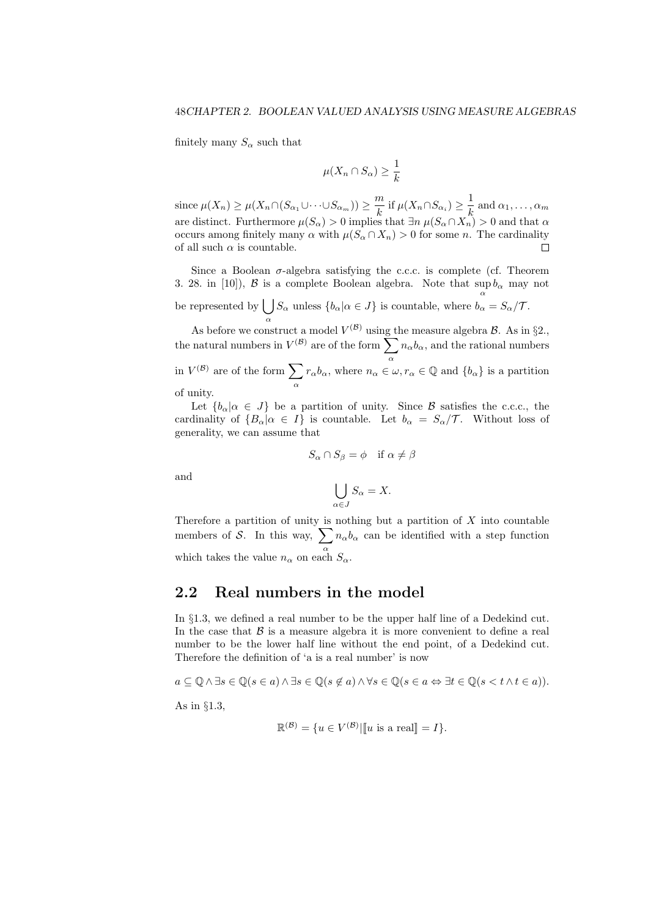finitely many  $S_\alpha$  such that

$$
\mu(X_n \cap S_\alpha) \ge \frac{1}{k}
$$

 $\text{since } \mu(X_n) \geq \mu(X_n \cap (S_{\alpha_1} \cup \cdots \cup S_{\alpha_m})) \geq \frac{m}{l_n}$  $\frac{m}{k}$  if  $\mu(X_n \cap S_{\alpha_i}) \geq \frac{1}{k}$  $\frac{1}{k}$  and  $\alpha_1, \ldots, \alpha_m$ are distinct. Furthermore  $\mu(S_{\alpha}) > 0$  implies that  $\exists n \mu(S_{\alpha} \cap X_n) > 0$  and that  $\alpha$ occurs among finitely many *α* with *µ*(*S<sup>α</sup> ∩ Xn*) *>* 0 for some *n*. The cardinality of all such  $\alpha$  is countable.  $\Box$ 

Since a Boolean  $\sigma$ -algebra satisfying the c.c.c. is complete (cf. Theorem 3. 28. in [10]), *B* is a complete Boolean algebra. Note that  $\sup b_{\alpha}$  may not be represented by  $\bigcup S_\alpha$  unless  $\{b_\alpha | \alpha \in J\}$  is countable, where  $b_\alpha = S_\alpha / \mathcal{T}$ . *α*

As before we construct a model  $V^{(\mathcal{B})}$  using the measure algebra  $\mathcal{B}$ . As in §2., the natural numbers in  $V^{(\mathcal{B})}$  are of the form  $\sum$ *α*  $n_{\alpha}b_{\alpha}$ , and the rational numbers in  $V^{(\mathcal{B})}$  are of the form  $\sum$ *α r*<sub>α</sub>*b*<sub>α</sub>, where  $n_{\alpha} \in \omega, r_{\alpha} \in \mathbb{Q}$  and  $\{b_{\alpha}\}\$ is a partition of unity.

Let  ${b_{\alpha}|\alpha \in J}$  be a partition of unity. Since *B* satisfies the c.c.c., the cardinality of  ${B_\alpha | \alpha \in I}$  is countable. Let  $b_\alpha = S_\alpha / T$ . Without loss of generality, we can assume that

$$
S_{\alpha} \cap S_{\beta} = \phi \quad \text{if } \alpha \neq \beta
$$

and

$$
\bigcup_{\alpha \in J} S_{\alpha} = X.
$$

Therefore a partition of unity is nothing but a partition of *X* into countable members of *S*. In this way,  $\sum n_{\alpha}b_{\alpha}$  can be identified with a step function which takes the value  $n_{\alpha}$  on each  $S_{\alpha}$ .

### **2.2 Real numbers in the model**

In *§*1.3, we defined a real number to be the upper half line of a Dedekind cut. In the case that  $\beta$  is a measure algebra it is more convenient to define a real number to be the lower half line without the end point, of a Dedekind cut. Therefore the definition of 'a is a real number' is now

$$
a \subseteq \mathbb{Q} \land \exists s \in \mathbb{Q} (s \in a) \land \exists s \in \mathbb{Q} (s \notin a) \land \forall s \in \mathbb{Q} (s \in a \Leftrightarrow \exists t \in \mathbb{Q} (s < t \land t \in a)).
$$

As in *§*1.3,

$$
\mathbb{R}^{(\mathcal{B})} = \{ u \in V^{(\mathcal{B})} | \llbracket u \text{ is a real} \rrbracket = I \}.
$$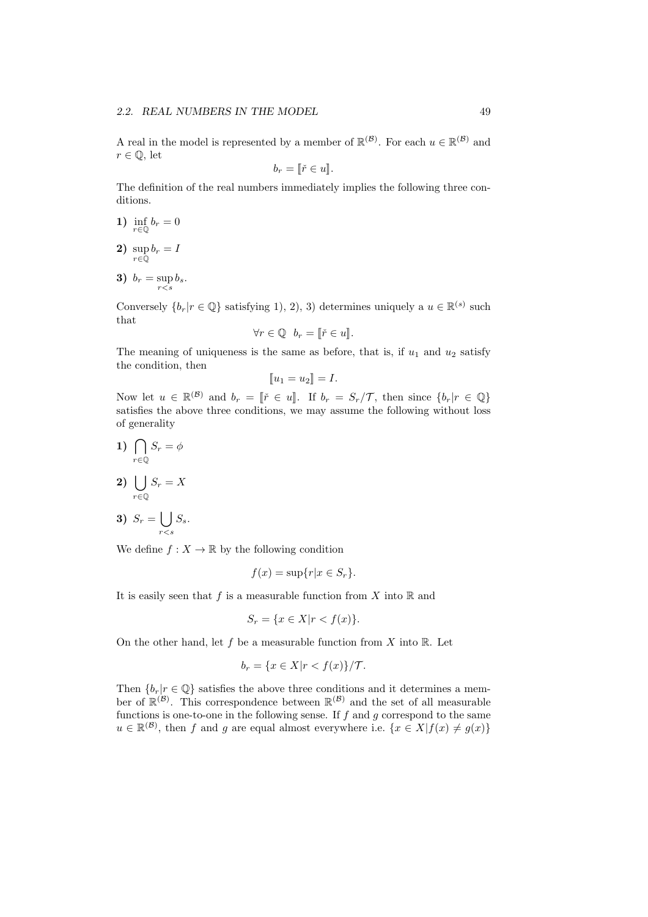A real in the model is represented by a member of  $\mathbb{R}^{(\mathcal{B})}$ . For each  $u \in \mathbb{R}^{(\mathcal{B})}$  and  $r \in \mathbb{Q}$ , let

$$
b_r = \lbrack\!\lbrack\check{r} \in u \rbrack\!\rbrack.
$$

The definition of the real numbers immediately implies the following three conditions.

- **1)** inf  $\inf_{r \in \mathbb{Q}} b_r = 0$
- **2)** sup *r∈*Q  $b_r = I$
- **3)**  $b_r = \sup_{r < s} b_s$ .

Conversely  $\{b_r | r \in \mathbb{Q}\}$  satisfying 1, 2, 3) determines uniquely a  $u \in \mathbb{R}^{(s)}$  such that

$$
\forall r \in \mathbb{Q} \quad b_r = [\![\check{r} \in u]\!].
$$

The meaning of uniqueness is the same as before, that is, if  $u_1$  and  $u_2$  satisfy the condition, then

$$
[\![u_1=u_2]\!]=I.
$$

Now let  $u \in \mathbb{R}^{(\mathcal{B})}$  and  $b_r = [\tilde{r} \in u]$ . If  $b_r = S_r / \mathcal{T}$ , then since  $\{b_r | r \in \mathbb{Q}\}\$ satisfies the above three conditions, we may assume the following without loss of generality

1) 
$$
\bigcap_{r \in \mathbb{Q}} S_r = \phi
$$

$$
2) \bigcup_{r \in \mathbb{Q}} S_r = X
$$

**3)**  $S_r = \begin{bmatrix} \end{bmatrix}$ *r<s Ss*.

We define  $f: X \to \mathbb{R}$  by the following condition

$$
f(x) = \sup\{r|x \in S_r\}.
$$

It is easily seen that  $f$  is a measurable function from  $X$  into  $\mathbb R$  and

$$
S_r = \{ x \in X | r < f(x) \}.
$$

On the other hand, let *f* be a measurable function from *X* into R. Let

$$
b_r = \{ x \in X | r < f(x) \} / \mathcal{T}.
$$

Then  ${b_r | r \in \mathbb{Q}}$  satisfies the above three conditions and it determines a member of  $\mathbb{R}^{(\mathcal{B})}$ . This correspondence between  $\mathbb{R}^{(\mathcal{B})}$  and the set of all measurable functions is one-to-one in the following sense. If *f* and *g* correspond to the same  $u \in \mathbb{R}^{(\mathcal{B})}$ , then *f* and *g* are equal almost everywhere i.e.  $\{x \in X | f(x) \neq g(x)\}$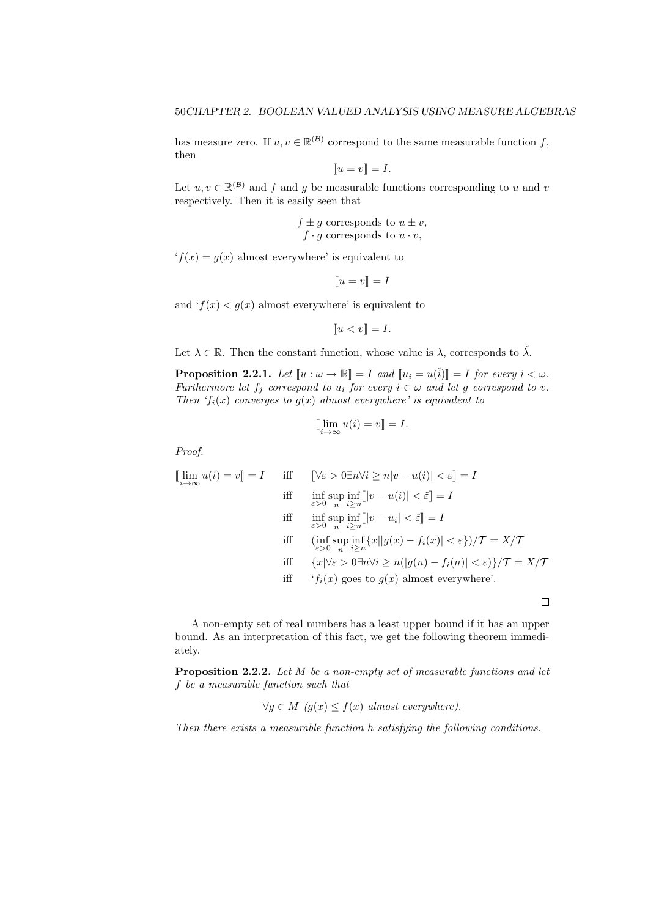has measure zero. If  $u, v \in \mathbb{R}^{(\mathcal{B})}$  correspond to the same measurable function  $f$ , then

$$
[\![u=v]\!]=I.
$$

Let  $u, v \in \mathbb{R}^{(\mathcal{B})}$  and *f* and *g* be measurable functions corresponding to *u* and *v* respectively. Then it is easily seen that

$$
f \pm g
$$
 corresponds to  $u \pm v$ ,  
  $f \cdot g$  corresponds to  $u \cdot v$ ,

 $f(x) = q(x)$  almost everywhere' is equivalent to

$$
[\![u=v]\!]=I
$$

and  $f(x) < g(x)$  almost everywhere' is equivalent to

$$
[\![u
$$

Let  $\lambda \in \mathbb{R}$ . Then the constant function, whose value is  $\lambda$ , corresponds to  $\check{\lambda}$ .

**Proposition 2.2.1.** *Let*  $\llbracket u : \omega \to \mathbb{R} \rrbracket = I$  *and*  $\llbracket u_i = u(i) \rrbracket = I$  *for every*  $i < \omega$ *. Furthermore let*  $f_j$  *correspond to*  $u_i$  *for every*  $i \in \omega$  *and let g correspond to v*. *Then '* $f_i(x)$  *converges to*  $g(x)$  *almost everywhere' is equivalent to* 

$$
\lim_{i \to \infty} u(i) = v \rrbracket = I.
$$

*Proof.*

$$
\llbracket \lim_{i \to \infty} u(i) = v \rrbracket = I \quad \text{iff} \quad \llbracket \forall \varepsilon > 0 \exists n \forall i \ge n |v - u(i)| < \varepsilon \rrbracket = I
$$
\n
$$
\text{iff} \quad \inf_{\varepsilon > 0} \sup_{n} \inf_{i \ge n} \llbracket |v - u(i)| < \varepsilon \rrbracket = I
$$
\n
$$
\text{iff} \quad \inf_{\varepsilon > 0} \sup_{n} \inf_{i \ge n} \llbracket |v - u_i| < \varepsilon \rrbracket = I
$$
\n
$$
\text{iff} \quad (\inf_{\varepsilon > 0} \sup_{n} \inf_{i \ge n} \{ x | |g(x) - f_i(x)| < \varepsilon \} ) / \mathcal{T} = X / \mathcal{T}
$$
\n
$$
\text{iff} \quad \{ x | \forall \varepsilon > 0 \exists n \forall i \ge n ( |g(n) - f_i(n)| < \varepsilon ) \} / \mathcal{T} = X / \mathcal{T}
$$
\n
$$
\text{iff} \quad \{ f_i(x) \text{ goes to } g(x) \text{ almost everywhere} \}.
$$

A non-empty set of real numbers has a least upper bound if it has an upper bound. As an interpretation of this fact, we get the following theorem immediately.

 $\Box$ 

**Proposition 2.2.2.** *Let M be a non-empty set of measurable functions and let f be a measurable function such that*

$$
\forall g \in M \ (g(x) \le f(x) \ almost \ everywhere).
$$

*Then there exists a measurable function h satisfying the following conditions.*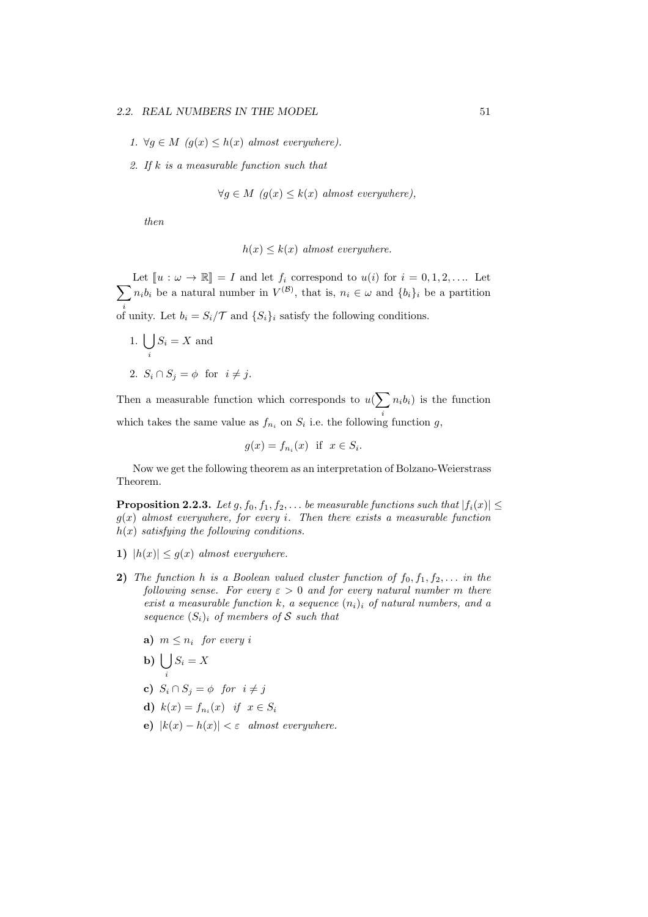#### *2.2.* REAL NUMBERS IN THE MODEL 51

- *1.*  $∀g ∈ M (g(x) ≤ h(x) almost everywhere).$
- *2. If k is a measurable function such that*

$$
\forall g \in M \ (g(x) \le k(x) \ almost \ everywhere),
$$

*then*

$$
h(x) \le k(x) \text{ almost everywhere.}
$$

 $\sum n_i b_i$  be a natural number in  $V^{(\mathcal{B})}$ , that is,  $n_i \in \omega$  and  $\{b_i\}_i$  be a partition Let  $\llbracket u : \omega \to \mathbb{R} \rrbracket = I$  and let  $f_i$  correspond to  $u(i)$  for  $i = 0, 1, 2, \ldots$  Let *i*of unity. Let  $b_i = S_i / \mathcal{T}$  and  $\{S_i\}_i$  satisfy the following conditions.

1. ∪ *i*  $S_i = X$  and 2.  $S_i \cap S_j = \phi$  for  $i \neq j$ .

Then a measurable function which corresponds to  $u(\sum n_i b_i)$  is the function which takes the same value as  $f_{n_i}$  on  $S_i$  i.e. the following function *g*,

$$
g(x) = f_{n_i}(x) \text{ if } x \in S_i.
$$

Now we get the following theorem as an interpretation of Bolzano-Weierstrass Theorem.

**Proposition 2.2.3.** *Let*  $g, f_0, f_1, f_2, \ldots$  *be measurable functions such that*  $|f_i(x)| \le$ *g*(*x*) *almost everywhere, for every i. Then there exists a measurable function h*(*x*) *satisfying the following conditions.*

- **1)**  $|h(x)| \leq g(x)$  *almost everywhere.*
- **2)** *The function h is a Boolean valued cluster function of*  $f_0, f_1, f_2, \ldots$  *in the following sense. For every*  $\varepsilon > 0$  *and for every natural number m there exist a measurable function*  $k$ *, a sequence*  $(n_i)$ *i of natural numbers, and a sequence*  $(S_i)$ *i of members of S such that* 
	- **a)**  $m \leq n_i$  for every *i*
	- **b**)  $\bigcup S_i = X$ *i*
	- **c)**  $S_i \cap S_j = \phi$  *for*  $i \neq j$
	- **d**)  $k(x) = f_{n_i}(x)$  *if*  $x \in S_i$
	- **e**)  $|k(x) h(x)| < \varepsilon$  *almost everywhere.*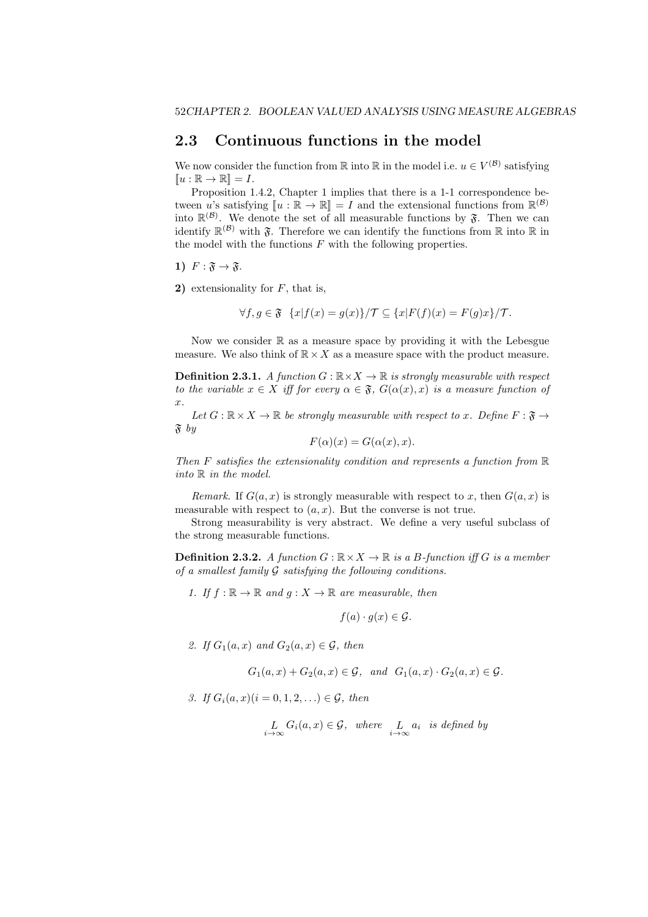#### **2.3 Continuous functions in the model**

We now consider the function from  $\mathbb R$  into  $\mathbb R$  in the model i.e.  $u \in V^{(\mathcal{B})}$  satisfying  $\llbracket u : \mathbb{R} \to \mathbb{R} \rrbracket = I.$ 

Proposition 1.4.2, Chapter 1 implies that there is a 1-1 correspondence between *u*'s satisfying  $[u : \mathbb{R} \to \mathbb{R}] = I$  and the extensional functions from  $\mathbb{R}^{(B)}$ <br>into  $\mathbb{R}^{(B)}$ . We denote the set of all magnetials functions by  $\mathcal{Z}$ . Then we say into  $\mathbb{R}^{(\mathcal{B})}$ . We denote the set of all measurable functions by  $\mathfrak{F}$ . Then we can identify  $\mathbb{R}^{(\mathcal{B})}$  with  $\mathfrak{F}$ . Therefore we can identify the functions from  $\mathbb R$  into  $\mathbb R$  in the model with the functions *F* with the following properties.

1) 
$$
F: \mathfrak{F} \to \mathfrak{F}
$$
.

**2)** extensionality for *F*, that is,

$$
\forall f, g \in \mathfrak{F} \ \{x | f(x) = g(x)\} / \mathcal{T} \subseteq \{x | F(f)(x) = F(g)x\} / \mathcal{T}.
$$

Now we consider  $\mathbb R$  as a measure space by providing it with the Lebesgue measure. We also think of  $\mathbb{R} \times X$  as a measure space with the product measure.

**Definition 2.3.1.** *A function*  $G : \mathbb{R} \times X \to \mathbb{R}$  *is strongly measurable with respect to the variable*  $x \in X$  *iff for every*  $\alpha \in \mathfrak{F}$ *,*  $G(\alpha(x), x)$  *is a measure function of x.*

*Let*  $G : \mathbb{R} \times X \to \mathbb{R}$  *be strongly measurable with respect to x. Define*  $F : \mathfrak{F} \to$ F *by*

$$
F(\alpha)(x) = G(\alpha(x), x).
$$

*Then F satisfies the extensionality condition and represents a function from* R *into* R *in the model.*

*Remark*. If  $G(a, x)$  is strongly measurable with respect to x, then  $G(a, x)$  is measurable with respect to  $(a, x)$ . But the converse is not true.

Strong measurability is very abstract. We define a very useful subclass of the strong measurable functions.

**Definition 2.3.2.** *A function*  $G : \mathbb{R} \times X \to \mathbb{R}$  *is a B-function iff G is a member of a smallest family G satisfying the following conditions.*

*1.* If  $f : \mathbb{R} \to \mathbb{R}$  and  $g : X \to \mathbb{R}$  are measurable, then

$$
f(a)\cdot g(x)\in\mathcal{G}.
$$

2. *If*  $G_1(a, x)$  *and*  $G_2(a, x) \in \mathcal{G}$ *, then* 

$$
G_1(a,x) + G_2(a,x) \in \mathcal{G}, \text{ and } G_1(a,x) \cdot G_2(a,x) \in \mathcal{G}.
$$

*3. If*  $G_i(a, x)$  (*i* = 0*,* 1*,* 2*, . . .*)  $\in G$ *, then* 

$$
L_{i \to \infty} G_i(a, x) \in \mathcal{G}, \text{ where } L_{i \to \infty} a_i \text{ is defined by}
$$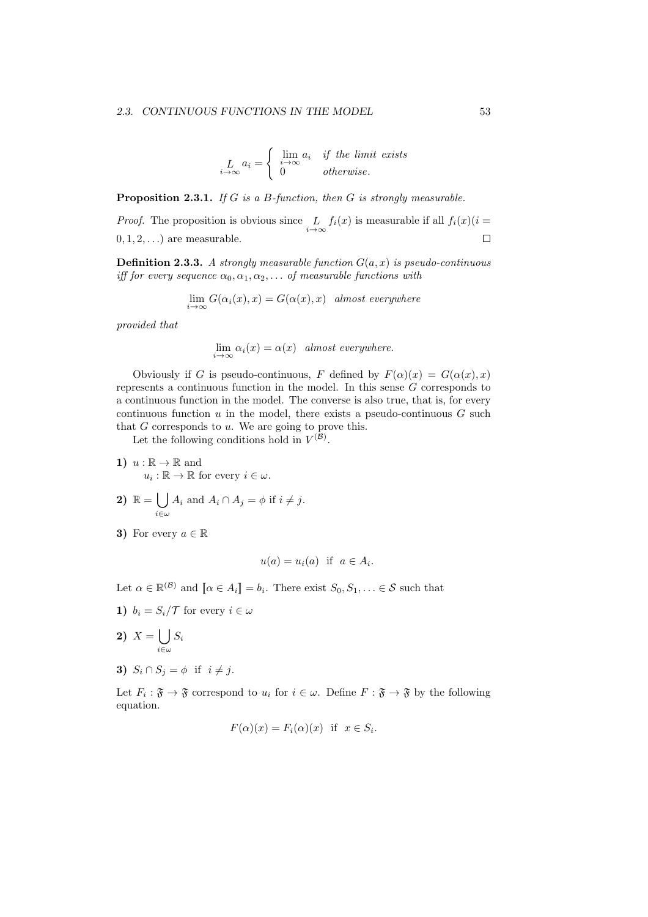$$
L_{i \to \infty} a_i = \begin{cases} \lim_{i \to \infty} a_i & \text{if the limit exists} \\ 0 & \text{otherwise.} \end{cases}
$$

**Proposition 2.3.1.** *If G is a B-function, then G is strongly measurable.*

*Proof.* The proposition is obvious since  $\lim_{i \to \infty}$  $f_i(x)$  is measurable if all  $f_i(x)(i =$ 0*,* 1*,* 2*, . . .*) are measurable.  $\Box$ 

**Definition 2.3.3.** *A strongly measurable function G*(*a, x*) *is pseudo-continuous iff for every sequence*  $\alpha_0, \alpha_1, \alpha_2, \ldots$  *of measurable functions with* 

$$
\lim_{i \to \infty} G(\alpha_i(x), x) = G(\alpha(x), x) \quad almost \; everywhere
$$

*provided that*

$$
\lim_{i \to \infty} \alpha_i(x) = \alpha(x) \quad almost \; everywhere.
$$

Obviously if *G* is pseudo-continuous, *F* defined by  $F(\alpha)(x) = G(\alpha(x), x)$ represents a continuous function in the model. In this sense *G* corresponds to a continuous function in the model. The converse is also true, that is, for every continuous function  $u$  in the model, there exists a pseudo-continuous  $G$  such that *G* corresponds to *u*. We are going to prove this.

Let the following conditions hold in  $V^{(\mathcal{B})}$ .

- 1)  $u : \mathbb{R} \to \mathbb{R}$  and  $u_i: \mathbb{R} \to \mathbb{R}$  for every  $i \in \omega$ .
- 2)  $\mathbb{R} = \begin{pmatrix} \end{pmatrix}$ *i∈ω*  $A_i$  and  $A_i \cap A_j = \phi$  if  $i \neq j$ .
- **3)** For every  $a \in \mathbb{R}$

$$
u(a) = u_i(a) \text{ if } a \in A_i.
$$

Let  $\alpha \in \mathbb{R}^{(\mathcal{B})}$  and  $[\![\alpha \in A_i]\!] = b_i$ . There exist  $S_0, S_1, \ldots \in \mathcal{S}$  such that

**1)**  $b_i = S_i / T$  for every  $i \in \omega$ 

$$
2) \ \ X = \bigcup_{i \in \omega} S_i
$$

**3)**  $S_i \cap S_j = \phi$  if  $i \neq j$ .

Let  $F_i: \mathfrak{F} \to \mathfrak{F}$  correspond to  $u_i$  for  $i \in \omega$ . Define  $F: \mathfrak{F} \to \mathfrak{F}$  by the following equation.

$$
F(\alpha)(x) = F_i(\alpha)(x) \text{ if } x \in S_i.
$$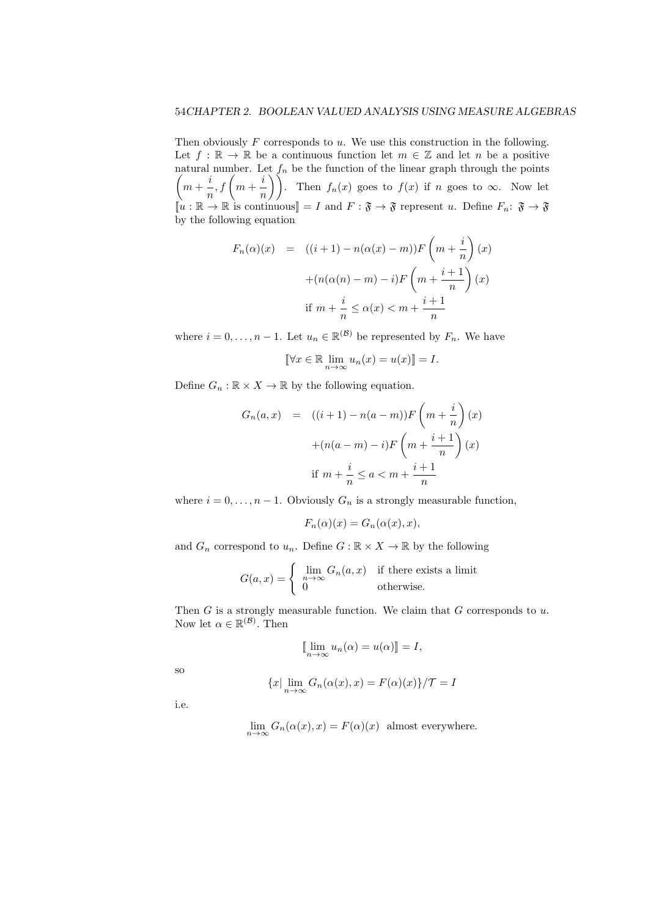Then obviously *F* corresponds to *u*. We use this construction in the following. Let  $f : \mathbb{R} \to \mathbb{R}$  be a continuous function let  $m \in \mathbb{Z}$  and let *n* be a positive natural number. Let *f<sup>n</sup>* be the function of the linear graph through the points  $\sqrt{2}$  $m + \frac{i}{2}$  $\frac{i}{n}$ ,  $f\left(m+\frac{i}{n}\right)$  $\left(\frac{i}{n}\right)$ . Then  $f_n(x)$  goes to  $f(x)$  if *n* goes to  $\infty$ . Now let  $\llbracket u : \mathbb{R} \to \mathbb{R} \text{ is continuous} \rrbracket = I \text{ and } F : \mathfrak{F} \to \mathfrak{F} \text{ represent } u. \text{ Define } F_n : \mathfrak{F} \to \mathfrak{F}$ by the following equation

$$
F_n(\alpha)(x) = ((i+1) - n(\alpha(x) - m))F\left(m + \frac{i}{n}\right)(x)
$$

$$
+ (n(\alpha(n) - m) - i)F\left(m + \frac{i+1}{n}\right)(x)
$$
  
if  $m + \frac{i}{n} \le \alpha(x) < m + \frac{i+1}{n}$ 

where  $i = 0, \ldots, n - 1$ . Let  $u_n \in \mathbb{R}^{(\mathcal{B})}$  be represented by  $F_n$ . We have

$$
[\![\forall x \in \mathbb{R} \lim_{n \to \infty} u_n(x) = u(x)]\!] = I.
$$

Define  $G_n : \mathbb{R} \times X \to \mathbb{R}$  by the following equation.

$$
G_n(a,x) = ((i+1) - n(a-m))F\left(m + \frac{i}{n}\right)(x)
$$

$$
+ (n(a-m) - i)F\left(m + \frac{i+1}{n}\right)(x)
$$
  
if  $m + \frac{i}{n} \le a < m + \frac{i+1}{n}$ 

where  $i = 0, \ldots, n - 1$ . Obviously  $G_n$  is a strongly measurable function,

$$
F_n(\alpha)(x) = G_n(\alpha(x), x),
$$

and  $G_n$  correspond to  $u_n$ . Define  $G : \mathbb{R} \times X \to \mathbb{R}$  by the following

$$
G(a,x) = \begin{cases} \lim_{n \to \infty} G_n(a,x) & \text{if there exists a limit} \\ 0 & \text{otherwise.} \end{cases}
$$

Then *G* is a strongly measurable function. We claim that *G* corresponds to *u*. Now let  $\alpha \in \mathbb{R}^{(\mathcal{B})}$ . Then

$$
\llbracket \lim_{n \to \infty} u_n(\alpha) = u(\alpha) \rrbracket = I,
$$
  

$$
\{x \mid \lim_{n \to \infty} G_n(\alpha(x), x) = F(\alpha)(x)\} / \mathcal{T} = I
$$

so

i.e.

$$
\lim_{n \to \infty} G_n(\alpha(x), x) = F(\alpha)(x)
$$
 almost everywhere.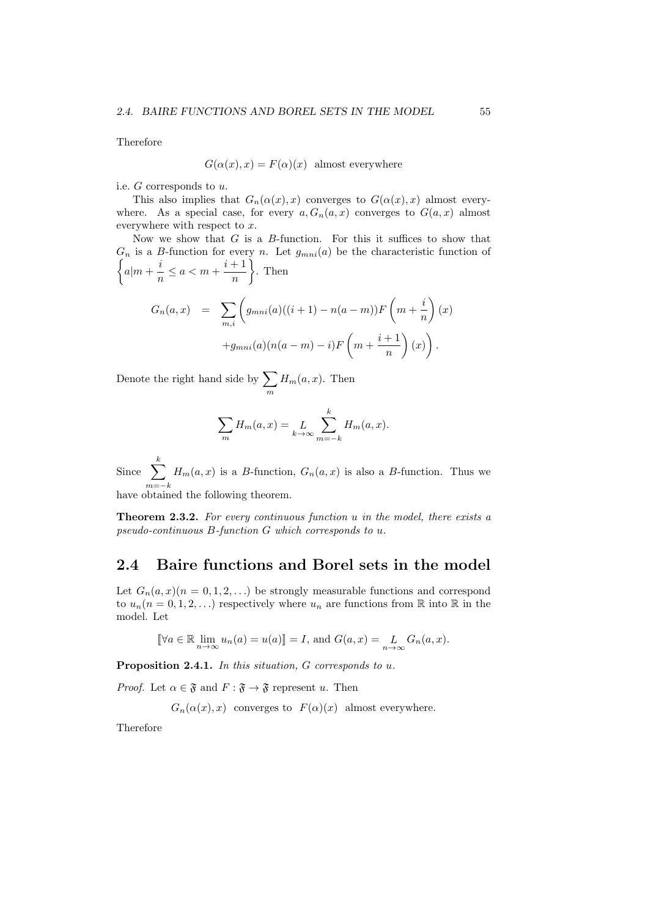Therefore

$$
G(\alpha(x), x) = F(\alpha)(x)
$$
 almost everywhere

i.e. *G* corresponds to *u*.

This also implies that  $G_n(\alpha(x),x)$  converges to  $G(\alpha(x),x)$  almost everywhere. As a special case, for every  $a, G_n(a, x)$  converges to  $G(a, x)$  almost everywhere with respect to *x*.

Now we show that *G* is a *B*-function. For this it suffices to show that  $G_n$  is a *B*-function for every *n*. Let  $g_{mni}(a)$  be the characteristic function of  $\sqrt{ }$  $a|m + \frac{i}{2}$  $\frac{i}{n} \leq a < m + \frac{i+1}{n}$ *n*  $\lambda$ . Then

$$
G_n(a,x) = \sum_{m,i} \left( g_{mni}(a)((i+1) - n(a-m))F\left(m + \frac{i}{n}\right)(x) + g_{mni}(a)(n(a-m) - i)F\left(m + \frac{i+1}{n}\right)(x) \right).
$$

Denote the right hand side by  $\sum$ *m*  $H_m(a, x)$ . Then

$$
\sum_{m} H_m(a, x) = L_{k \to \infty} \sum_{m=-k}^{k} H_m(a, x).
$$

Since  $\sum_{k=1}^{k}$ *m*=*−k*  $H_m(a, x)$  is a *B*-function,  $G_n(a, x)$  is also a *B*-function. Thus we have obtained the following theorem.

**Theorem 2.3.2.** *For every continuous function u in the model, there exists a pseudo-continuous B-function G which corresponds to u.*

### **2.4 Baire functions and Borel sets in the model**

Let  $G_n(a, x)(n = 0, 1, 2, ...)$  be strongly measurable functions and correspond to  $u_n(n = 0, 1, 2, \ldots)$  respectively where  $u_n$  are functions from  $\mathbb R$  into  $\mathbb R$  in the model. Let

$$
\llbracket \forall a \in \mathbb{R} \lim_{n \to \infty} u_n(a) = u(a) \rrbracket = I, \text{ and } G(a, x) = \lim_{n \to \infty} G_n(a, x).
$$

**Proposition 2.4.1.** *In this situation, G corresponds to u.*

*Proof.* Let  $\alpha \in \mathfrak{F}$  and  $F : \mathfrak{F} \to \mathfrak{F}$  represent *u*. Then

 $G_n(\alpha(x),x)$  converges to  $F(\alpha)(x)$  almost everywhere.

Therefore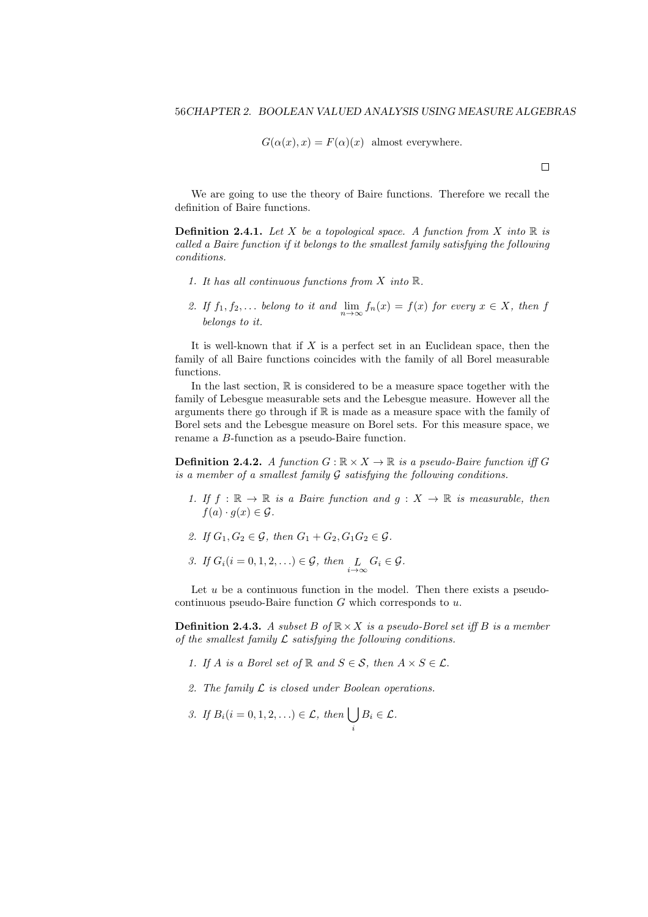$$
G(\alpha(x), x) = F(\alpha)(x)
$$
 almost everywhere.

 $\Box$ 

We are going to use the theory of Baire functions. Therefore we recall the definition of Baire functions.

**Definition 2.4.1.** Let *X* be a topological space. A function from *X* into  $\mathbb{R}$  is *called a Baire function if it belongs to the smallest family satisfying the following conditions.*

- *1. It has all continuous functions from X into* R*.*
- *2. If*  $f_1, f_2, \ldots$  *belong to it and*  $\lim_{n \to \infty} f_n(x) = f(x)$  *for every*  $x \in X$ *, then f belongs to it.*

It is well-known that if *X* is a perfect set in an Euclidean space, then the family of all Baire functions coincides with the family of all Borel measurable functions.

In the last section,  $\mathbb R$  is considered to be a measure space together with the family of Lebesgue measurable sets and the Lebesgue measure. However all the arguments there go through if  $\mathbb R$  is made as a measure space with the family of Borel sets and the Lebesgue measure on Borel sets. For this measure space, we rename a *B*-function as a pseudo-Baire function.

**Definition 2.4.2.** *A function*  $G : \mathbb{R} \times X \to \mathbb{R}$  *is a pseudo-Baire function iff*  $G$ *is a member of a smallest family G satisfying the following conditions.*

- *1.* If  $f : \mathbb{R} \to \mathbb{R}$  *is a Baire function and*  $g : X \to \mathbb{R}$  *is measurable, then*  $f(a) \cdot g(x) \in \mathcal{G}$ .
- *2. If*  $G_1, G_2 \in \mathcal{G}$ , then  $G_1 + G_2, G_1 G_2 \in \mathcal{G}$ .
- *3. If*  $G_i$  ( $i = 0, 1, 2, \ldots$ )  $\in \mathcal{G}$ , then  $\underset{i \to \infty}{L} G_i \in \mathcal{G}$ .

Let  $u$  be a continuous function in the model. Then there exists a pseudocontinuous pseudo-Baire function *G* which corresponds to *u*.

**Definition 2.4.3.** *A subset*  $B$  *of*  $\mathbb{R} \times X$  *is a pseudo-Borel set iff*  $B$  *is a member of the smallest family L satisfying the following conditions.*

- 1. If *A* is a Borel set of  $\mathbb{R}$  and  $S \in \mathcal{S}$ , then  $A \times S \in \mathcal{L}$ .
- *2. The family L is closed under Boolean operations.*
- *3. If*  $B_i(i = 0, 1, 2, ...) \in \mathcal{L}$ *, then*  $\left\{ \right.$ *i*  $B_i \in \mathcal{L}$ *.*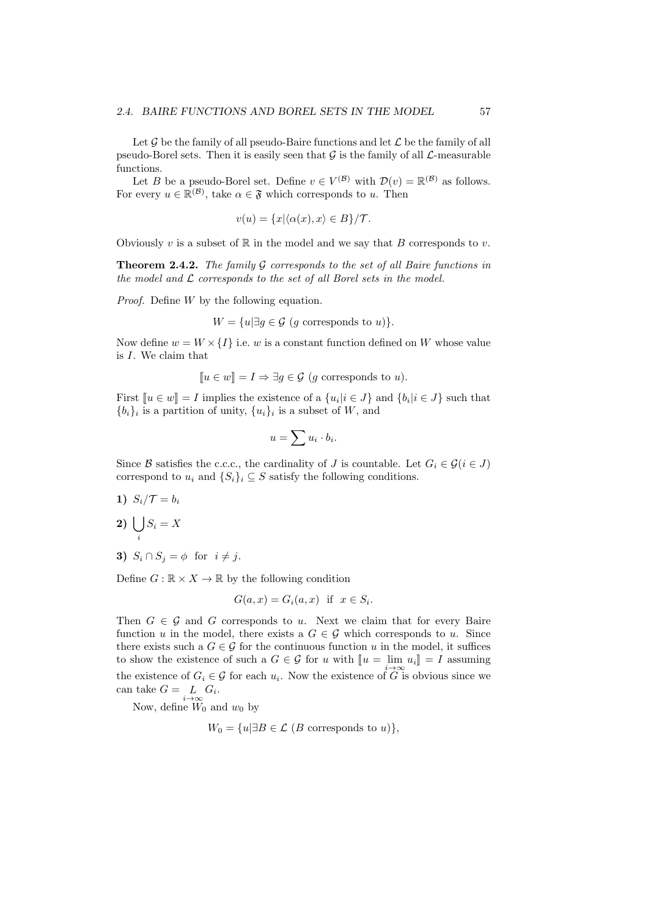Let  $\mathcal G$  be the family of all pseudo-Baire functions and let  $\mathcal L$  be the family of all pseudo-Borel sets. Then it is easily seen that  $G$  is the family of all  $\mathcal{L}$ -measurable functions.

Let *B* be a pseudo-Borel set. Define  $v \in V^{(\mathcal{B})}$  with  $\mathcal{D}(v) = \mathbb{R}^{(\mathcal{B})}$  as follows. For every  $u \in \mathbb{R}^{(\mathcal{B})}$ , take  $\alpha \in \mathfrak{F}$  which corresponds to *u*. Then

$$
v(u) = \{x | \langle \alpha(x), x \rangle \in B\} / \mathcal{T}.
$$

Obviously  $v$  is a subset of  $\mathbb R$  in the model and we say that  $B$  corresponds to  $v$ .

**Theorem 2.4.2.** *The family G corresponds to the set of all Baire functions in the model and L corresponds to the set of all Borel sets in the model.*

*Proof.* Define *W* by the following equation.

$$
W = \{u | \exists g \in \mathcal{G} \ (g \text{ corresponds to } u)\}.
$$

Now define  $w = W \times \{I\}$  i.e. *w* is a constant function defined on *W* whose value is *I*. We claim that

$$
[u \in w] = I \Rightarrow \exists g \in \mathcal{G} \ (g \text{ corresponds to } u).
$$

First  $[u \in w] = I$  implies the existence of a  $\{u_i | i \in J\}$  and  $\{b_i | i \in J\}$  such that  ${b_i}_i$  is a partition of unity,  ${u_i}_i$  is a subset of *W*, and

$$
u = \sum u_i \cdot b_i.
$$

Since *B* satisfies the c.c.c., the cardinality of *J* is countable. Let  $G_i \in \mathcal{G}(i \in J)$ correspond to  $u_i$  and  $\{S_i\}_i \subseteq S$  satisfy the following conditions.

- 1)  $S_i/\mathcal{T} = b_i$
- **2**)  $\vert$   $\vert$ *i*  $S_i = X$
- **3)**  $S_i \cap S_j = \phi$  for  $i \neq j$ .

Define  $G : \mathbb{R} \times X \to \mathbb{R}$  by the following condition

$$
G(a, x) = G_i(a, x) \text{ if } x \in S_i.
$$

Then  $G \in \mathcal{G}$  and  $G$  corresponds to *u*. Next we claim that for every Baire function *u* in the model, there exists a  $G \in \mathcal{G}$  which corresponds to *u*. Since there exists such a  $G \in \mathcal{G}$  for the continuous function *u* in the model, it suffices to show the existence of such a  $G \in \mathcal{G}$  for  $u$  with  $\llbracket u = \lim_{i \to \infty} u_i \rrbracket = I$  assuming the existence of  $G_i \in \mathcal{G}$  for each  $u_i$ . Now the existence of  $\overline{G}$  is obvious since we can take  $G = \underset{i \to \infty}{L} G_i$ .

Now, define  $\widetilde{W}_0$  and  $w_0$  by

$$
W_0 = \{u | \exists B \in \mathcal{L} \ (B \text{ corresponds to } u)\},
$$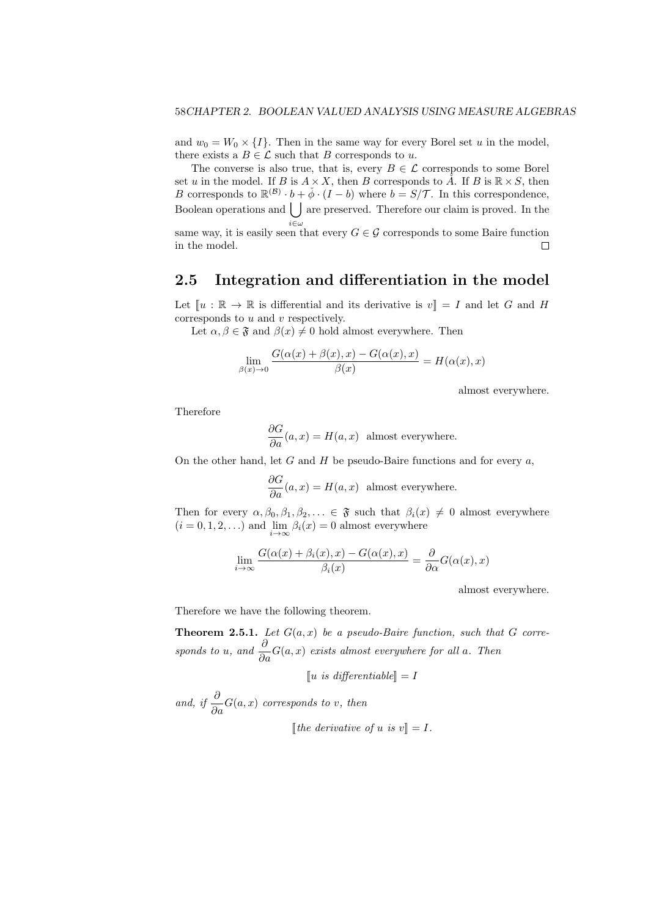and  $w_0 = W_0 \times \{I\}$ . Then in the same way for every Borel set *u* in the model, there exists a  $B \in \mathcal{L}$  such that *B* corresponds to *u*.

The converse is also true, that is, every  $B \in \mathcal{L}$  corresponds to some Borel set *u* in the model. If *B* is  $A \times X$ , then *B* corresponds to  $\check{A}$ . If *B* is  $\mathbb{R} \times S$ , then *B* corresponds to  $\mathbb{R}^{(\mathcal{B})} \cdot b + \phi \cdot (I - b)$  where  $b = S/\mathcal{T}$ . In this correspondence, Boolean operations and  $\left\lfloor \ \right\rfloor$  are preserved. Therefore our claim is proved. In the *i∈ω*

same way, it is easily seen that every  $G \in \mathcal{G}$  corresponds to some Baire function in the model.  $\Box$ 

### **2.5 Integration and differentiation in the model**

Let  $\llbracket u : \mathbb{R} \to \mathbb{R}$  is differential and its derivative is  $v \rrbracket = I$  and let G and H corresponds to *u* and *v* respectively.

Let  $\alpha, \beta \in \mathfrak{F}$  and  $\beta(x) \neq 0$  hold almost everywhere. Then

$$
\lim_{\beta(x)\to 0} \frac{G(\alpha(x) + \beta(x), x) - G(\alpha(x), x)}{\beta(x)} = H(\alpha(x), x)
$$

almost everywhere.

Therefore

$$
\frac{\partial G}{\partial a}(a, x) = H(a, x)
$$
 almost everywhere.

On the other hand, let *G* and *H* be pseudo-Baire functions and for every *a*,

$$
\frac{\partial G}{\partial a}(a, x) = H(a, x)
$$
 almost everywhere.

Then for every  $\alpha, \beta_0, \beta_1, \beta_2, \ldots \in \mathfrak{F}$  such that  $\beta_i(x) \neq 0$  almost everywhere  $(i = 0, 1, 2, \ldots)$  and  $\lim_{i \to \infty} \beta_i(x) = 0$  almost everywhere

$$
\lim_{i \to \infty} \frac{G(\alpha(x) + \beta_i(x), x) - G(\alpha(x), x)}{\beta_i(x)} = \frac{\partial}{\partial \alpha} G(\alpha(x), x)
$$

almost everywhere.

Therefore we have the following theorem.

**Theorem 2.5.1.** *Let*  $G(a, x)$  *be a pseudo-Baire function, such that*  $G$  *corresponds to u*, and  $\frac{\partial}{\partial a}G(a, x)$  *exists almost everywhere for all a. Then* 

 $\llbracket u \text{ is differentiable} \rrbracket = I$ 

*and, if*  $\frac{\partial}{\partial a} G(a, x)$  *corresponds to v, then*  $[$ *lthe derivative of u is*  $v \rVert = I$ *.*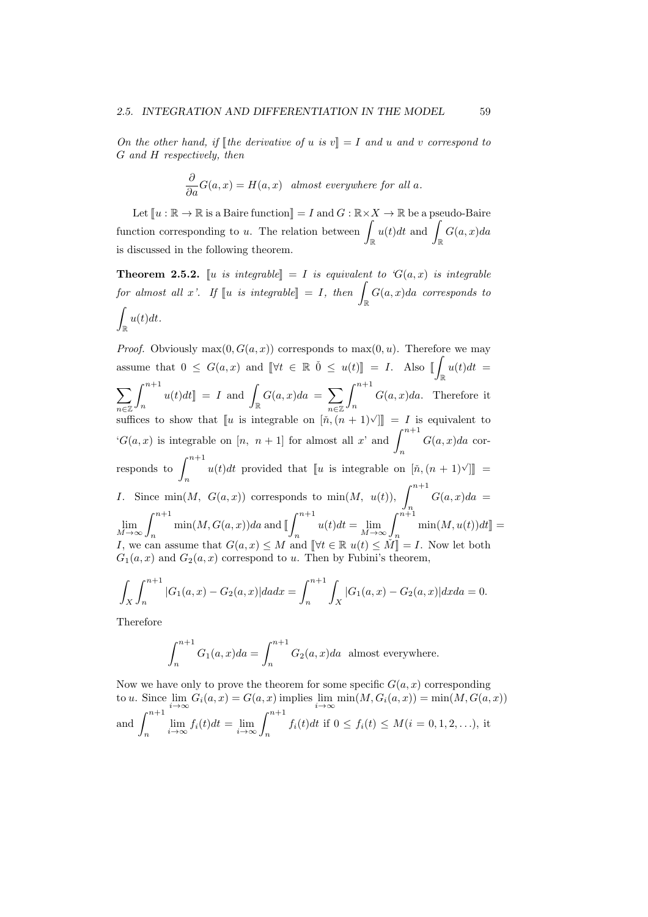*On the other hand, if*  $\lVert \text{the derivative of } u \text{ is } v \rVert = I$  *and u and v correspond to G and H respectively, then*

$$
\frac{\partial}{\partial a}G(a,x) = H(a,x) \quad almost \; everywhere \; for \; all \; a.
$$

Let  $\llbracket u : \mathbb{R} \to \mathbb{R}$  is a Baire function  $\llbracket u = I$  and  $G : \mathbb{R} \times X \to \mathbb{R}$  be a pseudo-Baire function corresponding to *<sup>u</sup>*. The relation between <sup>∫</sup> R  $u(t)dt$  and ∫ R *G*(*a, x*)*da* is discussed in the following theorem.

**Theorem 2.5.2.** [*u is integrable*] = *I is equivalent to*  $G(a, x)$  *is integrable*  $\int_{\mathbb{R}}$  *for almost all x'. If*  $\left[ u \right]$  *is integrable* $\left] = I$ *, then*  $\int_{\mathbb{R}}$ *G*(*a, x*)*da corresponds to*  $\int u(t)dt$ . R

*Proof.* Obviously  $max(0, G(a, x))$  corresponds to  $max(0, u)$ . Therefore we may assume that  $0 \leq G(a, x)$  and  $[\forall t \in \mathbb{R} \ \0 \leq u(t)] = I$ . Also  $[\![$ R  $u(t)dt =$  $\sum \int^{n+1}$ *n∈*Z<sup></sup><sup>*n*</sup><sup>*n*</sup> *n∈*Z  $\int_{n}^{n+1} u(t) dt$  = *I* and  $\int_{\mathbb{R}}$  $G(a, x)da = \sum \int^{n+1}$ *n G*(*a, x*)*da*. Therefore it suffices to show that  $\llbracket u$  is integrable on  $[\check{n},(\check{n}+1)\check{\\}]\rrbracket = I$  is equivalent to  ${}^{\circ}G(a,x)$  is integrable on [*n, n* + 1] for almost all *x*' and  $\int^{n+1}$ *n G*(*a, x*)*da* corresponds to  $\int^{n+1}$  $u(t)dt$  provided that [*u* is integrable on  $[\check{n},(n+1)\check{]}$ ] = *I*. Since min $(M, G(a,x))$  corresponds to min $(M, u(t))$ ,  $\int_{0}^{n+1}$ *n*  $G(a, x)da =$ lim  $\lim_{M \to \infty} \int_{n}^{n+1} \min(M, G(a, x)) da$  and [  $\int_0^{n+1}$ *n*  $u(t)dt = \lim$  $\lim_{M \to \infty} \int_{n}^{n+1} \min(M, u(t)) dt$  = *I*, we can assume that  $G(a, x) \leq M$  and  $\left[\forall t \in \mathbb{R} \ u(t) \leq M\right] = I$ . Now let both  $G_1(a, x)$  and  $G_2(a, x)$  correspond to *u*. Then by Fubini's theorem,

$$
\int_X \int_n^{n+1} |G_1(a,x) - G_2(a,x)| da dx = \int_n^{n+1} \int_X |G_1(a,x) - G_2(a,x)| dx da = 0.
$$

Therefore

$$
\int_{n}^{n+1} G_1(a, x) da = \int_{n}^{n+1} G_2(a, x) da
$$
 almost everywhere.

Now we have only to prove the theorem for some specific  $G(a, x)$  corresponding to *u*. Since  $\lim_{i\to\infty} G_i(a,x) = G(a,x)$  implies  $\lim_{i\to\infty} \min(M, G_i(a,x)) = \min(M, G(a,x))$ and  $\int^{n+1}$ *n*  $\lim_{i \to \infty} f_i(t)dt = \lim_{i \to \infty} \int_n^{n+1} f_i(t)dt$  if  $0 \le f_i(t) \le M(i = 0, 1, 2, ...),$  it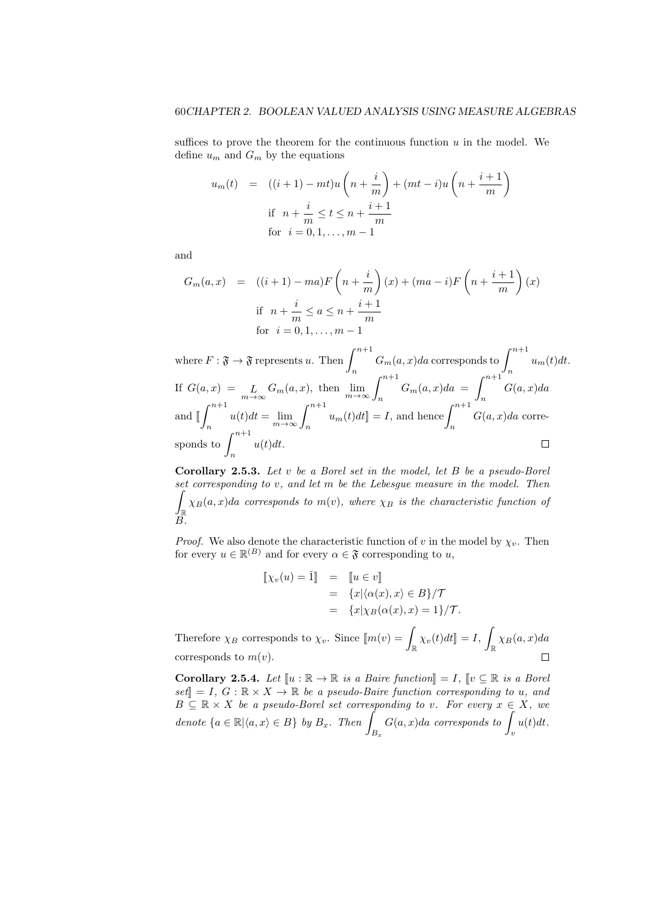suffices to prove the theorem for the continuous function *u* in the model. We define  $u_m$  and  $G_m$  by the equations

$$
u_m(t) = ((i+1) - mt)u\left(n + \frac{i}{m}\right) + (mt - i)u\left(n + \frac{i+1}{m}\right)
$$
  
if  $n + \frac{i}{m} \le t \le n + \frac{i+1}{m}$   
for  $i = 0, 1, ..., m - 1$ 

and

$$
G_m(a,x) = ((i+1) - ma)F\left(n + \frac{i}{m}\right)(x) + (ma - i)F\left(n + \frac{i+1}{m}\right)(x)
$$
  
if  $n + \frac{i}{m} \le a \le n + \frac{i+1}{m}$   
for  $i = 0, 1, ..., m - 1$ 

where  $F: \mathfrak{F} \to \mathfrak{F}$  represents *u*. Then  $\int_{0}^{n+1} G_m(a, x) da$  corresponds to  $\int_{0}^{n+1} u_m(t) dt$ .  $n \left( \int_{0}^{\infty}$ If  $G(a, x) = L_{m \to \infty} G_m(a, x)$ , then  $\lim_{m \to \infty} \int_{n}^{n+1} G_m(a, x) da =$  $\int_0^{n+1}$ *G*(*a, x*)*da n*  $\int_0^{n+1}$  $\int_{n}^{n+1} u(t)dt = \lim_{m \to \infty} \int_{n}^{n+1} u_m(t)dt$  = *I*, and hence  $\int_{n}^{n+1} u_m(t)dt$ and <sup>J</sup> *G*(*a, x*)*da* corresponds to  $\int^{n+1}$  $\Box$ *u*(*t*)*dt*. *n*

**Corollary 2.5.3.** *Let v be a Borel set in the model, let B be a pseudo-Borel set corresponding to v, and let m be the Lebesgue measure in the model. Then* ∫ R  $\chi_B(a,x)da$  *corresponds to*  $m(v)$ *, where*  $\chi_B$  *is the characteristic function of B.*

*Proof.* We also denote the characteristic function of *v* in the model by  $\chi_v$ . Then for every  $u \in \mathbb{R}^{(B)}$  and for every  $\alpha \in \mathfrak{F}$  corresponding to *u*,

$$
\llbracket \chi_v(u) = \check{\mathbf{I}} \rrbracket = \llbracket u \in v \rrbracket
$$
  
= 
$$
\{x | \langle \alpha(x), x \rangle \in B \} / \mathcal{T}
$$
  
= 
$$
\{x | \chi_B(\alpha(x), x) = 1 \} / \mathcal{T}.
$$

Therefore  $\chi_B$  corresponds to  $\chi_v$ . Since  $[\![m(v) = \int_{\mathbb{R}} \chi_v(t) dt]\!] = I$ ,  $\int$ *χB*(*a, x*)*da* R corresponds to *m*(*v*).  $\Box$ 

**Corollary 2.5.4.** *Let*  $\llbracket u : \mathbb{R} \to \mathbb{R}$  *is a Baire function* $\llbracket = I$ ,  $\llbracket v \subseteq \mathbb{R}$  *is a Borel*  $\text{Set}$  = *I*,  $G : \mathbb{R} \times X \to \mathbb{R}$  *be a pseudo-Baire function corresponding to u, and*  $B \subseteq \mathbb{R} \times X$  *be a pseudo-Borel set corresponding to v. For every*  $x \in X$ *, we denote*  ${a \in \mathbb{R} | a, x \in B}$  *by*  $B_x$ *. Then B<sup>x</sup> <sup>G</sup>*(*a, x*)*da corresponds to* <sup>∫</sup> *v u*(*t*)*dt.*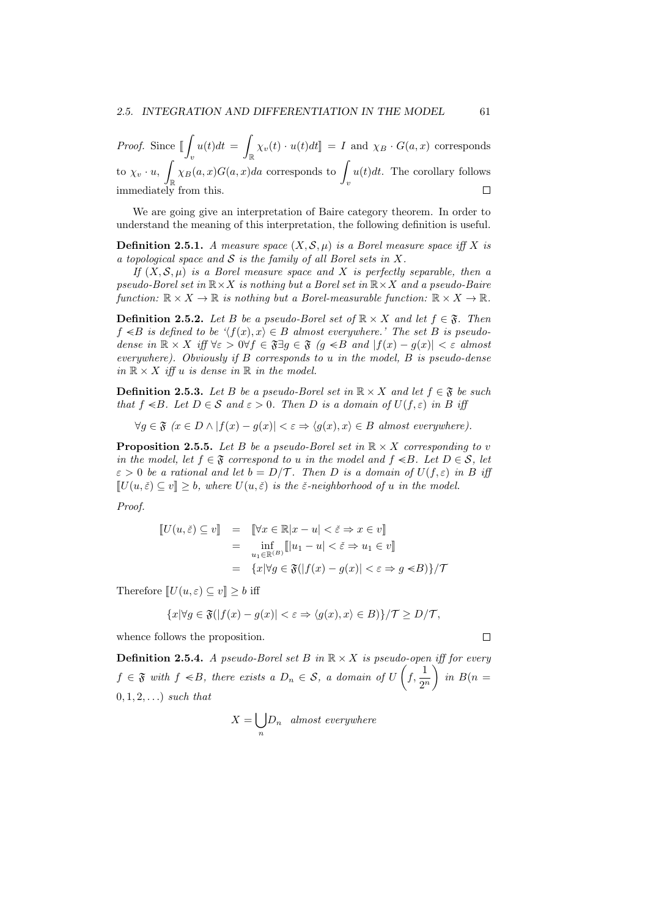*Proof.* Since  $\iint_{\mathbb{R}} u(t)dt = \int_{\mathbb{R}} \chi_v(t) \cdot u(t)dt$  = *I* and  $\chi_B \cdot G(a,x)$  corresponds  $v$   $J\mathbb{R}$  $\int$   $\int$   $\chi$ <sup>*v*</sup>  $\cdot$  *u*,  $\int$ R  $\chi_B(a, x)G(a, x)da$  corresponds to  $\int_v$  $u(t)dt$ . The corollary follows immediately from this.

We are going give an interpretation of Baire category theorem. In order to understand the meaning of this interpretation, the following definition is useful.

**Definition 2.5.1.** *A measure space*  $(X, \mathcal{S}, \mu)$  *is a Borel measure space iff X is a topological space and S is the family of all Borel sets in X.*

*If* (*X, S, µ*) *is a Borel measure space and X is perfectly separable, then a pseudo-Borel set in* R*×X is nothing but a Borel set in* R*×X and a pseudo-Baire function:*  $\mathbb{R} \times X \to \mathbb{R}$  *is nothing but a Borel-measurable function:*  $\mathbb{R} \times X \to \mathbb{R}$ *.* 

**Definition 2.5.2.** *Let B be a pseudo-Borel set of*  $\mathbb{R} \times X$  *and let*  $f \in \mathfrak{F}$ *. Then f*  $≤$ *B is defined to be* ' $\langle f(x), x \rangle ∈ B$  *almost everywhere.'* The set *B is pseudo*dense in  $\mathbb{R} \times X$  iff  $\forall \varepsilon > 0 \forall f \in \mathfrak{F} \exists g \in \mathfrak{F}$  (g  $\lt B$  and  $|f(x) - g(x)| < \varepsilon$  almost *everywhere). Obviously if B corresponds to u in the model, B is pseudo-dense*  $in \mathbb{R} \times X$  *iff u is dense in*  $\mathbb{R}$  *in the model.* 

**Definition 2.5.3.** Let *B* be a pseudo-Borel set in  $\mathbb{R} \times X$  and let  $f \in \mathfrak{F}$  be such *that*  $f \le B$ *. Let*  $D \in S$  *and*  $\varepsilon > 0$ *. Then*  $D$  *is a domain of*  $U(f, \varepsilon)$  *in*  $B$  *iff* 

 $∀q ∈ \mathfrak{F}$   $(x ∈ D ∧ |f(x) – q(x)| < ε ⇒ \langle q(x), x \rangle ∈ B$  *almost everywhere*).

**Proposition 2.5.5.** *Let B be a pseudo-Borel set in*  $\mathbb{R} \times X$  *corresponding to v in the model, let*  $f \in \mathfrak{F}$  *correspond to u in the model and*  $f \le B$ *. Let*  $D \in \mathcal{S}$ *, let*  $\varepsilon > 0$  *be a rational and let*  $b = D/T$ . Then *D is a domain of*  $U(f, \varepsilon)$  *in B iff*  $\llbracket U(u, \varepsilon) \subset v \rrbracket > b$ , where  $U(u, \varepsilon)$  is the  $\varepsilon$ -neighborhood of *u* in the model.

*Proof.*

$$
\begin{array}{rcl}\n\llbracket U(u,\check{\varepsilon}) \subseteq v \rrbracket & = & \llbracket \forall x \in \mathbb{R} |x - u| < \check{\varepsilon} \Rightarrow x \in v \rrbracket \\
& = & \inf_{u_1 \in \mathbb{R}^{(B)}} \llbracket |u_1 - u| < \check{\varepsilon} \Rightarrow u_1 \in v \rrbracket \\
& = & \{x | \forall g \in \mathfrak{F}(|f(x) - g(x)| < \varepsilon \Rightarrow g \leq B) \} / \mathcal{T}\n\end{array}
$$

Therefore  $\llbracket U(u, \varepsilon) \subseteq v \rrbracket \geq b$  iff

$$
\{x|\forall g\in \mathfrak{F}(|f(x)-g(x)|<\varepsilon\Rightarrow \langle g(x),x\rangle\in B)\}/\mathcal{T}\geq D/\mathcal{T},
$$

whence follows the proposition.

**Definition 2.5.4.** *A pseudo-Borel set B in*  $\mathbb{R} \times X$  *is pseudo-open iff for every*  $f \in \mathfrak{F}$  *with*  $f \leq B$ *, there exists a*  $D_n \in \mathcal{S}$ *, a domain of U*  $\left(f, \frac{1}{2^n}\right)$  $\sum$  $in B(n =$ 0*,* 1*,* 2*, . . .*) *such that*

$$
X = \bigcup_n D_n \quad almost \; everywhere
$$

 $\Box$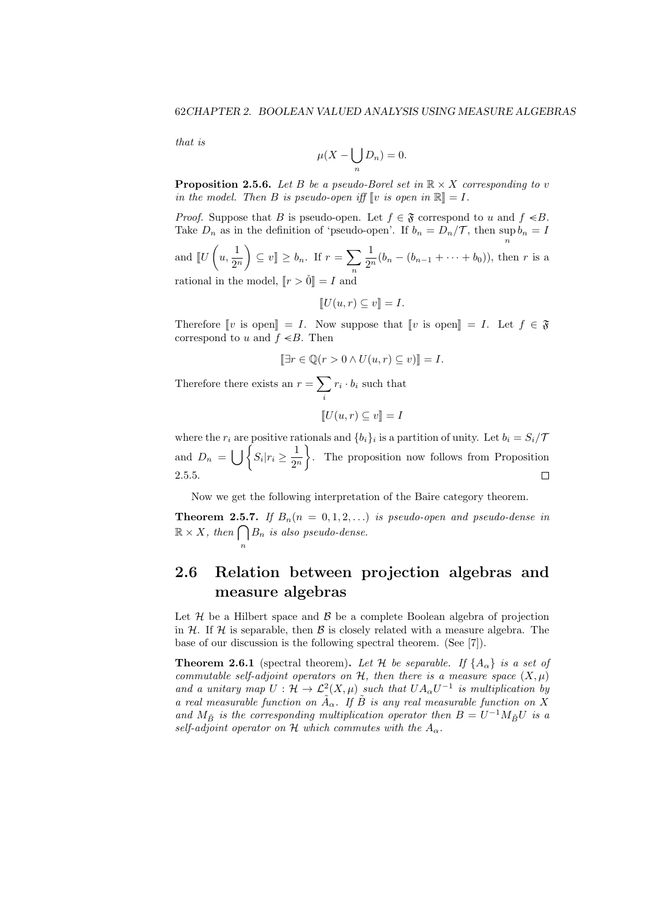*that is*

$$
\mu(X - \bigcup_n D_n) = 0.
$$

**Proposition 2.5.6.** Let *B* be a pseudo-Borel set in  $\mathbb{R} \times X$  corresponding to *v in the model. Then B is pseudo-open iff*  $\llbracket v$  *is open in*  $\mathbb{R} \llbracket = I$ *.* 

*Proof.* Suppose that *B* is pseudo-open. Let  $f \in \mathfrak{F}$  correspond to *u* and  $f \leq B$ . Take  $D_n$  as in the definition of 'pseudo-open'. If  $b_n = D_n/\mathcal{T}$ , then sup  $b_n = I$ *n*

and  $\llbracket U$  $\sqrt{2}$  $u, \frac{1}{\alpha}$ 2 *n*  $\setminus$  $\subseteq v$   $\geq b_n$ . If  $r = \sum$ *n* 1  $\frac{1}{2^n}(b_n - (b_{n-1} + \cdots + b_0)),$  then *r* is a rational in the model,  $\llbracket r > 0 \rrbracket = I$  and

$$
[U(u,r)\subseteq v]=I.
$$

Therefore  $\llbracket v \text{ is open} \rrbracket = I$ . Now suppose that  $\llbracket v \text{ is open} \rrbracket = I$ . Let  $f \in \mathfrak{F}$ correspond to *u* and  $f \leq B$ . Then

$$
[\exists r \in \mathbb{Q}(r > 0 \land U(u, r) \subseteq v)] = I.
$$

Therefore there exists an  $r = \sum$ *i*  $r_i \cdot b_i$  such that

$$
[\![U(u,r)\subseteq v]\!]=I
$$

where the  $r_i$  are positive rationals and  $\{b_i\}_i$  is a partition of unity. Let  $b_i = S_i / T$ and  $D_n = \bigcup \left\{ S_i | r_i \geq \frac{1}{2^n} \right\}$  $\mathcal{L}$ . The proposition now follows from Proposition 2 *n* 2.5.5.  $\Box$ 

Now we get the following interpretation of the Baire category theorem.

**Theorem 2.5.7.** If  $B_n(n = 0, 1, 2, ...)$  *is pseudo-open and pseudo-dense in*  $\mathbb{R} \times X$ *, then*  $\bigcap$ *n B<sup>n</sup> is also pseudo-dense.*

### **2.6 Relation between projection algebras and measure algebras**

Let  $H$  be a Hilbert space and  $B$  be a complete Boolean algebra of projection in  $H$ . If  $H$  is separable, then  $B$  is closely related with a measure algebra. The base of our discussion is the following spectral theorem. (See [7]).

**Theorem 2.6.1** (spectral theorem). Let H be separable. If  $\{A_{\alpha}\}\$  is a set of *commutable self-adjoint operators on*  $H$ *, then there is a measure space*  $(X, \mu)$ *and a unitary map*  $U: \mathcal{H} \to \mathcal{L}^2(X, \mu)$  *such that*  $UA_\alpha U^{-1}$  *is multiplication by a* real measurable function on  $\tilde{A}_{\alpha}$ . If  $\tilde{B}$  is any real measurable function on X *and*  $M_{\tilde{B}}$  *is the corresponding multiplication operator then*  $B = U^{-1}M_{\tilde{B}}U$  *is a self-adjoint operator on*  $H$  *which commutes with the*  $A_{\alpha}$ *.*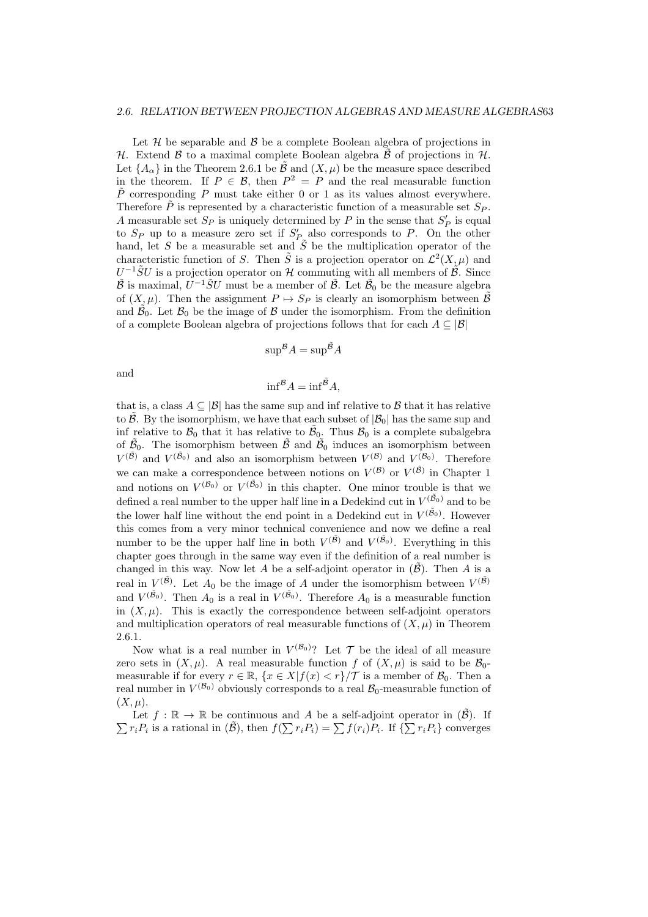Let  $H$  be separable and  $B$  be a complete Boolean algebra of projections in *H*. Extend *B* to a maximal complete Boolean algebra  $\hat{\beta}$  of projections in *H*. Let  ${A_{\alpha}}$  in the Theorem 2.6.1 be  $\tilde{\mathcal{B}}$  and  $(X,\mu)$  be the measure space described in the theorem. If  $P \in \mathcal{B}$ , then  $P^2 = P$  and the real measurable function  $\tilde{P}$  corresponding *P* must take either 0 or 1 as its values almost everywhere. Therefore  $\tilde{P}$  is represented by a characteristic function of a measurable set  $S_P$ . *A* measurable set  $S_P$  is uniquely determined by  $P$  in the sense that  $S'_P$  is equal to  $S_P$  up to a measure zero set if  $S'_P$  also corresponds to P. On the other hand, let *S* be a measurable set and  $\tilde{S}$  be the multiplication operator of the characteristic function of *S*. Then  $\tilde{S}$  is a projection operator on  $\mathcal{L}^2(X,\mu)$  and  $U^{-1} \tilde{S} U$  is a projection operator on *H* commuting with all members of  $\tilde{B}$ . Since  $\tilde{\mathcal{B}}$  is maximal,  $U^{-1}\tilde{S}U$  must be a member of  $\tilde{\mathcal{B}}$ . Let  $\tilde{\mathcal{B}}_0$  be the measure algebra of  $(X, \mu)$ . Then the assignment  $P \mapsto S_P$  is clearly an isomorphism between  $\tilde{\mathcal{B}}$ and  $\tilde{\mathcal{B}}_0$ . Let  $\mathcal{B}_0$  be the image of  $\mathcal{B}$  under the isomorphism. From the definition of a complete Boolean algebra of projections follows that for each *A ⊆ |B|*

$$
\sup^{\mathcal{B}} A = \sup^{\tilde{\mathcal{B}}} A
$$

and

$$
\inf^{\mathcal{B}} A = \inf^{\tilde{\mathcal{B}}} A,
$$

that is, a class  $A \subseteq |\mathcal{B}|$  has the same sup and inf relative to  $\mathcal{B}$  that it has relative to  $\tilde{\beta}$ . By the isomorphism, we have that each subset of  $|\mathcal{B}_0|$  has the same sup and inf relative to  $\mathcal{B}_0$  that it has relative to  $\tilde{\mathcal{B}}_0$ . Thus  $\mathcal{B}_0$  is a complete subalgebra of  $\tilde{\mathcal{B}}_0$ . The isomorphism between  $\tilde{\mathcal{B}}$  and  $\tilde{\mathcal{B}}_0$  induces an isomorphism between  $V^{(\tilde{B})}$  and  $V^{(\tilde{B}_0)}$  and also an isomorphism between  $V^{(\mathcal{B})}$  and  $V^{(\mathcal{B}_0)}$ . Therefore we can make a correspondence between notions on  $V^{(\mathcal{B})}$  or  $V^{(\tilde{\mathcal{B}})}$  in Chapter 1 and notions on  $V^{(\mathcal{B}_0)}$  or  $V^{(\tilde{\mathcal{B}}_0)}$  in this chapter. One minor trouble is that we defined a real number to the upper half line in a Dedekind cut in  $V^{(\tilde{\mathcal{B}}_0)}$  and to be the lower half line without the end point in a Dedekind cut in  $V^{(\tilde{B}_0)}$ . However this comes from a very minor technical convenience and now we define a real number to be the upper half line in both  $V^{(\tilde{\beta})}$  and  $V^{(\tilde{\beta}_0)}$ . Everything in this chapter goes through in the same way even if the definition of a real number is changed in this way. Now let *A* be a self-adjoint operator in  $(\tilde{\beta})$ . Then *A* is a real in  $V^{(\tilde{\beta})}$ . Let  $A_0$  be the image of  $A$  under the isomorphism between  $V^{(\tilde{\beta})}$ and  $V^{(\tilde{B}_0)}$ . Then  $A_0$  is a real in  $V^{(\tilde{B}_0)}$ . Therefore  $A_0$  is a measurable function in  $(X, \mu)$ . This is exactly the correspondence between self-adjoint operators and multiplication operators of real measurable functions of  $(X, \mu)$  in Theorem 2.6.1.

Now what is a real number in  $V^{(\mathcal{B}_0)}$ ? Let  $\mathcal T$  be the ideal of all measure zero sets in  $(X, \mu)$ . A real measurable function *f* of  $(X, \mu)$  is said to be  $\mathcal{B}_0$ measurable if for every  $r \in \mathbb{R}$ ,  $\{x \in X | f(x) < r\}/\mathcal{T}$  is a member of  $\mathcal{B}_0$ . Then a real number in  $V^{(\mathcal{B}_0)}$  obviously corresponds to a real  $\mathcal{B}_0$ -measurable function of  $(X, \mu)$ .

Let  $f : \mathbb{R} \to \mathbb{R}$  be continuous and *A* be a self-adjoint operator in  $(\tilde{\mathcal{B}})$ . If  $\sum r_i P_i$  is a rational in  $(\tilde{\mathcal{B}})$ , then  $f(\sum r_i P_i) = \sum f(r_i) P_i$ . If  $\{\sum r_i P_i\}$  converges  $r_i P_i$  is a rational in  $(\tilde{\mathcal{B}})$ , then  $f(\sum r_i P_i) = \sum f(r_i) P_i$ . If  $\{\sum r_i P_i\}$  converges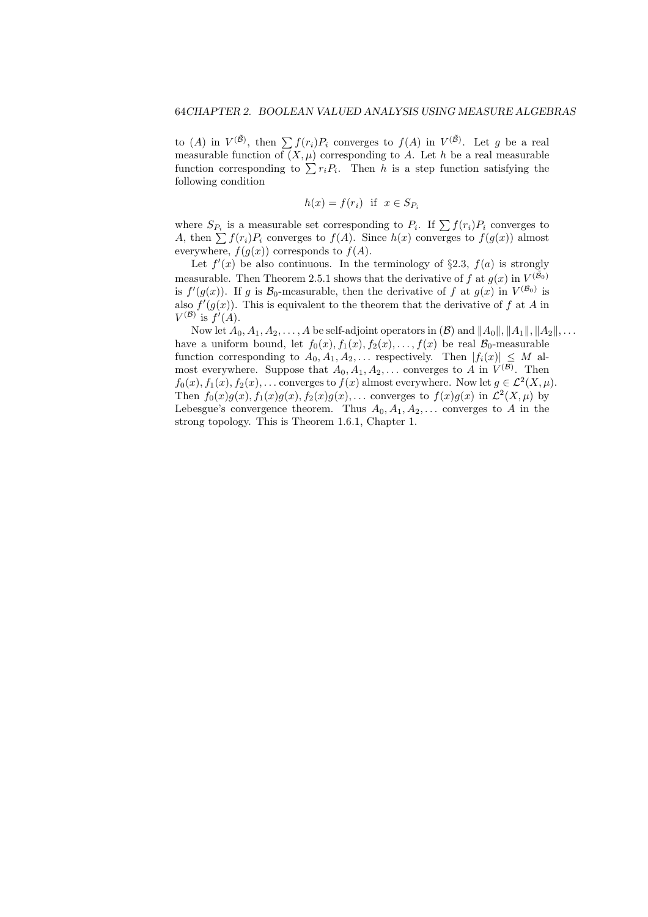to (*A*) in  $V^{(\tilde{B})}$ , then  $\sum f(r_i)P_i$  converges to  $f(A)$  in  $V^{(\tilde{B})}$ . Let *g* be a real measurable function of  $(X, \mu)$  corresponding to *A*. Let *h* be a real measurable function corresponding to  $\sum r_i P_i$ . Then *h* is a step function satisfying the following condition

$$
h(x) = f(r_i) \text{ if } x \in S_{P_i}
$$

where  $S_{P_i}$  is a measurable set corresponding to  $P_i$ . If  $\sum f(r_i)P_i$  converges to *A*, then  $\sum f(r_i)P_i$  converges to  $f(A)$ . Since  $h(x)$  converges to  $f(g(x))$  almost everywhere,  $f(g(x))$  corresponds to  $f(A)$ .

Let  $f'(x)$  be also continuous. In the terminology of §2.3,  $f(a)$  is strongly measurable. Then Theorem 2.5.1 shows that the derivative of  $f$  at  $g(x)$  in  $V^{(\tilde{\mathcal{B}}_0)}$ is  $f'(g(x))$ . If *g* is  $\mathcal{B}_0$ -measurable, then the derivative of *f* at  $g(x)$  in  $V^{(\mathcal{B}_0)}$  is also  $f'(g(x))$ . This is equivalent to the theorem that the derivative of f at A in  $V^{(\mathcal{B})}$  is  $f'(A)$ .

Now let  $A_0, A_1, A_2, \ldots, A$  be self-adjoint operators in  $(\mathcal{B})$  and  $||A_0||, ||A_1||, ||A_2||, \ldots$ have a uniform bound, let  $f_0(x)$ ,  $f_1(x)$ ,  $f_2(x)$ , ...,  $f(x)$  be real  $\mathcal{B}_0$ -measurable function corresponding to  $A_0, A_1, A_2, \ldots$  respectively. Then  $|f_i(x)| \leq M$  almost everywhere. Suppose that  $A_0, A_1, A_2, \ldots$  converges to *A* in  $V^{(\mathcal{B})}$ . Then  $f_0(x)$ ,  $f_1(x)$ ,  $f_2(x)$ , ... converges to  $f(x)$  almost everywhere. Now let  $g \in \mathcal{L}^2(X, \mu)$ . Then  $f_0(x)g(x)$ ,  $f_1(x)g(x)$ ,  $f_2(x)g(x)$ , ... converges to  $f(x)g(x)$  in  $\mathcal{L}^2(X,\mu)$  by Lebesgue's convergence theorem. Thus  $A_0, A_1, A_2, \ldots$  converges to *A* in the strong topology. This is Theorem 1.6.1, Chapter 1.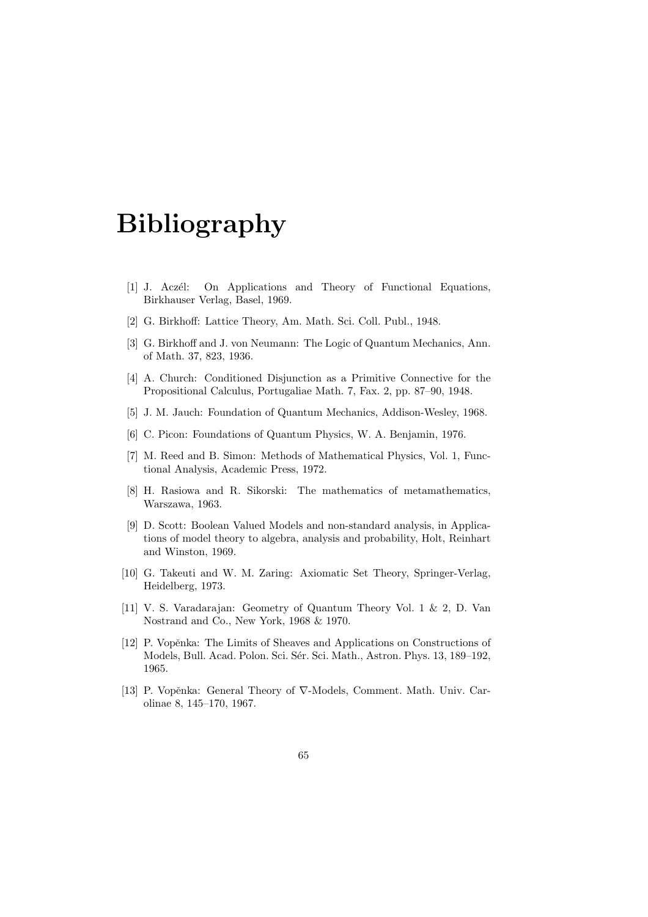## **Bibliography**

- [1] J. Aczél: On Applications and Theory of Functional Equations, Birkhauser Verlag, Basel, 1969.
- [2] G. Birkhoff: Lattice Theory, Am. Math. Sci. Coll. Publ., 1948.
- [3] G. Birkhoff and J. von Neumann: The Logic of Quantum Mechanics, Ann. of Math. 37, 823, 1936.
- [4] A. Church: Conditioned Disjunction as a Primitive Connective for the Propositional Calculus, Portugaliae Math. 7, Fax. 2, pp. 87–90, 1948.
- [5] J. M. Jauch: Foundation of Quantum Mechanics, Addison-Wesley, 1968.
- [6] C. Picon: Foundations of Quantum Physics, W. A. Benjamin, 1976.
- [7] M. Reed and B. Simon: Methods of Mathematical Physics, Vol. 1, Functional Analysis, Academic Press, 1972.
- [8] H. Rasiowa and R. Sikorski: The mathematics of metamathematics, Warszawa, 1963.
- [9] D. Scott: Boolean Valued Models and non-standard analysis, in Applications of model theory to algebra, analysis and probability, Holt, Reinhart and Winston, 1969.
- [10] G. Takeuti and W. M. Zaring: Axiomatic Set Theory, Springer-Verlag, Heidelberg, 1973.
- [11] V. S. Varadarajan: Geometry of Quantum Theory Vol. 1 & 2, D. Van Nostrand and Co., New York, 1968 & 1970.
- [12] P. Vopěnka: The Limits of Sheaves and Applications on Constructions of Models, Bull. Acad. Polon. Sci. Sér. Sci. Math., Astron. Phys. 13, 189-192, 1965.
- [13] P. Vopěnka: General Theory of  $\nabla$ -Models, Comment. Math. Univ. Carolinae 8, 145–170, 1967.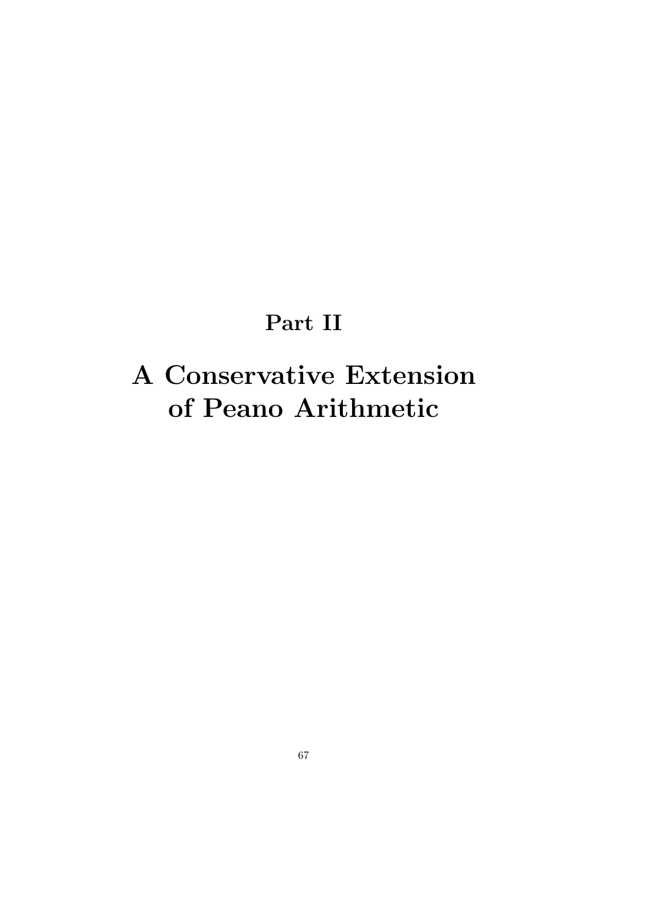# **Part II**

# **A Conservative Extension of Peano Arithmetic**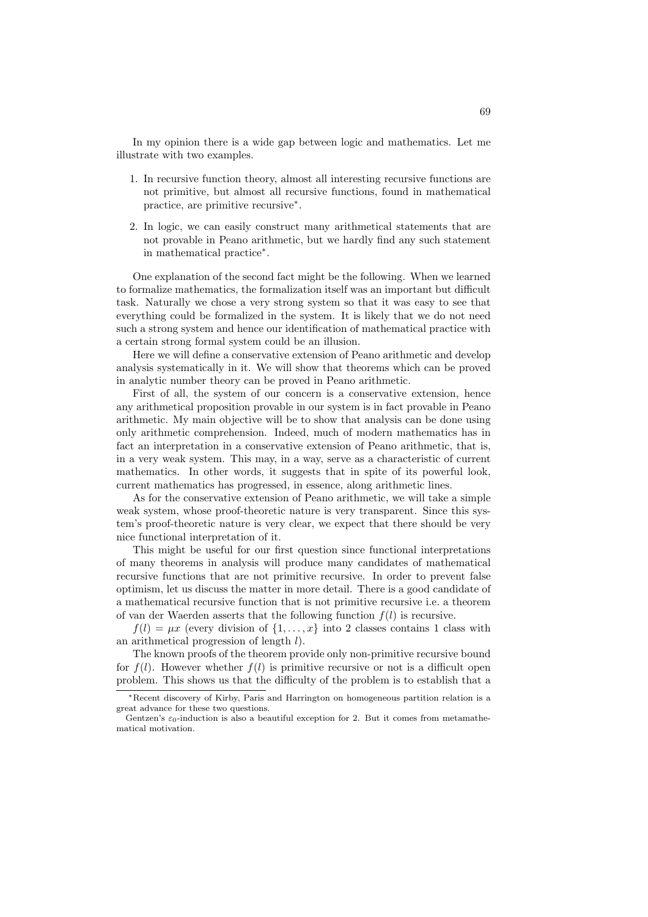In my opinion there is a wide gap between logic and mathematics. Let me illustrate with two examples.

- 1. In recursive function theory, almost all interesting recursive functions are not primitive, but almost all recursive functions, found in mathematical practice, are primitive recursive*<sup>∗</sup>* .
- 2. In logic, we can easily construct many arithmetical statements that are not provable in Peano arithmetic, but we hardly find any such statement in mathematical practice*<sup>∗</sup>* .

One explanation of the second fact might be the following. When we learned to formalize mathematics, the formalization itself was an important but difficult task. Naturally we chose a very strong system so that it was easy to see that everything could be formalized in the system. It is likely that we do not need such a strong system and hence our identification of mathematical practice with a certain strong formal system could be an illusion.

Here we will define a conservative extension of Peano arithmetic and develop analysis systematically in it. We will show that theorems which can be proved in analytic number theory can be proved in Peano arithmetic.

First of all, the system of our concern is a conservative extension, hence any arithmetical proposition provable in our system is in fact provable in Peano arithmetic. My main objective will be to show that analysis can be done using only arithmetic comprehension. Indeed, much of modern mathematics has in fact an interpretation in a conservative extension of Peano arithmetic, that is, in a very weak system. This may, in a way, serve as a characteristic of current mathematics. In other words, it suggests that in spite of its powerful look, current mathematics has progressed, in essence, along arithmetic lines.

As for the conservative extension of Peano arithmetic, we will take a simple weak system, whose proof-theoretic nature is very transparent. Since this system's proof-theoretic nature is very clear, we expect that there should be very nice functional interpretation of it.

This might be useful for our first question since functional interpretations of many theorems in analysis will produce many candidates of mathematical recursive functions that are not primitive recursive. In order to prevent false optimism, let us discuss the matter in more detail. There is a good candidate of a mathematical recursive function that is not primitive recursive i.e. a theorem of van der Waerden asserts that the following function  $f(l)$  is recursive.

 $f(l) = \mu x$  (every division of  $\{1, \ldots, x\}$ ) into 2 classes contains 1 class with an arithmetical progression of length *l*).

The known proofs of the theorem provide only non-primitive recursive bound for  $f(l)$ . However whether  $f(l)$  is primitive recursive or not is a difficult open problem. This shows us that the difficulty of the problem is to establish that a

*<sup>∗</sup>*Recent discovery of Kirby, Paris and Harrington on homogeneous partition relation is a great advance for these two questions.

Gentzen's  $\varepsilon_0$ -induction is also a beautiful exception for 2. But it comes from metamathematical motivation.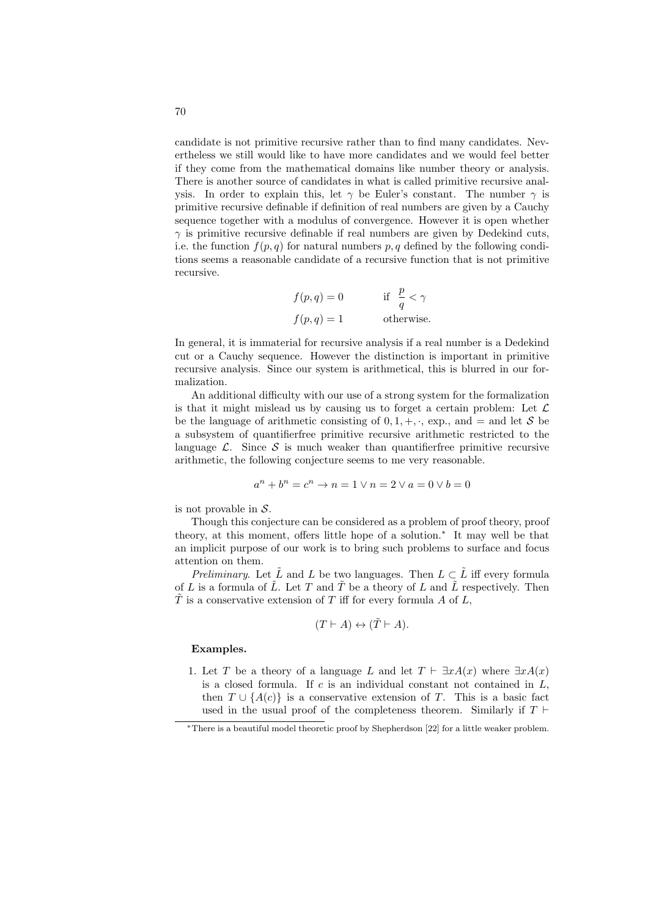candidate is not primitive recursive rather than to find many candidates. Nevertheless we still would like to have more candidates and we would feel better if they come from the mathematical domains like number theory or analysis. There is another source of candidates in what is called primitive recursive analysis. In order to explain this, let  $\gamma$  be Euler's constant. The number  $\gamma$  is primitive recursive definable if definition of real numbers are given by a Cauchy sequence together with a modulus of convergence. However it is open whether  $\gamma$  is primitive recursive definable if real numbers are given by Dedekind cuts, i.e. the function  $f(p, q)$  for natural numbers  $p, q$  defined by the following conditions seems a reasonable candidate of a recursive function that is not primitive recursive.

*<sup>f</sup>*(*p, q*) = 0 if *<sup>p</sup> q < γ f*(*p, q*) = 1 otherwise*.*

In general, it is immaterial for recursive analysis if a real number is a Dedekind cut or a Cauchy sequence. However the distinction is important in primitive recursive analysis. Since our system is arithmetical, this is blurred in our formalization.

An additional difficulty with our use of a strong system for the formalization is that it might mislead us by causing us to forget a certain problem: Let *L* be the language of arithmetic consisting of  $0, 1, +, \cdot$ , exp., and = and let *S* be a subsystem of quantifierfree primitive recursive arithmetic restricted to the language  $\mathcal{L}$ . Since  $\mathcal{S}$  is much weaker than quantifierfree primitive recursive arithmetic, the following conjecture seems to me very reasonable.

$$
a^n+b^n=c^n\to n=1\vee n=2\vee a=0\vee b=0
$$

is not provable in *S*.

Though this conjecture can be considered as a problem of proof theory, proof theory, at this moment, offers little hope of a solution.*<sup>∗</sup>* It may well be that an implicit purpose of our work is to bring such problems to surface and focus attention on them.

*Preliminary*. Let  $\tilde{L}$  and  $L$  be two languages. Then  $L \subset \tilde{L}$  iff every formula of *L* is a formula of  $\tilde{L}$ . Let *T* and  $\tilde{T}$  be a theory of *L* and  $\tilde{L}$  respectively. Then  $\tilde{T}$  is a conservative extension of  $T$  iff for every formula  $A$  of  $L$ ,

$$
(T \vdash A) \leftrightarrow (\tilde{T} \vdash A).
$$

#### **Examples.**

1. Let *T* be a theory of a language *L* and let  $T \vdash \exists x A(x)$  where  $\exists x A(x)$ is a closed formula. If *c* is an individual constant not contained in *L*, then  $T \cup \{A(c)\}\$ is a conservative extension of *T*. This is a basic fact used in the usual proof of the completeness theorem. Similarly if  $T \vdash$ 

*<sup>∗</sup>*There is a beautiful model theoretic proof by Shepherdson [22] for a little weaker problem.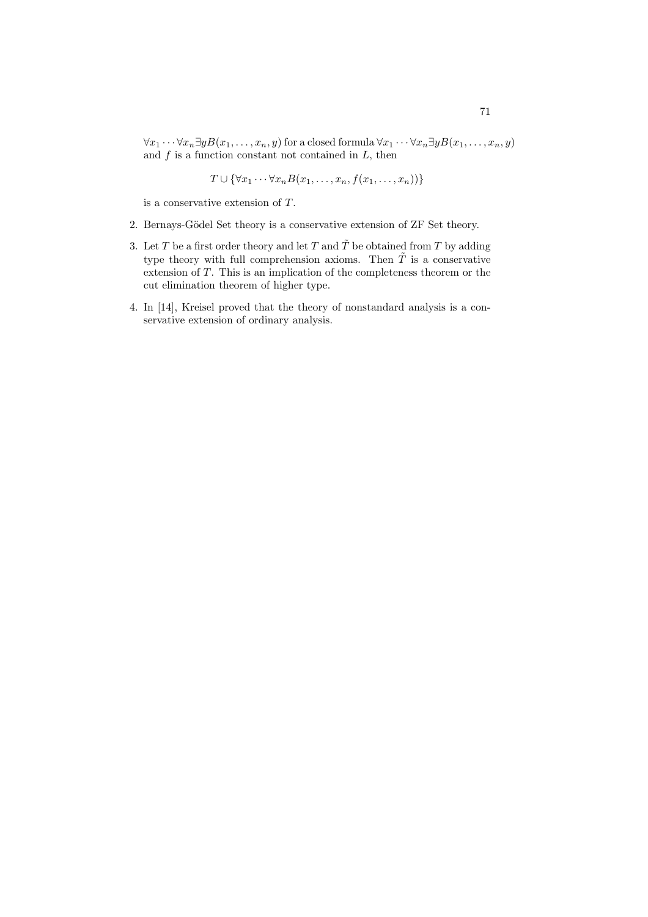$\forall x_1 \cdots \forall x_n \exists y B(x_1, \ldots, x_n, y)$  for a closed formula  $\forall x_1 \cdots \forall x_n \exists y B(x_1, \ldots, x_n, y)$ and *f* is a function constant not contained in *L*, then

$$
T \cup {\forall x_1 \cdots \forall x_n B(x_1, \ldots, x_n, f(x_1, \ldots, x_n))}
$$

is a conservative extension of *T*.

- 2. Bernays-Gödel Set theory is a conservative extension of ZF Set theory.
- 3. Let *T* be a first order theory and let *T* and  $\tilde{T}$  be obtained from *T* by adding type theory with full comprehension axioms. Then  $\tilde{T}$  is a conservative extension of *T*. This is an implication of the completeness theorem or the cut elimination theorem of higher type.
- 4. In [14], Kreisel proved that the theory of nonstandard analysis is a conservative extension of ordinary analysis.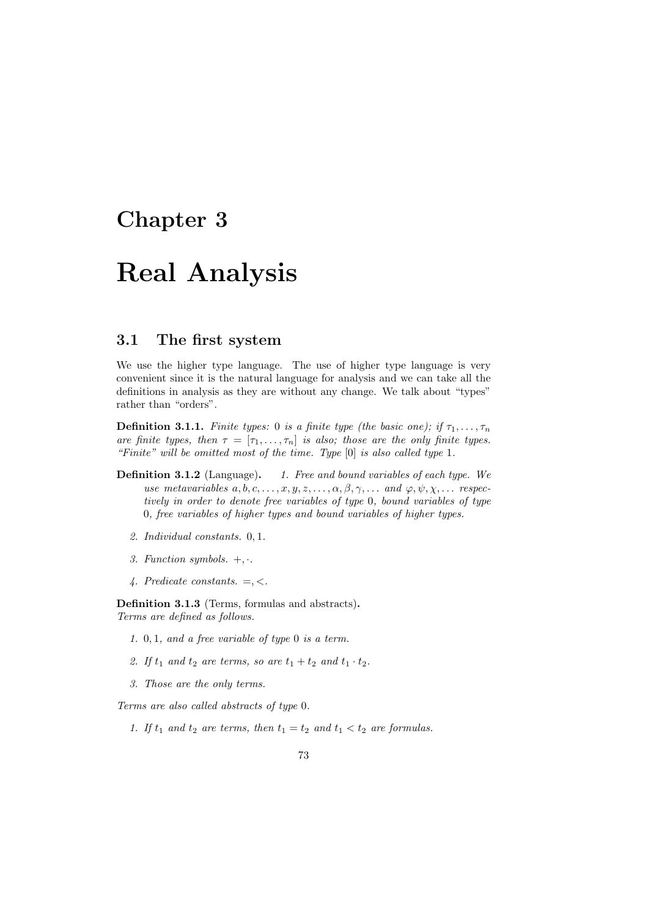## **Chapter 3**

# **Real Analysis**

## **3.1 The first system**

We use the higher type language. The use of higher type language is very convenient since it is the natural language for analysis and we can take all the definitions in analysis as they are without any change. We talk about "types" rather than "orders".

**Definition 3.1.1.** *Finite types:* 0 *is a finite type (the basic one); if*  $\tau_1, \ldots, \tau_n$ *are finite types, then*  $\tau = [\tau_1, \ldots, \tau_n]$  *is also; those are the only finite types. "Finite" will be omitted most of the time. Type* [0] *is also called type* 1*.*

- **Definition 3.1.2** (Language)**.** *1. Free and bound variables of each type. We use metavariables*  $a, b, c, \ldots, x, y, z, \ldots, \alpha, \beta, \gamma, \ldots$  and  $\varphi, \psi, \chi, \ldots$  respec*tively in order to denote free variables of type* 0*, bound variables of type* 0*, free variables of higher types and bound variables of higher types.*
	- *2. Individual constants.* 0*,* 1*.*
	- *3. Function symbols.* +*, ·.*
	- *4. Predicate constants.* =*, <.*

**Definition 3.1.3** (Terms, formulas and abstracts)**.** *Terms are defined as follows.*

- *1.* 0*,* 1*, and a free variable of type* 0 *is a term.*
- 2. If  $t_1$  and  $t_2$  are terms, so are  $t_1 + t_2$  and  $t_1 \cdot t_2$ .
- *3. Those are the only terms.*

*Terms are also called abstracts of type* 0*.*

1. If  $t_1$  and  $t_2$  are terms, then  $t_1 = t_2$  and  $t_1 < t_2$  are formulas.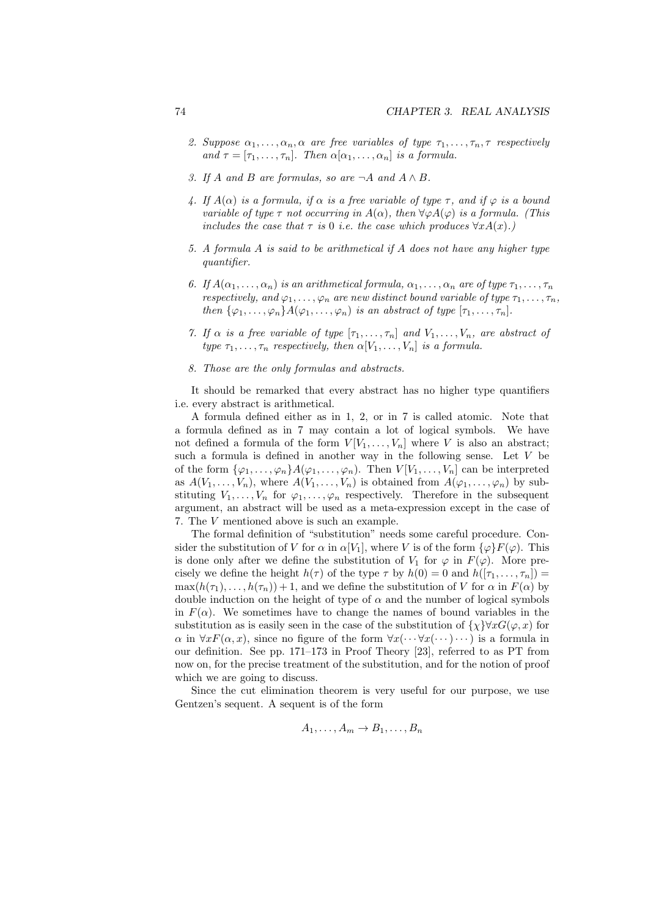- 2. *Suppose*  $\alpha_1, \ldots, \alpha_n, \alpha$  *are free variables of type*  $\tau_1, \ldots, \tau_n, \tau$  *respectively and*  $\tau = [\tau_1, \ldots, \tau_n]$ *. Then*  $\alpha[\alpha_1, \ldots, \alpha_n]$  *is a formula.*
- *3. If A and B are formulas, so are*  $\neg A$  *and*  $A \wedge B$ *.*
- *4. If*  $A(\alpha)$  *is a formula, if*  $\alpha$  *is a free variable of type*  $\tau$ *, and if*  $\varphi$  *is a bound variable of type*  $\tau$  *not occurring in*  $A(\alpha)$ *, then*  $\forall \varphi A(\varphi)$  *is a formula. (This includes the case that*  $\tau$  *is* 0 *i.e. the case which produces*  $\forall x A(x)$ *.*)
- *5. A formula A is said to be arithmetical if A does not have any higher type quantifier.*
- *6. If*  $A(\alpha_1, \ldots, \alpha_n)$  *is an arithmetical formula,*  $\alpha_1, \ldots, \alpha_n$  *are of type*  $\tau_1, \ldots, \tau_n$ *respectively, and*  $\varphi_1, \ldots, \varphi_n$  *are new distinct bound variable of type*  $\tau_1, \ldots, \tau_n$ *, then*  $\{\varphi_1, \ldots, \varphi_n\}$ *A*( $\varphi_1, \ldots, \varphi_n$ ) *is an abstract of type*  $[\tau_1, \ldots, \tau_n]$ *.*
- *7. If*  $\alpha$  *is a free variable of type*  $[\tau_1, \ldots, \tau_n]$  *and*  $V_1, \ldots, V_n$ *, are abstract of type*  $\tau_1, \ldots, \tau_n$  *respectively, then*  $\alpha[V_1, \ldots, V_n]$  *is a formula.*
- *8. Those are the only formulas and abstracts.*

It should be remarked that every abstract has no higher type quantifiers i.e. every abstract is arithmetical.

A formula defined either as in 1, 2, or in 7 is called atomic. Note that a formula defined as in 7 may contain a lot of logical symbols. We have not defined a formula of the form  $V[V_1, \ldots, V_n]$  where *V* is also an abstract; such a formula is defined in another way in the following sense. Let *V* be of the form  $\{\varphi_1, \ldots, \varphi_n\}$ *A*( $\varphi_1, \ldots, \varphi_n$ ). Then  $V[V_1, \ldots, V_n]$  can be interpreted as  $A(V_1, \ldots, V_n)$ , where  $A(V_1, \ldots, V_n)$  is obtained from  $A(\varphi_1, \ldots, \varphi_n)$  by substituting  $V_1, \ldots, V_n$  for  $\varphi_1, \ldots, \varphi_n$  respectively. Therefore in the subsequent argument, an abstract will be used as a meta-expression except in the case of 7. The *V* mentioned above is such an example.

The formal definition of "substitution" needs some careful procedure. Consider the substitution of *V* for  $\alpha$  in  $\alpha[V_1]$ , where *V* is of the form  $\{\varphi\}F(\varphi)$ . This is done only after we define the substitution of  $V_1$  for  $\varphi$  in  $F(\varphi)$ . More precisely we define the height  $h(\tau)$  of the type  $\tau$  by  $h(0) = 0$  and  $h([\tau_1, \ldots, \tau_n]) =$  $\max(h(\tau_1), \ldots, h(\tau_n)) + 1$ , and we define the substitution of *V* for  $\alpha$  in  $F(\alpha)$  by double induction on the height of type of  $\alpha$  and the number of logical symbols in  $F(\alpha)$ . We sometimes have to change the names of bound variables in the substitution as is easily seen in the case of the substitution of  $\{\chi\} \forall x G(\varphi, x)$  for  $\alpha$  in  $\forall x F(\alpha, x)$ , since no figure of the form  $\forall x (\cdots \forall x (\cdots) \cdots)$  is a formula in our definition. See pp. 171–173 in Proof Theory [23], referred to as PT from now on, for the precise treatment of the substitution, and for the notion of proof which we are going to discuss.

Since the cut elimination theorem is very useful for our purpose, we use Gentzen's sequent. A sequent is of the form

$$
A_1, \ldots, A_m \to B_1, \ldots, B_n
$$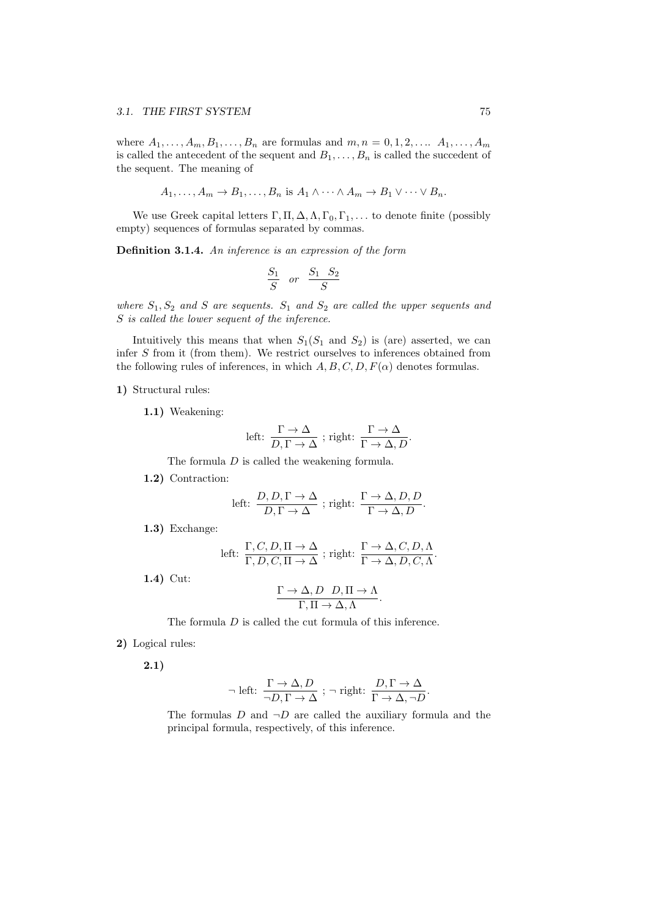where  $A_1, \ldots, A_m, B_1, \ldots, B_n$  are formulas and  $m, n = 0, 1, 2, \ldots, A_1, \ldots, A_m$ is called the antecedent of the sequent and  $B_1, \ldots, B_n$  is called the succedent of the sequent. The meaning of

$$
A_1, \ldots, A_m \to B_1, \ldots, B_n \text{ is } A_1 \wedge \cdots \wedge A_m \to B_1 \vee \cdots \vee B_n.
$$

We use Greek capital letters  $\Gamma$ ,  $\Pi$ ,  $\Delta$ ,  $\Lambda$ ,  $\Gamma_0$ ,  $\Gamma_1$ , ... to denote finite (possibly empty) sequences of formulas separated by commas.

**Definition 3.1.4.** *An inference is an expression of the form*

$$
\frac{S_1}{S} \quad or \quad \frac{S_1}{S} \frac{S_2}{S}
$$

*where S*1*, S*<sup>2</sup> *and S are sequents. S*<sup>1</sup> *and S*<sup>2</sup> *are called the upper sequents and S is called the lower sequent of the inference.*

Intuitively this means that when  $S_1(S_1 \text{ and } S_2)$  is (are) asserted, we can infer *S* from it (from them). We restrict ourselves to inferences obtained from the following rules of inferences, in which  $A, B, C, D, F(\alpha)$  denotes formulas.

#### **1)** Structural rules:

**1.1)** Weakening:

left: 
$$
\frac{\Gamma \to \Delta}{D, \Gamma \to \Delta}
$$
; right:  $\frac{\Gamma \to \Delta}{\Gamma \to \Delta, D}$ .

The formula *D* is called the weakening formula.

**1.2)** Contraction:

left: 
$$
\frac{D, D, \Gamma \to \Delta}{D, \Gamma \to \Delta}
$$
; right:  $\frac{\Gamma \to \Delta, D, D}{\Gamma \to \Delta, D}$ .

**1.3)** Exchange:

left: 
$$
\frac{\Gamma, C, D, \Pi \to \Delta}{\Gamma, D, C, \Pi \to \Delta}
$$
; right:  $\frac{\Gamma \to \Delta, C, D, \Lambda}{\Gamma \to \Delta, D, C, \Lambda}$ .

**1.4)** Cut:

$$
\frac{\Gamma \to \Delta, D \quad D, \Pi \to \Lambda}{\Gamma, \Pi \to \Delta, \Lambda}.
$$

The formula *D* is called the cut formula of this inference.

**2)** Logical rules:

**2.1)**

$$
\neg \text{ left: } \frac{\Gamma \to \Delta, D}{\neg D, \Gamma \to \Delta} \text{ ; } \neg \text{ right: } \frac{D, \Gamma \to \Delta}{\Gamma \to \Delta, \neg D}.
$$

The formulas  $D$  and  $\neg D$  are called the auxiliary formula and the principal formula, respectively, of this inference.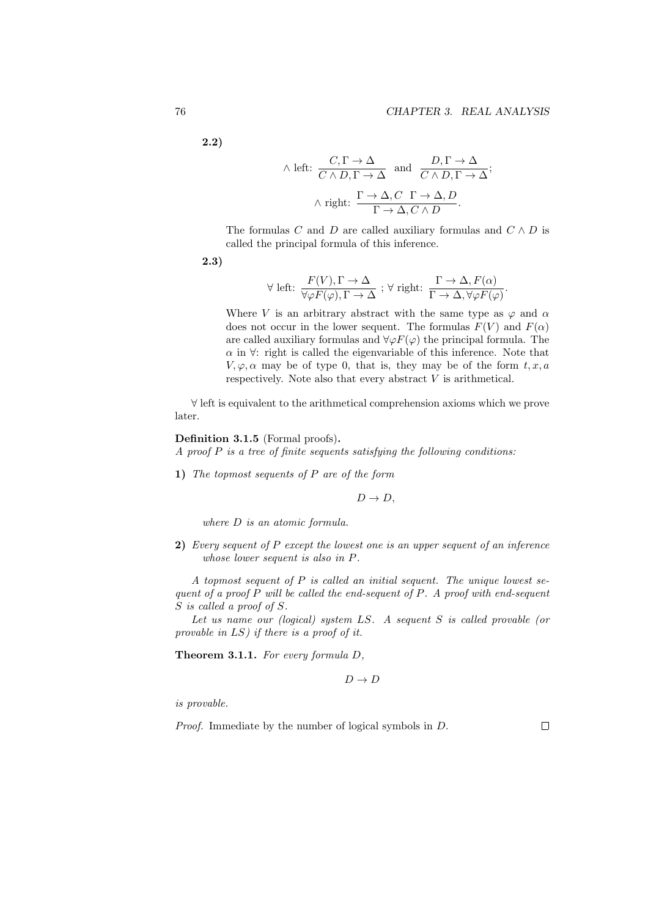.

**2.2)**

$$
\wedge \text{ left: } \frac{C, \Gamma \to \Delta}{C \wedge D, \Gamma \to \Delta} \text{ and } \frac{D, \Gamma \to \Delta}{C \wedge D, \Gamma \to \Delta};
$$

$$
\wedge \text{ right: } \frac{\Gamma \to \Delta, C \ \Gamma \to \Delta, D}{\Gamma \to \Delta, C \wedge D}.
$$

The formulas *C* and *D* are called auxiliary formulas and  $C \wedge D$  is called the principal formula of this inference.

$$
2.3)
$$

$$
\forall \text{ left: } \frac{F(V), \Gamma \to \Delta}{\forall \varphi F(\varphi), \Gamma \to \Delta} \; ; \; \forall \text{ right: } \frac{\Gamma \to \Delta, F(\alpha)}{\Gamma \to \Delta, \forall \varphi F(\varphi)}
$$

Where *V* is an arbitrary abstract with the same type as  $\varphi$  and  $\alpha$ does not occur in the lower sequent. The formulas  $F(V)$  and  $F(\alpha)$ are called auxiliary formulas and  $\forall \varphi F(\varphi)$  the principal formula. The  $\alpha$  in  $\forall$ : right is called the eigenvariable of this inference. Note that  $V, \varphi, \alpha$  may be of type 0, that is, they may be of the form  $t, x, a$ respectively. Note also that every abstract *V* is arithmetical.

*∀* left is equivalent to the arithmetical comprehension axioms which we prove later.

#### **Definition 3.1.5** (Formal proofs)**.**

*A proof P is a tree of finite sequents satisfying the following conditions:*

**1)** *The topmost sequents of P are of the form*

 $D \rightarrow D$ ,

*where D is an atomic formula.*

**2)** *Every sequent of P except the lowest one is an upper sequent of an inference whose lower sequent is also in P.*

*A topmost sequent of P is called an initial sequent. The unique lowest sequent of a proof P will be called the end-sequent of P. A proof with end-sequent S is called a proof of S.*

*Let us name our (logical) system LS. A sequent S is called provable (or provable in LS) if there is a proof of it.*

**Theorem 3.1.1.** *For every formula D,*

$$
D \to D
$$

*is provable.*

*Proof.* Immediate by the number of logical symbols in *D*.

 $\Box$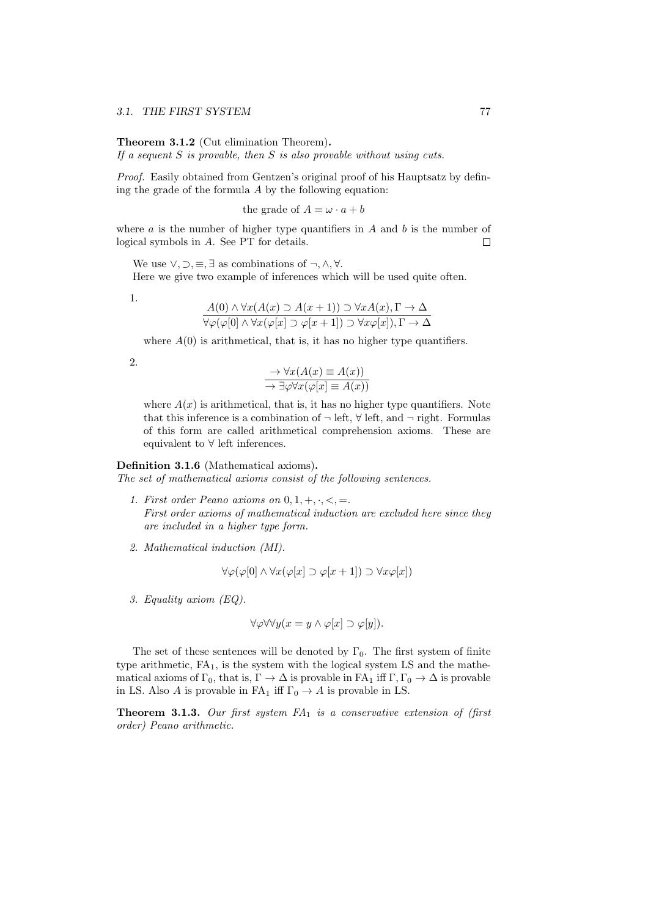**Theorem 3.1.2** (Cut elimination Theorem)**.** *If a sequent S is provable, then S is also provable without using cuts.*

*Proof.* Easily obtained from Gentzen's original proof of his Hauptsatz by defining the grade of the formula *A* by the following equation:

the grade of  $A = \omega \cdot a + b$ 

where  $a$  is the number of higher type quantifiers in  $A$  and  $b$  is the number of logical symbols in *A*. See PT for details.  $\Box$ 

We use  $\vee$ ,  $\supset$ ,  $\equiv$ ,  $\exists$  as combinations of  $\neg$ ,  $\wedge$ ,  $\forall$ . Here we give two example of inferences which will be used quite often.

1.

$$
\frac{A(0) \land \forall x (A(x) \supset A(x+1)) \supset \forall x A(x), \Gamma \to \Delta}{\forall \varphi(\varphi[0] \land \forall x (\varphi[x] \supset \varphi[x+1]) \supset \forall x \varphi[x]), \Gamma \to \Delta}
$$

where  $A(0)$  is arithmetical, that is, it has no higher type quantifiers.

2.

$$
\frac{\rightarrow \forall x (A(x) \equiv A(x))}{\rightarrow \exists \varphi \forall x (\varphi[x] \equiv A(x))}
$$

where  $A(x)$  is arithmetical, that is, it has no higher type quantifiers. Note that this inference is a combination of  $\neg$  left,  $\forall$  left, and  $\neg$  right. Formulas of this form are called arithmetical comprehension axioms. These are equivalent to *∀* left inferences.

#### **Definition 3.1.6** (Mathematical axioms)**.**

*The set of mathematical axioms consist of the following sentences.*

- *1. First order Peano axioms on* 0*,* 1*,* +*, ·, <,* =*. First order axioms of mathematical induction are excluded here since they are included in a higher type form.*
- *2. Mathematical induction (MI).*

$$
\forall \varphi(\varphi[0] \land \forall x(\varphi[x] \supset \varphi[x+1]) \supset \forall x \varphi[x])
$$

*3. Equality axiom (EQ).*

$$
\forall \varphi \forall \forall y (x = y \land \varphi[x] \supset \varphi[y]).
$$

The set of these sentences will be denoted by  $\Gamma_0$ . The first system of finite type arithmetic,  $FA<sub>1</sub>$ , is the system with the logical system LS and the mathematical axioms of  $\Gamma_0$ , that is,  $\Gamma \to \Delta$  is provable in FA<sub>1</sub> iff  $\Gamma, \Gamma_0 \to \Delta$  is provable in LS. Also *A* is provable in FA<sub>1</sub> iff  $\Gamma_0 \rightarrow A$  is provable in LS.

**Theorem 3.1.3.** *Our first system FA*<sup>1</sup> *is a conservative extension of (first order) Peano arithmetic.*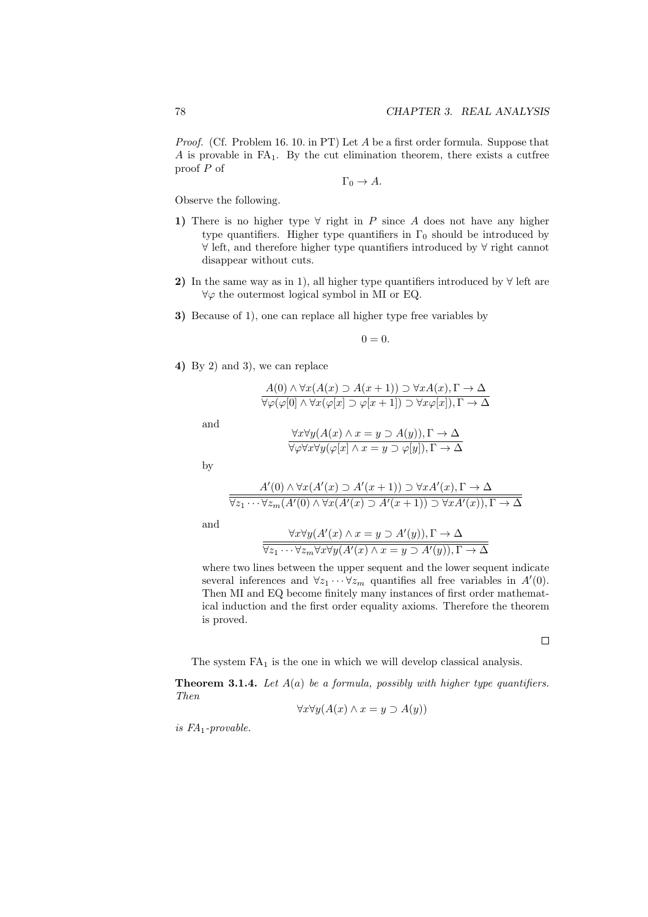*Proof.* (Cf. Problem 16. 10. in PT) Let *A* be a first order formula. Suppose that  $A$  is provable in FA<sub>1</sub>. By the cut elimination theorem, there exists a cutfree proof *P* of

$$
\Gamma_0 \to A.
$$

Observe the following.

- **1)** There is no higher type  $\forall$  right in *P* since *A* does not have any higher type quantifiers. Higher type quantifiers in  $\Gamma_0$  should be introduced by *∀* left, and therefore higher type quantifiers introduced by *∀* right cannot disappear without cuts.
- **2)** In the same way as in 1), all higher type quantifiers introduced by *∀* left are *∀φ* the outermost logical symbol in MI or EQ.
- **3)** Because of 1), one can replace all higher type free variables by

$$
0=0.
$$

**4)** By 2) and 3), we can replace

$$
\frac{A(0) \land \forall x (A(x) \supset A(x+1)) \supset \forall x A(x), \Gamma \to \Delta}{\forall \varphi(\varphi[0] \land \forall x (\varphi[x] \supset \varphi[x+1]) \supset \forall x \varphi[x]), \Gamma \to \Delta}
$$

and

$$
\frac{\forall x \forall y (A(x) \land x = y \supset A(y)), \Gamma \to \Delta}{\forall \varphi \forall x \forall y (\varphi[x] \land x = y \supset \varphi[y]), \Gamma \to \Delta}
$$

by

$$
\frac{A'(0) \wedge \forall x (A'(x) \supset A'(x+1)) \supset \forall x A'(x), \Gamma \to \Delta}{\forall z_1 \cdots \forall z_m (A'(0) \wedge \forall x (A'(x) \supset A'(x+1)) \supset \forall x A'(x)), \Gamma \to \Delta}
$$

and

$$
\frac{\forall x \forall y (A'(x) \land x = y \supset A'(y)), \Gamma \to \Delta}{\forall z_1 \cdots \forall z_m \forall x \forall y (A'(x) \land x = y \supset A'(y)), \Gamma \to \Delta}
$$

where two lines between the upper sequent and the lower sequent indicate several inferences and  $\forall z_1 \cdots \forall z_m$  quantifies all free variables in  $A'(0)$ . Then MI and EQ become finitely many instances of first order mathematical induction and the first order equality axioms. Therefore the theorem is proved.

 $\Box$ 

The system  $FA<sub>1</sub>$  is the one in which we will develop classical analysis.

**Theorem 3.1.4.** *Let A*(*a*) *be a formula, possibly with higher type quantifiers. Then*

$$
\forall x \forall y (A(x) \land x = y \supset A(y))
$$

*is FA*1*-provable.*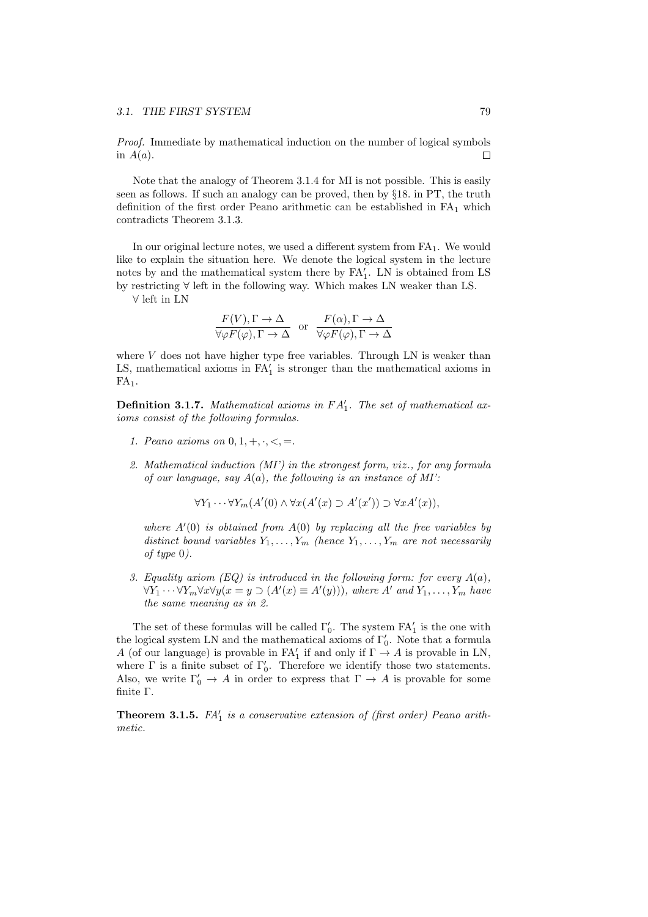*Proof.* Immediate by mathematical induction on the number of logical symbols in  $A(a)$ .  $\Box$ 

Note that the analogy of Theorem 3.1.4 for MI is not possible. This is easily seen as follows. If such an analogy can be proved, then by *§*18. in PT, the truth definition of the first order Peano arithmetic can be established in  $FA<sub>1</sub>$  which contradicts Theorem 3.1.3.

In our original lecture notes, we used a different system from  $FA<sub>1</sub>$ . We would like to explain the situation here. We denote the logical system in the lecture notes by and the mathematical system there by  $FA'_{1}$ . LN is obtained from LS by restricting *∀* left in the following way. Which makes LN weaker than LS.

*∀* left in LN

$$
\frac{F(V), \Gamma \to \Delta}{\forall \varphi F(\varphi), \Gamma \to \Delta} \text{ or } \frac{F(\alpha), \Gamma \to \Delta}{\forall \varphi F(\varphi), \Gamma \to \Delta}
$$

where  $V$  does not have higher type free variables. Through LN is weaker than LS, mathematical axioms in  $FA'$  is stronger than the mathematical axioms in  $FA<sub>1</sub>$ .

**Definition 3.1.7.** *Mathematical axioms in F A′* 1 *. The set of mathematical axioms consist of the following formulas.*

- *1. Peano axioms on* 0*,* 1*,* +*, ·, <,* =*.*
- *2. Mathematical induction (MI') in the strongest form, viz., for any formula of our language, say A*(*a*)*, the following is an instance of MI':*

$$
\forall Y_1 \cdots \forall Y_m (A'(0) \land \forall x (A'(x) \supset A'(x')) \supset \forall x A'(x)),
$$

*where A′* (0) *is obtained from A*(0) *by replacing all the free variables by distinct bound variables*  $Y_1, \ldots, Y_m$  *(hence*  $Y_1, \ldots, Y_m$  *are not necessarily of type* 0*).*

*3. Equality axiom (EQ) is introduced in the following form: for every A*(*a*)*,*  $\forall Y_1 \cdots \forall Y_m \forall x \forall y (x = y \supset (A'(x) \equiv A'(y))),$  where A' and  $Y_1, \ldots, Y_m$  have *the same meaning as in 2.*

The set of these formulas will be called Γ*′* 0 . The system FA*′* 1 is the one with the logical system LN and the mathematical axioms of Γ*′* 0 . Note that a formula *A* (of our language) is provable in  $FA'$  if and only if  $\Gamma \to A$  is provable in LN, where  $\Gamma$  is a finite subset of  $\Gamma'_{0}$ . Therefore we identify those two statements. Also, we write  $\Gamma'_0 \to A$  in order to express that  $\Gamma \to A$  is provable for some finite Γ.

**Theorem 3.1.5.** *FA′* 1 *is a conservative extension of (first order) Peano arithmetic.*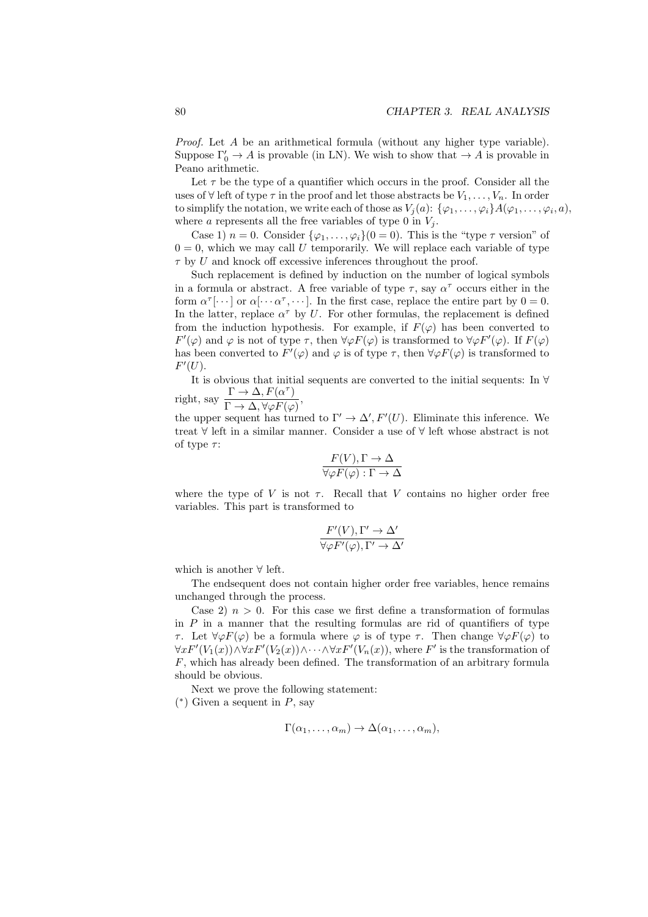*Proof.* Let *A* be an arithmetical formula (without any higher type variable). Suppose  $\Gamma'_0 \to A$  is provable (in LN). We wish to show that  $\to A$  is provable in Peano arithmetic.

Let  $\tau$  be the type of a quantifier which occurs in the proof. Consider all the uses of  $\forall$  left of type  $\tau$  in the proof and let those abstracts be  $V_1, \ldots, V_n$ . In order to simplify the notation, we write each of those as  $V_j(a)$ :  $\{\varphi_1, \ldots, \varphi_i\} A(\varphi_1, \ldots, \varphi_i, a),$ where *a* represents all the free variables of type 0 in  $V_i$ .

Case 1)  $n = 0$ . Consider  $\{\varphi_1, \ldots, \varphi_i\}(0 = 0)$ . This is the "type  $\tau$  version" of  $0 = 0$ , which we may call U temporarily. We will replace each variable of type *τ* by *U* and knock off excessive inferences throughout the proof.

Such replacement is defined by induction on the number of logical symbols in a formula or abstract. A free variable of type  $\tau$ , say  $\alpha^{\tau}$  occurs either in the form  $\alpha^{\tau}[\cdots]$  or  $\alpha[\cdots \alpha^{\tau}, \cdots]$ . In the first case, replace the entire part by  $0 = 0$ . In the latter, replace  $\alpha^{\tau}$  by *U*. For other formulas, the replacement is defined from the induction hypothesis. For example, if  $F(\varphi)$  has been converted to *F*<sup>'</sup>( $\varphi$ ) and  $\varphi$  is not of type *τ*, then  $\forall \varphi F(\varphi)$  is transformed to  $\forall \varphi F'(\varphi)$ . If  $F(\varphi)$ has been converted to  $F'(\varphi)$  and  $\varphi$  is of type  $\tau$ , then  $\forall \varphi F(\varphi)$  is transformed to  $F'(U).$ 

It is obvious that initial sequents are converted to the initial sequents: In *∀* right, say  $\frac{\Gamma \to \Delta, F(\alpha^{\tau})}{\Gamma \to \Delta, \Delta, \Delta, F(\alpha^{\tau})}$ ,

$$
sgn, say \ \overline{\Gamma \to \Delta, \forall \varphi F(\varphi)}
$$

the upper sequent has turned to  $\Gamma' \to \Delta'$ ,  $F'(U)$ . Eliminate this inference. We treat *∀* left in a similar manner. Consider a use of *∀* left whose abstract is not of type *τ* :

$$
\frac{F(V), \Gamma \to \Delta}{\forall \varphi F(\varphi) : \Gamma \to \Delta}
$$

where the type of *V* is not  $\tau$ . Recall that *V* contains no higher order free variables. This part is transformed to

$$
\frac{F'(V), \Gamma' \to \Delta'}{\forall \varphi F'(\varphi), \Gamma' \to \Delta'}
$$

which is another *∀* left.

The endsequent does not contain higher order free variables, hence remains unchanged through the process.

Case 2)  $n > 0$ . For this case we first define a transformation of formulas in  $P$  in a manner that the resulting formulas are rid of quantifiers of type *τ*. Let  $∀φF(φ)$  be a formula where *φ* is of type *τ*. Then change  $∀φF(φ)$  to  $\forall x F'(V_1(x)) \land \forall x F'(V_2(x)) \land \cdots \land \forall x F'(V_n(x))$ , where *F*' is the transformation of *F*, which has already been defined. The transformation of an arbitrary formula should be obvious.

Next we prove the following statement:

( *∗* ) Given a sequent in *P*, say

$$
\Gamma(\alpha_1,\ldots,\alpha_m)\to\Delta(\alpha_1,\ldots,\alpha_m),
$$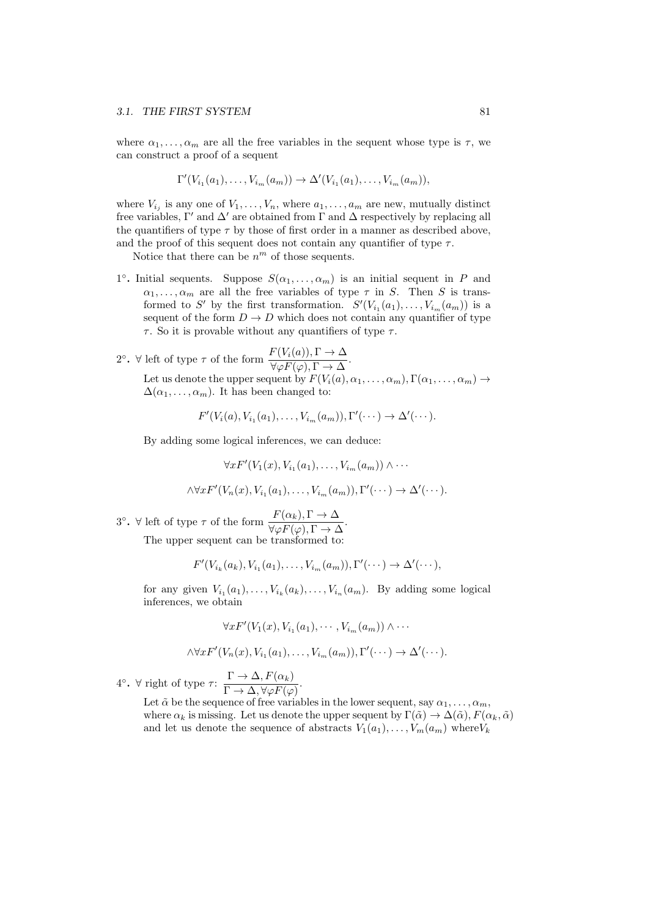where  $\alpha_1, \ldots, \alpha_m$  are all the free variables in the sequent whose type is  $\tau$ , we can construct a proof of a sequent

$$
\Gamma'(V_{i_1}(a_1),...,V_{i_m}(a_m)) \to \Delta'(V_{i_1}(a_1),...,V_{i_m}(a_m)),
$$

where  $V_{i_j}$  is any one of  $V_1, \ldots, V_n$ , where  $a_1, \ldots, a_m$  are new, mutually distinct free variables,  $\Gamma'$  and  $\Delta'$  are obtained from  $\Gamma$  and  $\Delta$  respectively by replacing all the quantifiers of type  $\tau$  by those of first order in a manner as described above, and the proof of this sequent does not contain any quantifier of type  $\tau$ .

Notice that there can be  $n^m$  of those sequents.

<sup>1°</sup>. Initial sequents. Suppose  $S(\alpha_1, \ldots, \alpha_m)$  is an initial sequent in *P* and  $\alpha_1, \ldots, \alpha_m$  are all the free variables of type  $\tau$  in *S*. Then *S* is transformed to *S'* by the first transformation.  $S'(V_{i_1}(a_1), \ldots, V_{i_m}(a_m))$  is a sequent of the form  $D \to D$  which does not contain any quantifier of type *τ* . So it is provable without any quantifiers of type *τ* .

2°. 
$$
\forall
$$
 left of type  $\tau$  of the form  $\frac{F(V_i(a)), \Gamma \to \Delta}{\forall \varphi F(\varphi), \Gamma \to \Delta}$ .  
Let us denote the upper sequent by  $F(V_i(a), \alpha_1, ..., \alpha_m), \Gamma(\alpha_1, ..., \alpha_m) \to \Delta(\alpha_1, ..., \alpha_m)$ . It has been changed to:

$$
F'(V_i(a), V_{i_1}(a_1), \ldots, V_{i_m}(a_m)), \Gamma'(\cdots) \to \Delta'(\cdots).
$$

By adding some logical inferences, we can deduce:

$$
\forall x F'(V_1(x), V_{i_1}(a_1), \dots, V_{i_m}(a_m)) \land \dots
$$
  

$$
\land \forall x F'(V_n(x), V_{i_1}(a_1), \dots, V_{i_m}(a_m)), \Gamma'(\dots) \to \Delta'(\dots).
$$

<sup>3</sup><sup>*ο*</sup>**.**  $\forall$  left of type *τ* of the form  $\frac{F(\alpha_k), \Gamma \to \Delta}{\forall \varphi F(\varphi), \Gamma \to \Delta}$ . The upper sequent can be transformed to:

$$
F'(V_{i_k}(a_k), V_{i_1}(a_1), \ldots, V_{i_m}(a_m)), \Gamma'(\cdots) \to \Delta'(\cdots),
$$

for any given  $V_{i_1}(a_1), \ldots, V_{i_k}(a_k), \ldots, V_{i_n}(a_m)$ . By adding some logical inferences, we obtain

$$
\forall x F'(V_1(x), V_{i_1}(a_1), \cdots, V_{i_m}(a_m)) \wedge \cdots
$$
  

$$
\wedge \forall x F'(V_n(x), V_{i_1}(a_1), \ldots, V_{i_m}(a_m)), \Gamma'(\cdots) \to \Delta'(\cdots).
$$

 $4^\circ$  **·**  $\forall$  right of type *τ* :  $\frac{\Gamma \rightarrow \Delta, F(\alpha_k)}{\Gamma \rightarrow \Delta, \sqrt{F(\alpha_k)}}$  $\frac{1}{\Gamma \to \Delta, \forall \varphi F(\varphi)}$ .

Let  $\tilde{\alpha}$  be the sequence of free variables in the lower sequent, say  $\alpha_1, \ldots, \alpha_m$ , where  $\alpha_k$  is missing. Let us denote the upper sequent by  $\Gamma(\tilde{\alpha}) \to \Delta(\tilde{\alpha}), F(\alpha_k, \tilde{\alpha})$ and let us denote the sequence of abstracts  $V_1(a_1), \ldots, V_m(a_m)$  where  $V_k$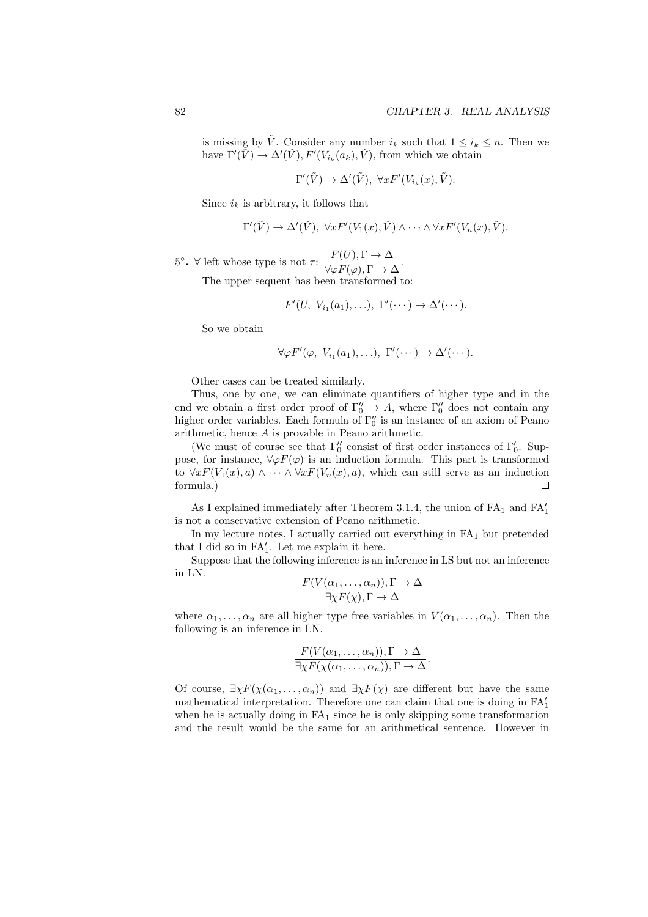is missing by  $\tilde{V}$ . Consider any number  $i_k$  such that  $1 \leq i_k \leq n$ . Then we have  $\Gamma'(\tilde{V}) \to \Delta'(\tilde{V}), F'(V_{i_k}(a_k), \tilde{V})$ , from which we obtain

$$
\Gamma'(\tilde{V}) \to \Delta'(\tilde{V}), \ \forall x F'(V_{i_k}(x), \tilde{V}).
$$

Since  $i_k$  is arbitrary, it follows that

$$
\Gamma'(\tilde{V}) \to \Delta'(\tilde{V}), \ \forall x F'(V_1(x), \tilde{V}) \wedge \cdots \wedge \forall x F'(V_n(x), \tilde{V}).
$$

<sup>5</sup>  $\cdot$   $\forall$  left whose type is not *τ* :  $\frac{F(U), \Gamma \rightarrow \Delta}{\sqrt{F(V), \Gamma}}$  $\frac{P(\sigma)}{\forall \varphi F(\varphi), \Gamma \to \Delta}.$ The upper sequent has been transformed to:

$$
F'(U, V_{i_1}(a_1), \ldots), \; \Gamma'(\cdots) \to \Delta'(\cdots).
$$

So we obtain

$$
\forall \varphi F'(\varphi, V_{i_1}(a_1), \ldots), \ \Gamma'(\cdots) \to \Delta'(\cdots).
$$

Other cases can be treated similarly.

Thus, one by one, we can eliminate quantifiers of higher type and in the end we obtain a first order proof of  $\Gamma''_0 \to A$ , where  $\Gamma''_0$  does not contain any higher order variables. Each formula of Γ*′′* 0 is an instance of an axiom of Peano arithmetic, hence *A* is provable in Peano arithmetic.

(We must of course see that  $\Gamma''_0$  consist of first order instances of  $\Gamma'_0$ . Suppose, for instance,  $\forall \varphi F(\varphi)$  is an induction formula. This part is transformed to  $\forall x F(V_1(x), a) \land \cdots \land \forall x F(V_n(x), a)$ , which can still serve as an induction formula.)  $\Box$ 

As I explained immediately after Theorem 3.1.4, the union of  $FA<sub>1</sub>$  and  $FA'<sub>1</sub>$ is not a conservative extension of Peano arithmetic.

In my lecture notes, I actually carried out everything in  $FA<sub>1</sub>$  but pretended that I did so in FA*′* 1 . Let me explain it here.

Suppose that the following inference is an inference in LS but not an inference in LN.

$$
\frac{F(V(\alpha_1,\ldots,\alpha_n)),\Gamma\to\Delta}{\exists\chi F(\chi),\Gamma\to\Delta}
$$

where  $\alpha_1, \ldots, \alpha_n$  are all higher type free variables in  $V(\alpha_1, \ldots, \alpha_n)$ . Then the following is an inference in LN.

$$
\frac{F(V(\alpha_1,\ldots,\alpha_n)),\Gamma \to \Delta}{\exists \chi F(\chi(\alpha_1,\ldots,\alpha_n)),\Gamma \to \Delta}.
$$

Of course,  $\exists \chi F(\chi(\alpha_1, \ldots, \alpha_n))$  and  $\exists \chi F(\chi)$  are different but have the same mathematical interpretation. Therefore one can claim that one is doing in FA*′* 1 when he is actually doing in  $FA<sub>1</sub>$  since he is only skipping some transformation and the result would be the same for an arithmetical sentence. However in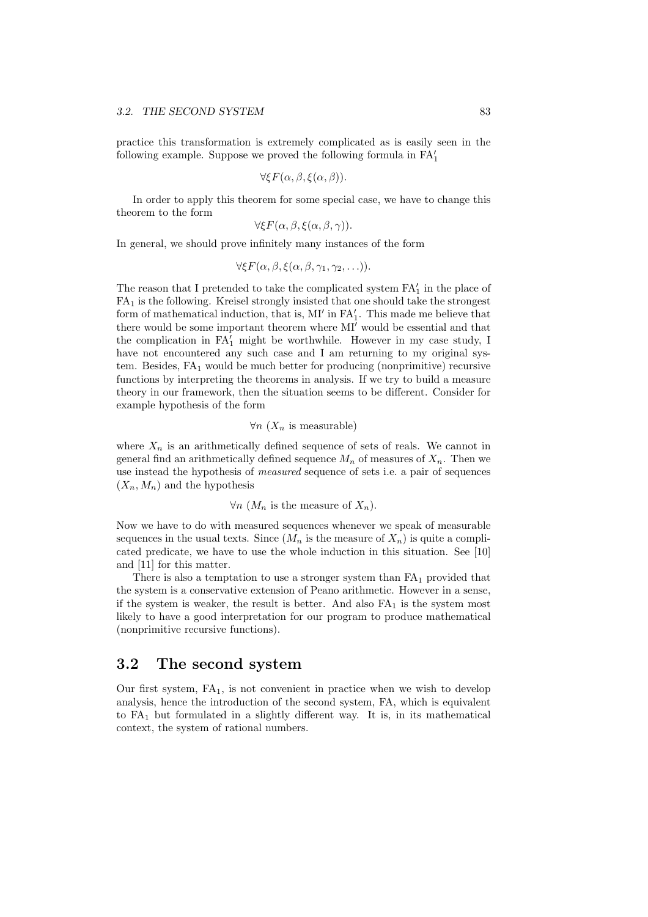practice this transformation is extremely complicated as is easily seen in the following example. Suppose we proved the following formula in FA*′* 1

$$
\forall \xi F(\alpha, \beta, \xi(\alpha, \beta)).
$$

In order to apply this theorem for some special case, we have to change this theorem to the form

$$
\forall \xi F(\alpha, \beta, \xi(\alpha, \beta, \gamma)).
$$

In general, we should prove infinitely many instances of the form

$$
\forall \xi F(\alpha,\beta,\xi(\alpha,\beta,\gamma_1,\gamma_2,\ldots)).
$$

The reason that I pretended to take the complicated system FA*′* 1 in the place of  $FA<sub>1</sub>$  is the following. Kreisel strongly insisted that one should take the strongest form of mathematical induction, that is, MI<sup>'</sup> in FA<sup>'</sup><sub>1</sub>. This made me believe that there would be some important theorem where MI*′* would be essential and that the complication in FA*′* <sup>1</sup> might be worthwhile. However in my case study, I have not encountered any such case and I am returning to my original system. Besides,  $FA_1$  would be much better for producing (nonprimitive) recursive functions by interpreting the theorems in analysis. If we try to build a measure theory in our framework, then the situation seems to be different. Consider for example hypothesis of the form

#### *∀n* (*X<sup>n</sup>* is measurable)

where  $X_n$  is an arithmetically defined sequence of sets of reals. We cannot in general find an arithmetically defined sequence  $M_n$  of measures of  $X_n$ . Then we use instead the hypothesis of *measured* sequence of sets i.e. a pair of sequences  $(X_n, M_n)$  and the hypothesis

*∀n* ( $M_n$  is the measure of  $X_n$ ).

Now we have to do with measured sequences whenever we speak of measurable sequences in the usual texts. Since  $(M_n$  is the measure of  $X_n$ ) is quite a complicated predicate, we have to use the whole induction in this situation. See [10] and [11] for this matter.

There is also a temptation to use a stronger system than  $FA<sub>1</sub>$  provided that the system is a conservative extension of Peano arithmetic. However in a sense, if the system is weaker, the result is better. And also  $FA<sub>1</sub>$  is the system most likely to have a good interpretation for our program to produce mathematical (nonprimitive recursive functions).

#### **3.2 The second system**

Our first system,  $FA<sub>1</sub>$ , is not convenient in practice when we wish to develop analysis, hence the introduction of the second system, FA, which is equivalent to  $FA<sub>1</sub>$  but formulated in a slightly different way. It is, in its mathematical context, the system of rational numbers.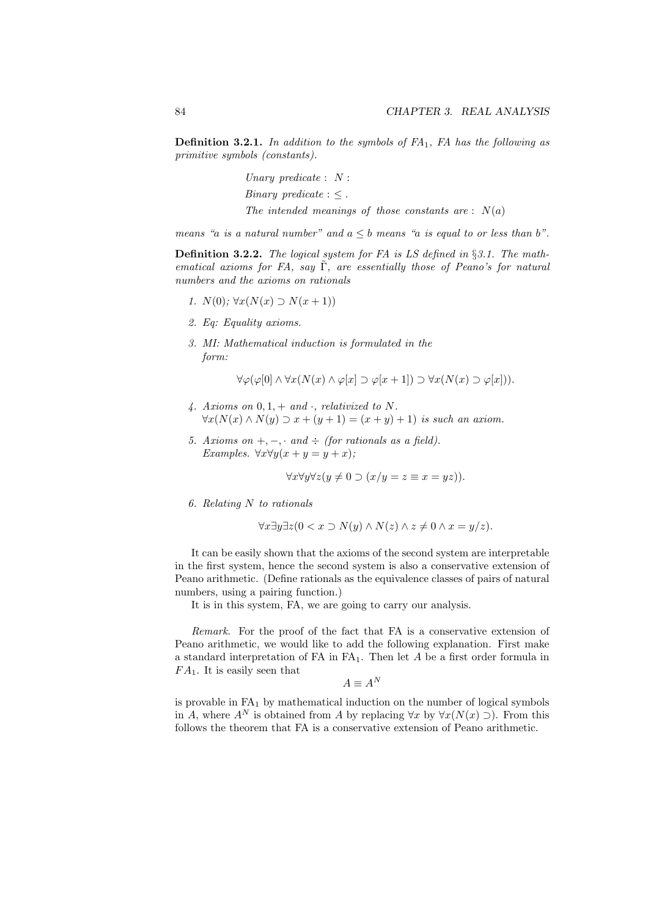**Definition 3.2.1.** *In addition to the symbols of FA*1*, FA has the following as primitive symbols (constants).*

> *Unary predicate* : *N* : *Binary predicate* :  $\leq$ . *The intended meanings of those constants are* : *N*(*a*)

*means* "*a is a natural number*" and  $a < b$  *means* "*a is equal to or less than b*".

**Definition 3.2.2.** *The logical system for FA is LS defined in §3.1. The mathematical axioms for FA, say* Γ˜*, are essentially those of Peano's for natural numbers and the axioms on rationals*

- *1.*  $N(0)$ ;  $\forall x (N(x) \supset N(x+1))$
- *2. Eq: Equality axioms.*
- *3. MI: Mathematical induction is formulated in the form:*

*∀* $\varphi$ ( $\varphi$ [0]  $\wedge$   $\forall$ *x*( $N(x)$   $\wedge$   $\varphi$ [*x*]  $\supset \varphi$ [*x* + 1])  $\supset \forall$ *x*( $N(x)$   $\supset \varphi$ [*x*])).

- *4. Axioms on* 0*,* 1*,* + *and ·, relativized to N. ∀x*(*N*(*x*) ∧ *N*(*y*) ⊃ *x* + (*y* + 1) = (*x* + *y*) + 1) *is such an axiom.*
- *5. Axioms on*  $+$ *,*  $-$ *,*  $\cdot$  *and*  $\div$  *(for rationals as a field). Examples.*  $\forall x \forall y (x + y = y + x)$ ;

$$
\forall x \forall y \forall z (y \neq 0 \supset (x/y = z \equiv x = yz)).
$$

*6. Relating N to rationals*

$$
\forall x \exists y \exists z (0 < x \supset N(y) \land N(z) \land z \neq 0 \land x = y/z).
$$

It can be easily shown that the axioms of the second system are interpretable in the first system, hence the second system is also a conservative extension of Peano arithmetic. (Define rationals as the equivalence classes of pairs of natural numbers, using a pairing function.)

It is in this system, FA, we are going to carry our analysis.

*Remark*. For the proof of the fact that FA is a conservative extension of Peano arithmetic, we would like to add the following explanation. First make a standard interpretation of FA in FA1. Then let *A* be a first order formula in *F A*1. It is easily seen that

$$
A \equiv A^N
$$

is provable in  $FA<sub>1</sub>$  by mathematical induction on the number of logical symbols in *A*, where  $A^N$  is obtained from *A* by replacing  $\forall x$  by  $\forall x (N(x) \supseteq)$ . From this follows the theorem that FA is a conservative extension of Peano arithmetic.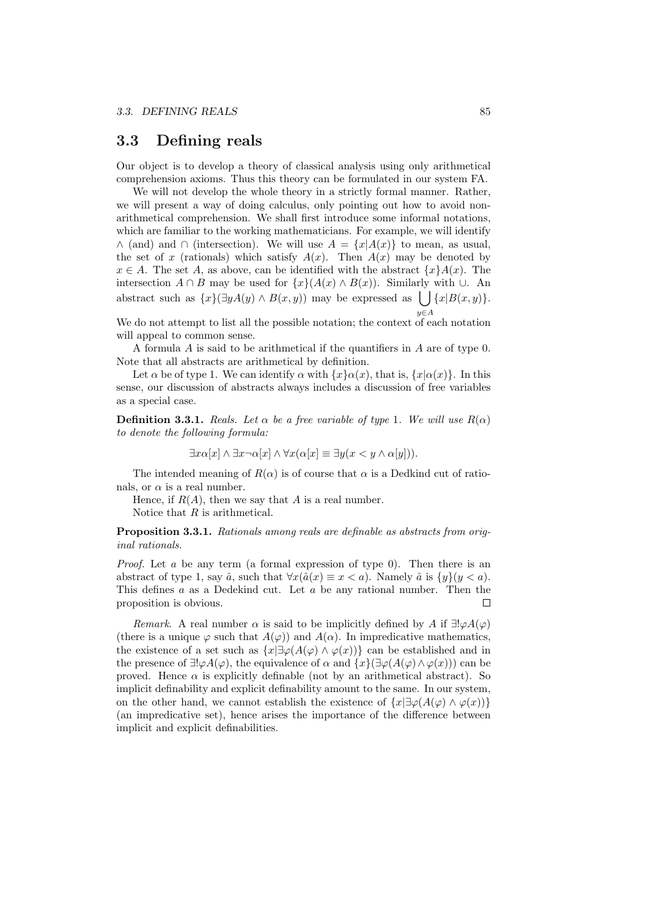## **3.3 Defining reals**

Our object is to develop a theory of classical analysis using only arithmetical comprehension axioms. Thus this theory can be formulated in our system FA.

We will not develop the whole theory in a strictly formal manner. Rather, we will present a way of doing calculus, only pointing out how to avoid nonarithmetical comprehension. We shall first introduce some informal notations, which are familiar to the working mathematicians. For example, we will identify *∧* (and) and  $\cap$  (intersection). We will use  $A = \{x | A(x)\}\$ to mean, as usual, the set of *x* (rationals) which satisfy  $A(x)$ . Then  $A(x)$  may be denoted by  $x \in A$ . The set *A*, as above, can be identified with the abstract  $\{x\}A(x)$ . The intersection  $A \cap B$  may be used for  $\{x\}(A(x) \land B(x))$ . Similarly with  $\cup$ . An abstract such as  $\{x\}(\exists y A(y) \land B(x, y))$  may be expressed as  $\bigcup \{x | B(x, y)\}.$ 

We do not attempt to list all the possible notation; the context of each notation will appeal to common sense.

A formula *A* is said to be arithmetical if the quantifiers in *A* are of type 0. Note that all abstracts are arithmetical by definition.

Let *α* be of type 1. We can identify *α* with  $\{x\}a(x)$ , that is,  $\{x|a(x)\}$ . In this sense, our discussion of abstracts always includes a discussion of free variables as a special case.

**Definition 3.3.1.** *Reals. Let*  $\alpha$  *be a free variable of type* 1*. We will use*  $R(\alpha)$ *to denote the following formula:*

 $\exists x \alpha[x] \land \exists x \neg \alpha[x] \land \forall x (\alpha[x] \equiv \exists y(x \lt y \land \alpha[y]))$ .

The intended meaning of  $R(\alpha)$  is of course that  $\alpha$  is a Dedkind cut of rationals, or  $\alpha$  is a real number.

Hence, if  $R(A)$ , then we say that A is a real number.

Notice that *R* is arithmetical.

**Proposition 3.3.1.** *Rationals among reals are definable as abstracts from original rationals.*

*Proof.* Let *a* be any term (a formal expression of type 0). Then there is an abstract of type 1, say  $\hat{a}$ , such that  $\forall x (\hat{a}(x) \equiv x < a)$ . Namely  $\hat{a}$  is  $\{y\}(y < a)$ . This defines *a* as a Dedekind cut. Let *a* be any rational number. Then the proposition is obvious.  $\Box$ 

*Remark*. A real number  $\alpha$  is said to be implicitly defined by *A* if  $\exists ! \varphi A(\varphi)$ (there is a unique  $\varphi$  such that  $A(\varphi)$ ) and  $A(\alpha)$ . In impredicative mathematics, the existence of a set such as  $\{x | \exists \varphi(A(\varphi) \land \varphi(x))\}$  can be established and in the presence of  $\exists !\varphi A(\varphi)$ , the equivalence of  $\alpha$  and  $\{x\}(\exists \varphi(A(\varphi) \wedge \varphi(x)))$  can be proved. Hence  $\alpha$  is explicitly definable (not by an arithmetical abstract). So implicit definability and explicit definability amount to the same. In our system, on the other hand, we cannot establish the existence of  $\{x | \exists \varphi(A(\varphi) \land \varphi(x))\}$ (an impredicative set), hence arises the importance of the difference between implicit and explicit definabilities.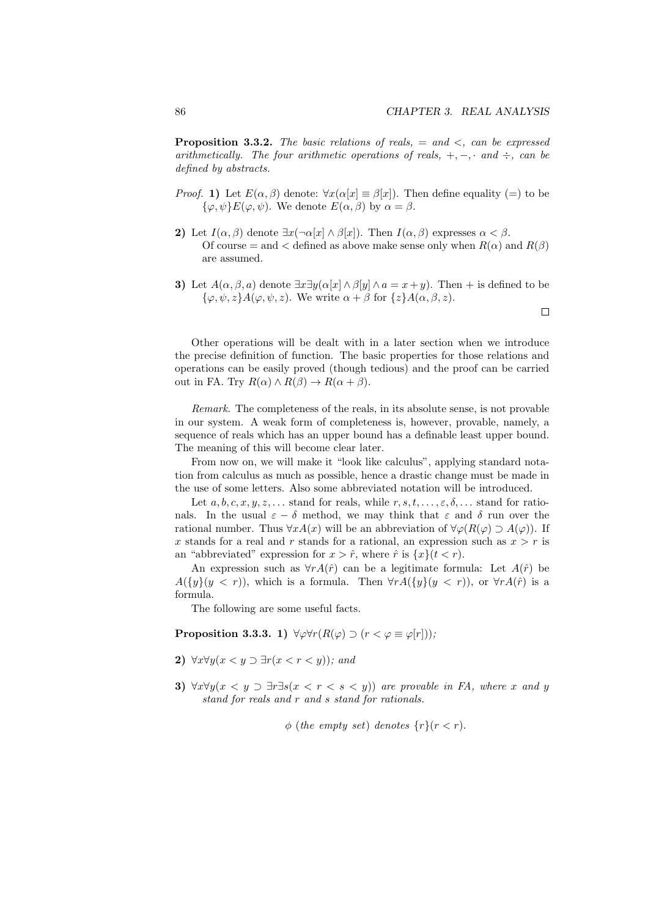**Proposition 3.3.2.** *The basic relations of reals,* = *and <, can be expressed arithmetically. The four arithmetic operations of reals,*  $+,-$ *,*  $\cdot$  *and*  $\div$ *, can be defined by abstracts.*

- *Proof.* **1)** Let  $E(\alpha, \beta)$  denote:  $\forall x (\alpha[x] \equiv \beta[x])$ . Then define equality (=) to be  $\{\varphi, \psi\}E(\varphi, \psi)$ . We denote  $E(\alpha, \beta)$  by  $\alpha = \beta$ .
- **2)** Let  $I(\alpha, \beta)$  denote  $\exists x (\neg \alpha[x] \land \beta[x])$ . Then  $I(\alpha, \beta)$  expresses  $\alpha < \beta$ . Of course = and < defined as above make sense only when  $R(\alpha)$  and  $R(\beta)$ are assumed.
- **3)** Let  $A(\alpha, \beta, a)$  denote  $\exists x \exists y (\alpha[x] \land \beta[y] \land a = x + y)$ . Then + is defined to be *{φ, ψ, z}A*(*φ, ψ, z*). We write *α* + *β* for *{z}A*(*α, β, z*).

 $\Box$ 

Other operations will be dealt with in a later section when we introduce the precise definition of function. The basic properties for those relations and operations can be easily proved (though tedious) and the proof can be carried out in FA. Try  $R(\alpha) \wedge R(\beta) \rightarrow R(\alpha + \beta)$ .

*Remark*. The completeness of the reals, in its absolute sense, is not provable in our system. A weak form of completeness is, however, provable, namely, a sequence of reals which has an upper bound has a definable least upper bound. The meaning of this will become clear later.

From now on, we will make it "look like calculus", applying standard notation from calculus as much as possible, hence a drastic change must be made in the use of some letters. Also some abbreviated notation will be introduced.

Let  $a, b, c, x, y, z, \ldots$  stand for reals, while  $r, s, t, \ldots, \varepsilon, \delta, \ldots$  stand for rationals. In the usual  $\varepsilon - \delta$  method, we may think that  $\varepsilon$  and  $\delta$  run over the rational number. Thus  $\forall x A(x)$  will be an abbreviation of  $\forall \varphi(R(\varphi) \supset A(\varphi))$ . If x stands for a real and r stands for a rational, an expression such as  $x > r$  is an "abbreviated" expression for  $x > \hat{r}$ , where  $\hat{r}$  is  $\{x\}(t < r)$ .

An expression such as  $\forall r A(\hat{r})$  can be a legitimate formula: Let  $A(\hat{r})$  be *A*( $\{y\}(y < r)$ ), which is a formula. Then  $\forall r A(\{y\}(y < r))$ , or  $\forall r A(\hat{r})$  is a formula.

The following are some useful facts.

**Proposition 3.3.3.** 1)  $\forall \varphi \forall r (R(\varphi) \supset (r < \varphi \equiv \varphi[r]))$ ;

- **2)** *∀x∀y*(*x < y ⊃ ∃r*(*x < r < y*))*; and*
- **3)**  $\forall x \forall y (x \leq y \supset \exists r \exists s (x \leq r \leq s \leq y))$  are provable in FA, where *x* and *y stand for reals and r and s stand for rationals.*

 $\phi$  (*the empty set*) *denotes*  $\{r\}(r < r)$ *.*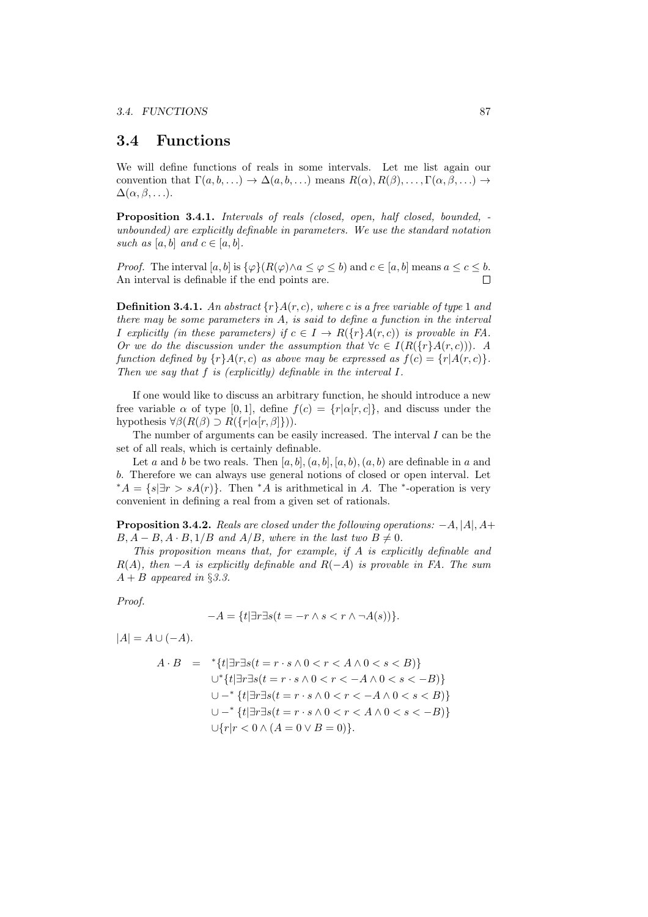#### **3.4 Functions**

We will define functions of reals in some intervals. Let me list again our convention that  $\Gamma(a, b, \ldots) \to \Delta(a, b, \ldots)$  means  $R(\alpha), R(\beta), \ldots, \Gamma(\alpha, \beta, \ldots) \to$  $\Delta(\alpha, \beta, \ldots).$ 

**Proposition 3.4.1.** *Intervals of reals (closed, open, half closed, bounded, unbounded) are explicitly definable in parameters. We use the standard notation such as*  $[a, b]$  *and*  $c \in [a, b]$ *.* 

*Proof.* The interval  $[a, b]$  is  $\{\varphi\}(R(\varphi) \wedge a \le \varphi \le b)$  and  $c \in [a, b]$  means  $a \le c \le b$ . An interval is definable if the end points are.  $\Box$ 

**Definition 3.4.1.** An abstract  $\{r\}A(r, c)$ , where c is a free variable of type 1 and *there may be some parameters in A, is said to define a function in the interval I* explicitly (in these parameters) if  $c \in I \rightarrow R({r}A(r, c))$  is provable in FA. *Or we do the discussion under the assumption that*  $\forall c \in I(R(\{r\}, A(r, c)))$ *. A function defined by*  $\{r\}A(r, c)$  *as above may be expressed as*  $f(c) = \{r|A(r, c)\}$ *. Then we say that f is (explicitly) definable in the interval I.*

If one would like to discuss an arbitrary function, he should introduce a new free variable  $\alpha$  of type [0, 1], define  $f(c) = \{r | \alpha[r, c]\}$ , and discuss under the hypothesis  $\forall \beta(R(\beta) \supset R({r|\alpha[r,\beta]})$ ).

The number of arguments can be easily increased. The interval *I* can be the set of all reals, which is certainly definable.

Let *a* and *b* be two reals. Then  $[a, b], (a, b], (a, b), (a, b)$  are definable in *a* and *b*. Therefore we can always use general notions of closed or open interval. Let  $*A = \{s | \exists r > sA(r)\}.$  Then  $*A$  is arithmetical in *A*. The  $*$ -operation is very convenient in defining a real from a given set of rationals.

**Proposition 3.4.2.** *Reals are closed under the following operations: −A, |A|, A*+  $B, A - B, A \cdot B, 1/B$  and  $A/B$ *, where in the last two*  $B \neq 0$ *.* 

*This proposition means that, for example, if A is explicitly definable and R*(*A*)*, then −A is explicitly definable and R*(*−A*) *is provable in FA. The sum*  $A + B$  *appeared in* §3.3.

*Proof.*

$$
-A = \{t | \exists r \exists s (t = -r \land s < r \land \neg A(s))\}.
$$

 $|A| = A \cup (-A).$ 

$$
A \cdot B = * \{t | \exists r \exists s (t = r \cdot s \land 0 < r < A \land 0 < s < B) \}
$$
\n
$$
\cup^* \{t | \exists r \exists s (t = r \cdot s \land 0 < r < -A \land 0 < s < -B) \}
$$
\n
$$
\cup -^* \{t | \exists r \exists s (t = r \cdot s \land 0 < r < -A \land 0 < s < B) \}
$$
\n
$$
\cup -^* \{t | \exists r \exists s (t = r \cdot s \land 0 < r < A \land 0 < s < -B) \}
$$
\n
$$
\cup \{r | r < 0 \land (A = 0 \lor B = 0) \}.
$$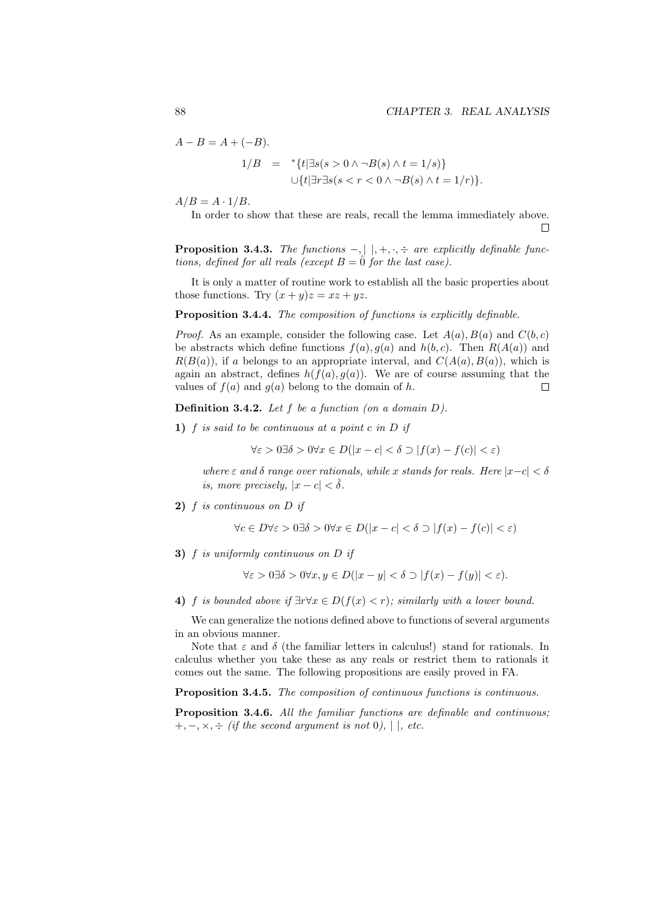$\Box$ 

 $A - B = A + (-B)$ .

$$
1/B = {}^{*}{t} \exists s(s > 0 \land \neg B(s) \land t = 1/s) \cup {t} \exists r \exists s(s < r < 0 \land \neg B(s) \land t = 1/r).
$$

 $A/B = A \cdot 1/B$ .

In order to show that these are reals, recall the lemma immediately above.

**Proposition 3.4.3.** *The functions*  $-$ *,*  $|$   $|$ *,*  $+$ *,*  $\cdot$ *,*  $\div$  *are explicitly definable functions, defined for all reals (except*  $B = \hat{0}$  *for the last case).* 

It is only a matter of routine work to establish all the basic properties about those functions. Try  $(x + y)z = xz + yz$ .

**Proposition 3.4.4.** *The composition of functions is explicitly definable.*

*Proof.* As an example, consider the following case. Let  $A(a)$ ,  $B(a)$  and  $C(b, c)$ be abstracts which define functions  $f(a)$ ,  $g(a)$  and  $h(b, c)$ . Then  $R(A(a))$  and  $R(B(a))$ , if *a* belongs to an appropriate interval, and  $C(A(a), B(a))$ , which is again an abstract, defines  $h(f(a), g(a))$ . We are of course assuming that the values of  $f(a)$  and  $g(a)$  belong to the domain of  $h$ .  $\Box$ 

**Definition 3.4.2.** *Let f be a function (on a domain D).*

**1)** *f is said to be continuous at a point c in D if*

 $∀ε > 0 ∃ δ > 0 ∀ x ∈ D(|x − c| < δ ∋ |f(x) − f(c)| < ε)$ 

*where*  $\varepsilon$  *and*  $\delta$  *range over rationals, while x stands for reals. Here*  $|x-c| < \delta$ *is, more precisely,*  $|x-c| < \delta$ *.* 

**2)** *f is continuous on D if*

 $\forall c \in D \forall \varepsilon > 0 \exists \delta > 0 \forall x \in D(|x - c| < \delta \supset |f(x) - f(c)| < \varepsilon)$ 

**3)** *f is uniformly continuous on D if*

$$
\forall \varepsilon > 0 \exists \delta > 0 \forall x, y \in D(|x - y| < \delta \supset |f(x) - f(y)| < \varepsilon).
$$

**4)** *f is bounded above if*  $\exists r \forall x \in D(f(x) < r)$ *; similarly with a lower bound.* 

We can generalize the notions defined above to functions of several arguments in an obvious manner.

Note that  $\varepsilon$  and  $\delta$  (the familiar letters in calculus!) stand for rationals. In calculus whether you take these as any reals or restrict them to rationals it comes out the same. The following propositions are easily proved in FA.

**Proposition 3.4.5.** *The composition of continuous functions is continuous.*

**Proposition 3.4.6.** *All the familiar functions are definable and continuous;* +*, −, ×, ÷ (if the second argument is not* 0*), | |, etc.*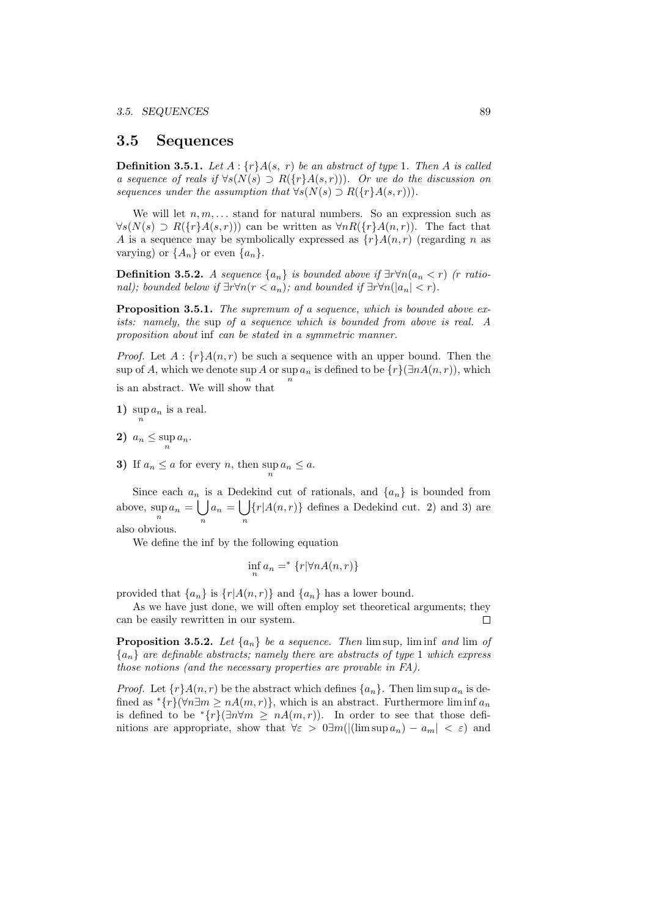#### **3.5 Sequences**

**Definition 3.5.1.** *Let*  $A: \{r\}A(s, r)$  *be an abstract of type* 1*. Then*  $A$  *is called a sequence of reals if ∀s*(*N*(*s*) *⊃ R*(*{r}A*(*s, r*)))*. Or we do the discussion on sequences under the assumption that*  $\forall s(N(s) \supset R({r}A(s,r)))$ .

We will let  $n, m, \ldots$  stand for natural numbers. So an expression such as *∀s*( $N(s)$  *⊃*  $R({r}A(s,r))$  can be written as  $\forall nR({r}A(n,r))$ . The fact that *A* is a sequence may be symbolically expressed as  $\{r\}A(n,r)$  (regarding *n* as varying) or  $\{A_n\}$  or even  $\{a_n\}$ .

**Definition 3.5.2.** *A sequence*  $\{a_n\}$  *is bounded above if*  $\exists r \forall n (a_n < r)$  *(r rational)*; bounded below if  $\exists r \forall n (r < a_n)$ ; and bounded if  $\exists r \forall n (|a_n| < r)$ .

**Proposition 3.5.1.** *The supremum of a sequence, which is bounded above exists: namely, the* sup *of a sequence which is bounded from above is real. A proposition about* inf *can be stated in a symmetric manner.*

*Proof.* Let  $A: \{r\}A(n,r)$  be such a sequence with an upper bound. Then the  $\sup_{n} A_n$  which we denote  $\sup_{n} A_n$  or  $\sup_{n} a_n$  is defined to be  $\{r\}(\exists n A(n,r))$ , which is an abstract. We will show that

**1)**  $\sup_n a_n$  is a real.

- 2)  $a_n \leq \sup_n a_n$ .
- **3)** If  $a_n \leq a$  for every *n*, then  $\sup_n a_n \leq a$ .

Since each  $a_n$  is a Dedekind cut of rationals, and  $\{a_n\}$  is bounded from above,  $\sup_n a_n = \bigcup_n$ *n*  $a_n = |$ *n*  $\{r | A(n,r)\}$  defines a Dedekind cut. 2) and 3) are also obvious.

We define the inf by the following equation

$$
\inf_{n} a_n =^* \{ r | \forall n A(n, r) \}
$$

provided that  $\{a_n\}$  is  $\{r|A(n,r)\}$  and  $\{a_n\}$  has a lower bound.

As we have just done, we will often employ set theoretical arguments; they can be easily rewritten in our system.  $\Box$ 

**Proposition 3.5.2.** *Let*  $\{a_n\}$  *be a sequence. Then* limsup, liminf *and* lim *of*  ${a_n}$  *are definable abstracts; namely there are abstracts of type* 1 *which express those notions (and the necessary properties are provable in FA).*

*Proof.* Let  $\{r\}A(n,r)$  be the abstract which defines  $\{a_n\}$ . Then  $\limsup a_n$  is defined as  ${}^{*}\{r\}$ ( $\forall n \exists m \geq n A(m,r)$ }, which is an abstract. Furthermore liminf  $a_n$ is defined to be  $\sqrt[x]{a}$  *†* $m \ge nA(m,r)$ . In order to see that those definitions are appropriate, show that  $\forall \varepsilon > 0 \exists m (|(\limsup a_n) - a_m| < \varepsilon)$  and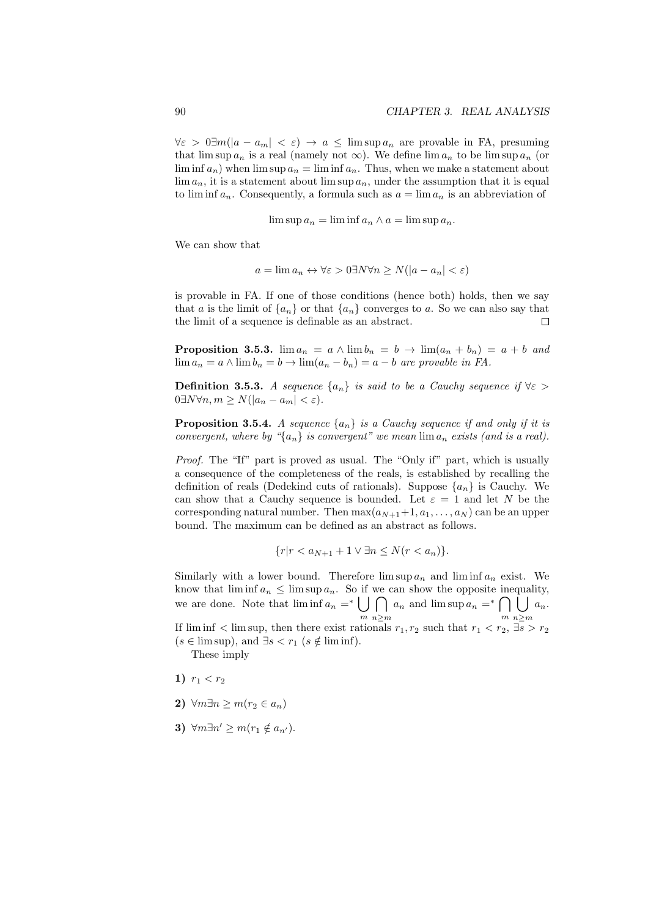$\forall \epsilon > 0$  ∃*m*( $|a - a_m| < \epsilon$ ) →  $a \leq \limsup a_n$  are provable in FA, presuming that  $\limsup a_n$  is a real (namely not  $\infty$ ). We define  $\lim a_n$  to be  $\limsup a_n$  (or lim inf  $a_n$ ) when lim sup  $a_n = \liminf a_n$ . Thus, when we make a statement about  $\lim a_n$ , it is a statement about  $\limsup a_n$ , under the assumption that it is equal to  $\liminf a_n$ . Consequently, a formula such as  $a = \lim a_n$  is an abbreviation of

$$
\limsup a_n = \liminf a_n \wedge a = \limsup a_n.
$$

We can show that

$$
a = \lim a_n \leftrightarrow \forall \varepsilon > 0 \exists N \forall n \ge N(|a - a_n| < \varepsilon)
$$

is provable in FA. If one of those conditions (hence both) holds, then we say that *a* is the limit of  ${a_n}$  or that  ${a_n}$  converges to *a*. So we can also say that the limit of a sequence is definable as an abstract.  $\Box$ 

**Proposition 3.5.3.** lim  $a_n = a \wedge \lim b_n = b \rightarrow \lim (a_n + b_n) = a + b$  and lim  $a_n = a \land \lim b_n = b \rightarrow \lim (a_n - b_n) = a - b$  are provable in FA.

**Definition 3.5.3.** *A sequence*  $\{a_n\}$  *is said to be a Cauchy sequence if*  $\forall \varepsilon >$  $0 \exists N \forall n, m \geq N(|a_n - a_m| < \varepsilon).$ 

**Proposition 3.5.4.** *A sequence*  $\{a_n\}$  *is a Cauchy sequence if and only if it is convergent, where by "* $\{a_n\}$  *is convergent" we mean*  $\lim a_n$  *exists (and is a real).* 

*Proof.* The "If" part is proved as usual. The "Only if" part, which is usually a consequence of the completeness of the reals, is established by recalling the definition of reals (Dedekind cuts of rationals). Suppose  $\{a_n\}$  is Cauchy. We can show that a Cauchy sequence is bounded. Let  $\varepsilon = 1$  and let *N* be the corresponding natural number. Then  $\max(a_{N+1}+1, a_1, \ldots, a_N)$  can be an upper bound. The maximum can be defined as an abstract as follows.

$$
\{r|r < a_{N+1} + 1 \lor \exists n \le N(r < a_n)\}.
$$

Similarly with a lower bound. Therefore  $\limsup a_n$  and  $\liminf a_n$  exist. We know that  $\liminf a_n \leq \limsup a_n$ . So if we can show the opposite inequality, we are done. Note that  $\liminf a_n =^* \cup$ *m* ∩ *n≥m*  $a_n$  and  $\limsup a_n =^* \bigcap$ *m* ÎI *n≥m an*. If  $\liminf$  in  $\limsup$ , then there exist rationals  $r_1, r_2$  such that  $r_1 < r_2$ ,  $\exists s > r_2$  $(s \in \limsup)$ , and  $\exists s < r_1$  ( $s \notin \liminf$ ).

These imply

- 1)  $r_1 < r_2$
- 2)  $\forall m \exists n \geq m (r_2 \in a_n)$
- **3)**  $\forall m \exists n' \ge m (r_1 \notin a_{n'})$ .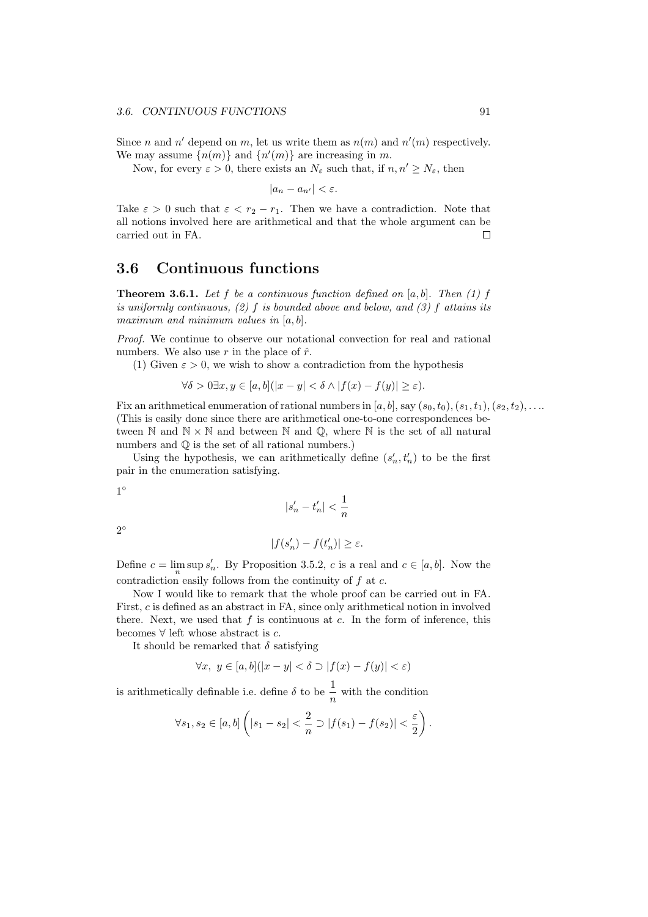Since *n* and *n'* depend on *m*, let us write them as  $n(m)$  and  $n'(m)$  respectively. We may assume  $\{n(m)\}\$ and  $\{n'(m)\}\$ are increasing in *m*.

Now, for every  $\varepsilon > 0$ , there exists an  $N_{\varepsilon}$  such that, if  $n, n' \ge N_{\varepsilon}$ , then

 $|a_n - a_{n'}| < \varepsilon$ .

Take  $\varepsilon > 0$  such that  $\varepsilon < r_2 - r_1$ . Then we have a contradiction. Note that all notions involved here are arithmetical and that the whole argument can be carried out in FA. П

## **3.6 Continuous functions**

**Theorem 3.6.1.** *Let f be a continuous function defined on* [*a, b*]*. Then (1) f is uniformly continuous, (2) f is bounded above and below, and (3) f attains its maximum and minimum values in* [*a, b*]*.*

*Proof.* We continue to observe our notational convection for real and rational numbers. We also use  $r$  in the place of  $\hat{r}$ .

(1) Given  $\varepsilon > 0$ , we wish to show a contradiction from the hypothesis

$$
\forall \delta > 0 \exists x, y \in [a, b] (|x - y| < \delta \land |f(x) - f(y)| \ge \varepsilon).
$$

Fix an arithmetical enumeration of rational numbers in  $[a, b]$ , say  $(s_0, t_0)$ ,  $(s_1, t_1)$ ,  $(s_2, t_2)$ , ... (This is easily done since there are arithmetical one-to-one correspondences between  $\mathbb N$  and  $\mathbb N \times \mathbb N$  and between  $\mathbb N$  and  $\mathbb Q$ , where  $\mathbb N$  is the set of all natural numbers and  $\mathbb Q$  is the set of all rational numbers.)

Using the hypothesis, we can arithmetically define  $(s'_n, t'_n)$  to be the first pair in the enumeration satisfying.

*|s*

$$
1^{\circ}
$$

$$
s_n'-t_n'|<\frac{1}{n}
$$

2 *◦*

$$
|f(s'_n)-f(t'_n)|\geq \varepsilon.
$$

Define  $c = \lim_{n} \sup s'_n$ . By Proposition 3.5.2, *c* is a real and  $c \in [a, b]$ . Now the contradiction easily follows from the continuity of *f* at *c*.

Now I would like to remark that the whole proof can be carried out in FA. First, *c* is defined as an abstract in FA, since only arithmetical notion in involved there. Next, we used that *f* is continuous at *c*. In the form of inference, this becomes *∀* left whose abstract is *c*.

It should be remarked that  $\delta$  satisfying

$$
\forall x, y \in [a, b] (|x - y| < \delta \supset |f(x) - f(y)| < \varepsilon)
$$

is arithmetically definable i.e. define  $\delta$  to be  $\frac{1}{n}$  with the condition

$$
\forall s_1, s_2 \in [a, b] \left( |s_1 - s_2| < \frac{2}{n} \supset |f(s_1) - f(s_2)| < \frac{\varepsilon}{2} \right).
$$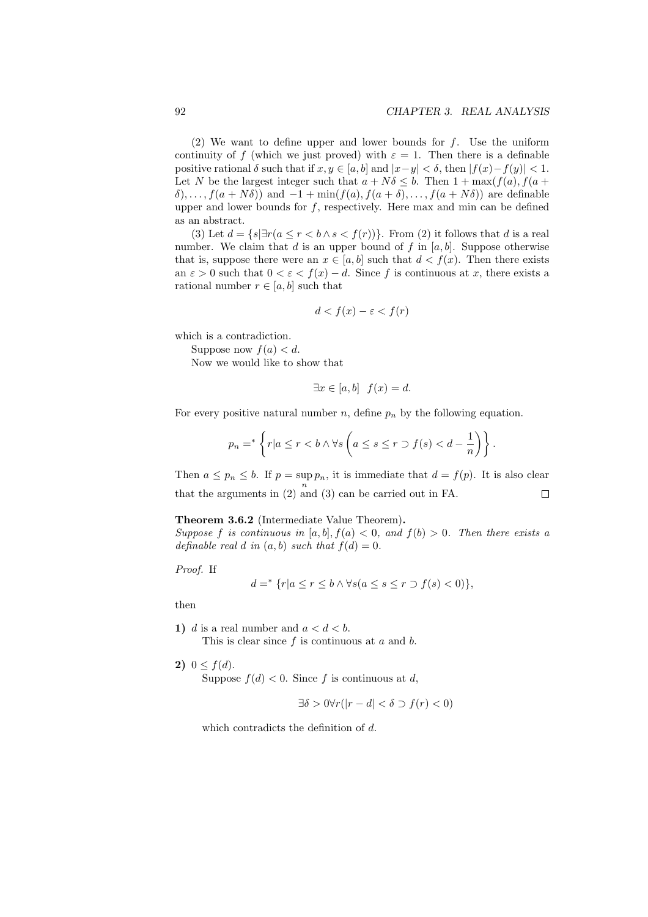(2) We want to define upper and lower bounds for *f*. Use the uniform continuity of *f* (which we just proved) with  $\varepsilon = 1$ . Then there is a definable positive rational  $\delta$  such that if  $x, y \in [a, b]$  and  $|x-y| < \delta$ , then  $|f(x)-f(y)| < 1$ . Let *N* be the largest integer such that  $a + N\delta \leq b$ . Then  $1 + \max(f(a), f(a +$  $\delta$ ,...,  $f(a + N\delta)$  and  $-1 + \min(f(a), f(a + \delta), \ldots, f(a + N\delta))$  are definable upper and lower bounds for  $f$ , respectively. Here max and min can be defined as an abstract.

(3) Let  $d = \{s | \exists r (a \leq r < b \land s < f(r))\}$ . From (2) it follows that *d* is a real number. We claim that *d* is an upper bound of *f* in [*a, b*]. Suppose otherwise that is, suppose there were an  $x \in [a, b]$  such that  $d < f(x)$ . Then there exists an  $\varepsilon > 0$  such that  $0 < \varepsilon < f(x) - d$ . Since f is continuous at x, there exists a rational number  $r \in [a, b]$  such that

$$
d < f(x) - \varepsilon < f(r)
$$

which is a contradiction.

Suppose now  $f(a) < d$ .

Now we would like to show that

$$
\exists x \in [a, b] \ f(x) = d.
$$

For every positive natural number  $n$ , define  $p_n$  by the following equation.

$$
p_n =^* \left\{ r | a \le r < b \land \forall s \left( a \le s \le r \supset f(s) < d - \frac{1}{n} \right) \right\}.
$$

Then  $a \leq p_n \leq b$ . If  $p = \sup p_n$ , it is immediate that  $d = f(p)$ . It is also clear that the arguments in  $(2)$  and  $(3)$  can be carried out in FA.  $\Box$ 

#### **Theorem 3.6.2** (Intermediate Value Theorem)**.**

*Suppose f is continuous in* [ $a, b$ ]*,*  $f(a) < 0$ *, and*  $f(b) > 0$ *. Then there exists a definable real d in*  $(a, b)$  *such that*  $f(d) = 0$ *.* 

*Proof.* If

$$
d = \{r \mid a \le r \le b \land \forall s (a \le s \le r \supset f(s) < 0)\},\
$$

then

- **1)** *d* is a real number and  $a < d < b$ . This is clear since *f* is continuous at *a* and *b*.
- **2)**  $0 \leq f(d)$ .

Suppose  $f(d) < 0$ . Since f is continuous at d,

$$
\exists \delta > 0 \forall r(|r - d| < \delta \supset f(r) < 0)
$$

which contradicts the definition of *d*.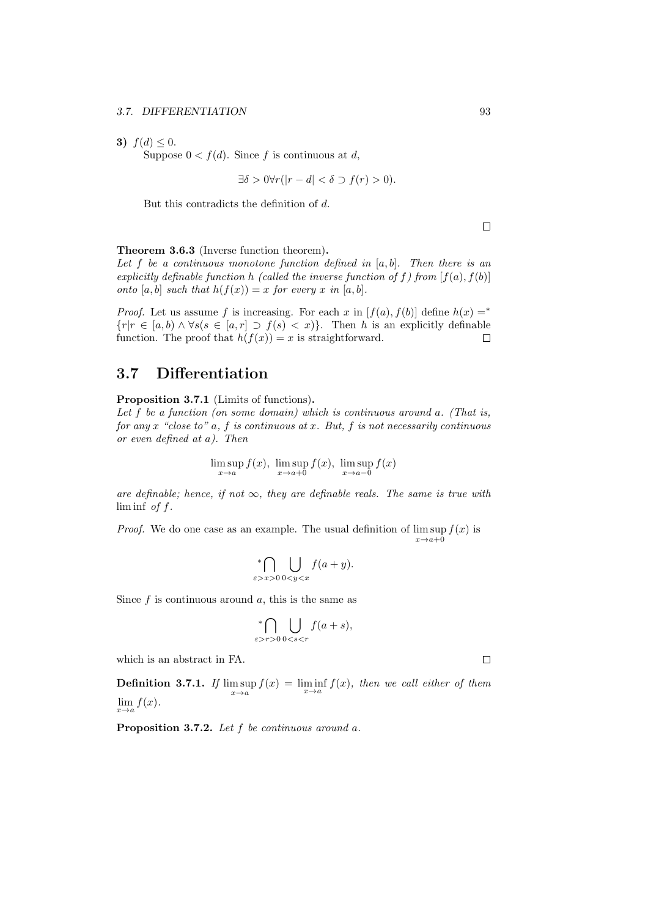**3)**  $f(d) \leq 0$ .

Suppose  $0 < f(d)$ . Since f is continuous at d,

$$
\exists \delta > 0 \forall r(|r - d| < \delta \supset f(r) > 0).
$$

But this contradicts the definition of *d*.

 $\Box$ 

**Theorem 3.6.3** (Inverse function theorem)**.**

*Let f be a continuous monotone function defined in* [*a, b*]*. Then there is an explicitly definable function h* (called the inverse function of f) from  $[f(a), f(b)]$ *onto*  $[a, b]$  *such that*  $h(f(x)) = x$  *for every x in*  $[a, b]$ *.* 

*Proof.* Let us assume *f* is increasing. For each *x* in  $[f(a), f(b)]$  define  $h(x) =$ <sup>\*</sup> *{r|r ∈* [*a, b*) *∧*  $\forall s(s \in [a, r] \supset f(s) < x$ }. Then *h* is an explicitly definable function. The proof that  $h(f(x)) = x$  is straightforward.  $\Box$ 

## **3.7 Differentiation**

**Proposition 3.7.1** (Limits of functions)**.**

*Let f be a function (on some domain) which is continuous around a. (That is, for any x "close to" a, f is continuous at x. But, f is not necessarily continuous or even defined at a). Then*

$$
\limsup_{x \to a} f(x), \ \limsup_{x \to a+0} f(x), \ \limsup_{x \to a-0} f(x)
$$

*are definable; hence, if not*  $\infty$ *, they are definable reals. The same is true with* lim inf *of f.*

*Proof.* We do one case as an example. The usual definition of  $\limsup f(x)$  is  $x \rightarrow a + 0$ 

$$
\bigcap_{\varepsilon>x>0}\bigcup_{0
$$

Since *f* is continuous around *a*, this is the same as

$$
\bigcap_{\varepsilon > r > 0} \bigcup_{0 < s < r} f(a + s),
$$

which is an abstract in FA.

**Definition 3.7.1.** If  $\limsup_{x \to a} f(x) = \liminf_{x \to a} f(x)$ , then we call either of them *x→a*  $\lim_{x\to a} f(x)$ .

**Proposition 3.7.2.** *Let f be continuous around a.*

 $\Box$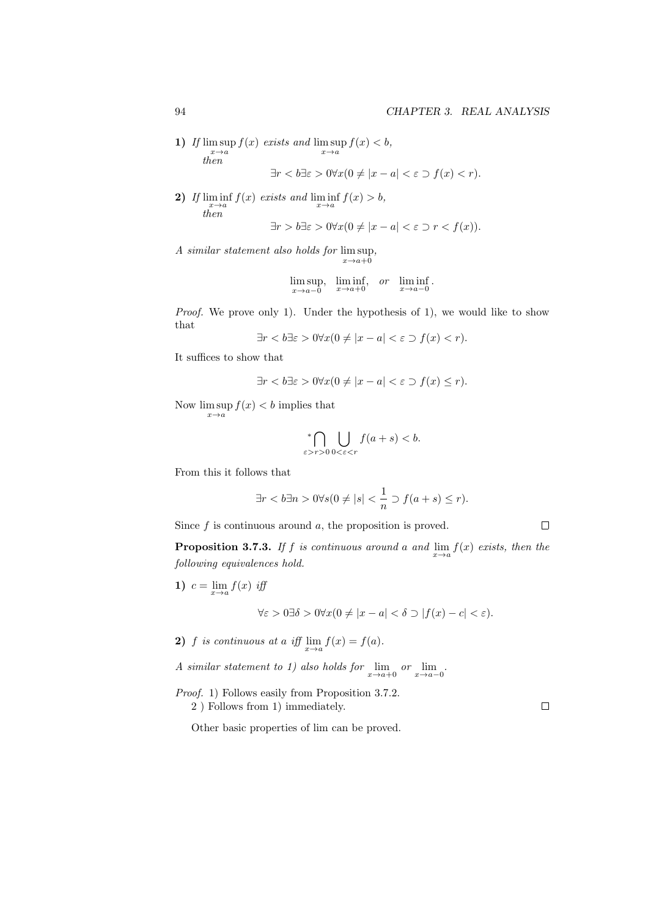**1)** *If* lim sup *x→a f*(*x*) *exists and* lim sup *x→a*  $f(x) < b$ ,  $\lim_{x\to a}$ <br>*then* 

$$
\exists r < b \exists \varepsilon > 0 \forall x (0 \neq |x - a| < \varepsilon \supset f(x) < r).
$$

2) If  $\liminf_{x \to a} f(x)$  exists and  $\liminf_{x \to a} f(x) > b$ , *then*  $\exists r > b \exists \varepsilon > 0 \forall x (0 \neq |x - a| < \varepsilon \supset r < f(x)).$ 

*A similar statement also holds for* lim sup *x→a*+0 *,*

$$
\limsup_{x \to a-0} \liminf_{x \to a+0} \sigma \liminf_{x \to a-0}.
$$

*Proof.* We prove only 1). Under the hypothesis of 1), we would like to show that

$$
\exists r < b \exists \varepsilon > 0 \forall x (0 \neq |x - a| < \varepsilon \supset f(x) < r).
$$

It suffices to show that

$$
\exists r < b \exists \varepsilon > 0 \forall x (0 \neq |x - a| < \varepsilon \supset f(x) \leq r).
$$

Now  $\limsup f(x) < b$  implies that *x→a*

$$
\bigcap_{\varepsilon>r>0}\bigcup_{0<\varepsilon
$$

From this it follows that

$$
\exists r < b \exists n > 0 \forall s (0 \neq |s| < \frac{1}{n} \supset f(a+s) \leq r).
$$

Since *f* is continuous around *a*, the proposition is proved.

**Proposition 3.7.3.** *If f is continuous around a and*  $\lim_{x\to a} f(x)$  *exists, then the following equivalences hold.*

1) 
$$
c = \lim_{x \to a} f(x)
$$
 iff  

$$
\forall \varepsilon > 0 \exists \delta > 0 \forall x (0 \neq |x - a| < \delta \supset |f(x) - c| < \varepsilon).
$$

- **2)** *f is continuous at a iff*  $\lim_{x \to a} f(x) = f(a)$ *.*
- *A* similar statement to 1) also holds for  $\lim_{x \to a+0}$  or  $\lim_{x \to a-0}$ .
- *Proof.* 1) Follows easily from Proposition 3.7.2. 2 ) Follows from 1) immediately.

 $\Box$ 

 $\Box$ 

Other basic properties of lim can be proved.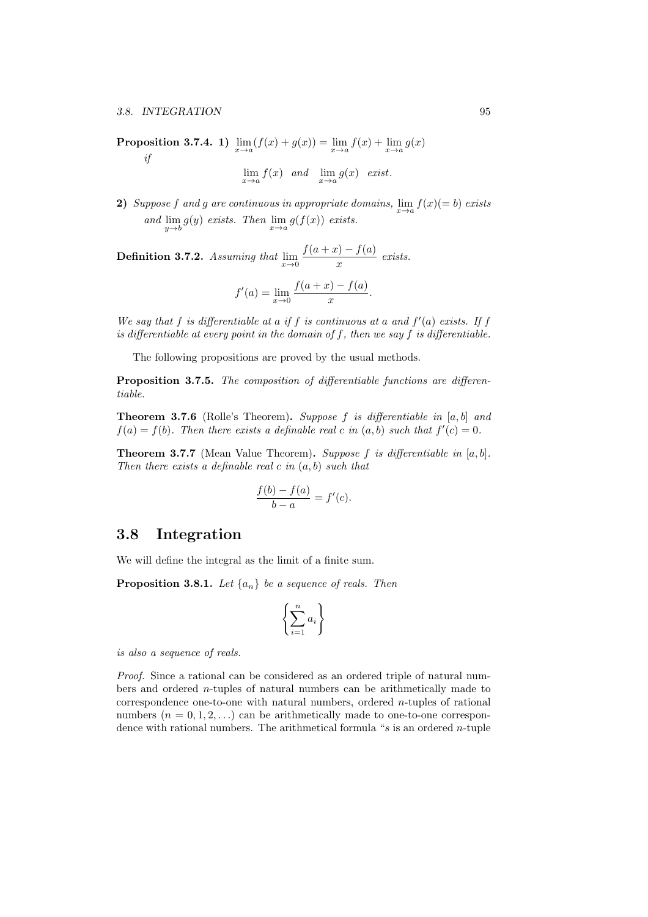**Proposition 3.7.4. 1)**  $\lim_{x \to a} (f(x) + g(x)) = \lim_{x \to a} f(x) + \lim_{x \to a} g(x)$ *if*

$$
\lim_{x \to a} f(x) \quad and \quad \lim_{x \to a} g(x) \quad exist.
$$

**2)** *Suppose f* and *g* are continuous in appropriate domains,  $\lim_{x \to a} f(x) (= b)$  exists *and* lim  $\lim_{y \to b} g(y)$  *exists.* Then  $\lim_{x \to a} g(f(x))$  *exists.* 

**Definition 3.7.2.** *Assuming that*  $\lim_{x\to 0} \frac{f(a+x)-f(a)}{x}$  $\frac{f(x)}{x}$  exists.

$$
f'(a) = \lim_{x \to 0} \frac{f(a+x) - f(a)}{x}.
$$

*We say that*  $f$  *is differentiable at a if*  $f$  *is continuous at a and*  $f'(a)$  *exists.* If  $f$ *is differentiable at every point in the domain of f, then we say f is differentiable.*

The following propositions are proved by the usual methods.

**Proposition 3.7.5.** *The composition of differentiable functions are differentiable.*

**Theorem 3.7.6** (Rolle's Theorem)**.** *Suppose f is differentiable in* [*a, b*] *and*  $f(a) = f(b)$ *. Then there exists a definable real c in*  $(a, b)$  *such that*  $f'(c) = 0$ *.* 

**Theorem 3.7.7** (Mean Value Theorem)**.** *Suppose f is differentiable in* [*a, b*]*. Then there exists a definable real c in* (*a, b*) *such that*

$$
\frac{f(b) - f(a)}{b - a} = f'(c).
$$

#### **3.8 Integration**

We will define the integral as the limit of a finite sum.

**Proposition 3.8.1.** *Let*  $\{a_n\}$  *be a sequence of reals. Then* 

$$
\left\{\sum_{i=1}^n a_i\right\}
$$

*is also a sequence of reals.*

*Proof.* Since a rational can be considered as an ordered triple of natural numbers and ordered *n*-tuples of natural numbers can be arithmetically made to correspondence one-to-one with natural numbers, ordered *n*-tuples of rational numbers  $(n = 0, 1, 2, ...)$  can be arithmetically made to one-to-one correspondence with rational numbers. The arithmetical formula "*s* is an ordered *n*-tuple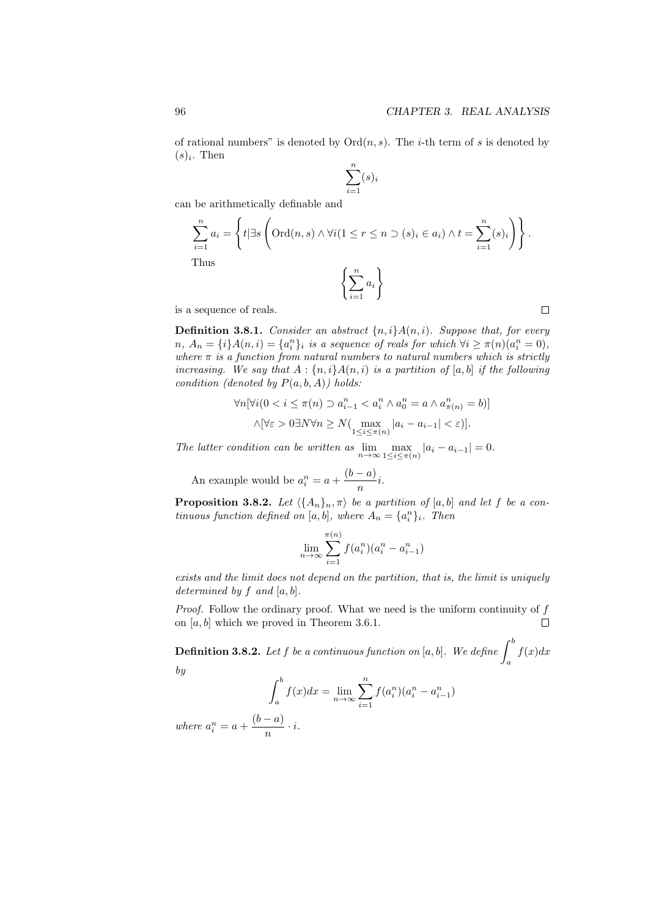of rational numbers" is denoted by  $Ord(n, s)$ . The *i*-th term of *s* is denoted by  $(s)_i$ . Then

$$
\sum_{i=1}^{n} (s)_i
$$

can be arithmetically definable and

$$
\sum_{i=1}^{n} a_i = \left\{ t | \exists s \left( \text{Ord}(n, s) \land \forall i (1 \le r \le n \supset (s)_i \in a_i) \land t = \sum_{i=1}^{n} (s)_i \right) \right\}.
$$
\nThus\n
$$
\left\{ \sum_{i=1}^{n} a_i \right\}
$$

is a sequence of reals.

**Definition 3.8.1.** *Consider an abstract {n, i}A*(*n, i*)*. Suppose that, for every*  $n, A_n = {i}A(n,i) = {a_i^n}_i$  is a sequence of reals for which  $\forall i \ge \pi(n)(a_i^n = 0)$ , *where*  $\pi$  *is a function from natural numbers to natural numbers which is strictly increasing.* We say that  $A : \{n, i\}A(n, i)$  *is a partition of* [a, b] *if the following condition (denoted by*  $P(a, b, A)$ ) holds:

$$
\forall n[\forall i (0 < i \le \pi(n) \supset a_{i-1}^n < a_i^n \land a_0^n = a \land a_{\pi(n)}^n = b)]
$$
\n
$$
\land [\forall \varepsilon > 0 \exists N \forall n \ge N (\max_{1 \le i \le \pi(n)} |a_i - a_{i-1}| < \varepsilon)].
$$

*The latter condition can be written as*  $\lim_{n\to\infty} \max_{1\leq i\leq \pi}$  $\max_{1 \le i \le \pi(n)} |a_i - a_{i-1}| = 0.$ 

An example would be  $a_i^n = a + \frac{(b-a)}{n}$  $\frac{a}{n}i$ .

**Proposition 3.8.2.** *Let*  $\langle \{A_n\}_n, \pi \rangle$  *be a partition of* [a, b] *and let f be a continuous function defined on* [*a, b*]*, where*  $A_n = \{a_i^n\}_i$ *. Then* 

$$
\lim_{n \to \infty} \sum_{i=1}^{\pi(n)} f(a_i^n) (a_i^n - a_{i-1}^n)
$$

*exists and the limit does not depend on the partition, that is, the limit is uniquely determined by f and* [*a, b*]*.*

*Proof.* Follow the ordinary proof. What we need is the uniform continuity of *f* on [*a, b*] which we proved in Theorem 3.6.1.  $\Box$ 

 $\bf{Definition 3.8.2.}$   $\it Let\ f\ be\ a\ continuous\ function\ on\ [a,b].$  We define  $\int^b$ *a f*(*x*)*dx by*

$$
\int_{a}^{b} f(x)dx = \lim_{n \to \infty} \sum_{i=1}^{n} f(a_{i}^{n})(a_{i}^{n} - a_{i-1}^{n})
$$

*where*  $a_i^n = a + \frac{(b-a)}{n}$  $\frac{a}{n} \cdot i$ .  $\Box$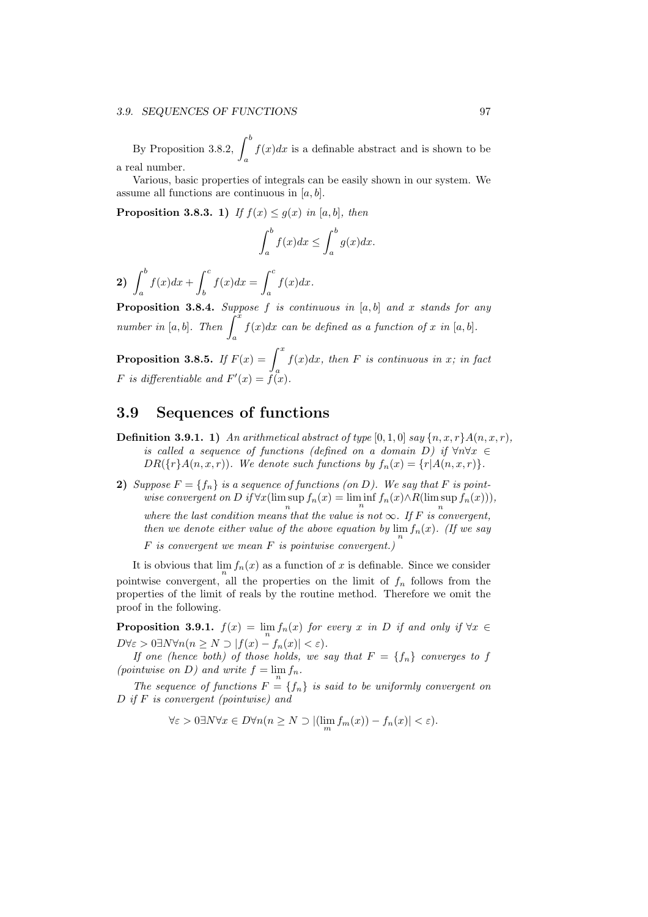#### *3.9. SEQUENCES OF FUNCTIONS* 97

By Proposition 3.8.2,  $\int^{b}$ *a*  $f(x)dx$  is a definable abstract and is shown to be a real number.

Various, basic properties of integrals can be easily shown in our system. We assume all functions are continuous in [*a, b*].

**Proposition 3.8.3.** 1) If  $f(x) \leq g(x)$  in [a, b], then

$$
\int_{a}^{b} f(x)dx \le \int_{a}^{b} g(x)dx.
$$

 $\left( \frac{b}{2}\right)$ *a*  $f(x)dx + \int_0^c$ *b*  $f(x)dx = \int_0^c$ *a f*(*x*)*dx.*

**Proposition 3.8.4.** *Suppose f is continuous in* [*a, b*] *and x stands for any*  $\sum_{n \text{umber in } [a, b]_1}^{n}$ . Then  $\int_{a}^{x}$ *a*  $f(x)dx$  *can be defined as a function of x in* [a, b].

**Proposition 3.8.5.** *If*  $F(x) = \int^x$ *a f*(*x*)*dx, then F is continuous in x; in fact F* is differentiable and  $F'(x) = f(x)$ .

## **3.9 Sequences of functions**

- **Definition 3.9.1. 1)** *An arithmetical abstract of type*  $[0, 1, 0]$  *say*  $\{n, x, r\}$ *A* $(n, x, r)$ *, is called a sequence of functions (defined on a domain*  $D$ ) if  $\forall n \forall x \in$ *DR*( $\{r\}A(n,x,r)$ *). We denote such functions by*  $f_n(x) = \{r|A(n,x,r)\}$ *.*
- **2)** *Suppose*  $F = \{f_n\}$  *is a sequence of functions (on D). We say that*  $F$  *is pointwise convergent on*  $D$  *if*  $\forall x$ (lim sup  $f_n(x) = \liminf f_n(x) \wedge R(\limsup f_n(x)))$ ), where the last condition means that the value is not  $\infty$ *. If F is convergent, then we denote either value of the above equation by*  $\lim_{n} f_n(x)$ *. (If we say*

*F is convergent we mean F is pointwise convergent.)*

It is obvious that  $\lim_{n} f_n(x)$  as a function of *x* is definable. Since we consider pointwise convergent, all the properties on the limit of  $f_n$  follows from the properties of the limit of reals by the routine method. Therefore we omit the proof in the following.

**Proposition 3.9.1.**  $f(x) = \lim_{n} f_n(x)$  for every *x* in *D* if and only if  $\forall x \in$  $D \forall \varepsilon > 0 \exists N \forall n (n \ge N \supset |f(x) - f_n(x)| < \varepsilon).$ 

*If one (hence both) of those holds, we say that*  $F = \{f_n\}$  *converges to*  $f$ *(pointwise on D)* and write  $f = \lim_{n} f_n$ .

*The sequence of functions*  $F = \{f_n\}$  *is said to be uniformly convergent on D if F is convergent (pointwise) and*

 $\forall \varepsilon > 0 \exists N \forall x \in D \forall n (n \ge N \supset |(\lim_m f_m(x)) - f_n(x)| < \varepsilon).$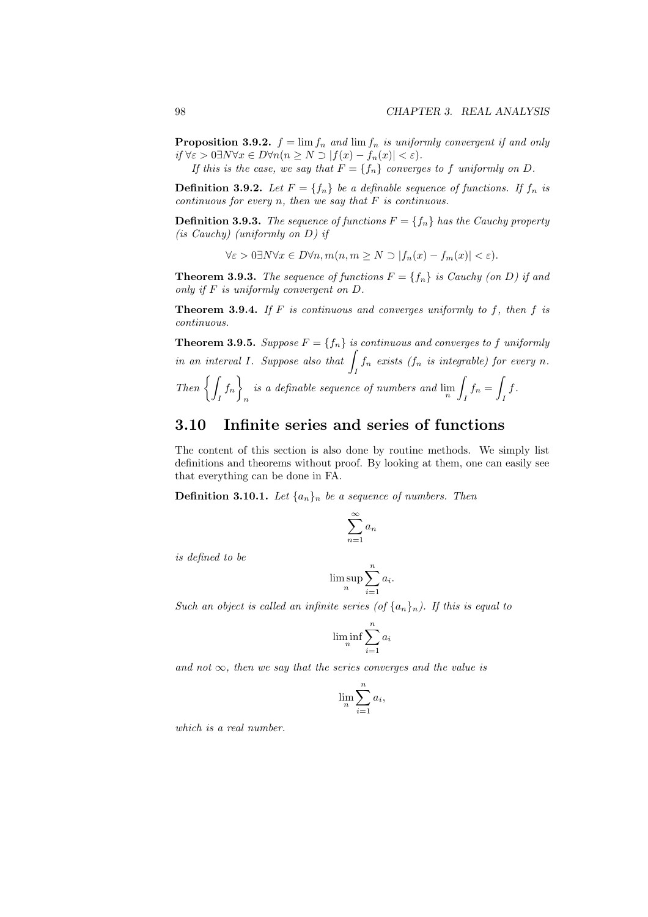**Proposition 3.9.2.**  $f = \lim f_n$  and  $\lim f_n$  is uniformly convergent if and only  $if \forall \varepsilon > 0 \exists N \forall x \in D \forall n (n \geq N \supset |f(x) - f_n(x)| < \varepsilon).$ 

*If this is the case, we say that*  $F = \{f_n\}$  *converges to f uniformly on D.* **Definition 3.9.2.** Let  $F = \{f_n\}$  be a definable sequence of functions. If  $f_n$  is

*continuous for every n, then we say that F is continuous.*

**Definition 3.9.3.** *The sequence of functions*  $F = \{f_n\}$  *has the Cauchy property (is Cauchy) (uniformly on D) if*

 $\forall \varepsilon > 0 \exists N \forall x \in D \forall n, m(n, m \ge N \supset |f_n(x) - f_m(x)| < \varepsilon).$ 

**Theorem 3.9.3.** *The sequence of functions*  $F = \{f_n\}$  *is Cauchy (on D) if and only if F is uniformly convergent on D.*

**Theorem 3.9.4.** *If F is continuous and converges uniformly to f, then f is continuous.*

**Theorem 3.9.5.** *Suppose*  $F = \{f_n\}$  *is continuous and converges to*  $f$  *uniformly in an interval <sup>I</sup>. Suppose also that* <sup>∫</sup>  $\int_I f_n$  *exists* ( $f_n$  *is integrable) for every n.* 

Then 
$$
\left\{\int_I f_n\right\}_n
$$
 is a definable sequence of numbers and  $\lim_n \int_I f_n = \int_I f$ .

## **3.10 Infinite series and series of functions**

The content of this section is also done by routine methods. We simply list definitions and theorems without proof. By looking at them, one can easily see that everything can be done in FA.

**Definition 3.10.1.** Let  $\{a_n\}_n$  be a sequence of numbers. Then

$$
\sum_{n=1}^{\infty} a_n
$$

*is defined to be*

$$
\limsup_n \sum_{i=1}^n a_i.
$$

*Such an object is called an infinite series (of*  $\{a_n\}_n$ ). If this is equal to

$$
\liminf_n \sum_{i=1}^n a_i
$$

and not  $\infty$ , then we say that the series converges and the value is

$$
\lim_{n} \sum_{i=1}^{n} a_i,
$$

*which is a real number.*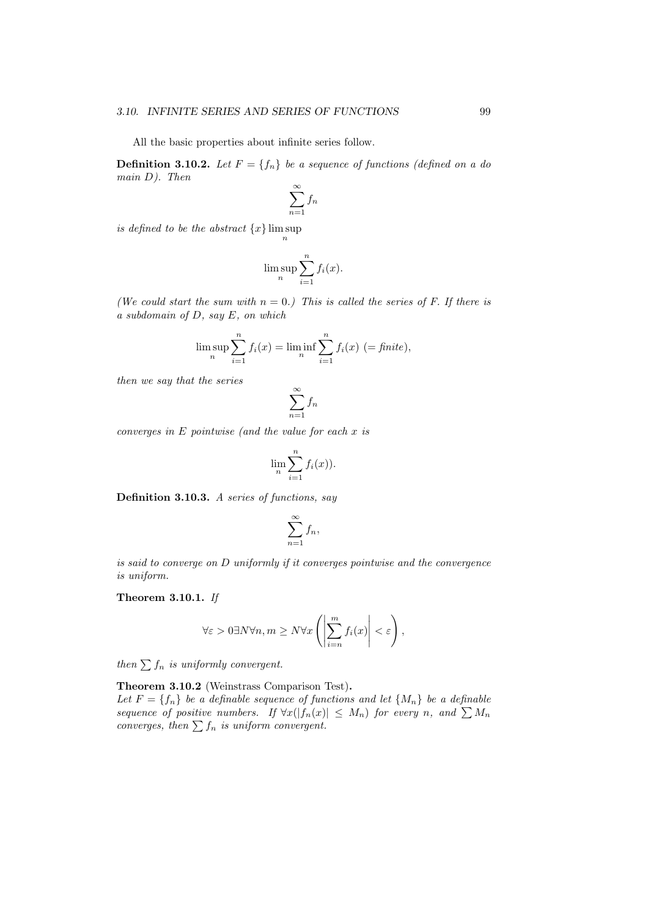All the basic properties about infinite series follow.

**Definition 3.10.2.** Let  $F = \{f_n\}$  be a sequence of functions (defined on a do *main D). Then*

$$
\sum_{n=1}^{\infty} f_n
$$

*is defined to be the abstract {x}* lim sup *n*

$$
\limsup_{n} \sum_{i=1}^{n} f_i(x).
$$

*(We could start the sum with n* = 0*.) This is called the series of F. If there is a subdomain of D, say E, on which*

$$
\limsup_{n} \sum_{i=1}^{n} f_i(x) = \liminf_{n} \sum_{i=1}^{n} f_i(x) \ (= \text{finite}),
$$

*then we say that the series*

$$
\sum_{n=1}^{\infty} f_n
$$

*converges in E pointwise (and the value for each x is*

$$
\lim_{n} \sum_{i=1}^{n} f_i(x).
$$

**Definition 3.10.3.** *A series of functions, say*

$$
\sum_{n=1}^{\infty} f_n,
$$

*is said to converge on D uniformly if it converges pointwise and the convergence is uniform.*

**Theorem 3.10.1.** *If*

$$
\forall \varepsilon > 0 \exists N \forall n, m \geq N \forall x \left( \left| \sum_{i=n}^m f_i(x) \right| < \varepsilon \right),
$$

*then*  $\sum f_n$  *is uniformly convergent.* 

**Theorem 3.10.2** (Weinstrass Comparison Test)**.**

Let  $F = \{f_n\}$  be a definable sequence of functions and let  $\{M_n\}$  be a definable *sequence of positive numbers.* If  $\forall x (|f_n(x)| \leq M_n)$  for every *n*, and  $\sum M_n$ *converges, then*  $\sum f_n$  *is uniform convergent.*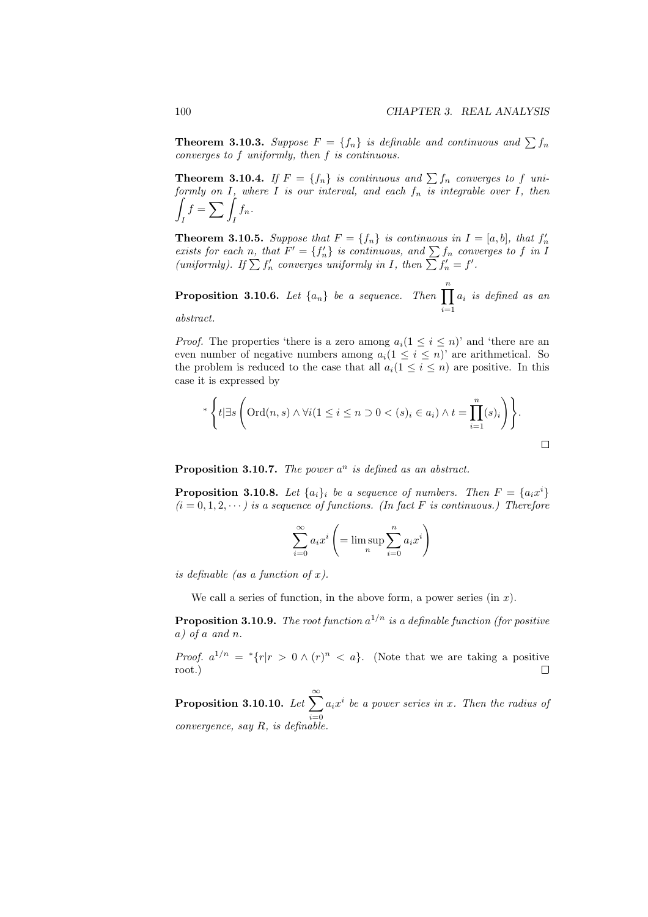**Theorem 3.10.3.** *Suppose*  $F = \{f_n\}$  *is definable and continuous and*  $\sum f_n$ *converges to f uniformly, then f is continuous.*

**Theorem 3.10.4.** *If*  $F = \{f_n\}$  *is continuous and*  $\sum f_n$  *converges to f uniformly on I, where I is our interval, and each f<sup>n</sup> is integrable over I, then* ∫ *I*  $f = \sum$  $\int_I f_n$ .

**Theorem 3.10.5.** Suppose that  $F = \{f_n\}$  is continuous in  $I = [a, b]$ , that  $f'_n$  exists for each n, that  $F' = \{f'_n\}$  is continuous, and  $\sum f_n$  converges to f in I *(uniformly).* If  $\sum f'_n$  *converges uniformly in I, then*  $\sum f'_n = f'$ *.* 

**Proposition 3.10.6.** *Let*  $\{a_n\}$  *be a sequence.* Then  $\prod^n$ *i*=1 *a<sup>i</sup> is defined as an*

*abstract.*

*Proof.* The properties 'there is a zero among  $a_i(1 \leq i \leq n)$ ' and 'there are an even number of negative numbers among  $a_i (1 \leq i \leq n)$  are arithmetical. So the problem is reduced to the case that all  $a_i(1 \leq i \leq n)$  are positive. In this case it is expressed by

$$
\ast \left\{ t | \exists s \left( \text{Ord}(n, s) \land \forall i (1 \leq i \leq n \supset 0 < (s)_i \in a_i) \land t = \prod_{i=1}^n (s)_i \right) \right\}.
$$

**Proposition 3.10.7.** *The power a <sup>n</sup> is defined as an abstract.*

**Proposition 3.10.8.** Let  $\{a_i\}$  *be a sequence of numbers. Then*  $F = \{a_i x^i\}$  $(i = 0, 1, 2, \dots)$  *is a sequence of functions. (In fact F is continuous.) Therefore* 

$$
\sum_{i=0}^{\infty} a_i x^i \left( = \limsup_{n} \sum_{i=0}^{n} a_i x^i \right)
$$

*is definable (as a function of x).*

We call a series of function, in the above form, a power series (in *x*).

**Proposition 3.10.9.** *The root function a* <sup>1</sup>*/n is a definable function (for positive a) of a and n.*

*Proof.*  $a^{1/n} = {}^*{r|r} > 0 \wedge (r)^n < a$ . (Note that we are taking a positive root.)  $\Box$ 

**Proposition 3.10.10.** Let  $\sum_{i=1}^{\infty} a_i x^i$  be a power series in *x*. Then the radius of *i*=0 *convergence, say R, is definable.*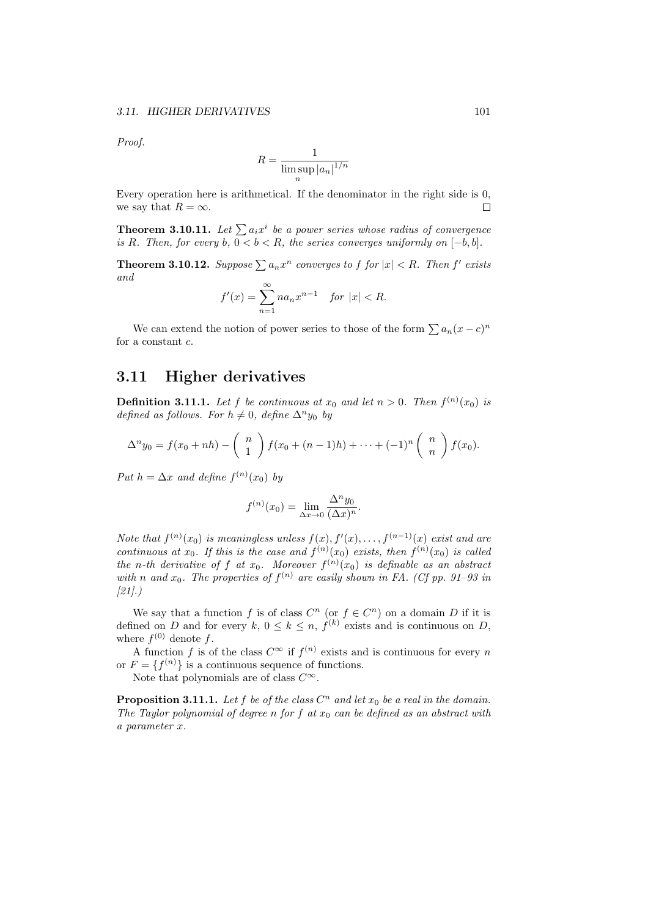*Proof.*

$$
R=\frac{1}{\limsup_n |a_n|^{1/n}}
$$

Every operation here is arithmetical. If the denominator in the right side is 0, we say that  $R = \infty$ .  $\Box$ 

**Theorem 3.10.11.** *Let*  $\sum a_i x^i$  *be a power series whose radius of convergence is R. Then, for every*  $b, 0 < b < R$ *, the series converges uniformly on*  $[-b, b]$ *.* 

**Theorem 3.10.12.** *Suppose*  $\sum a_n x^n$  *converges to f for*  $|x| < R$ *. Then f' exists and*

$$
f'(x) = \sum_{n=1}^{\infty} n a_n x^{n-1} \quad \text{for } |x| < R.
$$

We can extend the notion of power series to those of the form  $\sum a_n(x-c)^n$ for a constant *c*.

## **3.11 Higher derivatives**

**Definition 3.11.1.** Let  $f$  be continuous at  $x_0$  and let  $n > 0$ . Then  $f^{(n)}(x_0)$  is *defined as follows. For*  $h \neq 0$ *, define*  $\Delta^n y_0$  *by* 

$$
\Delta^n y_0 = f(x_0 + nh) - \binom{n}{1} f(x_0 + (n-1)h) + \cdots + (-1)^n \binom{n}{n} f(x_0).
$$

*Put*  $h = \Delta x$  *and define*  $f^{(n)}(x_0)$  *by* 

$$
f^{(n)}(x_0) = \lim_{\Delta x \to 0} \frac{\Delta^n y_0}{(\Delta x)^n}.
$$

*Note that*  $f^{(n)}(x_0)$  *is meaningless unless*  $f(x), f'(x), \ldots, f^{(n-1)}(x)$  *exist and are continuous at*  $x_0$ *. If this is the case and*  $f^{(n)}(x_0)$  *exists, then*  $f^{(n)}(x_0)$  *is called the n*-th derivative of f at  $x_0$ . Moreover  $f^{(n)}(x_0)$  is definable as an abstract *with n* and  $x_0$ . The properties of  $f^{(n)}$  are easily shown in FA. (Cf pp. 91–93 in *[21].)*

We say that a function *f* is of class  $C^n$  (or  $f \in C^n$ ) on a domain *D* if it is defined on *D* and for every  $k, 0 \leq k \leq n, f^{(k)}$  exists and is continuous on *D*, where  $f^{(0)}$  denote  $f$ .

A function *f* is of the class  $C^{\infty}$  if  $f^{(n)}$  exists and is continuous for every *n* or  $F = \{f^{(n)}\}$  is a continuous sequence of functions.

Note that polynomials are of class *C∞*.

**Proposition 3.11.1.** Let  $f$  be of the class  $C^n$  and let  $x_0$  be a real in the domain. *The Taylor polynomial of degree n for f at x*<sup>0</sup> *can be defined as an abstract with a parameter x.*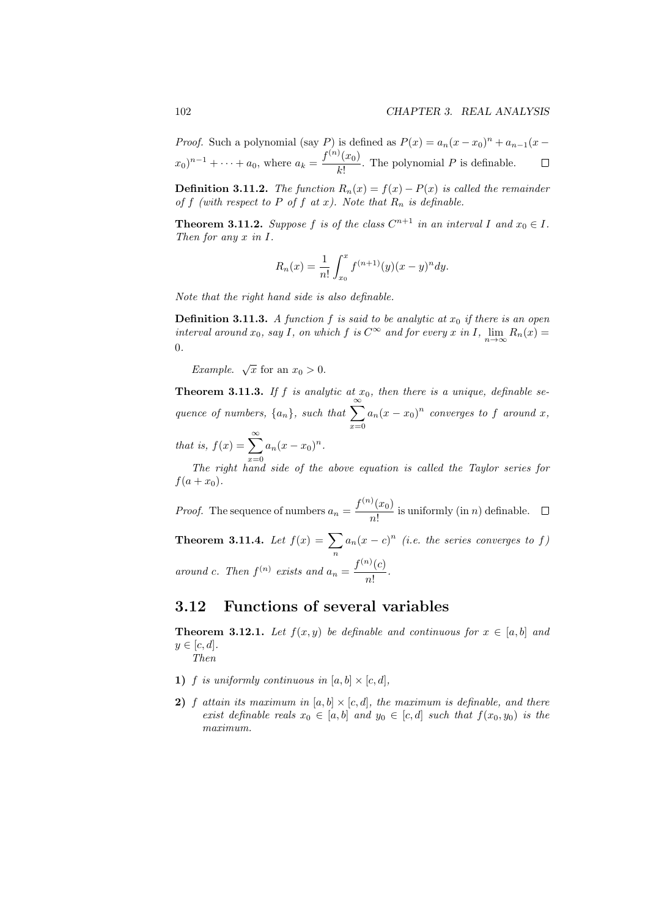*Proof.* Such a polynomial (say *P*) is defined as  $P(x) = a_n(x - x_0)^n + a_{n-1}(x (x_0)^{n-1} + \cdots + a_0$ , where  $a_k = \frac{f^{(n)}(x_0)}{k!}$  $\frac{(\omega_0)}{k!}$ . The polynomial *P* is definable.  $\Box$ 

**Definition 3.11.2.** *The function*  $R_n(x) = f(x) - P(x)$  *is called the remainder of*  $f$  (with respect to  $P$  *of*  $f$  *at*  $x$ *). Note that*  $R_n$  *is definable.* 

**Theorem 3.11.2.** *Suppose*  $f$  *is of the class*  $C^{n+1}$  *in an interval*  $I$  *and*  $x_0 \in I$ *. Then for any x in I.*

$$
R_n(x) = \frac{1}{n!} \int_{x_0}^x f^{(n+1)}(y)(x-y)^n dy.
$$

*Note that the right hand side is also definable.*

**Definition 3.11.3.** *A function f is said to be analytic at*  $x_0$  *if there is an open interval around*  $x_0$ *, say*  $I$ *, on which*  $f$  *is*  $C^{\infty}$  *and* for every  $x$  *in*  $I$ *,*  $\lim_{n\to\infty} R_n(x) =$ 0*.*

*Example.*  $\sqrt{x}$  for an  $x_0 > 0$ .

**Theorem 3.11.3.** If  $f$  is analytic at  $x_0$ , then there is a unique, definable se*quence of numbers,*  $\{a_n\}$ *, such that*  $\sum_{n=1}^{\infty}$ *x*=0  $a_n(x - x_0)^n$  *converges to f around x, that is,*  $f(x) = \sum_{n=0}^{\infty} a_n (x - x_0)^n$ .

 $x=0$ <br>The right hand side of the above equation is called the Taylor series for  $f(a + x_0)$ .

*Proof.* The sequence of numbers  $a_n = \frac{f^{(n)}(x_0)}{n!}$  $\frac{d^{(w_0)}}{n!}$  is uniformly (in *n*) definable.

**Theorem 3.11.4.** *Let*  $f(x) = \sum$ *n*  $a_n(x-c)^n$  (*i.e. the series converges to f*) *around c. Then*  $f^{(n)}$  *exists and*  $a_n = \frac{f^{(n)}(c)}{n!}$  $\frac{1}{n!}$ .

## **3.12 Functions of several variables**

**Theorem 3.12.1.** Let  $f(x, y)$  be definable and continuous for  $x \in [a, b]$  and  $y \in [c, d]$ *.* 

*Then*

- **1)** *f is uniformly continuous in*  $[a, b] \times [c, d]$ *,*
- **2)** *f* attain its maximum in  $[a, b] \times [c, d]$ , the maximum is definable, and there *exist definable reals*  $x_0 \in [a, b]$  *and*  $y_0 \in [c, d]$  *such that*  $f(x_0, y_0)$  *is the maximum.*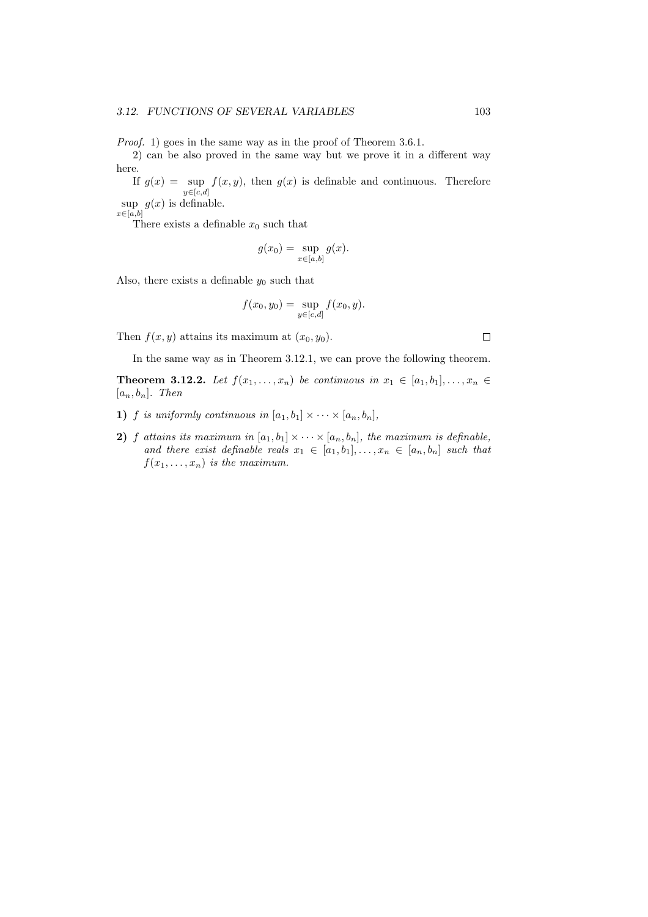*Proof.* 1) goes in the same way as in the proof of Theorem 3.6.1.

2) can be also proved in the same way but we prove it in a different way here.

If  $g(x) = \sup f(x, y)$ , then  $g(x)$  is definable and continuous. Therefore *y∈*[*c,d*]

sup  $g(x)$  is definable. *x∈*[*a,b*]

There exists a definable  $x_0$  such that

$$
g(x_0) = \sup_{x \in [a,b]} g(x).
$$

Also, there exists a definable  $y_0$  such that

$$
f(x_0, y_0) = \sup_{y \in [c,d]} f(x_0, y).
$$

Then  $f(x, y)$  attains its maximum at  $(x_0, y_0)$ .

In the same way as in Theorem 3.12.1, we can prove the following theorem.

**Theorem 3.12.2.** *Let*  $f(x_1, ..., x_n)$  *be continuous in*  $x_1 \in [a_1, b_1], ..., x_n \in$  $[a_n, b_n]$ *. Then* 

- **1)** *f is uniformly continuous in*  $[a_1, b_1] \times \cdots \times [a_n, b_n]$ *,*
- **2)** *f attains its maximum in*  $[a_1, b_1] \times \cdots \times [a_n, b_n]$ , the maximum is definable, *and there exist definable reals*  $x_1 \in [a_1, b_1], \ldots, x_n \in [a_n, b_n]$  such that  $f(x_1, \ldots, x_n)$  *is the maximum.*

 $\Box$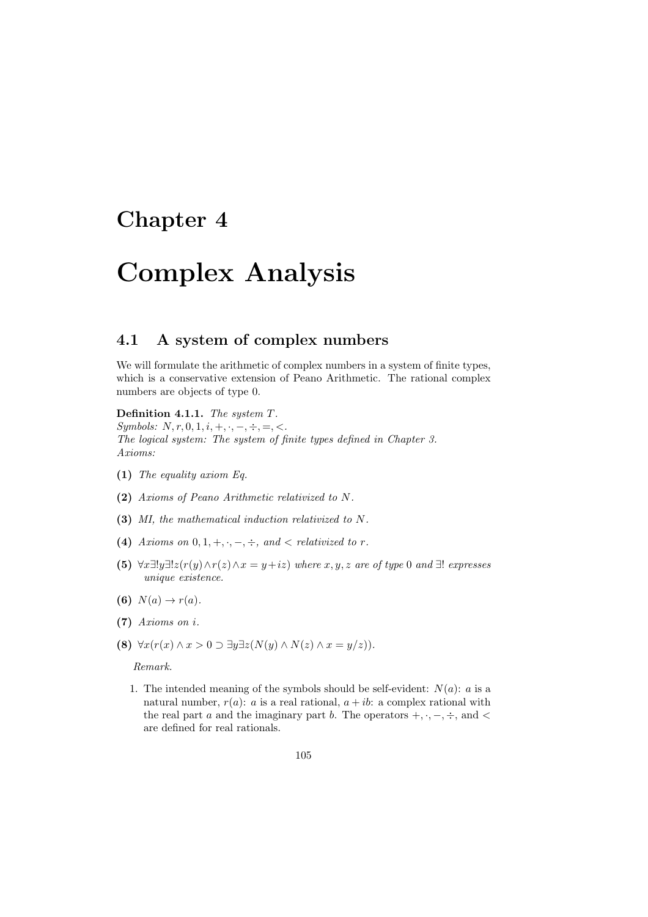### **Chapter 4**

# **Complex Analysis**

### **4.1 A system of complex numbers**

We will formulate the arithmetic of complex numbers in a system of finite types, which is a conservative extension of Peano Arithmetic. The rational complex numbers are objects of type 0.

**Definition 4.1.1.** *The system T.*

*Symbols: N, r,* 0*,* 1*, i,* +*, ·, −, ÷,* =*, <. The logical system: The system of finite types defined in Chapter 3. Axioms:*

- **(1)** *The equality axiom Eq.*
- **(2)** *Axioms of Peano Arithmetic relativized to N.*
- **(3)** *MI, the mathematical induction relativized to N.*
- (4) *Axioms on*  $0, 1, +, \cdot, -, \div$ *, and*  $\lt$  *relativized to*  $r$ *.*
- (5)  $\forall x \exists! y \exists! z (r(y) \land r(z) \land x = y + iz)$  where  $x, y, z$  are of type 0 and  $\exists!$  expresses *unique existence.*
- **(6)**  $N(a) \to r(a)$ .
- **(7)** *Axioms on i.*
- **(8)**  $\forall x (r(x) \land x > 0 \supset \exists y \exists z (N(y) \land N(z) \land x = y/z)).$

*Remark.*

1. The intended meaning of the symbols should be self-evident:  $N(a)$ : *a* is a natural number,  $r(a)$ : *a* is a real rational,  $a + ib$ : a complex rational with the real part *a* and the imaginary part *b*. The operators  $+$ *,*  $\cdot$ *,*  $-$ *,*  $\div$ *,* and < are defined for real rationals.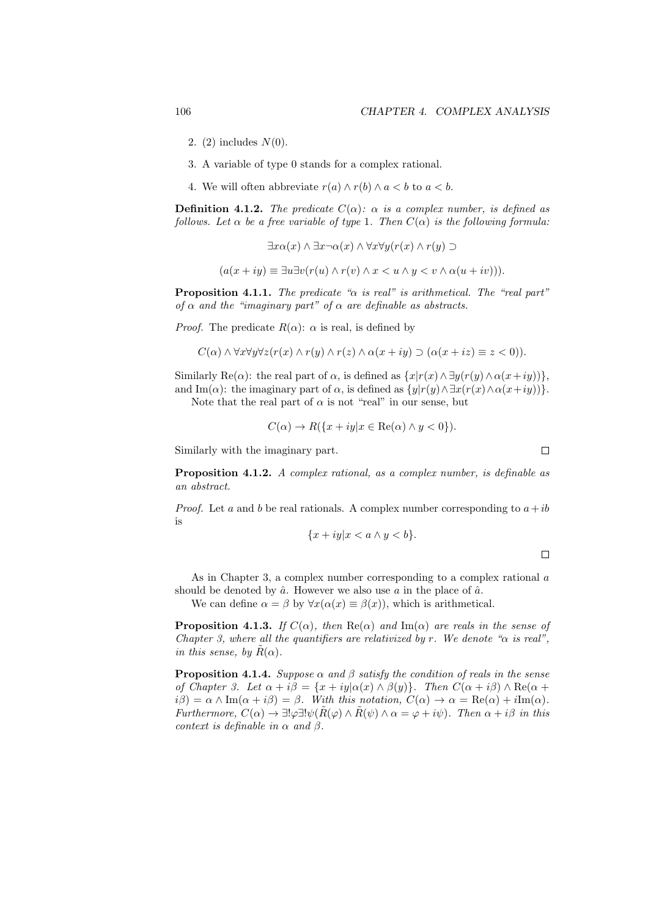- 2. (2) includes *N*(0).
- 3. A variable of type 0 stands for a complex rational.
- 4. We will often abbreviate  $r(a) \wedge r(b) \wedge a < b$  to  $a < b$ .

**Definition 4.1.2.** *The predicate*  $C(\alpha)$ *:*  $\alpha$  *is a complex number, is defined as follows. Let*  $\alpha$  *be a free variable of type* 1*. Then*  $C(\alpha)$  *is the following formula:* 

$$
\exists x \alpha(x) \land \exists x \neg \alpha(x) \land \forall x \forall y (r(x) \land r(y) \supset
$$

$$
(a(x+iy) \equiv \exists u \exists v (r(u) \land r(v) \land x < u \land y < v \land \alpha(u+iv))).
$$

**Proposition 4.1.1.** *The predicate "α is real" is arithmetical. The "real part" of*  $\alpha$  *and the "imaginary part" of*  $\alpha$  *are definable as abstracts.* 

*Proof.* The predicate  $R(\alpha)$ :  $\alpha$  is real, is defined by

$$
C(\alpha) \wedge \forall x \forall y \forall z (r(x) \wedge r(y) \wedge r(z) \wedge \alpha(x+iy) \supset (\alpha(x+iz) \equiv z < 0)).
$$

Similarly Re( $\alpha$ ): the real part of  $\alpha$ , is defined as  $\{x|r(x) \wedge \exists y(r(y) \wedge \alpha(x+iy))\},\$ and Im( $\alpha$ ): the imaginary part of  $\alpha$ , is defined as  $\{y|r(y) \wedge \exists x (r(x) \wedge \alpha(x+iy))\}.$ 

Note that the real part of  $\alpha$  is not "real" in our sense, but

$$
C(\alpha) \to R({x+iy|x \in \text{Re}(\alpha) \land y < 0}).
$$

Similarly with the imaginary part.

**Proposition 4.1.2.** *A complex rational, as a complex number, is definable as an abstract.*

*Proof.* Let *a* and *b* be real rationals. A complex number corresponding to  $a + ib$ is

$$
\{x+iy|x
$$

 $\Box$ 

 $\Box$ 

As in Chapter 3, a complex number corresponding to a complex rational *a* should be denoted by  $\hat{a}$ . However we also use  $a$  in the place of  $\hat{a}$ .

We can define  $\alpha = \beta$  by  $\forall x(\alpha(x) \equiv \beta(x))$ , which is arithmetical.

**Proposition 4.1.3.** *If*  $C(\alpha)$ *, then*  $\text{Re}(\alpha)$  *and*  $\text{Im}(\alpha)$  *are reals in the sense of Chapter 3, where all the quantifiers are relativized by r. We denote "α is real", in this sense, by*  $R(\alpha)$ *.* 

**Proposition 4.1.4.** *Suppose*  $\alpha$  *and*  $\beta$  *satisfy the condition of reals in the sense of Chapter 3. Let*  $\alpha + i\beta = \{x + iy | \alpha(x) \wedge \beta(y)\}\$ *. Then*  $C(\alpha + i\beta) \wedge \text{Re}(\alpha + i\beta)$  $i\beta$ ) =  $\alpha \wedge \text{Im}(\alpha + i\beta) = \beta$ *. With this notation,*  $C(\alpha) \rightarrow \alpha = \text{Re}(\alpha) + i\text{Im}(\alpha)$ *. Furthermore,*  $C(\alpha) \to \exists! \varphi \exists! \psi (\tilde{R}(\varphi) \land \tilde{R}(\psi) \land \alpha = \varphi + i\psi)$ *. Then*  $\alpha + i\beta$  *in this context is definable in*  $\alpha$  *and*  $\beta$ *.*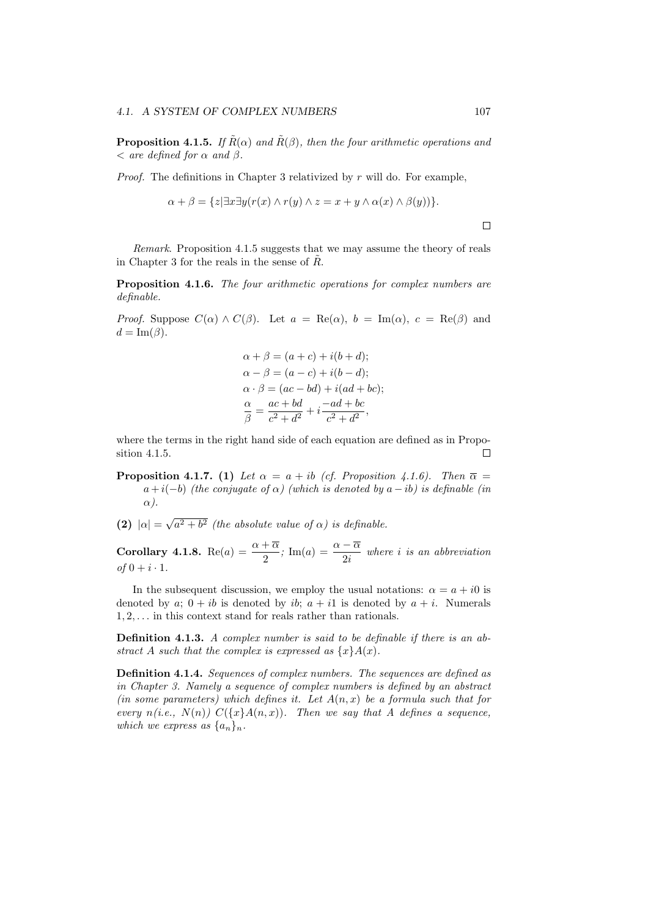**Proposition 4.1.5.** *If*  $\hat{R}(\alpha)$  *and*  $\hat{R}(\beta)$ *, then the four arithmetic operations and*  $\langle$  *are defined for*  $\alpha$  *and*  $\beta$ *.* 

*Proof.* The definitions in Chapter 3 relativized by *r* will do. For example,

$$
\alpha + \beta = \{z | \exists x \exists y (r(x) \land r(y) \land z = x + y \land \alpha(x) \land \beta(y))\}.
$$

*Remark*. Proposition 4.1.5 suggests that we may assume the theory of reals in Chapter 3 for the reals in the sense of  $R$ .

**Proposition 4.1.6.** *The four arithmetic operations for complex numbers are definable.*

*Proof.* Suppose  $C(\alpha) \wedge C(\beta)$ . Let  $a = \text{Re}(\alpha)$ ,  $b = \text{Im}(\alpha)$ ,  $c = \text{Re}(\beta)$  and  $d = \text{Im}(\beta)$ .

$$
\alpha + \beta = (a + c) + i(b + d);
$$
  
\n
$$
\alpha - \beta = (a - c) + i(b - d);
$$
  
\n
$$
\alpha \cdot \beta = (ac - bd) + i(ad + bc);
$$
  
\n
$$
\frac{\alpha}{\beta} = \frac{ac + bd}{c^2 + d^2} + i\frac{-ad + bc}{c^2 + d^2},
$$

where the terms in the right hand side of each equation are defined as in Proposition 4.1.5. П

- **Proposition 4.1.7.** (1) *Let*  $\alpha = a + ib$  *(cf. Proposition 4.1.6). Then*  $\overline{\alpha} =$  $a + i(-b)$  *(the conjugate of*  $\alpha$ *) (which is denoted by*  $a - ib$ *) is definable (in α).*
- **(2)**  $|\alpha| = \sqrt{a^2 + b^2}$  (the absolute value of  $\alpha$ ) is definable.

**Corollary 4.1.8.** Re(*a*) =  $\frac{\alpha + \overline{\alpha}}{2}$ ; Im(*a*) =  $\frac{\alpha - \overline{\alpha}}{2i}$  where *i is an abbreviation*  $of\ 0 + i \cdot 1.$ 

In the subsequent discussion, we employ the usual notations:  $\alpha = a + i0$  is denoted by  $a$ ;  $0 + ib$  is denoted by  $ib$ ;  $a + i1$  is denoted by  $a + i$ . Numerals 1*,* 2*, . . .* in this context stand for reals rather than rationals.

**Definition 4.1.3.** *A complex number is said to be definable if there is an abstract A such that the complex is expressed as*  $\{x\}A(x)$ *.* 

**Definition 4.1.4.** *Sequences of complex numbers. The sequences are defined as in Chapter 3. Namely a sequence of complex numbers is defined by an abstract (in some parameters) which defines it. Let A*(*n, x*) *be a formula such that for every*  $n(i.e., N(n))$   $C({x}A(n,x))$ *. Then we say that A defines a sequence, which we express as*  $\{a_n\}_n$ *.* 

 $\Box$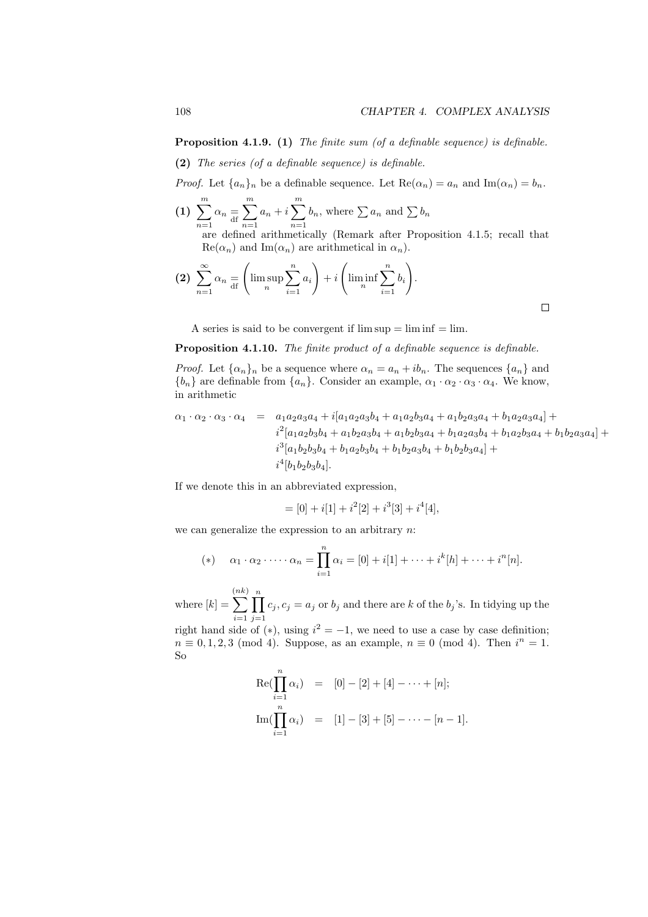**Proposition 4.1.9. (1)** *The finite sum (of a definable sequence) is definable.*

**(2)** *The series (of a definable sequence) is definable.*

*Proof.* Let  ${a_n}_n$  be a definable sequence. Let  $Re(\alpha_n) = a_n$  and  $Im(\alpha_n) = b_n$ .

 $(1) \sum_{m=1}^{m}$ *n*=1  $\alpha_n \equiv d$ ∑*m n*=1  $a_n + i \sum_{i=1}^{m}$ *n*=1  $b_n$ , where  $\sum a_n$  and  $\sum b_n$ are defined arithmetically (Remark after Proposition 4.1.5; recall that  $\text{Re}(\alpha_n)$  and  $\text{Im}(\alpha_n)$  are arithmetical in  $\alpha_n$ ).

$$
(2) \sum_{n=1}^{\infty} \alpha_n \equiv \left( \limsup_{n} \sum_{i=1}^{n} a_i \right) + i \left( \liminf_{n} \sum_{i=1}^{n} b_i \right).
$$

A series is said to be convergent if  $\limsup = \liminf = \lim$ .

**Proposition 4.1.10.** *The finite product of a definable sequence is definable.*

*Proof.* Let  $\{\alpha_n\}_n$  be a sequence where  $\alpha_n = a_n + ib_n$ . The sequences  $\{a_n\}$  and  ${b_n}$  are definable from  ${a_n}$ . Consider an example,  $\alpha_1 \cdot \alpha_2 \cdot \alpha_3 \cdot \alpha_4$ . We know, in arithmetic

$$
\alpha_1 \cdot \alpha_2 \cdot \alpha_3 \cdot \alpha_4 = a_1 a_2 a_3 a_4 + i[a_1 a_2 a_3 b_4 + a_1 a_2 b_3 a_4 + a_1 b_2 a_3 a_4 + b_1 a_2 a_3 a_4] +\n i2[a_1 a_2 b_3 b_4 + a_1 b_2 a_3 b_4 + a_1 b_2 b_3 a_4 + b_1 a_2 a_3 b_4 + b_1 a_2 b_3 a_4 + b_1 b_2 a_3 a_4] +\n i3[a_1 b_2 b_3 b_4 + b_1 a_2 b_3 b_4 + b_1 b_2 a_3 b_4 + b_1 b_2 b_3 a_4] +\n i4[b_1 b_2 b_3 b_4].
$$

If we denote this in an abbreviated expression,

$$
= [0] + i[1] + i^2[2] + i^3[3] + i^4[4],
$$

we can generalize the expression to an arbitrary *n*:

(\*) 
$$
\alpha_1 \cdot \alpha_2 \cdot \dots \cdot \alpha_n = \prod_{i=1}^n \alpha_i = [0] + i[1] + \dots + i^k[h] + \dots + i^n[n].
$$

where  $[k] =$ ( ∑ *nk*) *i*=1 ∏*n j*=1  $c_j$ ,  $c_j = a_j$  or  $b_j$  and there are *k* of the  $b_j$ 's. In tidying up the

right hand side of  $(*)$ , using  $i^2 = -1$ , we need to use a case by case definition;  $n \equiv 0, 1, 2, 3 \pmod{4}$ . Suppose, as an example,  $n \equiv 0 \pmod{4}$ . Then  $i^n = 1$ . So

$$
\operatorname{Re}(\prod_{i=1}^{n} \alpha_{i}) = [0] - [2] + [4] - \dots + [n];
$$
  
\n
$$
\operatorname{Im}(\prod_{i=1}^{n} \alpha_{i}) = [1] - [3] + [5] - \dots - [n-1].
$$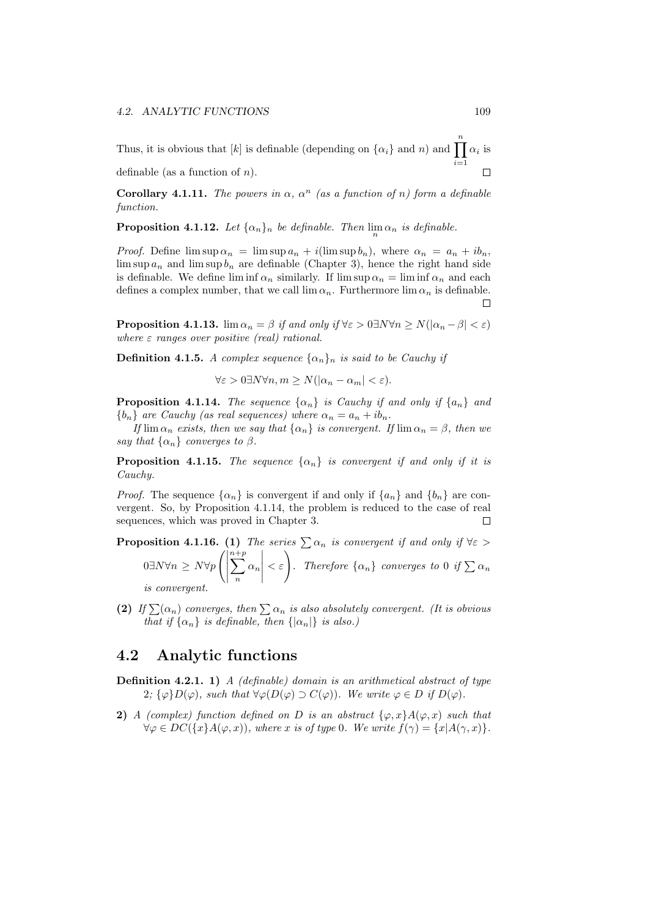Thus, it is obvious that [*k*] is definable (depending on  $\{\alpha_i\}$  and *n*) and  $\prod_{i=1}^{n} \alpha_i$  is *i*=1 definable (as a function of *n*).  $\Box$ 

**Corollary 4.1.11.** *The powers in*  $\alpha$ ,  $\alpha^n$  (as a function of *n*) form a definable *function.*

**Proposition 4.1.12.** Let  $\{\alpha_n\}_n$  be definable. Then  $\lim_n \alpha_n$  is definable.

*Proof.* Define  $\limsup \alpha_n = \limsup a_n + i(\limsup b_n)$ , where  $\alpha_n = a_n + ib_n$ ,  $\limsup a_n$  and  $\limsup b_n$  are definable (Chapter 3), hence the right hand side is definable. We define  $\liminf \alpha_n$  similarly. If  $\limsup \alpha_n = \liminf \alpha_n$  and each defines a complex number, that we call  $\lim \alpha_n$ . Furthermore  $\lim \alpha_n$  is definable. П

**Proposition 4.1.13.** lim  $\alpha_n = \beta$  *if and only if*  $\forall \varepsilon > 0 \exists N \forall n \ge N (\vert \alpha_n - \beta \vert < \varepsilon)$ *where ε ranges over positive* (*real*) *rational.* 

**Definition 4.1.5.** *A complex sequence*  $\{\alpha_n\}_n$  *is said to be Cauchy if* 

$$
\forall \varepsilon > 0 \exists N \forall n, m \ge N(|\alpha_n - \alpha_m| < \varepsilon).
$$

**Proposition 4.1.14.** The sequence  $\{\alpha_n\}$  is Cauchy if and only if  $\{a_n\}$  and  ${b_n}$  *are Cauchy (as real sequences) where*  $\alpha_n = a_n + ib_n$ .

*If*  $\lim \alpha_n$  *exists, then we say that*  $\{\alpha_n\}$  *is convergent. If*  $\lim \alpha_n = \beta$ *, then we say that*  $\{\alpha_n\}$  *converges to*  $\beta$ *.* 

**Proposition 4.1.15.** *The sequence*  $\{\alpha_n\}$  *is convergent if and only if it is Cauchy.*

*Proof.* The sequence  $\{\alpha_n\}$  is convergent if and only if  $\{a_n\}$  and  $\{b_n\}$  are convergent. So, by Proposition 4.1.14, the problem is reduced to the case of real sequences, which was proved in Chapter 3.  $\Box$ 

**Proposition 4.1.16.** (1) *The series*  $\sum \alpha_n$  *is convergent if and only if*  $\forall \varepsilon >$ 0*∃N∀n ≥ N∀p*  $\left(\right)$ *n*∑ +*p n α<sup>n</sup>*  $\begin{array}{c} \begin{array}{c} \begin{array}{c} \begin{array}{c} \end{array} \\ \end{array} \end{array} \end{array} \end{array}$  $\langle \xi | \xi |$  *. Therefore*  $\{ \alpha_n \}$  *converges to* 0 *if*  $\sum \alpha_n$ *is convergent.*

**(2)** *If*  $\sum(\alpha_n)$  *converges, then*  $\sum \alpha_n$  *is also absolutely convergent. (It is obvious that if*  $\{\alpha_n\}$  *is definable, then*  $\{\alpha_n\}$  *is also.)* 

#### **4.2 Analytic functions**

- **Definition 4.2.1. 1)** *A (definable) domain is an arithmetical abstract of type* 2*;*  $\{\varphi\}D(\varphi)$ *, such that*  $\forall \varphi(D(\varphi) \supset C(\varphi))$ *. We write*  $\varphi \in D$  *if*  $D(\varphi)$ *.*
- **2)** *A* (complex) function defined on *D* is an abstract  $\{\varphi, x\}A(\varphi, x)$  such that  $\forall \varphi \in DC(\lbrace x \rbrace A(\varphi, x))$ , where x is of type 0. We write  $f(\gamma) = \lbrace x | A(\gamma, x) \rbrace$ .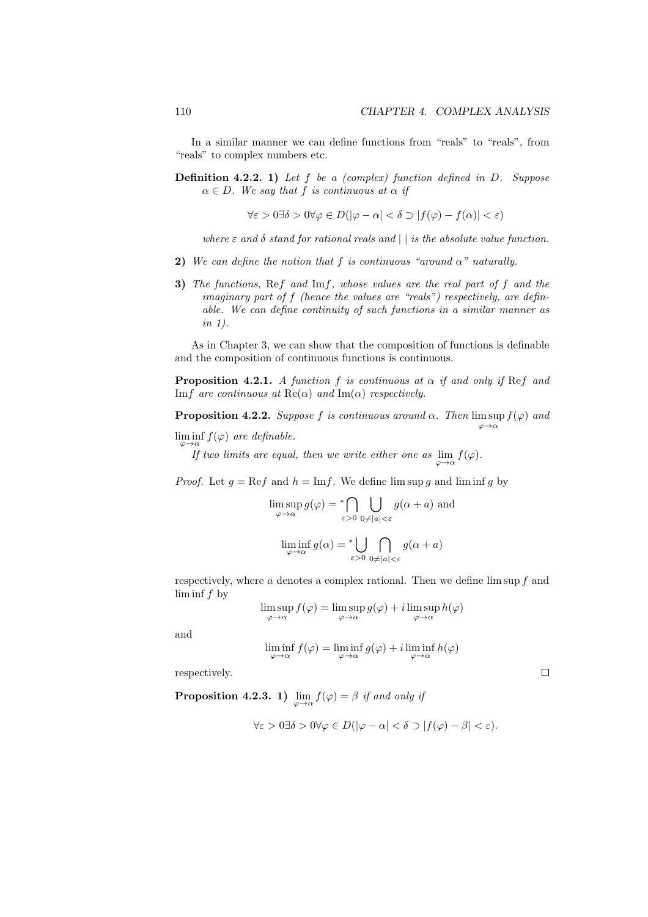*φ→α*

 $\Box$ 

In a similar manner we can define functions from "reals" to "reals", from "reals" to complex numbers etc.

**Definition 4.2.2. 1)** *Let f be a (complex) function defined in D. Suppose*  $\alpha \in D$ *. We say that*  $f$  *is continuous at*  $\alpha$  *if* 

$$
\forall \varepsilon > 0 \exists \delta > 0 \forall \varphi \in D(|\varphi - \alpha| < \delta \supset |f(\varphi) - f(\alpha)| < \varepsilon)
$$

*where*  $\varepsilon$  *and*  $\delta$  *stand for rational reals and*  $||$  *is the absolute value function.* 

- **2)** We can define the notion that f is continuous "around  $\alpha$ " naturally.
- **3)** *The functions,* Re*f and* Im*f, whose values are the real part of f and the imaginary part of f (hence the values are "reals") respectively, are definable. We can define continuity of such functions in a similar manner as in 1).*

As in Chapter 3, we can show that the composition of functions is definable and the composition of continuous functions is continuous.

**Proposition 4.2.1.** *A function*  $f$  *is continuous at*  $\alpha$  *if and only if* Ref *and* Im*f* are continuous at  $\text{Re}(\alpha)$  and  $\text{Im}(\alpha)$  respectively.

**Proposition 4.2.2.** *Suppose*  $f$  *is continuous around*  $\alpha$ *. Then*  $\limsup f(\varphi)$  *and* 

 $\liminf_{\varphi \to \alpha} f(\varphi)$  *are definable.* 

*If two limits are equal, then we write either one as*  $\lim_{\varphi \to \alpha} f(\varphi)$ .

*Proof.* Let  $g = \text{Re} f$  and  $h = \text{Im} f$ . We define  $\limsup g$  and  $\liminf g$  by

$$
\limsup_{\varphi \to \alpha} g(\varphi) = \bigcap_{\varepsilon > 0} \bigcup_{0 \neq |a| < \varepsilon} g(\alpha + a) \text{ and}
$$
\n
$$
\liminf_{\varphi \to \alpha} g(\alpha) = \bigcup_{\varepsilon > 0} \bigcap_{0 \neq |a| < \varepsilon} g(\alpha + a)
$$

respectively, where *a* denotes a complex rational. Then we define lim sup *f* and lim inf *f* by

*ε>*0 0*̸*=*|a|<ε*

$$
\limsup_{\varphi \to \alpha} f(\varphi) = \limsup_{\varphi \to \alpha} g(\varphi) + i \limsup_{\varphi \to \alpha} h(\varphi)
$$

and

$$
\liminf_{\varphi \to \alpha} f(\varphi) = \liminf_{\varphi \to \alpha} g(\varphi) + i \liminf_{\varphi \to \alpha} h(\varphi)
$$

respectively.

**Proposition 4.2.3. 1)**  $\lim_{\varphi \to \alpha} f(\varphi) = \beta$  *if and only if* 

$$
\forall \varepsilon > 0 \exists \delta > 0 \forall \varphi \in D(|\varphi - \alpha| < \delta \supset |f(\varphi) - \beta| < \varepsilon).
$$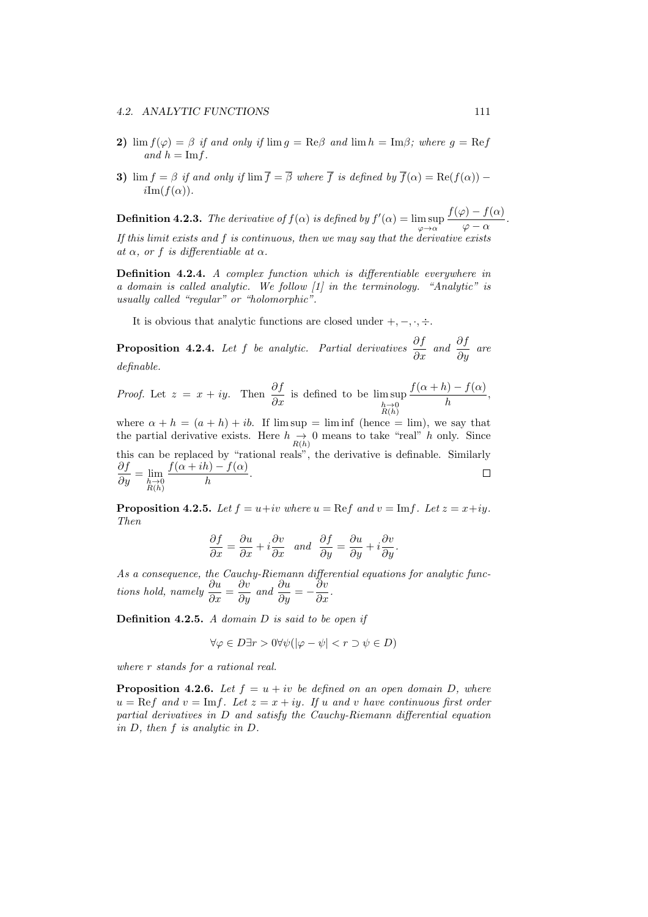- **2)** lim  $f(\varphi) = \beta$  *if and only if* lim  $g = \text{Re}\beta$  *and* lim  $h = \text{Im}\beta$ *; where*  $g = \text{Re}f$  $and h = \text{Im } f.$
- **3)** lim  $f = \beta$  *if and only if* lim  $\overline{f} = \overline{\beta}$  *where*  $\overline{f}$  *is defined by*  $\overline{f}(\alpha) = \text{Re}(f(\alpha))$  *−*  $iIm(f(\alpha)).$

**Definition 4.2.3.** *The derivative of*  $f(\alpha)$  *is defined by*  $f'(\alpha) = \limsup$ *φ→α*  $f(\varphi) - f(\alpha)$  $\frac{\partial}{\partial \varphi} - \alpha$ . *If this limit exists and f is continuous, then we may say that the derivative exists*  $at \alpha$ *, or f is differentiable at*  $\alpha$ *.* 

**Definition 4.2.4.** *A complex function which is differentiable everywhere in a domain is called analytic. We follow [1] in the terminology. "Analytic" is usually called "regular" or "holomorphic".*

It is obvious that analytic functions are closed under  $+$ ,  $-$ ,  $\cdot$ ,  $\div$ .

**Proposition 4.2.4.** *Let f be analytic. Partial derivatives*  $\frac{\partial f}{\partial x}$  *and*  $\frac{\partial f}{\partial y}$  *are definable.*

*Proof.* Let 
$$
z = x + iy
$$
. Then  $\frac{\partial f}{\partial x}$  is defined to be  $\limsup_{\substack{h \to 0 \\ R(h)}} \frac{f(\alpha + h) - f(\alpha)}{h}$ ,

where  $\alpha + h = (a + h) + ib$ . If  $\limsup = \liminf$  (hence  $= \lim$ ), we say that the partial derivative exists. Here  $h \to 0$  means to take "real" *h* only. Since this can be replaced by "rational reals", the derivative is definable. Similarly  $\frac{\partial f}{\partial y} = \lim_{h \to 0 \atop R(h)}$  $f(\alpha + ih) - f(\alpha)$  $\frac{b}{h}$ .

**Proposition 4.2.5.** Let  $f = u + iv$  where  $u = \text{Re}f$  and  $v = \text{Im}f$ . Let  $z = x + iy$ . *Then*

$$
\frac{\partial f}{\partial x} = \frac{\partial u}{\partial x} + i \frac{\partial v}{\partial x} \quad and \quad \frac{\partial f}{\partial y} = \frac{\partial u}{\partial y} + i \frac{\partial v}{\partial y}.
$$

*As a consequence, the Cauchy-Riemann differential equations for analytic functions hold, namely*  $\frac{\partial u}{\partial x} = \frac{\partial v}{\partial y}$  *and*  $\frac{\partial u}{\partial y} = -\frac{\partial v}{\partial x}$ .

**Definition 4.2.5.** *A domain D is said to be open if*

$$
\forall \varphi \in D \exists r > 0 \forall \psi \left( |\varphi - \psi| < r \supset \psi \in D \right)
$$

*where r stands for a rational real.*

**Proposition 4.2.6.** *Let*  $f = u + iv$  *be defined on an open domain D, where*  $u = \text{Re} f$  *and*  $v = \text{Im} f$ *. Let*  $z = x + iy$ *. If*  $u$  *and*  $v$  *have continuous first order partial derivatives in D and satisfy the Cauchy-Riemann differential equation in D, then f is analytic in D.*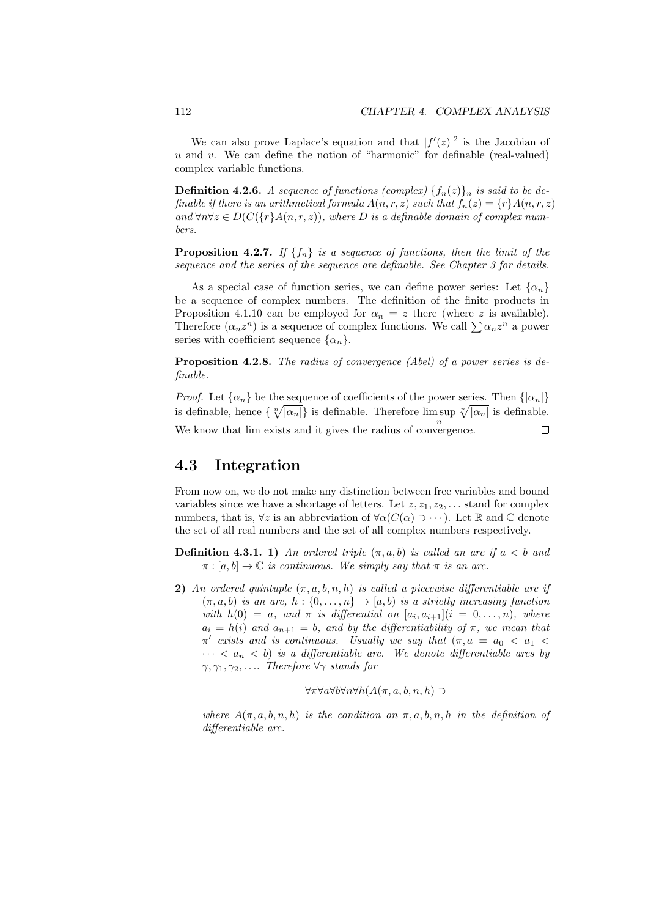We can also prove Laplace's equation and that  $|f'(z)|^2$  is the Jacobian of *u* and *v*. We can define the notion of "harmonic" for definable (real-valued) complex variable functions.

**Definition 4.2.6.** *A sequence of functions (complex)*  $\{f_n(z)\}_n$  *is said to be definable if there is an arithmetical formula*  $A(n, r, z)$  *such that*  $f_n(z) = \{r\}A(n, r, z)$ *and*  $\forall n \forall z \in D(C({r \mid A(n,r,z))})$ , where *D* is a definable domain of complex num*bers.*

**Proposition 4.2.7.** If  ${f_n}$  is a sequence of functions, then the limit of the *sequence and the series of the sequence are definable. See Chapter 3 for details.*

As a special case of function series, we can define power series: Let  $\{\alpha_n\}$ be a sequence of complex numbers. The definition of the finite products in Proposition 4.1.10 can be employed for  $\alpha_n = z$  there (where *z* is available). Therefore  $(\alpha_n z^n)$  is a sequence of complex functions. We call  $\sum \alpha_n z^n$  a power series with coefficient sequence  $\{\alpha_n\}$ .

**Proposition 4.2.8.** *The radius of convergence (Abel) of a power series is definable.*

*Proof.* Let  $\{\alpha_n\}$  be the sequence of coefficients of the power series. Then  $\{\alpha_n\}$ is definable, hence  $\{\sqrt[n]{|\alpha_n|}\}$  is definable. Therefore lim sup  $\sqrt[n]{|\alpha_n|}$  is definable. We know that  $\lim$  exists and it gives the radius of convergence.  $\Box$ 

#### **4.3 Integration**

From now on, we do not make any distinction between free variables and bound variables since we have a shortage of letters. Let  $z, z_1, z_2, \ldots$  stand for complex numbers, that is,  $\forall z$  is an abbreviation of  $\forall \alpha$ ( $C(\alpha) \supset \cdots$ ). Let R and C denote the set of all real numbers and the set of all complex numbers respectively.

- **Definition 4.3.1. 1)** *An ordered triple*  $(\pi, a, b)$  *is called an arc if*  $a < b$  *and*  $\pi$ :  $[a, b] \rightarrow \mathbb{C}$  *is continuous. We simply say that*  $\pi$  *is an arc.*
- **2)** *An ordered quintuple*  $(\pi, a, b, n, h)$  *is called a piecewise differentiable arc if*  $(\pi, a, b)$  *is an arc,*  $h : \{0, \ldots, n\} \rightarrow [a, b)$  *is a strictly increasing function with*  $h(0) = a$ *, and*  $\pi$  *is differential on*  $[a_i, a_{i+1}](i = 0, \ldots, n)$ *, where*  $a_i = h(i)$  *and*  $a_{n+1} = b$ *, and by the differentiability of*  $\pi$ *, we mean that π*<sup> $\prime$ </sup> exists and is continuous. Usually we say that  $(\pi, a = a_0 < a_1 < a_2)$  $\cdots < a_n < b$  *is a differentiable arc.* We denote differentiable arcs by *γ, γ*1*, γ*2*, . . .. Therefore ∀γ stands for*

$$
\forall \pi \forall a \forall b \forall n \forall h (A(\pi, a, b, n, h) \supset
$$

*where*  $A(\pi, a, b, n, h)$  *is the condition on*  $\pi, a, b, n, h$  *in the definition of differentiable arc.*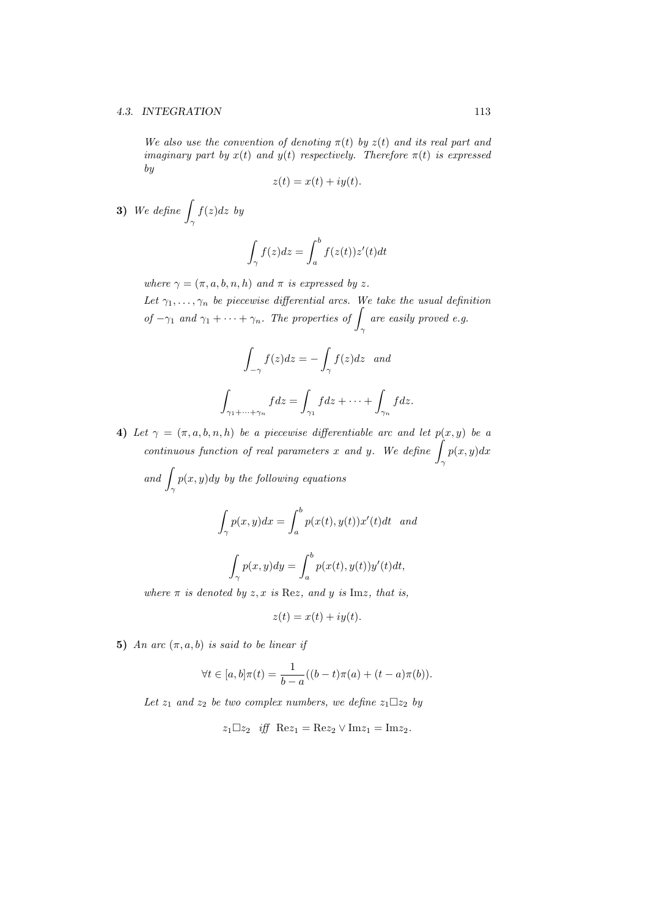#### *4.3. INTEGRATION* 113

*We also use the convention of denoting*  $\pi(t)$  *by*  $z(t)$  *and its real part and imaginary part by*  $x(t)$  *and*  $y(t)$  *respectively. Therefore*  $\pi(t)$  *is expressed by*

$$
z(t) = x(t) + iy(t)
$$

**3)** *We define* <sup>∫</sup> *γ f*(*z*)*dz by*

$$
\int_{\gamma} f(z)dz = \int_{a}^{b} f(z(t))z'(t)dt
$$

*where*  $\gamma = (\pi, a, b, n, h)$  *and*  $\pi$  *is expressed by z*.

*Let*  $\gamma_1, \ldots, \gamma_n$  *be piecewise differential arcs. We take the usual definition of*  $-\gamma_1$  *and*  $\gamma_1 + \cdots + \gamma_n$ *. The properties of*  $\int_{\gamma}$ *are easily proved e.g.*

$$
\int_{-\gamma} f(z)dz = -\int_{\gamma} f(z)dz \text{ and}
$$

$$
\int_{\gamma_1 + \dots + \gamma_n} f dz = \int_{\gamma_1} f dz + \dots + \int_{\gamma_n} f dz.
$$

**4)** *Let*  $\gamma = (\pi, a, b, n, h)$  *be a piecewise differentiable arc and let*  $p(x, y)$  *be a continuous function of real parameters <sup>x</sup> and <sup>y</sup>. We define* <sup>∫</sup> *γ p*(*x, y*)*dx*

and 
$$
\int_{\gamma} p(x, y) dy
$$
 by the following equations  

$$
\int_{\gamma} p(x, y) dx = \int_{a}^{b} p(x(t), y(t))x'(t) dt \text{ and}
$$

$$
\int_{\gamma} p(x, y) dy = \int_{a}^{b} p(x(t), y(t))y'(t) dt,
$$

*where*  $\pi$  *is denoted by z, x is* Re*z, and y is* Im*z, that is,* 

$$
z(t) = x(t) + iy(t).
$$

**5)** *An arc*  $(\pi, a, b)$  *is said to be linear if* 

$$
\forall t \in [a, b] \pi(t) = \frac{1}{b - a} ((b - t)\pi(a) + (t - a)\pi(b)).
$$

*Let*  $z_1$  *and*  $z_2$  *be two complex numbers, we define*  $z_1 \square z_2$  *by* 

$$
z_1 \Box z_2 \quad \text{iff} \quad \text{Re} z_1 = \text{Re} z_2 \lor \text{Im} z_1 = \text{Im} z_2.
$$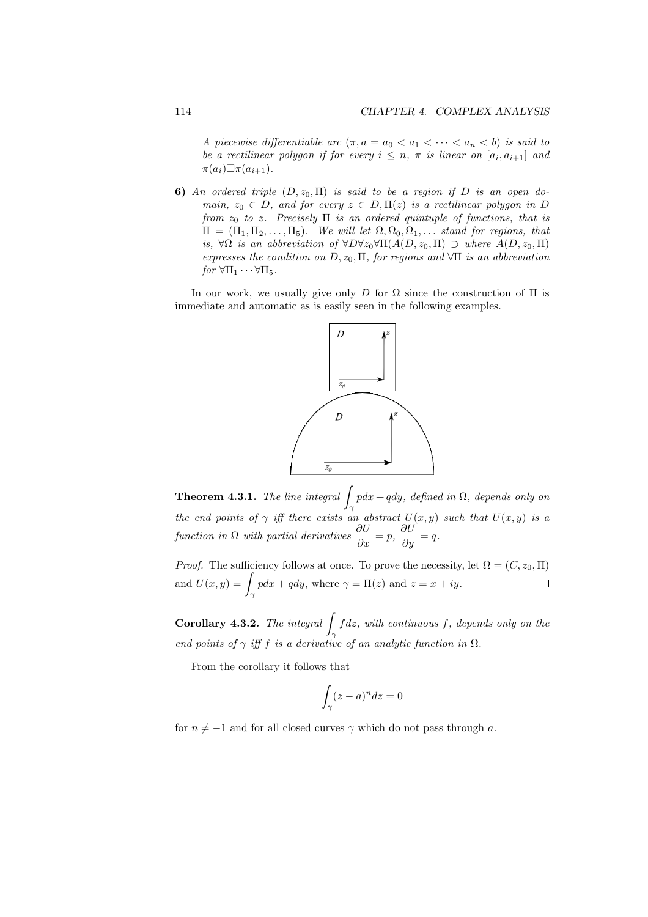*A piecewise differentiable arc*  $(\pi, a = a_0 < a_1 < \cdots < a_n < b)$  *is said to be a rectilinear polygon if for every*  $i \leq n$ ,  $\pi$  *is linear on*  $[a_i, a_{i+1}]$  *and*  $\pi(a_i) \Box \pi(a_{i+1})$ .

**6)** *An ordered triple*  $(D, z_0, \Pi)$  *is said to be a region if D is an open domain,*  $z_0 \in D$ *, and for every*  $z \in D$ ,  $\Pi(z)$  *is a rectilinear polygon in D from z*<sup>0</sup> *to z. Precisely* Π *is an ordered quintuple of functions, that is*  $\Pi = (\Pi_1, \Pi_2, \ldots, \Pi_5)$ *. We will let*  $\Omega, \Omega_0, \Omega_1, \ldots$  *stand for regions, that is, ∀*Ω *is an abbreviation of ∀D∀z*0*∀*Π(*A*(*D, z*0*,* Π) *⊃ where A*(*D, z*0*,* Π) *expresses the condition on D, z*0*,* Π*, for regions and ∀*Π *is an abbreviation*  $for \ \forall \Pi_1 \cdots \forall \Pi_5.$ 

In our work, we usually give only *D* for  $\Omega$  since the construction of  $\Pi$  is immediate and automatic as is easily seen in the following examples.



**Theorem 4.3.1.** *The line integral* <sup>∫</sup> *γ pdx* + *qdy, defined in* Ω*, depends only on the end points of*  $\gamma$  *iff there exists an abstract*  $U(x, y)$  *such that*  $U(x, y)$  *is a function in*  $\Omega$  *with partial derivatives*  $\frac{\partial U}{\partial x} = p$ ,  $\frac{\partial U}{\partial y} = q$ .

*Proof.* The sufficiency follows at once. To prove the necessity, let  $\Omega = (C, z_0, \Pi)$ and  $U(x, y) = \Box$  $pdx + qdy$ , where  $\gamma = \Pi(z)$  and  $z = x + iy$ .  $\Box$ *γ*

**Corollary 4.3.2.** *The integral* <sup>∫</sup> *γ f dz, with continuous f, depends only on the* end points of  $\gamma$  *iff*  $f$  *is a derivative of an analytic function in*  $\Omega$ *.* 

From the corollary it follows that

$$
\int_{\gamma} (z-a)^n dz = 0
$$

for  $n \neq -1$  and for all closed curves  $\gamma$  which do not pass through *a*.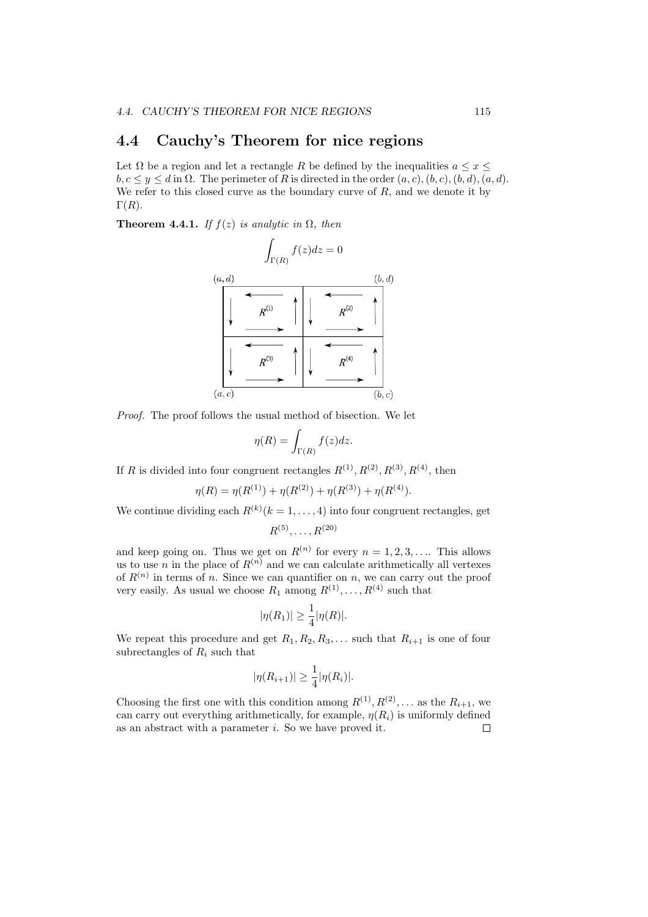### **4.4 Cauchy's Theorem for nice regions**

Let  $\Omega$  be a region and let a rectangle  $R$  be defined by the inequalities  $a \leq x \leq$  $b, c \leq y \leq d$  in  $\Omega$ . The perimeter of *R* is directed in the order  $(a, c), (b, c), (b, d), (a, d)$ . We refer to this closed curve as the boundary curve of *R*, and we denote it by  $\Gamma(R)$ .

**Theorem 4.4.1.** *If*  $f(z)$  *is analytic in*  $\Omega$ *, then* 



*Proof.* The proof follows the usual method of bisection. We let

$$
\eta(R)=\int_{\Gamma(R)}f(z)dz.
$$

If *R* is divided into four congruent rectangles  $R^{(1)}$ ,  $R^{(2)}$ ,  $R^{(3)}$ ,  $R^{(4)}$ , then

$$
\eta(R) = \eta(R^{(1)}) + \eta(R^{(2)}) + \eta(R^{(3)}) + \eta(R^{(4)}).
$$

We continue dividing each  $R^{(k)}(k=1,\ldots,4)$  into four congruent rectangles, get  $R^{(5)}, \ldots, R^{(20)}$ 

and keep going on. Thus we get on  $R^{(n)}$  for every  $n = 1, 2, 3, \ldots$ . This allows us to use *n* in the place of  $R^{(n)}$  and we can calculate arithmetically all vertexes of  $R^{(n)}$  in terms of *n*. Since we can quantifier on *n*, we can carry out the proof very easily. As usual we choose  $R_1$  among  $R^{(1)}, \ldots, R^{(4)}$  such that

$$
|\eta(R_1)| \ge \frac{1}{4} |\eta(R)|.
$$

We repeat this procedure and get  $R_1, R_2, R_3, \ldots$  such that  $R_{i+1}$  is one of four subrectangles of  $R_i$  such that

$$
|\eta(R_{i+1})| \ge \frac{1}{4} |\eta(R_i)|.
$$

Choosing the first one with this condition among  $R^{(1)}, R^{(2)}, \ldots$  as the  $R_{i+1}$ , we can carry out everything arithmetically, for example,  $\eta(R_i)$  is uniformly defined as an abstract with a parameter *i*. So we have proved it. $\Box$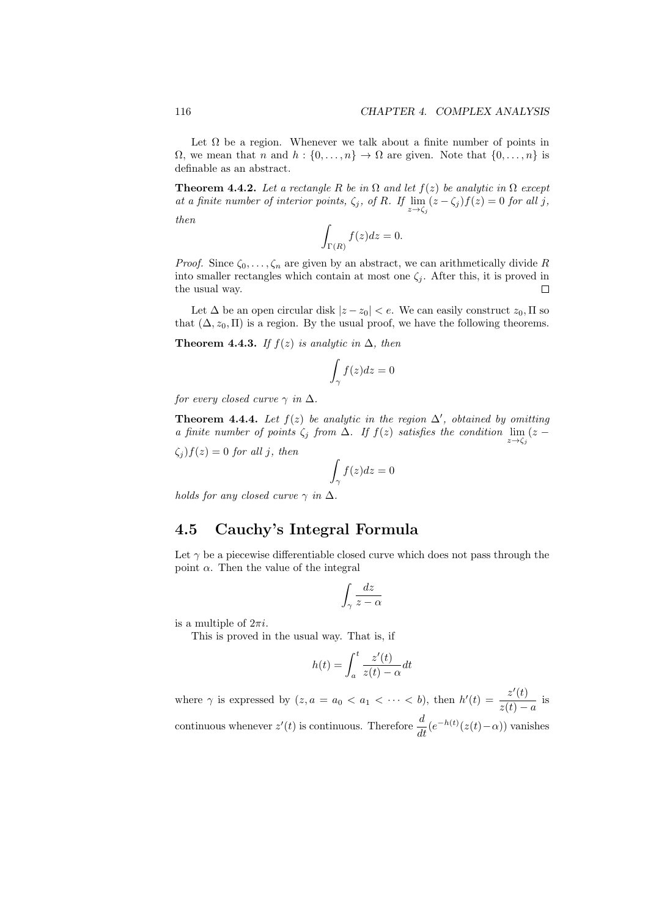Let  $\Omega$  be a region. Whenever we talk about a finite number of points in  $\Omega$ , we mean that *n* and  $h : \{0, \ldots, n\} \to \Omega$  are given. Note that  $\{0, \ldots, n\}$  is definable as an abstract.

**Theorem 4.4.2.** *Let a rectangle*  $R$  *be in*  $\Omega$  *and let*  $f(z)$  *be analytic in*  $\Omega$  *except at a finite number of interior points,*  $\zeta_j$ *,* of *R.* If  $\lim_{z \to \zeta_j} (z - \zeta_j) f(z) = 0$  for all *j*,

*then*

$$
\int_{\Gamma(R)} f(z)dz = 0.
$$

*Proof.* Since  $\zeta_0, \ldots, \zeta_n$  are given by an abstract, we can arithmetically divide R into smaller rectangles which contain at most one  $\zeta_j$ . After this, it is proved in the usual way.  $\Box$ 

Let  $\Delta$  be an open circular disk  $|z - z_0| < e$ . We can easily construct  $z_0$ ,  $\Pi$  so that  $(\Delta, z_0, \Pi)$  is a region. By the usual proof, we have the following theorems.

**Theorem 4.4.3.** *If*  $f(z)$  *is analytic in*  $\Delta$ *, then* 

$$
\int_{\gamma} f(z) dz = 0
$$

*for every closed curve*  $\gamma$  *in*  $\Delta$ *.* 

**Theorem 4.4.4.** Let  $f(z)$  be analytic in the region  $\Delta'$ , obtained by omitting *a* finite number of points  $\zeta_j$  from  $\Delta$ *.* If  $f(z)$  satisfies the condition  $\lim_{z \to \zeta_j} (z -$ 

 $\zeta_i$   $f(z) = 0$  *for all j, then* 

$$
\int_\gamma f(z)dz=0
$$

*holds for any closed curve*  $\gamma$  *in*  $\Delta$ *.* 

#### **4.5 Cauchy's Integral Formula**

Let  $\gamma$  be a piecewise differentiable closed curve which does not pass through the point  $\alpha$ . Then the value of the integral

$$
\int_{\gamma}\frac{dz}{z-\alpha}
$$

is a multiple of 2*πi*.

This is proved in the usual way. That is, if

$$
h(t) = \int_{a}^{t} \frac{z'(t)}{z(t) - \alpha} dt
$$

where  $\gamma$  is expressed by  $(z, a = a_0 < a_1 < \cdots < b)$ , then  $h'(t) = \frac{z'(t)}{s'(t)}$  $\frac{z(t)}{z(t) - a}$  is continuous whenever  $z'(t)$  is continuous. Therefore  $\frac{d}{dt}(e^{-h(t)}(z(t)-\alpha))$  vanishes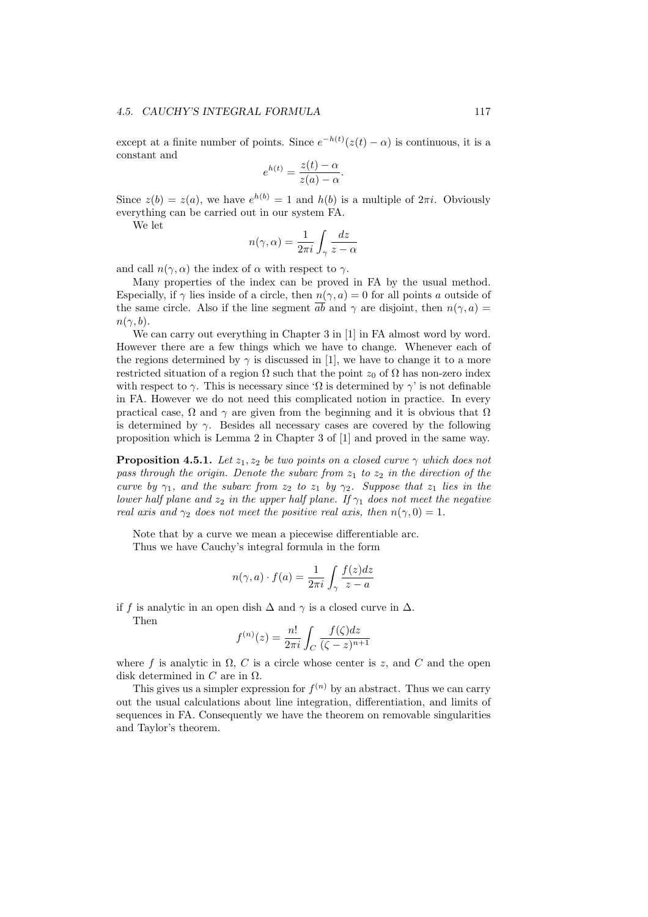except at a finite number of points. Since  $e^{-h(t)}(z(t) - \alpha)$  is continuous, it is a constant and

$$
e^{h(t)} = \frac{z(t) - \alpha}{z(a) - \alpha}.
$$

Since  $z(b) = z(a)$ , we have  $e^{h(b)} = 1$  and  $h(b)$  is a multiple of  $2\pi i$ . Obviously everything can be carried out in our system FA.

We let

$$
n(\gamma,\alpha) = \frac{1}{2\pi i} \int_{\gamma} \frac{dz}{z - \alpha}
$$

and call  $n(\gamma, \alpha)$  the index of  $\alpha$  with respect to  $\gamma$ .

Many properties of the index can be proved in FA by the usual method. Especially, if  $\gamma$  lies inside of a circle, then  $n(\gamma, a) = 0$  for all points *a* outside of the same circle. Also if the line segment *ab* and  $\gamma$  are disjoint, then  $n(\gamma, a)$  $n(\gamma, b)$ .

We can carry out everything in Chapter 3 in [1] in FA almost word by word. However there are a few things which we have to change. Whenever each of the regions determined by  $\gamma$  is discussed in [1], we have to change it to a more restricted situation of a region  $\Omega$  such that the point  $z_0$  of  $\Omega$  has non-zero index with respect to  $\gamma$ . This is necessary since ' $\Omega$  is determined by  $\gamma$ ' is not definable in FA. However we do not need this complicated notion in practice. In every practical case,  $\Omega$  and  $\gamma$  are given from the beginning and it is obvious that  $\Omega$ is determined by  $\gamma$ . Besides all necessary cases are covered by the following proposition which is Lemma 2 in Chapter 3 of [1] and proved in the same way.

**Proposition 4.5.1.** *Let*  $z_1, z_2$  *be two points on a closed curve*  $\gamma$  *which does not pass through the origin. Denote the subarc from z*<sup>1</sup> *to z*<sup>2</sup> *in the direction of the curve by*  $\gamma_1$ *, and the subarc from*  $z_2$  *to*  $z_1$  *by*  $\gamma_2$ *. Suppose that*  $z_1$  *lies in the lower half plane and*  $z_2$  *in the upper half plane. If*  $\gamma_1$  *does not meet the negative real axis and*  $\gamma_2$  *does not meet the positive real axis, then*  $n(\gamma, 0) = 1$ *.* 

Note that by a curve we mean a piecewise differentiable arc. Thus we have Cauchy's integral formula in the form

$$
n(\gamma, a) \cdot f(a) = \frac{1}{2\pi i} \int_{\gamma} \frac{f(z)dz}{z - a}
$$

if *f* is analytic in an open dish  $\Delta$  and  $\gamma$  is a closed curve in  $\Delta$ .

Then

$$
f^{(n)}(z)=\frac{n!}{2\pi i}\int_C\frac{f(\zeta)dz}{(\zeta-z)^{n+1}}
$$

where f is analytic in  $\Omega$ , C is a circle whose center is z, and C and the open disk determined in *C* are in Ω.

This gives us a simpler expression for  $f^{(n)}$  by an abstract. Thus we can carry out the usual calculations about line integration, differentiation, and limits of sequences in FA. Consequently we have the theorem on removable singularities and Taylor's theorem.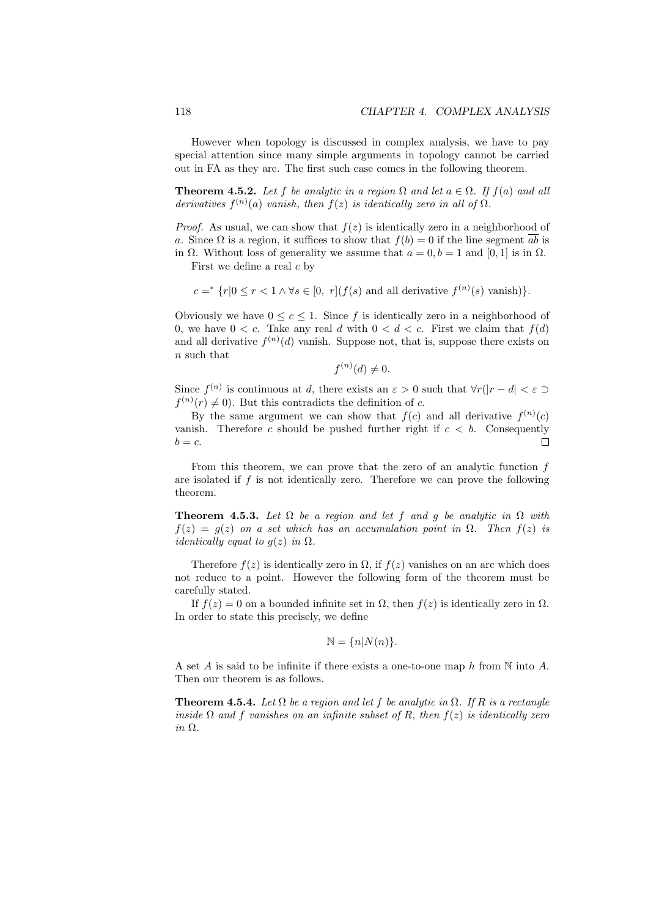However when topology is discussed in complex analysis, we have to pay special attention since many simple arguments in topology cannot be carried out in FA as they are. The first such case comes in the following theorem.

**Theorem 4.5.2.** *Let*  $f$  *be analytic in a region*  $\Omega$  *and let*  $a \in \Omega$ *. If*  $f(a)$  *and all derivatives*  $f^{(n)}(a)$  *vanish, then*  $f(z)$  *is identically zero in all of*  $\Omega$ *.* 

*Proof.* As usual, we can show that  $f(z)$  is identically zero in a neighborhood of *a*. Since  $\Omega$  is a region, it suffices to show that  $f(b) = 0$  if the line segment  $\overline{ab}$  is in  $\Omega$ . Without loss of generality we assume that  $a = 0, b = 1$  and  $[0, 1]$  is in  $\Omega$ .

First we define a real *c* by

$$
c =^* \{r | 0 \le r < 1 \land \forall s \in [0, r] (f(s) \text{ and all derivative } f^{(n)}(s) \text{ vanish})\}.
$$

Obviously we have  $0 \leq c \leq 1$ . Since f is identically zero in a neighborhood of 0, we have  $0 < c$ . Take any real *d* with  $0 < d < c$ . First we claim that  $f(d)$ and all derivative  $f^{(n)}(d)$  vanish. Suppose not, that is, suppose there exists on *n* such that

$$
f^{(n)}(d) \neq 0.
$$

Since  $f^{(n)}$  is continuous at *d*, there exists an  $\varepsilon > 0$  such that  $\forall r(|r - d| < \varepsilon)$  $f^{(n)}(r) \neq 0$ . But this contradicts the definition of *c*.

By the same argument we can show that  $f(c)$  and all derivative  $f^{(n)}(c)$ vanish. Therefore  $c$  should be pushed further right if  $c < b$ . Consequently  $b = c$ .  $\Box$ 

From this theorem, we can prove that the zero of an analytic function *f* are isolated if *f* is not identically zero. Therefore we can prove the following theorem.

**Theorem 4.5.3.** Let  $\Omega$  be a region and let f and g be analytic in  $\Omega$  with  $f(z) = g(z)$  *on a set which has an accumulation point in*  $\Omega$ *. Then*  $f(z)$  *is identically equal to*  $g(z)$  *in*  $\Omega$ *.* 

Therefore  $f(z)$  is identically zero in  $\Omega$ , if  $f(z)$  vanishes on an arc which does not reduce to a point. However the following form of the theorem must be carefully stated.

If  $f(z) = 0$  on a bounded infinite set in  $\Omega$ , then  $f(z)$  is identically zero in  $\Omega$ . In order to state this precisely, we define

$$
\mathbb{N} = \{n | N(n) \}.
$$

A set *A* is said to be infinite if there exists a one-to-one map *h* from N into *A*. Then our theorem is as follows.

**Theorem 4.5.4.** *Let*  $\Omega$  *be a region and let*  $f$  *be analytic in*  $\Omega$ *. If*  $R$  *is a rectangle inside*  $\Omega$  *and*  $f$  *vanishes on an infinite subset of*  $R$ *, then*  $f(z)$  *is identically zero in* Ω*.*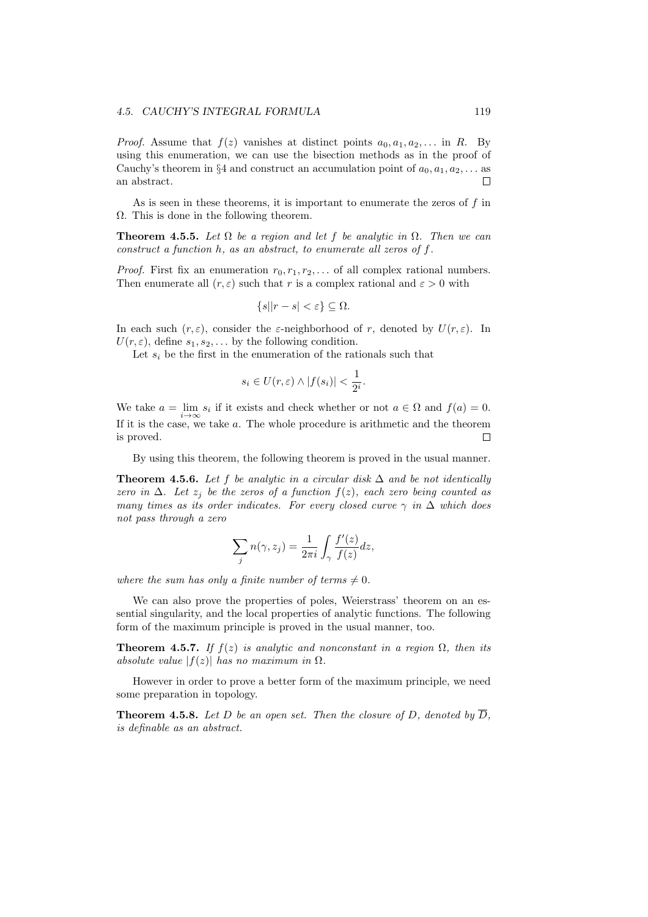*Proof.* Assume that  $f(z)$  vanishes at distinct points  $a_0, a_1, a_2, \ldots$  in *R*. By using this enumeration, we can use the bisection methods as in the proof of Cauchy's theorem in §4 and construct an accumulation point of  $a_0, a_1, a_2, \ldots$  as an abstract.  $\Box$ 

As is seen in these theorems, it is important to enumerate the zeros of *f* in  $\Omega$ . This is done in the following theorem.

**Theorem 4.5.5.** *Let*  $\Omega$  *be a region and let*  $f$  *be analytic in*  $\Omega$ *. Then we can construct a function h, as an abstract, to enumerate all zeros of f.*

*Proof.* First fix an enumeration  $r_0, r_1, r_2, \ldots$  of all complex rational numbers. Then enumerate all  $(r, \varepsilon)$  such that r is a complex rational and  $\varepsilon > 0$  with

$$
\{s||r-s| < \varepsilon\} \subseteq \Omega.
$$

In each such  $(r, \varepsilon)$ , consider the  $\varepsilon$ -neighborhood of *r*, denoted by  $U(r, \varepsilon)$ . In  $U(r, \varepsilon)$ , define  $s_1, s_2, \ldots$  by the following condition.

Let  $s_i$  be the first in the enumeration of the rationals such that

$$
s_i \in U(r, \varepsilon) \wedge |f(s_i)| < \frac{1}{2^i}.
$$

We take  $a = \lim s_i$  if it exists and check whether or not  $a \in \Omega$  and  $f(a) = 0$ . If it is the case, we take *a*. The whole procedure is arithmetic and the theorem is proved. П

By using this theorem, the following theorem is proved in the usual manner.

**Theorem 4.5.6.** Let f be analytic in a circular disk  $\Delta$  and be not identically *zero in*  $\Delta$ *. Let*  $z_j$  *be the zeros of a function*  $f(z)$ *, each zero being counted as many times as its order indicates. For every closed curve γ in* ∆ *which does not pass through a zero*

$$
\sum_j n(\gamma, z_j) = \frac{1}{2\pi i} \int_{\gamma} \frac{f'(z)}{f(z)} dz,
$$

*where the sum has only a finite number of terms*  $\neq 0$ *.* 

We can also prove the properties of poles, Weierstrass' theorem on an essential singularity, and the local properties of analytic functions. The following form of the maximum principle is proved in the usual manner, too.

**Theorem 4.5.7.** *If*  $f(z)$  *is analytic and nonconstant in a region*  $\Omega$ *, then its absolute value*  $|f(z)|$  *has no maximum in*  $\Omega$ *.* 

However in order to prove a better form of the maximum principle, we need some preparation in topology.

**Theorem 4.5.8.** Let D be an open set. Then the closure of D, denoted by  $\overline{D}$ , *is definable as an abstract.*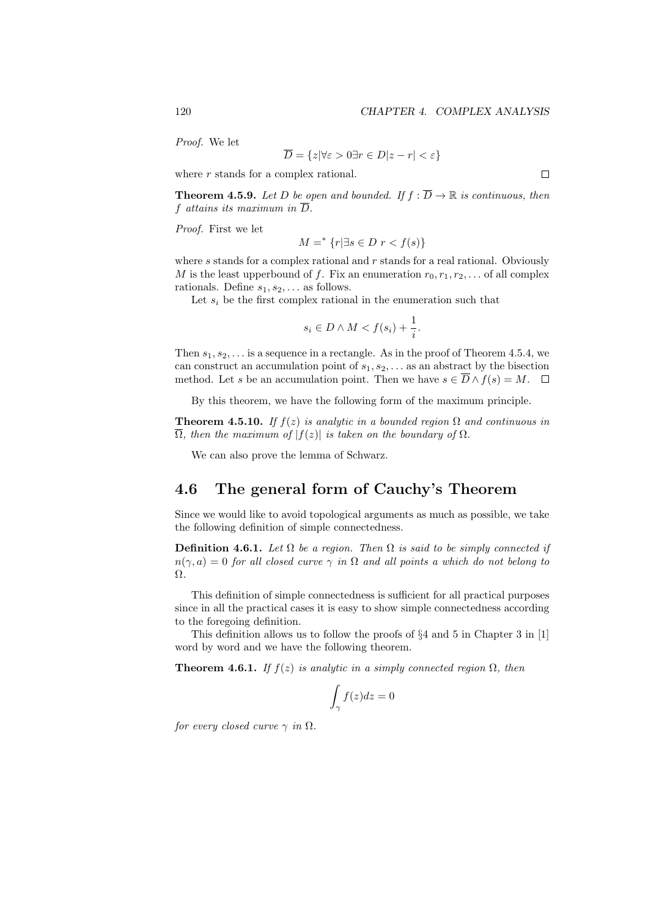$\Box$ 

*Proof.* We let

$$
D = \{ z | \forall \varepsilon > 0 \exists r \in D | z - r | < \varepsilon \}
$$

where *r* stands for a complex rational.

*M* =

**Theorem 4.5.9.** Let D be open and bounded. If  $f : \overline{D} \to \mathbb{R}$  is continuous, then  $f$  *attains its maximum in*  $\overline{D}$ *.* 

*Proof.* First we let

$$
M =^* \{r | \exists s \in D \ r < f(s) \}
$$

where *s* stands for a complex rational and *r* stands for a real rational. Obviously *M* is the least upperbound of *f*. Fix an enumeration  $r_0, r_1, r_2, \ldots$  of all complex rationals. Define  $s_1, s_2, \ldots$  as follows.

Let  $s_i$  be the first complex rational in the enumeration such that

$$
s_i \in D \land M < f(s_i) + \frac{1}{i}.
$$

Then  $s_1, s_2, \ldots$  is a sequence in a rectangle. As in the proof of Theorem 4.5.4, we can construct an accumulation point of *s*1*, s*2*, . . .* as an abstract by the bisection method. Let *s* be an accumulation point. Then we have  $s \in \overline{D} \wedge f(s) = M$ .  $\Box$ 

By this theorem, we have the following form of the maximum principle.

**Theorem 4.5.10.** *If*  $f(z)$  *is analytic in a bounded region*  $\Omega$  *and continuous in*  $\overline{\Omega}$ , then the maximum of  $|f(z)|$  is taken on the boundary of  $\Omega$ .

We can also prove the lemma of Schwarz.

#### **4.6 The general form of Cauchy's Theorem**

Since we would like to avoid topological arguments as much as possible, we take the following definition of simple connectedness.

**Definition 4.6.1.** *Let*  $\Omega$  *be a region. Then*  $\Omega$  *is said to be simply connected if*  $n(\gamma, a) = 0$  *for all closed curve*  $\gamma$  *in*  $\Omega$  *and all points a which do not belong to* Ω*.*

This definition of simple connectedness is sufficient for all practical purposes since in all the practical cases it is easy to show simple connectedness according to the foregoing definition.

This definition allows us to follow the proofs of *§*4 and 5 in Chapter 3 in [1] word by word and we have the following theorem.

**Theorem 4.6.1.** *If*  $f(z)$  *is analytic in a simply connected region*  $\Omega$ *, then* 

$$
\int_\gamma f(z) dz = 0
$$

*for every closed curve*  $\gamma$  *in*  $\Omega$ *.*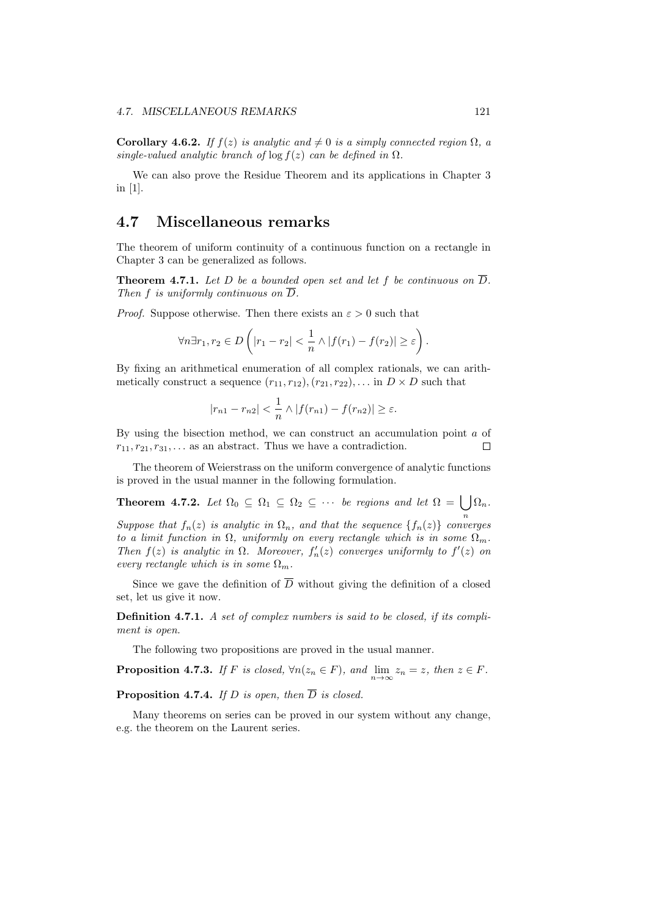**Corollary 4.6.2.** *If*  $f(z)$  *is analytic and*  $\neq 0$  *is a simply connected region*  $\Omega$ *, a single-valued analytic branch of*  $\log f(z)$  *can be defined in*  $\Omega$ *.* 

We can also prove the Residue Theorem and its applications in Chapter 3 in [1].

#### **4.7 Miscellaneous remarks**

The theorem of uniform continuity of a continuous function on a rectangle in Chapter 3 can be generalized as follows.

**Theorem 4.7.1.** Let D be a bounded open set and let f be continuous on  $\overline{D}$ . *Then*  $f$  *is uniformly continuous on*  $\overline{D}$ *.* 

*Proof.* Suppose otherwise. Then there exists an  $\varepsilon > 0$  such that

$$
\forall n \exists r_1, r_2 \in D \left( |r_1 - r_2| < \frac{1}{n} \land |f(r_1) - f(r_2)| \ge \varepsilon \right).
$$

By fixing an arithmetical enumeration of all complex rationals, we can arithmetically construct a sequence  $(r_{11}, r_{12}), (r_{21}, r_{22}), \ldots$  in  $D \times D$  such that

$$
|r_{n1}-r_{n2}|<\frac{1}{n}\wedge|f(r_{n1})-f(r_{n2})|\geq\varepsilon.
$$

By using the bisection method, we can construct an accumulation point *a* of  $r_{11}, r_{21}, r_{31}, \ldots$  as an abstract. Thus we have a contradiction.  $\Box$ 

The theorem of Weierstrass on the uniform convergence of analytic functions is proved in the usual manner in the following formulation.

**Theorem 4.7.2.** Let  $\Omega_0 \subseteq \Omega_1 \subseteq \Omega_2 \subseteq \cdots$  be regions and let  $\Omega = \bigcup \Omega_n$ .

*n suppose that*  $f_n(z)$  *is analytic in*  $\Omega_n$ *, and that the sequence*  $\{f_n(z)\}\$ *converges to a limit function in*  $\Omega$ , *uniformly on every rectangle which is in some*  $\Omega_m$ *. Then*  $f(z)$  *is analytic in*  $\Omega$ *. Moreover,*  $f'_{n}(z)$  *converges uniformly to*  $f'(z)$  *on every rectangle which is in some*  $\Omega_m$ *.* 

Since we gave the definition of  $\overline{D}$  without giving the definition of a closed set, let us give it now.

**Definition 4.7.1.** *A set of complex numbers is said to be closed, if its compliment is open.*

The following two propositions are proved in the usual manner.

**Proposition 4.7.3.** *If F is closed,*  $\forall n(z_n \in F)$ *, and*  $\lim_{n \to \infty} z_n = z$ *, then*  $z \in F$ *.* 

**Proposition 4.7.4.** *If D is open, then*  $\overline{D}$  *is closed.* 

Many theorems on series can be proved in our system without any change, e.g. the theorem on the Laurent series.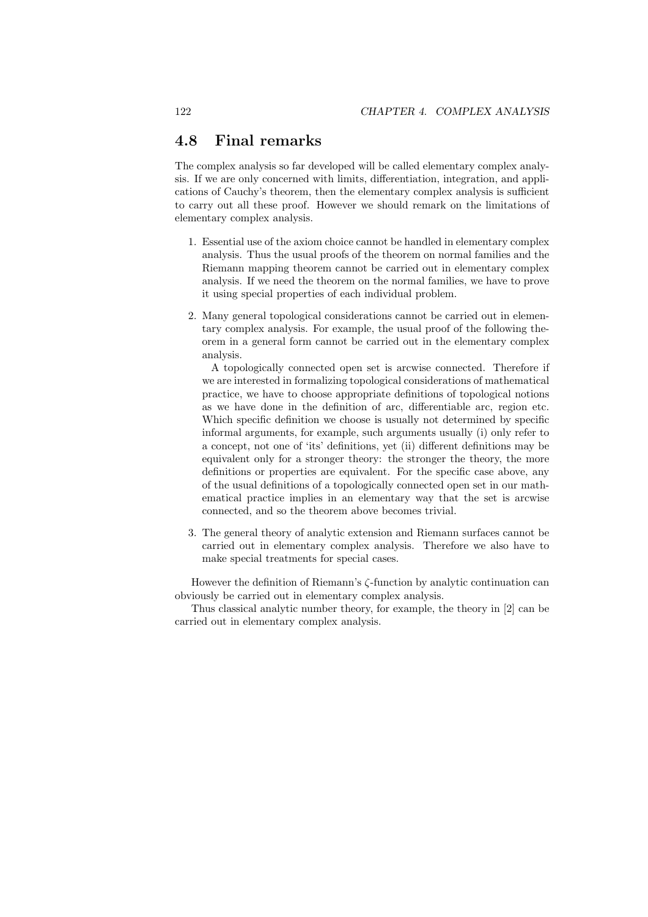#### **4.8 Final remarks**

The complex analysis so far developed will be called elementary complex analysis. If we are only concerned with limits, differentiation, integration, and applications of Cauchy's theorem, then the elementary complex analysis is sufficient to carry out all these proof. However we should remark on the limitations of elementary complex analysis.

- 1. Essential use of the axiom choice cannot be handled in elementary complex analysis. Thus the usual proofs of the theorem on normal families and the Riemann mapping theorem cannot be carried out in elementary complex analysis. If we need the theorem on the normal families, we have to prove it using special properties of each individual problem.
- 2. Many general topological considerations cannot be carried out in elementary complex analysis. For example, the usual proof of the following theorem in a general form cannot be carried out in the elementary complex analysis.

A topologically connected open set is arcwise connected. Therefore if we are interested in formalizing topological considerations of mathematical practice, we have to choose appropriate definitions of topological notions as we have done in the definition of arc, differentiable arc, region etc. Which specific definition we choose is usually not determined by specific informal arguments, for example, such arguments usually (i) only refer to a concept, not one of 'its' definitions, yet (ii) different definitions may be equivalent only for a stronger theory: the stronger the theory, the more definitions or properties are equivalent. For the specific case above, any of the usual definitions of a topologically connected open set in our mathematical practice implies in an elementary way that the set is arcwise connected, and so the theorem above becomes trivial.

3. The general theory of analytic extension and Riemann surfaces cannot be carried out in elementary complex analysis. Therefore we also have to make special treatments for special cases.

However the definition of Riemann's *ζ*-function by analytic continuation can obviously be carried out in elementary complex analysis.

Thus classical analytic number theory, for example, the theory in [2] can be carried out in elementary complex analysis.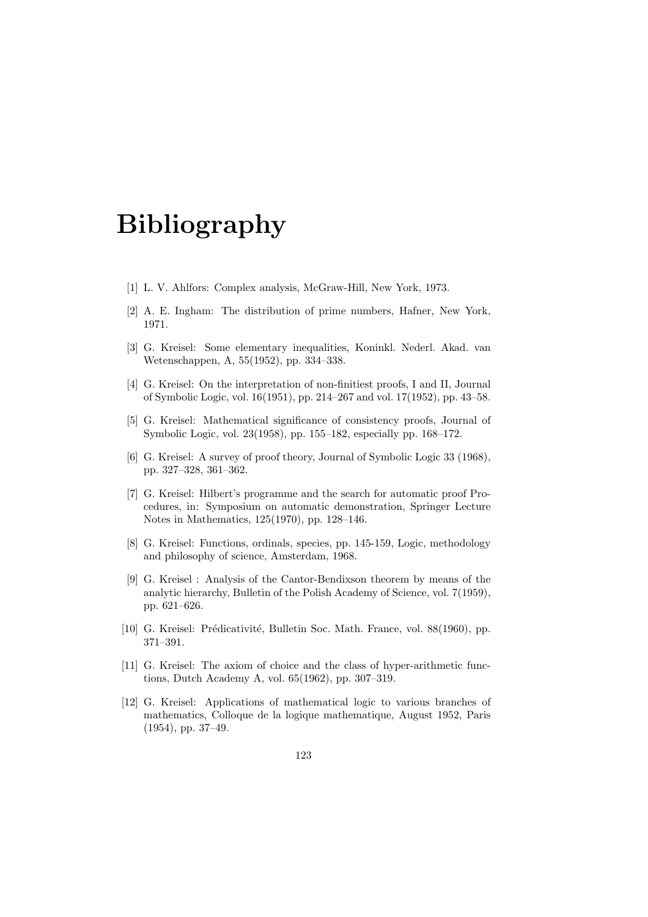# **Bibliography**

- [1] L. V. Ahlfors: Complex analysis, McGraw-Hill, New York, 1973.
- [2] A. E. Ingham: The distribution of prime numbers, Hafner, New York, 1971.
- [3] G. Kreisel: Some elementary inequalities, Koninkl. Nederl. Akad. van Wetenschappen, A, 55(1952), pp. 334–338.
- [4] G. Kreisel: On the interpretation of non-finitiest proofs, I and II, Journal of Symbolic Logic, vol. 16(1951), pp. 214–267 and vol. 17(1952), pp. 43–58.
- [5] G. Kreisel: Mathematical significance of consistency proofs, Journal of Symbolic Logic, vol. 23(1958), pp. 155–182, especially pp. 168–172.
- [6] G. Kreisel: A survey of proof theory, Journal of Symbolic Logic 33 (1968), pp. 327–328, 361–362.
- [7] G. Kreisel: Hilbert's programme and the search for automatic proof Procedures, in: Symposium on automatic demonstration, Springer Lecture Notes in Mathematics, 125(1970), pp. 128–146.
- [8] G. Kreisel: Functions, ordinals, species, pp. 145-159, Logic, methodology and philosophy of science, Amsterdam, 1968.
- [9] G. Kreisel : Analysis of the Cantor-Bendixson theorem by means of the analytic hierarchy, Bulletin of the Polish Academy of Science, vol. 7(1959), pp. 621–626.
- [10] G. Kreisel: Prédicativité, Bulletin Soc. Math. France, vol. 88(1960), pp. 371–391.
- [11] G. Kreisel: The axiom of choice and the class of hyper-arithmetic functions, Dutch Academy A, vol. 65(1962), pp. 307–319.
- [12] G. Kreisel: Applications of mathematical logic to various branches of mathematics, Colloque de la logique mathematique, August 1952, Paris (1954), pp. 37–49.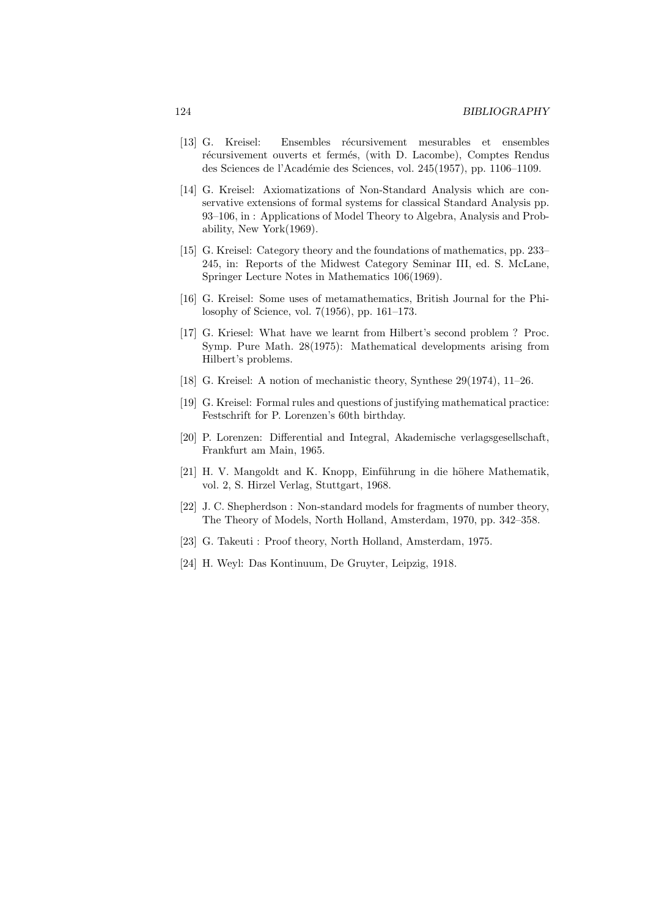- [13] G. Kreisel: Ensembles récursivement mesurables et ensembles récursivement ouverts et fermés, (with D. Lacombe), Comptes Rendus des Sciences de l'Académie des Sciences, vol. 245(1957), pp. 1106–1109.
- [14] G. Kreisel: Axiomatizations of Non-Standard Analysis which are conservative extensions of formal systems for classical Standard Analysis pp. 93–106, in : Applications of Model Theory to Algebra, Analysis and Probability, New York(1969).
- [15] G. Kreisel: Category theory and the foundations of mathematics, pp. 233– 245, in: Reports of the Midwest Category Seminar III, ed. S. McLane, Springer Lecture Notes in Mathematics 106(1969).
- [16] G. Kreisel: Some uses of metamathematics, British Journal for the Philosophy of Science, vol. 7(1956), pp. 161–173.
- [17] G. Kriesel: What have we learnt from Hilbert's second problem ? Proc. Symp. Pure Math. 28(1975): Mathematical developments arising from Hilbert's problems.
- [18] G. Kreisel: A notion of mechanistic theory, Synthese 29(1974), 11–26.
- [19] G. Kreisel: Formal rules and questions of justifying mathematical practice: Festschrift for P. Lorenzen's 60th birthday.
- [20] P. Lorenzen: Differential and Integral, Akademische verlagsgesellschaft, Frankfurt am Main, 1965.
- [21] H. V. Mangoldt and K. Knopp, Einführung in die höhere Mathematik, vol. 2, S. Hirzel Verlag, Stuttgart, 1968.
- [22] J. C. Shepherdson : Non-standard models for fragments of number theory, The Theory of Models, North Holland, Amsterdam, 1970, pp. 342–358.
- [23] G. Takeuti : Proof theory, North Holland, Amsterdam, 1975.
- [24] H. Weyl: Das Kontinuum, De Gruyter, Leipzig, 1918.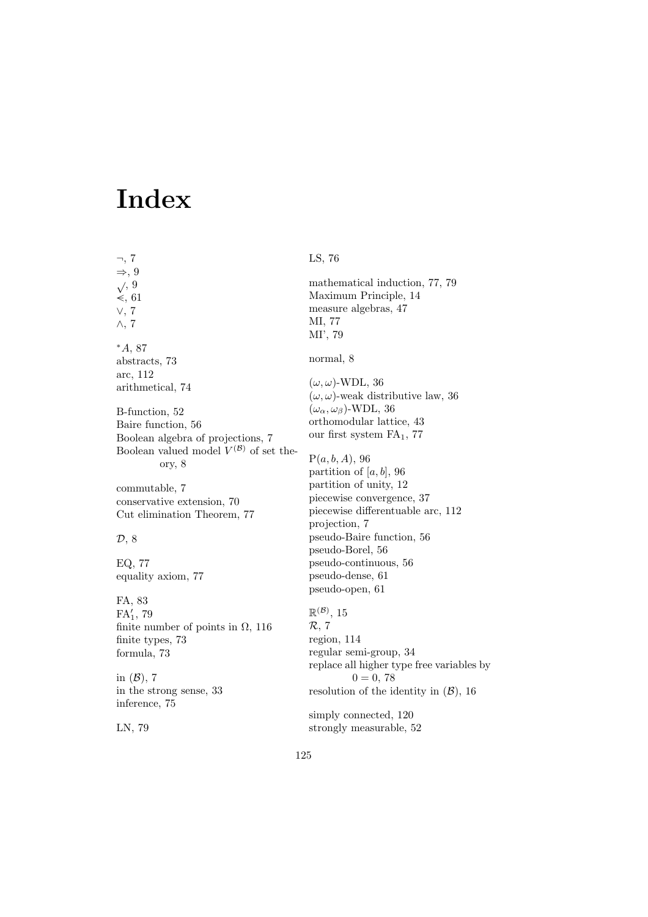## **Index**

*¬*, 7 *⇒*, 9 *<sup>√</sup>*, 9 *−<*, 61 *∨*, 7 *∧*, 7 *<sup>∗</sup>A*, 87 abstracts, 73 arc, 112 arithmetical, 74 B-function, 52 Baire function, 56 Boolean algebra of projections, 7 Boolean valued model  $V^{(\mathcal{B})}$  of set theory, 8 commutable, 7 conservative extension, 70 Cut elimination Theorem, 77 *D*, 8 EQ, 77 equality axiom, 77 FA, 83 FA*′* 1 , 79 finite number of points in  $\Omega$ , 116 finite types, 73 formula, 73 in (*B*), 7 in the strong sense, 33 inference, 75 LS, 76 *R*, 7

LN, 79

mathematical induction, 77, 79 Maximum Principle, 14 measure algebras, 47 MI, 77 MI', 79 normal, 8 (*ω, ω*)-WDL, 36  $(\omega, \omega)$ -weak distributive law, 36  $(\omega_{\alpha}, \omega_{\beta})$ -WDL, 36 orthomodular lattice, 43 our first system  $FA<sub>1</sub>$ , 77 P(*a, b, A*), 96 partition of  $[a, b]$ , 96 partition of unity, 12 piecewise convergence, 37 piecewise differentuable arc, 112 projection, 7 pseudo-Baire function, 56 pseudo-Borel, 56 pseudo-continuous, 56 pseudo-dense, 61 pseudo-open, 61  $\mathbb{R}^{(\mathcal{B})}, 15$ region, 114 regular semi-group, 34 replace all higher type free variables by  $0 = 0, 78$ resolution of the identity in (*B*), 16

simply connected, 120 strongly measurable, 52